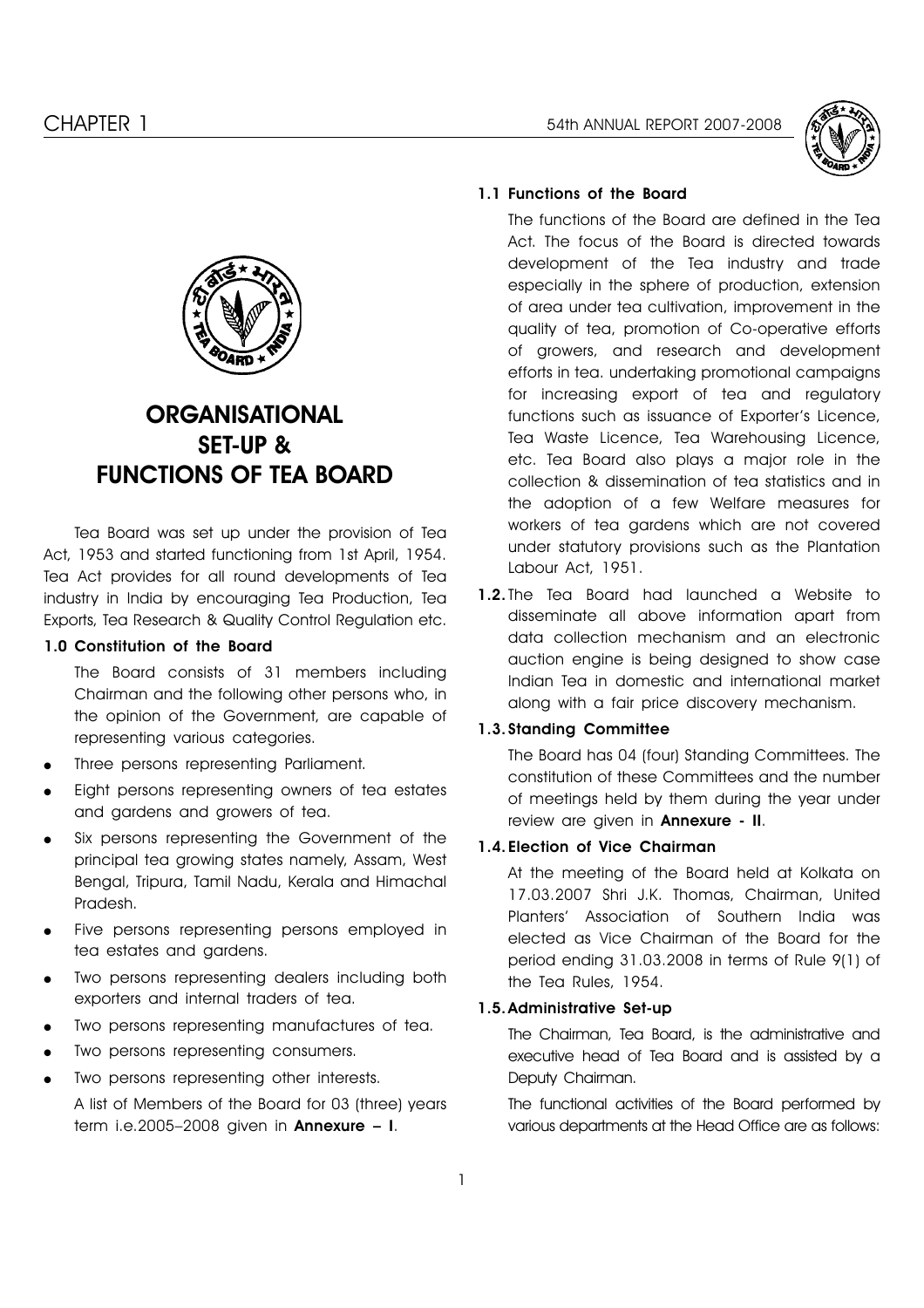

## **ORGANISATIONAL SET-UP & FUNCTIONS OF TEA BOARD**

Tea Board was set up under the provision of Tea Act, 1953 and started functioning from 1st April, 1954. Tea Act provides for all round developments of Tea industry in India by encouraging Tea Production, Tea Exports, Tea Research & Quality Control Regulation etc.

## **1.0 Constitution of the Board**

The Board consists of 31 members including Chairman and the following other persons who, in the opinion of the Government, are capable of representing various categories.

- Three persons representing Parliament.
- Eight persons representing owners of tea estates and gardens and growers of tea.
- Six persons representing the Government of the principal tea growing states namely, Assam, West Bengal, Tripura, Tamil Nadu, Kerala and Himachal Pradesh.
- Five persons representing persons employed in tea estates and gardens.
- Two persons representing dealers including both exporters and internal traders of tea.
- Two persons representing manufactures of tea.
- Two persons representing consumers.
- Two persons representing other interests. A list of Members of the Board for 03 (three) years term i.e.2005–2008 given in **Annexure – I**.

#### **1.1 Functions of the Board**

The functions of the Board are defined in the Tea Act. The focus of the Board is directed towards development of the Tea industry and trade especially in the sphere of production, extension of area under tea cultivation, improvement in the quality of tea, promotion of Co-operative efforts of growers, and research and development efforts in tea. undertaking promotional campaigns for increasing export of tea and regulatory functions such as issuance of Exporter's Licence, Tea Waste Licence, Tea Warehousing Licence, etc. Tea Board also plays a major role in the collection & dissemination of tea statistics and in the adoption of a few Welfare measures for workers of tea gardens which are not covered under statutory provisions such as the Plantation Labour Act, 1951.

**1.2.**The Tea Board had launched a Website to disseminate all above information apart from data collection mechanism and an electronic auction engine is being designed to show case Indian Tea in domestic and international market along with a fair price discovery mechanism.

## **1.3.Standing Committee**

The Board has 04 (four) Standing Committees. The constitution of these Committees and the number of meetings held by them during the year under review are given in **Annexure - II**.

## **1.4.Election of Vice Chairman**

At the meeting of the Board held at Kolkata on 17.03.2007 Shri J.K. Thomas, Chairman, United Planters' Association of Southern India was elected as Vice Chairman of the Board for the period ending 31.03.2008 in terms of Rule 9(1) of the Tea Rules, 1954.

#### **1.5.Administrative Set-up**

The Chairman, Tea Board, is the administrative and executive head of Tea Board and is assisted by a Deputy Chairman.

The functional activities of the Board performed by various departments at the Head Office are as follows: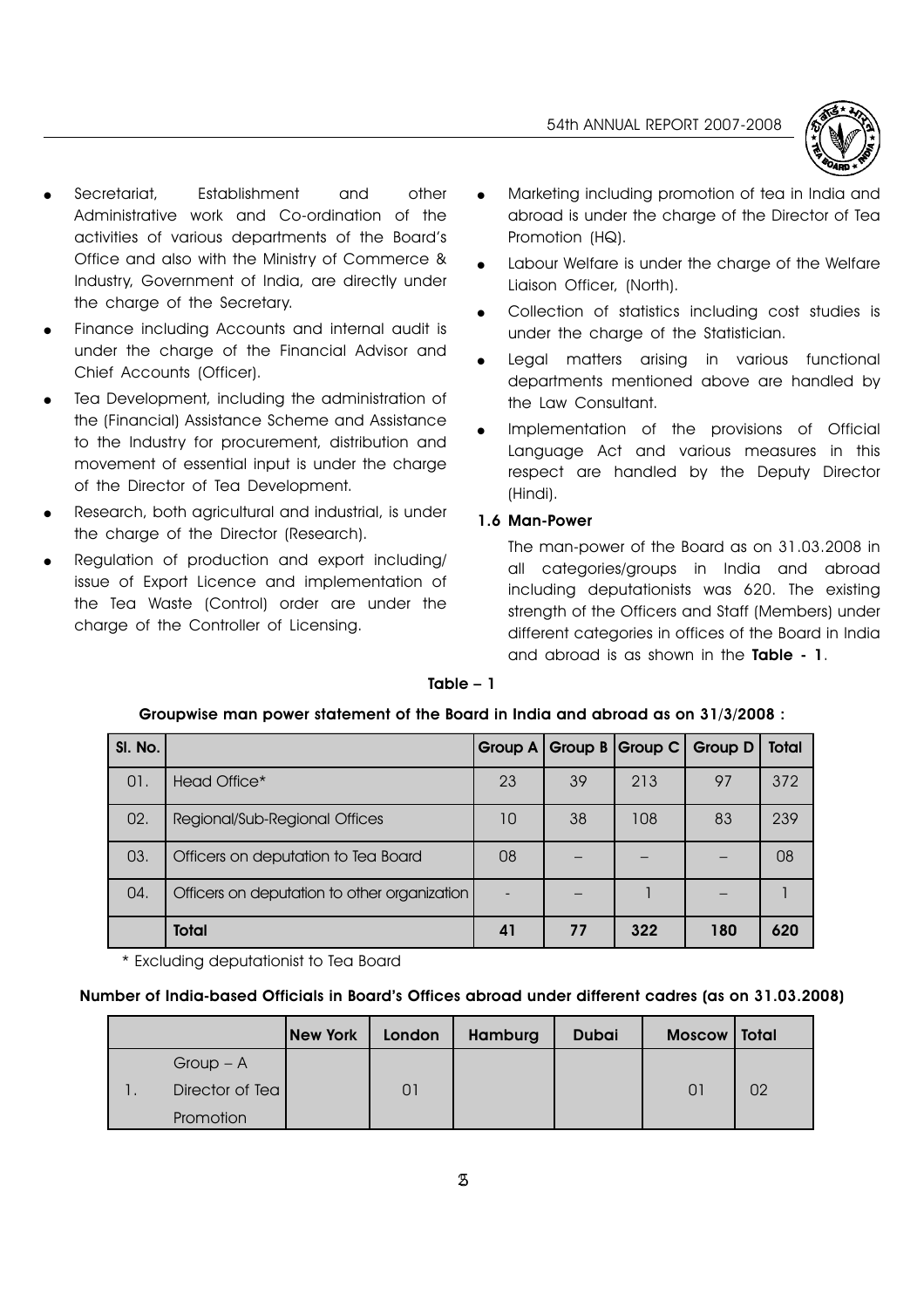

- Secretariat, Establishment and other Administrative work and Co-ordination of the activities of various departments of the Board's Office and also with the Ministry of Commerce & Industry, Government of India, are directly under the charge of the Secretary.
- Finance including Accounts and internal audit is under the charge of the Financial Advisor and Chief Accounts (Officer).
- Tea Development, including the administration of the (Financial) Assistance Scheme and Assistance to the Industry for procurement, distribution and movement of essential input is under the charge of the Director of Tea Development.
- Research, both agricultural and industrial, is under the charge of the Director (Research).
- Regulation of production and export including/ issue of Export Licence and implementation of the Tea Waste (Control) order are under the charge of the Controller of Licensing.
- Marketing including promotion of tea in India and abroad is under the charge of the Director of Tea Promotion (HQ).
- Labour Welfare is under the charge of the Welfare Liaison Officer, (North).
- Collection of statistics including cost studies is under the charge of the Statistician.
- Legal matters arising in various functional departments mentioned above are handled by the Law Consultant.
- Implementation of the provisions of Official Language Act and various measures in this respect are handled by the Deputy Director (Hindi).

## **1.6 Man-Power**

The man-power of the Board as on 31.03.2008 in all categories/groups in India and abroad including deputationists was 620. The existing strength of the Officers and Staff (Members) under different categories in offices of the Board in India and abroad is as shown in the **Table - 1**.

#### **Table – 1**

## **Groupwise man power statement of the Board in India and abroad as on 31/3/2008 :**

| SI. No. |                                              | Group A |    | Group B $ Group C $ | Group $D$ | <b>Total</b> |
|---------|----------------------------------------------|---------|----|---------------------|-----------|--------------|
| 01.     | Head Office*                                 | 23      | 39 | 213                 | 97        | 372          |
| 02.     | Regional/Sub-Regional Offices                | 10      | 38 | 108                 | 83        | 239          |
| 03.     | Officers on deputation to Tea Board          | 08      |    |                     |           | 08           |
| 04.     | Officers on deputation to other organization |         |    |                     |           |              |
|         | <b>Total</b>                                 | 41      | 77 | 322                 | 180       | 620          |

\* Excluding deputationist to Tea Board

#### **Number of India-based Officials in Board's Offices abroad under different cadres (as on 31.03.2008)**

|                 | New York | London | Hamburg | <b>Dubai</b> | <b>Moscow</b> | Total |
|-----------------|----------|--------|---------|--------------|---------------|-------|
| $Group - A$     |          |        |         |              |               |       |
| Director of Tea |          | 01     |         |              | $\Omega$      | 02    |
| Promotion       |          |        |         |              |               |       |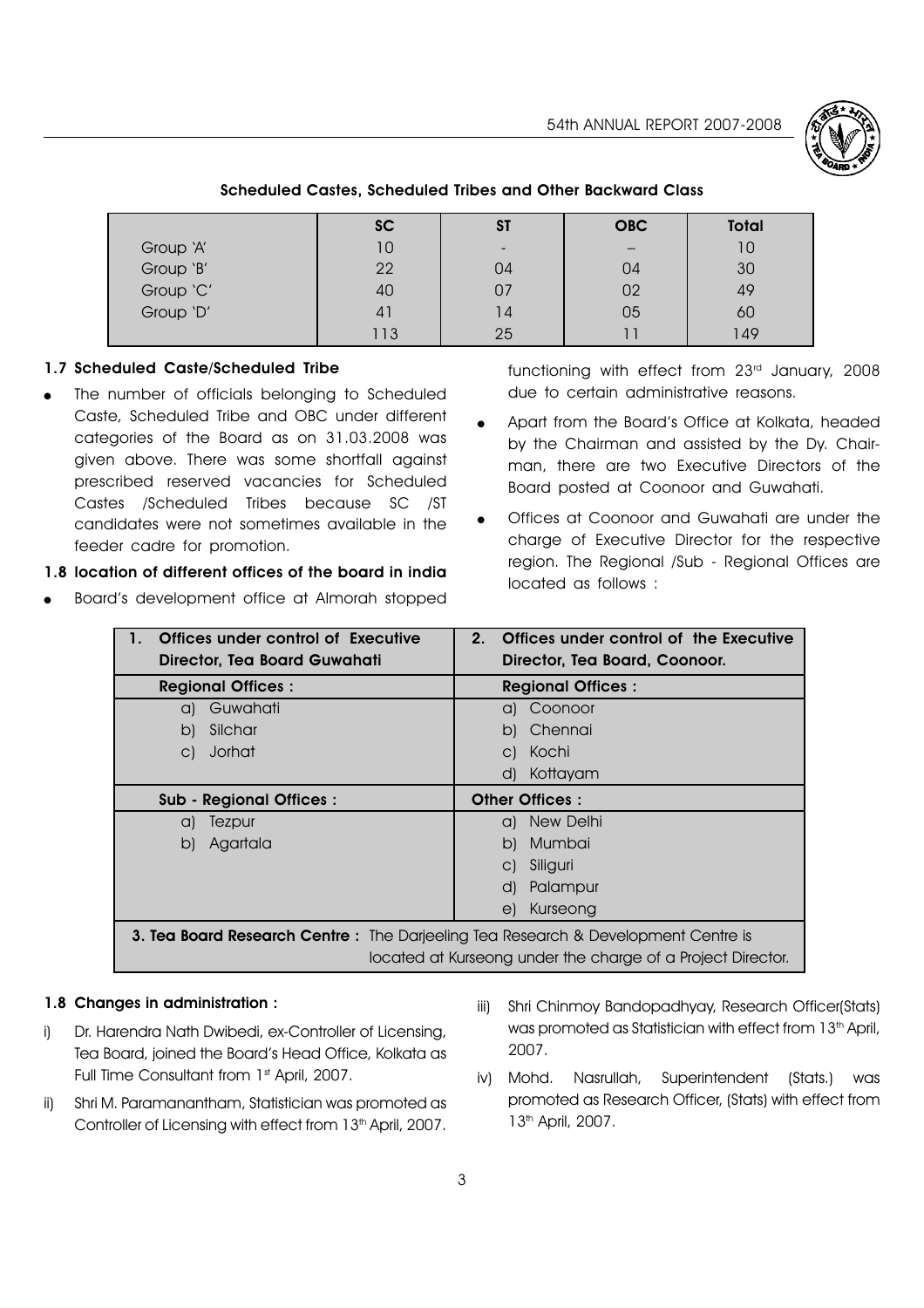

|           | <b>SC</b> | <b>ST</b>                | <b>OBC</b> | Total |  |
|-----------|-----------|--------------------------|------------|-------|--|
| Group 'A' | 10        | $\overline{\phantom{0}}$ |            | 10    |  |
| Group 'B' | 22        | 04                       | 04         | 30    |  |
| Group 'C' | 40        | 07                       | 02         | 49    |  |
| Group 'D' | 41        | 14                       | 05         | 60    |  |
|           | 113       | 25                       |            | 149   |  |

## **Scheduled Castes, Scheduled Tribes and Other Backward Class**

## **1.7 Scheduled Caste/Scheduled Tribe**

The number of officials belonging to Scheduled Caste, Scheduled Tribe and OBC under different categories of the Board as on 31.03.2008 was given above. There was some shortfall against prescribed reserved vacancies for Scheduled Castes /Scheduled Tribes because SC /ST candidates were not sometimes available in the feeder cadre for promotion.

#### **1.8 location of different offices of the board in india**

Board's development office at Almorah stopped

functioning with effect from 23rd January, 2008 due to certain administrative reasons.

- Apart from the Board's Office at Kolkata, headed by the Chairman and assisted by the Dy. Chairman, there are two Executive Directors of the Board posted at Coonoor and Guwahati.
- Offices at Coonoor and Guwahati are under the charge of Executive Director for the respective region. The Regional /Sub - Regional Offices are located as follows :

| Offices under control of Executive<br>1.<br>Director, Tea Board Guwahati           | 2. Offices under control of the Executive<br>Director, Tea Board, Coonoor. |  |  |  |
|------------------------------------------------------------------------------------|----------------------------------------------------------------------------|--|--|--|
| <b>Regional Offices:</b>                                                           | <b>Regional Offices:</b>                                                   |  |  |  |
| a) Guwahati                                                                        | a) Coonoor                                                                 |  |  |  |
| Silchar<br>b)                                                                      | b) Chennai                                                                 |  |  |  |
| Jorhat<br>$\circ$                                                                  | c) Kochi                                                                   |  |  |  |
|                                                                                    | d) Kottayam                                                                |  |  |  |
| <b>Sub - Regional Offices:</b>                                                     | <b>Other Offices:</b>                                                      |  |  |  |
| Tezpur<br>a)                                                                       | a) New Delhi                                                               |  |  |  |
| Agartala<br>b)                                                                     | Mumbai<br>bì                                                               |  |  |  |
|                                                                                    | Siliguri<br>$\circ$                                                        |  |  |  |
|                                                                                    | Palampur<br>d)                                                             |  |  |  |
|                                                                                    | Kurseong<br>e)                                                             |  |  |  |
| 3. Tea Board Research Centre : The Darjeeling Tea Research & Development Centre is |                                                                            |  |  |  |
|                                                                                    | located at Kurseong under the charge of a Project Director.                |  |  |  |

#### **1.8 Changes in administration :**

- i) Dr. Harendra Nath Dwibedi, ex-Controller of Licensing, Tea Board, joined the Board's Head Office, Kolkata as Full Time Consultant from 1st April, 2007.
- ii) Shri M. Paramanantham, Statistician was promoted as Controller of Licensing with effect from 13<sup>th</sup> April, 2007.
- iii) Shri Chinmoy Bandopadhyay, Research Officer(Stats) was promoted as Statistician with effect from 13<sup>th</sup> April, 2007.
- iv) Mohd. Nasrullah, Superintendent (Stats.) was promoted as Research Officer, (Stats) with effect from 13th April, 2007.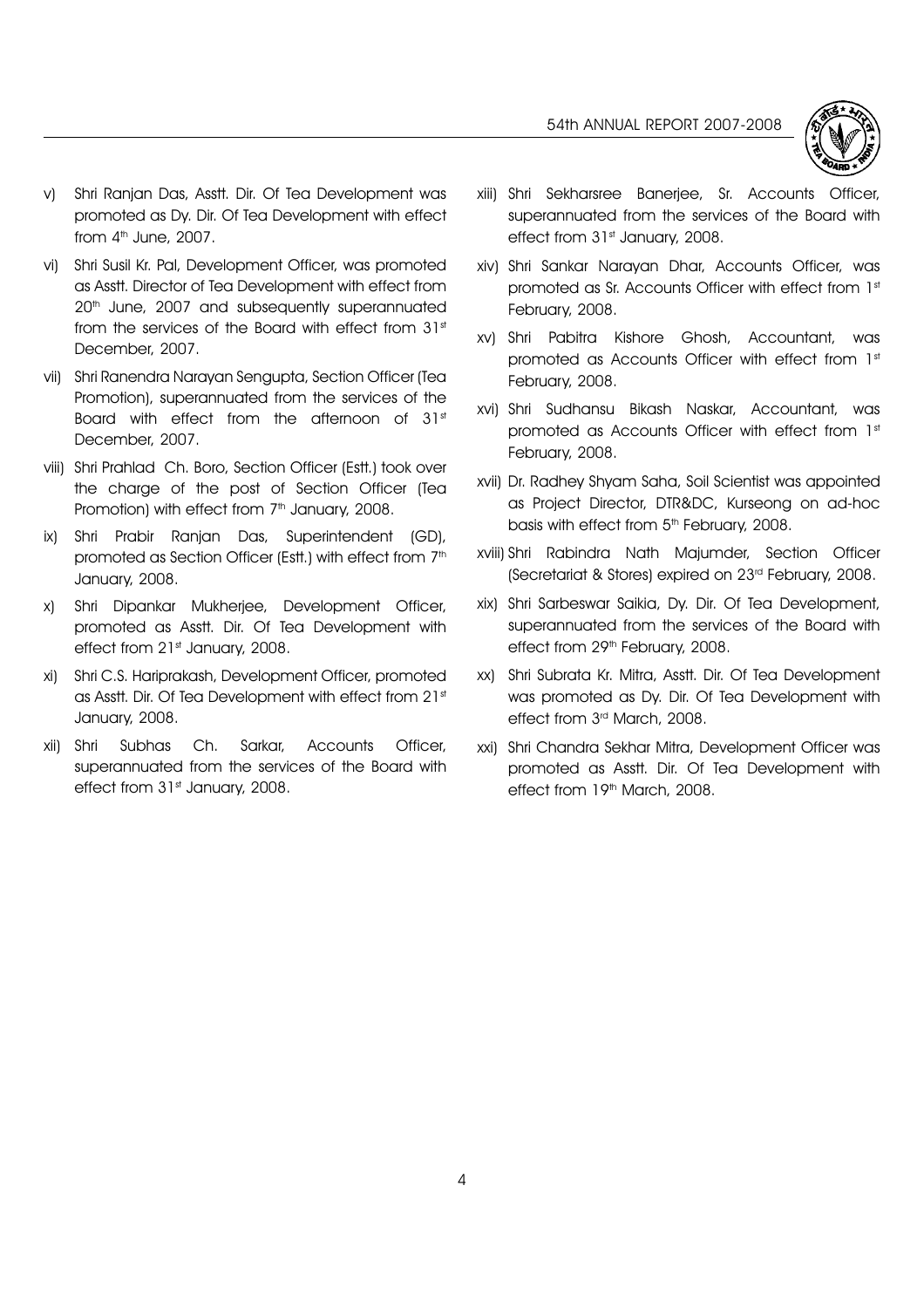

- v) Shri Ranjan Das, Asstt. Dir. Of Tea Development was promoted as Dy. Dir. Of Tea Development with effect from  $4<sup>th</sup>$  June, 2007.
- vi) Shri Susil Kr. Pal, Development Officer, was promoted as Asstt. Director of Tea Development with effect from 20<sup>th</sup> June, 2007 and subsequently superannuated from the services of the Board with effect from 31st December, 2007.
- vii) Shri Ranendra Narayan Sengupta, Section Officer (Tea Promotion), superannuated from the services of the Board with effect from the afternoon of 31st December, 2007.
- viii) Shri Prahlad Ch. Boro, Section Officer (Estt.) took over the charge of the post of Section Officer (Tea Promotion) with effect from 7<sup>th</sup> January, 2008.
- ix) Shri Prabir Ranjan Das, Superintendent (GD), promoted as Section Officer (Estt.) with effect from 7<sup>th</sup> January, 2008.
- x) Shri Dipankar Mukherjee, Development Officer, promoted as Asstt. Dir. Of Tea Development with effect from 21st January, 2008.
- xi) Shri C.S. Hariprakash, Development Officer, promoted as Asstt. Dir. Of Tea Development with effect from 21st January, 2008.
- xii) Shri Subhas Ch. Sarkar, Accounts Officer, superannuated from the services of the Board with effect from 31st January, 2008.
- xiii) Shri Sekharsree Banerjee, Sr. Accounts Officer, superannuated from the services of the Board with effect from 31st January, 2008.
- xiv) Shri Sankar Narayan Dhar, Accounts Officer, was promoted as Sr. Accounts Officer with effect from 1st February, 2008.
- xv) Shri Pabitra Kishore Ghosh, Accountant, was promoted as Accounts Officer with effect from 1st February, 2008.
- xvi) Shri Sudhansu Bikash Naskar, Accountant, was promoted as Accounts Officer with effect from 1st February, 2008.
- xvii) Dr. Radhey Shyam Saha, Soil Scientist was appointed as Project Director, DTR&DC, Kurseong on ad-hoc basis with effect from 5<sup>th</sup> February, 2008.
- xviii) Shri Rabindra Nath Majumder, Section Officer (Secretariat & Stores) expired on 23rd February, 2008.
- xix) Shri Sarbeswar Saikia, Dy. Dir. Of Tea Development, superannuated from the services of the Board with effect from 29<sup>th</sup> February, 2008.
- xx) Shri Subrata Kr. Mitra, Asstt. Dir. Of Tea Development was promoted as Dy. Dir. Of Tea Development with effect from 3rd March, 2008.
- xxi) Shri Chandra Sekhar Mitra, Development Officer was promoted as Asstt. Dir. Of Tea Development with effect from 19<sup>th</sup> March, 2008.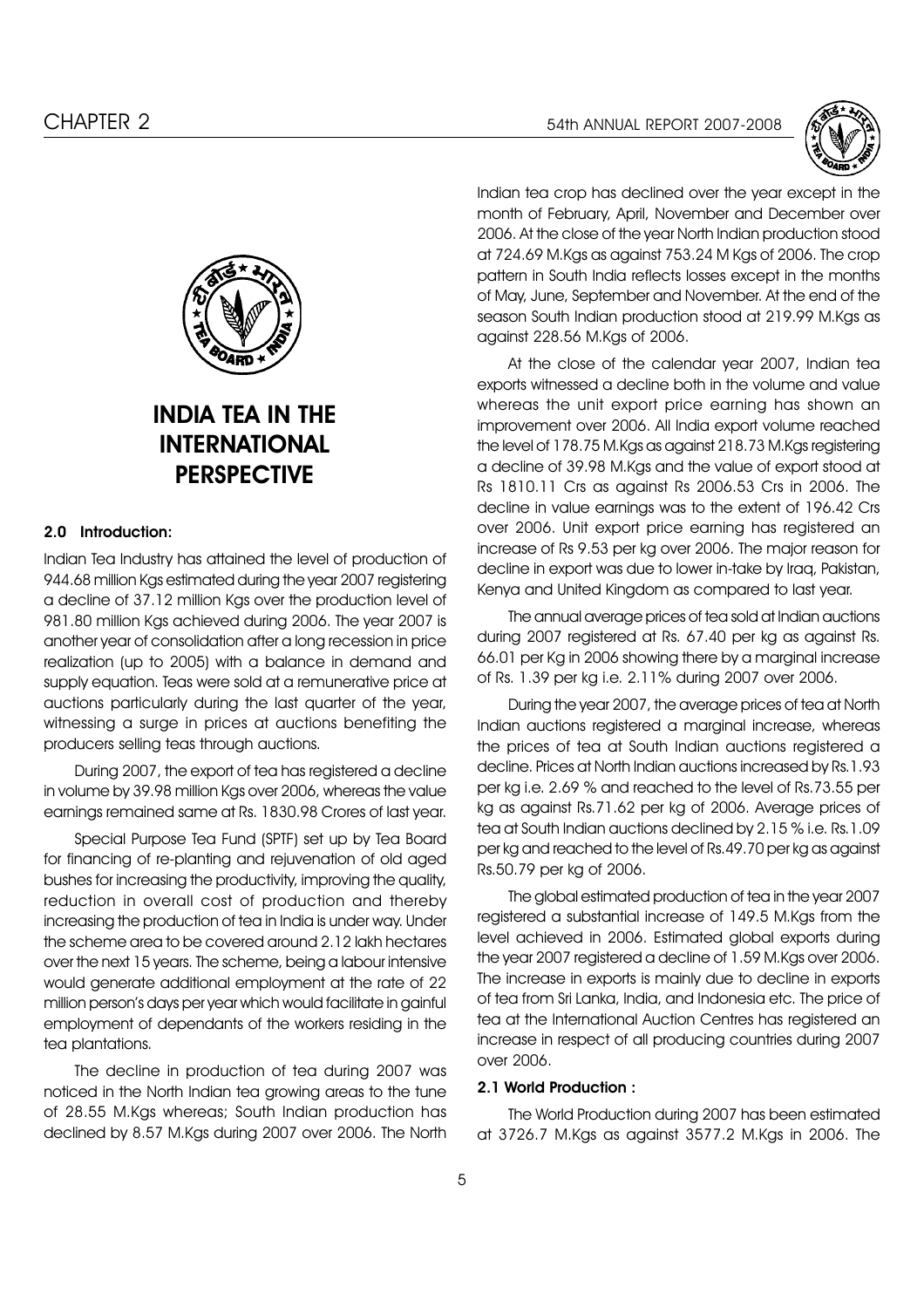



## **INDIA TEA IN THE INTERNATIONAL PERSPECTIVE**

#### **2.0 Introduction:**

Indian Tea Industry has attained the level of production of 944.68 million Kgs estimated during the year 2007 registering a decline of 37.12 million Kgs over the production level of 981.80 million Kgs achieved during 2006. The year 2007 is another year of consolidation after a long recession in price realization (up to 2005) with a balance in demand and supply equation. Teas were sold at a remunerative price at auctions particularly during the last quarter of the year, witnessing a surge in prices at auctions benefiting the producers selling teas through auctions.

During 2007, the export of tea has registered a decline in volume by 39,98 million Kas over 2006, whereas the value earnings remained same at Rs. 1830.98 Crores of last year.

Special Purpose Tea Fund (SPTF) set up by Tea Board for financing of re-planting and rejuvenation of old aged bushes for increasing the productivity, improving the quality, reduction in overall cost of production and thereby increasing the production of tea in India is under way. Under the scheme area to be covered around 2.12 lakh hectares over the next 15 years. The scheme, being a labour intensive would generate additional employment at the rate of 22 million person's days per year which would facilitate in gainful employment of dependants of the workers residing in the tea plantations.

The decline in production of tea during 2007 was noticed in the North Indian tea growing areas to the tune of 28.55 M.Kgs whereas; South Indian production has declined by 8.57 M.Kas during 2007 over 2006. The North Indian tea crop has declined over the year except in the month of February, April, November and December over 2006. At the close of the year North Indian production stood at 724.69 M.Kgs as against 753.24 M Kgs of 2006. The crop pattern in South India reflects losses except in the months of May, June, September and November. At the end of the season South Indian production stood at 219.99 M.Kas as against 228.56 M.Kgs of 2006.

At the close of the calendar year 2007, Indian tea exports witnessed a decline both in the volume and value whereas the unit export price earning has shown an improvement over 2006. All India export volume reached the level of 178.75 M.Kgs as against 218.73 M.Kgs registering a decline of 39.98 M.Kgs and the value of export stood at Rs 1810.11 Crs as against Rs 2006.53 Crs in 2006. The decline in value earnings was to the extent of 196.42 Crs over 2006. Unit export price earning has registered an increase of Rs 9.53 per kg over 2006. The major reason for decline in export was due to lower in-take by Iraq, Pakistan, Kenya and United Kingdom as compared to last year.

The annual average prices of tea sold at Indian auctions during 2007 registered at Rs. 67.40 per kg as against Rs. 66.01 per Kg in 2006 showing there by a marginal increase of Rs. 1.39 per kg i.e. 2.11% during 2007 over 2006.

During the year 2007, the average prices of tea at North Indian auctions registered a marginal increase, whereas the prices of tea at South Indian auctions registered a decline. Prices at North Indian auctions increased by Rs.1.93 per kg i.e. 2.69 % and reached to the level of Rs.73.55 per kg as against Rs.71.62 per kg of 2006. Average prices of tea at South Indian auctions declined by 2.15 % i.e. Rs.1.09 per kg and reached to the level of Rs.49.70 per kg as against Rs.50.79 per kg of 2006.

The global estimated production of tea in the year 2007 registered a substantial increase of 149.5 M.Kgs from the level achieved in 2006. Estimated global exports during the year 2007 registered a decline of 1.59 M.Kgs over 2006. The increase in exports is mainly due to decline in exports of tea from Sri Lanka, India, and Indonesia etc. The price of tea at the International Auction Centres has registered an increase in respect of all producing countries during 2007 over 2006.

#### **2.1 World Production :**

The World Production during 2007 has been estimated at 3726.7 M.Kgs as against 3577.2 M.Kgs in 2006. The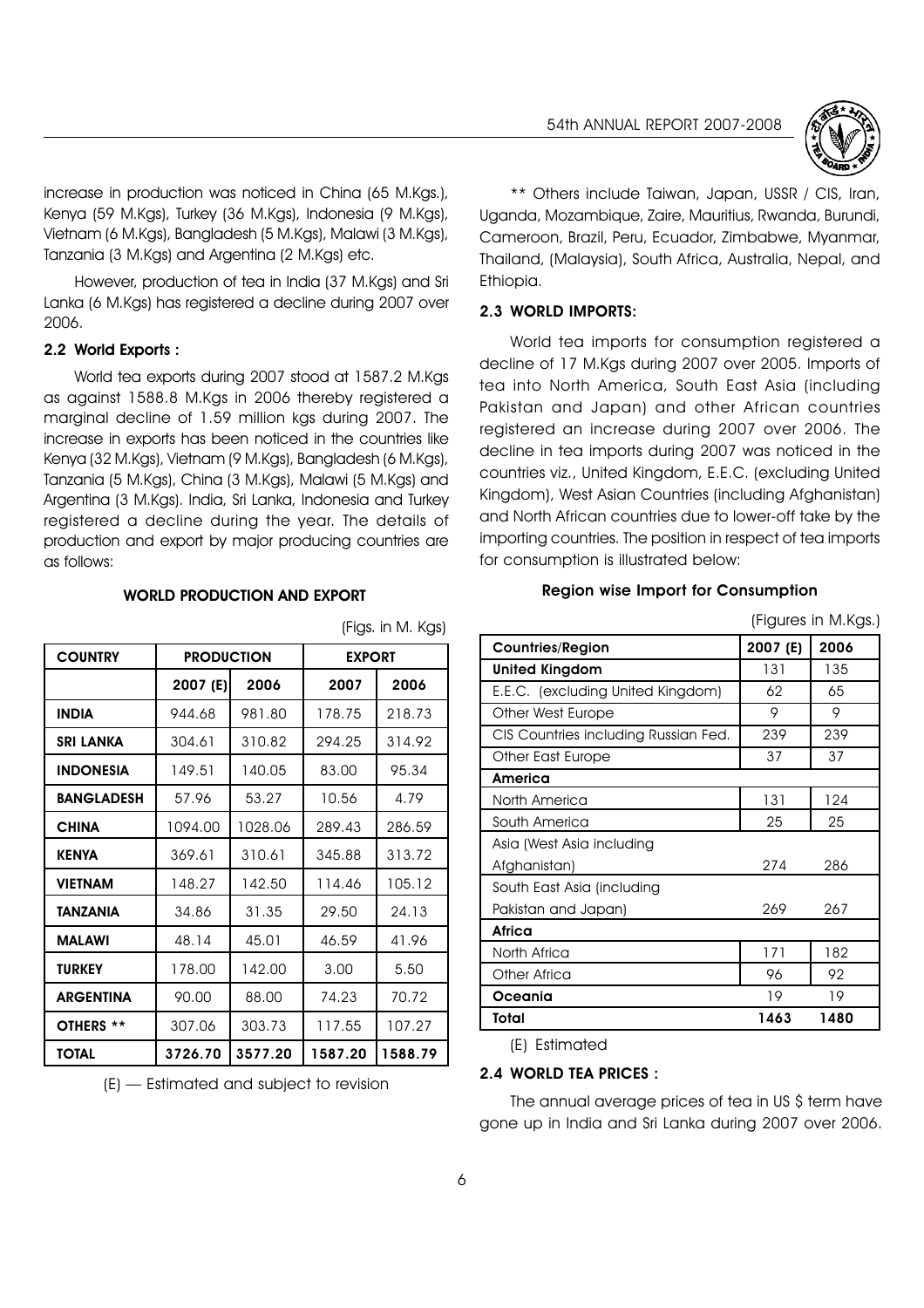

(Figures in M.Kgs.)

increase in production was noticed in China (65 M.Kgs.), Kenya (59 M.Kgs), Turkey (36 M.Kgs), Indonesia (9 M.Kgs), Vietnam (6 M.Kgs), Bangladesh (5 M.Kgs), Malawi (3 M.Kgs), Tanzania (3 M.Kgs) and Argentina (2 M.Kgs) etc.

However, production of tea in India (37 M.Kgs) and Sri Lanka (6 M.Kgs) has registered a decline during 2007 over 2006.

## **2.2 World Exports :**

World tea exports during 2007 stood at 1587.2 M.Kgs as against 1588.8 M.Kgs in 2006 thereby registered a marginal decline of 1.59 million kas during 2007. The increase in exports has been noticed in the countries like Kenya (32 M.Kgs), Vietnam (9 M.Kgs), Bangladesh (6 M.Kgs), Tanzania (5 M.Kgs), China (3 M.Kgs), Malawi (5 M.Kgs) and Argentina (3 M.Kgs). India, Sri Lanka, Indonesia and Turkey registered a decline during the year. The details of production and export by major producing countries are as follows:

#### **WORLD PRODUCTION AND EXPORT**

| <b>COUNTRY</b>    | <b>PRODUCTION</b> |         | <b>EXPORT</b> |         |
|-------------------|-------------------|---------|---------------|---------|
|                   | 2007 (E)          | 2006    | 2007          | 2006    |
| <b>INDIA</b>      | 944.68            | 981.80  | 178.75        | 218.73  |
| <b>SRI LANKA</b>  | 304.61            | 310.82  | 294.25        | 314.92  |
| <b>INDONESIA</b>  | 149.51            | 140.05  | 83.00         | 95.34   |
| <b>BANGLADESH</b> | 57.96             | 53.27   | 10.56         | 4.79    |
| <b>CHINA</b>      | 1094.00           | 1028.06 | 289.43        | 286.59  |
| <b>KENYA</b>      | 369.61            | 310.61  | 345.88        | 313.72  |
| <b>VIETNAM</b>    | 148.27            | 142.50  | 114.46        | 105.12  |
| <b>TANZANIA</b>   | 34.86             | 31.35   | 29.50         | 24.13   |
| <b>MALAWI</b>     | 48.14             | 45.01   | 46.59         | 41.96   |
| <b>TURKEY</b>     | 178.00            | 142.00  | 3.00          | 5.50    |
| <b>ARGENTINA</b>  | 90.00             | 88.00   | 74.23         | 70.72   |
| OTHERS **         | 307.06            | 303.73  | 117.55        | 107.27  |
| <b>TOTAL</b>      | 3726.70           | 3577.20 | 1587.20       | 1588.79 |

(Figs. in M. Kgs)

(E) — Estimated and subject to revision

\*\* Others include Taiwan, Japan, USSR / CIS, Iran, Uganda, Mozambique, Zaire, Mauritius, Rwanda, Burundi, Cameroon, Brazil, Peru, Ecuador, Zimbabwe, Myanmar, Thailand, (Malaysia), South Africa, Australia, Nepal, and Ethiopia.

#### **2.3 WORLD IMPORTS:**

World tea imports for consumption registered a decline of 17 M.Kgs during 2007 over 2005. Imports of tea into North America, South East Asia (including Pakistan and Japan) and other African countries registered an increase during 2007 over 2006. The decline in tea imports during 2007 was noticed in the countries viz., United Kingdom, E.E.C. (excluding United Kingdom), West Asian Countries (including Afghanistan) and North African countries due to lower-off take by the importing countries. The position in respect of tea imports for consumption is illustrated below:

#### **Region wise Import for Consumption**

| <b>Countries/Region</b>              | 2007 (E) | 2006 |
|--------------------------------------|----------|------|
| <b>United Kingdom</b>                | 131      | 135  |
| E.E.C. (excluding United Kingdom)    | 62       | 65   |
| Other West Europe                    | 9        | 9    |
| CIS Countries including Russian Fed. | 239      | 239  |
| Other East Europe                    | 37       | 37   |
| America                              |          |      |
| North America                        | 131      | 124  |
| South America                        | 25       | 25   |
| Asia (West Asia including            |          |      |
| Afghanistan)                         | 274      | 286  |
| South East Asia (including           |          |      |
| Pakistan and Japan)                  | 269      | 267  |
| Africa                               |          |      |
| North Africa                         | 171      | 182  |
| Other Africa                         | 96       | 92   |
| Oceania                              | 19       | 19   |
| Total                                | 1463     | 1480 |

(E) Estimated

#### **2.4 WORLD TEA PRICES :**

The annual average prices of tea in US \$ term have gone up in India and Sri Lanka during 2007 over 2006.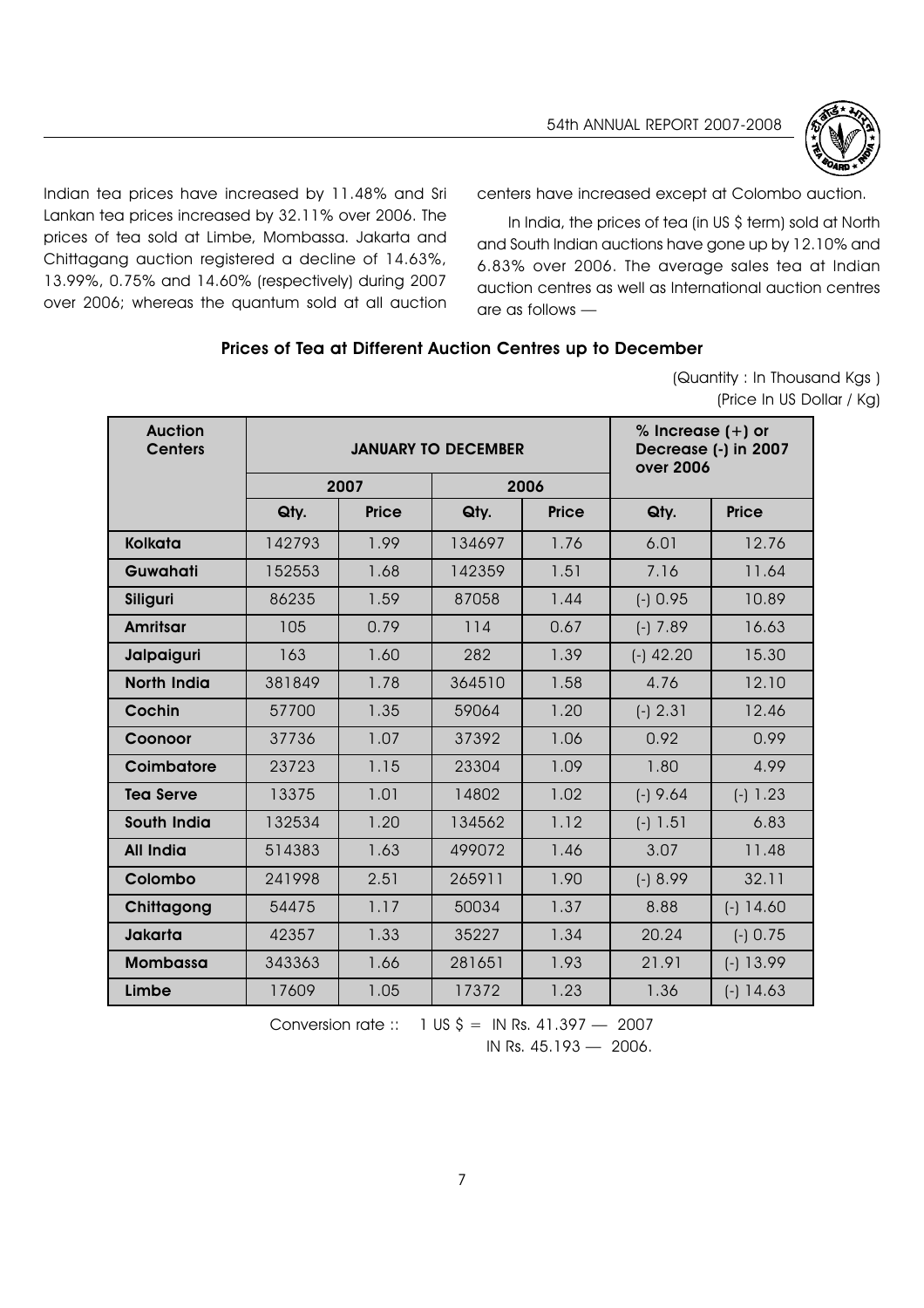

Indian tea prices have increased by 11.48% and Sri Lankan tea prices increased by 32.11% over 2006. The prices of tea sold at Limbe, Mombassa. Jakarta and Chittagang auction registered a decline of 14.63%, 13.99%, 0.75% and 14.60% (respectively) during 2007 over 2006; whereas the quantum sold at all auction

centers have increased except at Colombo auction.

In India, the prices of tea (in US \$ term) sold at North and South Indian auctions have gone up by 12.10% and 6.83% over 2006. The average sales tea at Indian auction centres as well as International auction centres are as follows —

## **Prices of Tea at Different Auction Centres up to December**

(Quantity : In Thousand Kgs ) (Price In US Dollar / Kg)

| <b>Auction</b><br><b>Centers</b> | <b>JANUARY TO DECEMBER</b> |       |        | % Increase $(+)$ or<br>Decrease (-) in 2007<br><b>over 2006</b> |             |             |
|----------------------------------|----------------------------|-------|--------|-----------------------------------------------------------------|-------------|-------------|
|                                  |                            | 2007  |        | 2006                                                            |             |             |
|                                  | Qty.                       | Price | Qty.   | Price                                                           | Qty.        | Price       |
| Kolkata                          | 142793                     | 1.99  | 134697 | 1.76                                                            | 6.01        | 12.76       |
| Guwahati                         | 152553                     | 1.68  | 142359 | 1.51                                                            | 7.16        | 11.64       |
| Siliguri                         | 86235                      | 1.59  | 87058  | 1.44                                                            | $(-) 0.95$  | 10.89       |
| <b>Amritsar</b>                  | 105                        | 0.79  | 114    | 0.67                                                            | $(-) 7.89$  | 16.63       |
| Jalpaiguri                       | 163                        | 1.60  | 282    | 1.39                                                            | $(-)$ 42.20 | 15.30       |
| <b>North India</b>               | 381849                     | 1.78  | 364510 | 1.58                                                            | 4.76        | 12.10       |
| Cochin                           | 57700                      | 1.35  | 59064  | 1.20                                                            | $(-)$ 2.31  | 12.46       |
| Coonoor                          | 37736                      | 1.07  | 37392  | 1.06                                                            | 0.92        | 0.99        |
| Coimbatore                       | 23723                      | 1.15  | 23304  | 1.09                                                            | 1.80        | 4.99        |
| <b>Tea Serve</b>                 | 13375                      | 1.01  | 14802  | 1.02                                                            | $(-)$ 9.64  | $(-) 1.23$  |
| South India                      | 132534                     | 1.20  | 134562 | 1.12                                                            | $(-) 1.51$  | 6.83        |
| <b>All India</b>                 | 514383                     | 1.63  | 499072 | 1.46                                                            | 3.07        | 11.48       |
| Colombo                          | 241998                     | 2.51  | 265911 | 1.90                                                            | $(-) 8.99$  | 32.11       |
| Chittagong                       | 54475                      | 1.17  | 50034  | 1.37                                                            | 8.88        | $(-) 14.60$ |
| Jakarta                          | 42357                      | 1.33  | 35227  | 1.34                                                            | 20.24       | $(-) 0.75$  |
| <b>Mombassa</b>                  | 343363                     | 1.66  | 281651 | 1.93                                                            | 21.91       | $(-)$ 13.99 |
| Limbe                            | 17609                      | 1.05  | 17372  | 1.23                                                            | 1.36        | $(-)$ 14.63 |

Conversion rate :: 1 US  $\frac{1}{9}$  = IN Rs. 41.397 - 2007

IN Rs. 45.193 — 2006.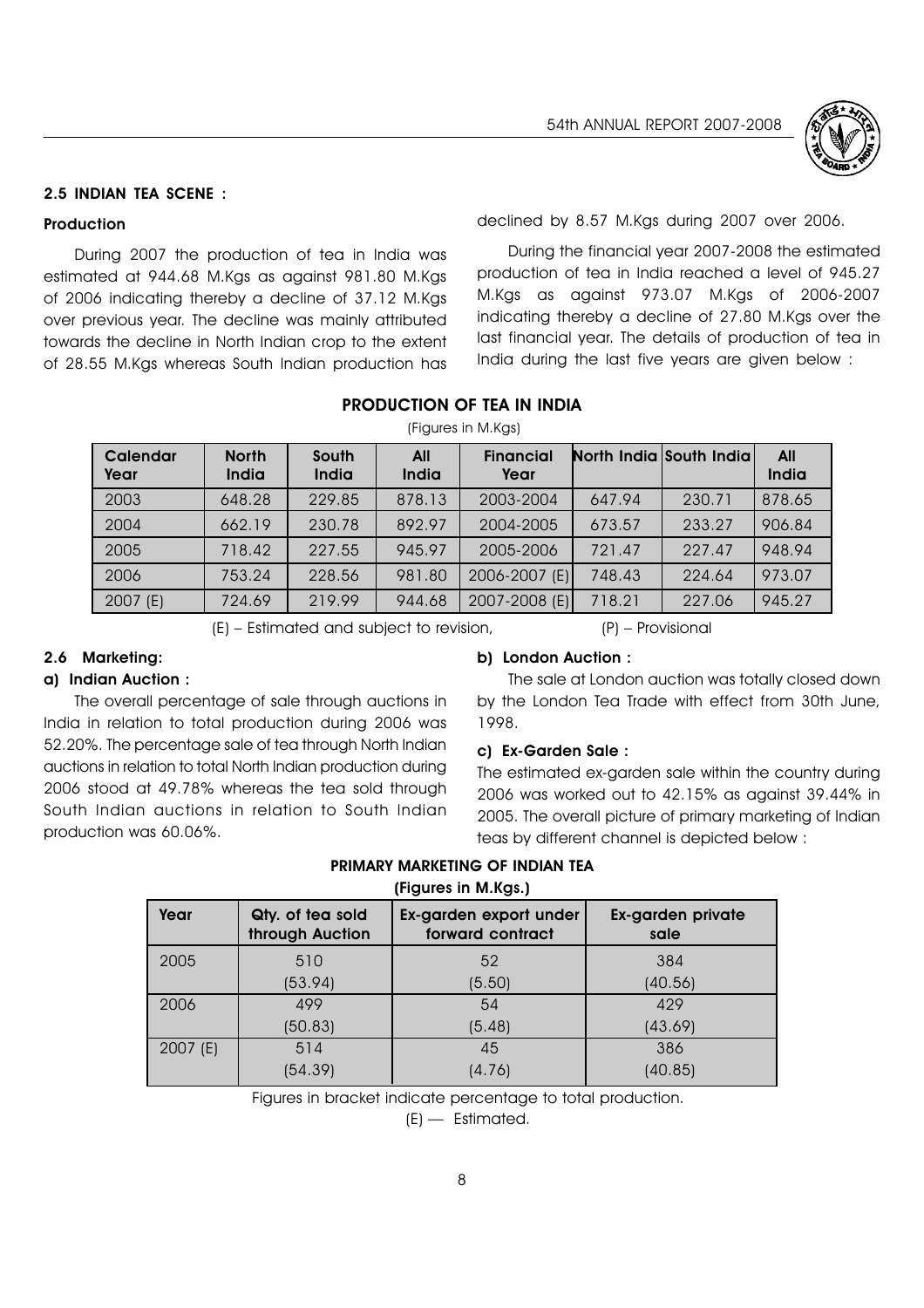

## **2.5 INDIAN TEA SCENE :**

#### **Production**

During 2007 the production of tea in India was estimated at 944.68 M.Kgs as against 981.80 M.Kgs of 2006 indicating thereby a decline of 37.12 M.Kgs over previous year. The decline was mainly attributed towards the decline in North Indian crop to the extent of 28.55 M.Kgs whereas South Indian production has declined by 8.57 M.Kgs during 2007 over 2006.

During the financial year 2007-2008 the estimated production of tea in India reached a level of 945.27 M.Kgs as against 973.07 M.Kgs of 2006-2007 indicating thereby a decline of 27,80 M.Kas over the last financial year. The details of production of tea in India during the last five years are given below :

| (Figures in M.Kgs) |                       |                |              |                          |        |                         |              |
|--------------------|-----------------------|----------------|--------------|--------------------------|--------|-------------------------|--------------|
| Calendar<br>Year   | <b>North</b><br>India | South<br>India | All<br>India | <b>Financial</b><br>Year |        | North India South India | All<br>India |
| 2003               | 648.28                | 229.85         | 878.13       | 2003-2004                | 647.94 | 230.71                  | 878.65       |
| 2004               | 662.19                | 230.78         | 892.97       | 2004-2005                | 673.57 | 233.27                  | 906.84       |
| 2005               | 718.42                | 227.55         | 945.97       | 2005-2006                | 721.47 | 227.47                  | 948.94       |
| 2006               | 753.24                | 228.56         | 981.80       | 2006-2007 (E)            | 748.43 | 224.64                  | 973.07       |
| 2007 (E)           | 724.69                | 219.99         | 944.68       | 2007-2008 (E)            | 718.21 | 227.06                  | 945.27       |

#### **PRODUCTION OF TEA IN INDIA**

(E) – Estimated and subject to revision, (P) – Provisional

## **2.6 Marketing:**

#### **a) Indian Auction :**

The overall percentage of sale through auctions in India in relation to total production during 2006 was 52.20%. The percentage sale of tea through North Indian auctions in relation to total North Indian production during 2006 stood at 49.78% whereas the tea sold through South Indian auctions in relation to South Indian production was 60.06%.

## **b) London Auction :**

The sale at London auction was totally closed down by the London Tea Trade with effect from 30th June, 1998.

#### **c) Ex-Garden Sale :**

The estimated ex-garden sale within the country during 2006 was worked out to 42.15% as against 39.44% in 2005. The overall picture of primary marketing of Indian teas by different channel is depicted below :

## **PRIMARY MARKETING OF INDIAN TEA**

**(Figures in M.Kgs.)**

| Year       | Qty. of tea sold<br>through Auction | Ex-garden export under<br>forward contract | <b>Ex-garden private</b><br>sale |
|------------|-------------------------------------|--------------------------------------------|----------------------------------|
| 2005       | 510                                 | 52                                         | 384                              |
|            | (53.94)                             | (5.50)                                     | (40.56)                          |
| 2006       | 499                                 | 54                                         | 429                              |
|            | (50.83)                             | (5.48)                                     | (43.69)                          |
| $2007$ (E) | 514                                 | 45                                         | 386                              |
|            | (54.39)                             | (4.76)                                     | (40.85)                          |

Figures in bracket indicate percentage to total production.

(E) — Estimated.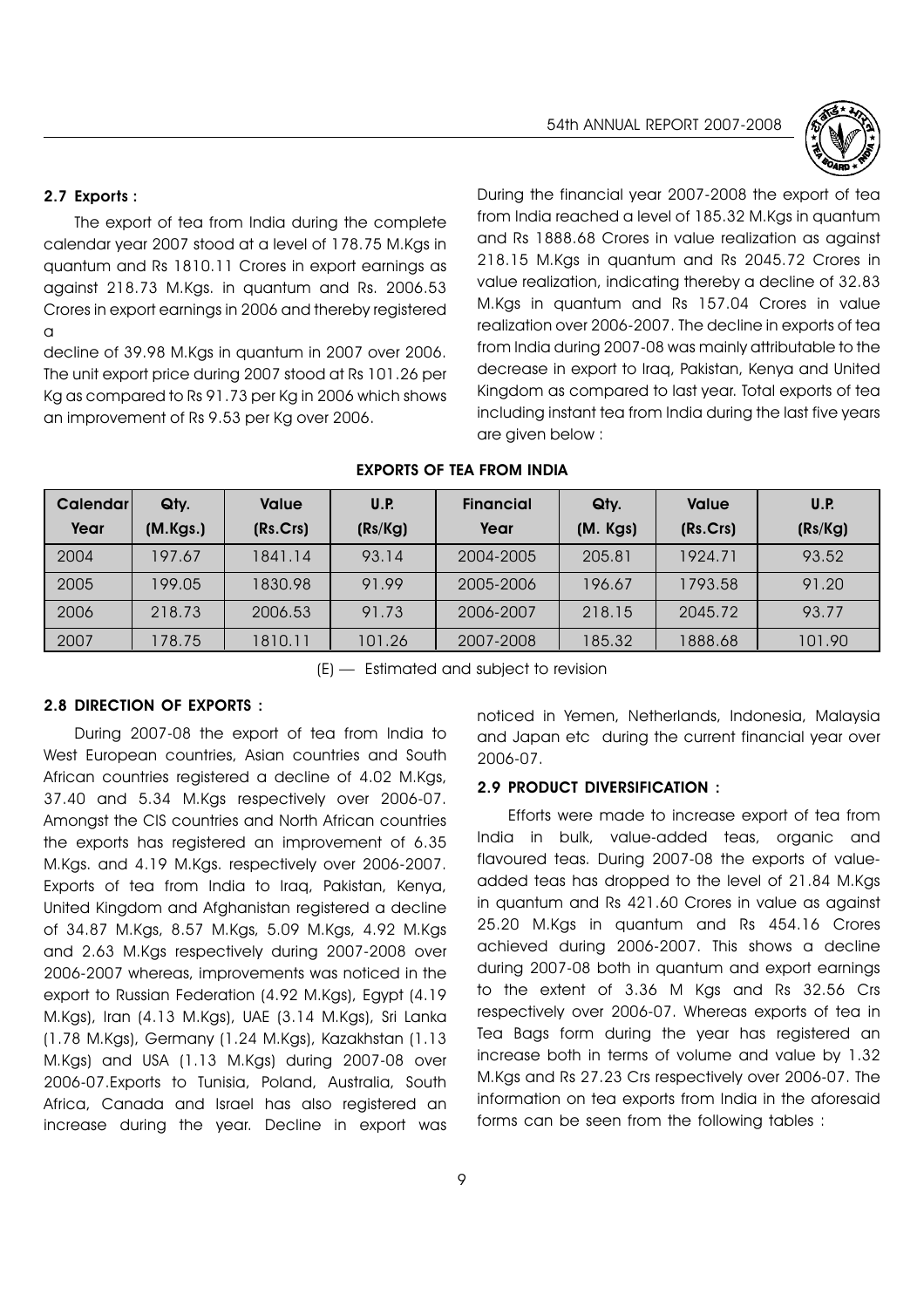

**2.7 Exports :**

The export of tea from India during the complete calendar year 2007 stood at a level of 178.75 M.Kgs in quantum and Rs 1810.11 Crores in export earnings as against 218.73 M.Kgs. in quantum and Rs. 2006.53 Crores in export earnings in 2006 and thereby registered a

decline of 39.98 M.Kgs in quantum in 2007 over 2006. The unit export price during 2007 stood at Rs 101.26 per Kg as compared to Rs 91.73 per Kg in 2006 which shows an improvement of Rs 9.53 per Kg over 2006.

During the financial year 2007-2008 the export of tea from India reached a level of 185.32 M.Kgs in quantum and Rs 1888.68 Crores in value realization as against 218.15 M.Kgs in quantum and Rs 2045.72 Crores in value realization, indicating thereby a decline of 32.83 M.Kgs in quantum and Rs 157.04 Crores in value realization over 2006-2007. The decline in exports of tea from India during 2007-08 was mainly attributable to the decrease in export to Iraq, Pakistan, Kenya and United Kingdom as compared to last year. Total exports of tea including instant tea from India during the last five years are given below :

| <b>Calendar</b> | Qty.     | Value    | U.P.    | <b>Financial</b> | Qty.     | Value    | U.P.    |
|-----------------|----------|----------|---------|------------------|----------|----------|---------|
| Year            | (M.Kgs.) | (Rs.Crs) | (Rs/Kg) | Year             | (M. Kgs) | (Rs.Crs) | (Rs/Kg) |
| 2004            | 197.67   | 1841.14  | 93.14   | 2004-2005        | 205.81   | 1924.71  | 93.52   |
| 2005            | 199.05   | 1830.98  | 91.99   | 2005-2006        | 196.67   | 1793.58  | 91.20   |
| 2006            | 218.73   | 2006.53  | 91.73   | 2006-2007        | 218.15   | 2045.72  | 93.77   |
| 2007            | 78.75    | 1810.11  | 01.26   | 2007-2008        | 185.32   | 1888.68  | 101.90  |

#### **EXPORTS OF TEA FROM INDIA**

(E) — Estimated and subject to revision

#### **2.8 DIRECTION OF EXPORTS :**

During 2007-08 the export of tea from India to West European countries, Asian countries and South African countries registered a decline of 4.02 M.Kgs, 37.40 and 5.34 M.Kgs respectively over 2006-07. Amongst the CIS countries and North African countries the exports has registered an improvement of 6.35 M.Kgs. and 4.19 M.Kgs. respectively over 2006-2007. Exports of tea from India to Iraq, Pakistan, Kenya, United Kingdom and Afghanistan registered a decline of 34.87 M.Kgs, 8.57 M.Kgs, 5.09 M.Kgs, 4.92 M.Kgs and 2.63 M.Kgs respectively during 2007-2008 over 2006-2007 whereas, improvements was noticed in the export to Russian Federation (4.92 M.Kgs), Egypt (4.19 M.Kgs), Iran (4.13 M.Kgs), UAE (3.14 M.Kgs), Sri Lanka (1.78 M.Kgs), Germany (1.24 M.Kgs), Kazakhstan (1.13 M.Kgs) and USA (1.13 M.Kgs) during 2007-08 over 2006-07.Exports to Tunisia, Poland, Australia, South Africa, Canada and Israel has also registered an increase during the year. Decline in export was

noticed in Yemen, Netherlands, Indonesia, Malaysia and Japan etc during the current financial year over 2006-07.

## **2.9 PRODUCT DIVERSIFICATION :**

Efforts were made to increase export of tea from India in bulk, value-added teas, organic and flavoured teas. During 2007-08 the exports of valueadded teas has dropped to the level of 21.84 M.Kgs in quantum and Rs 421.60 Crores in value as against 25.20 M.Kgs in quantum and Rs 454.16 Crores achieved during 2006-2007. This shows a decline during 2007-08 both in quantum and export earnings to the extent of 3.36 M Kgs and Rs 32.56 Crs respectively over 2006-07. Whereas exports of tea in Tea Bags form during the year has registered an increase both in terms of volume and value by 1.32 M.Kgs and Rs 27.23 Crs respectively over 2006-07. The information on tea exports from India in the aforesaid forms can be seen from the following tables :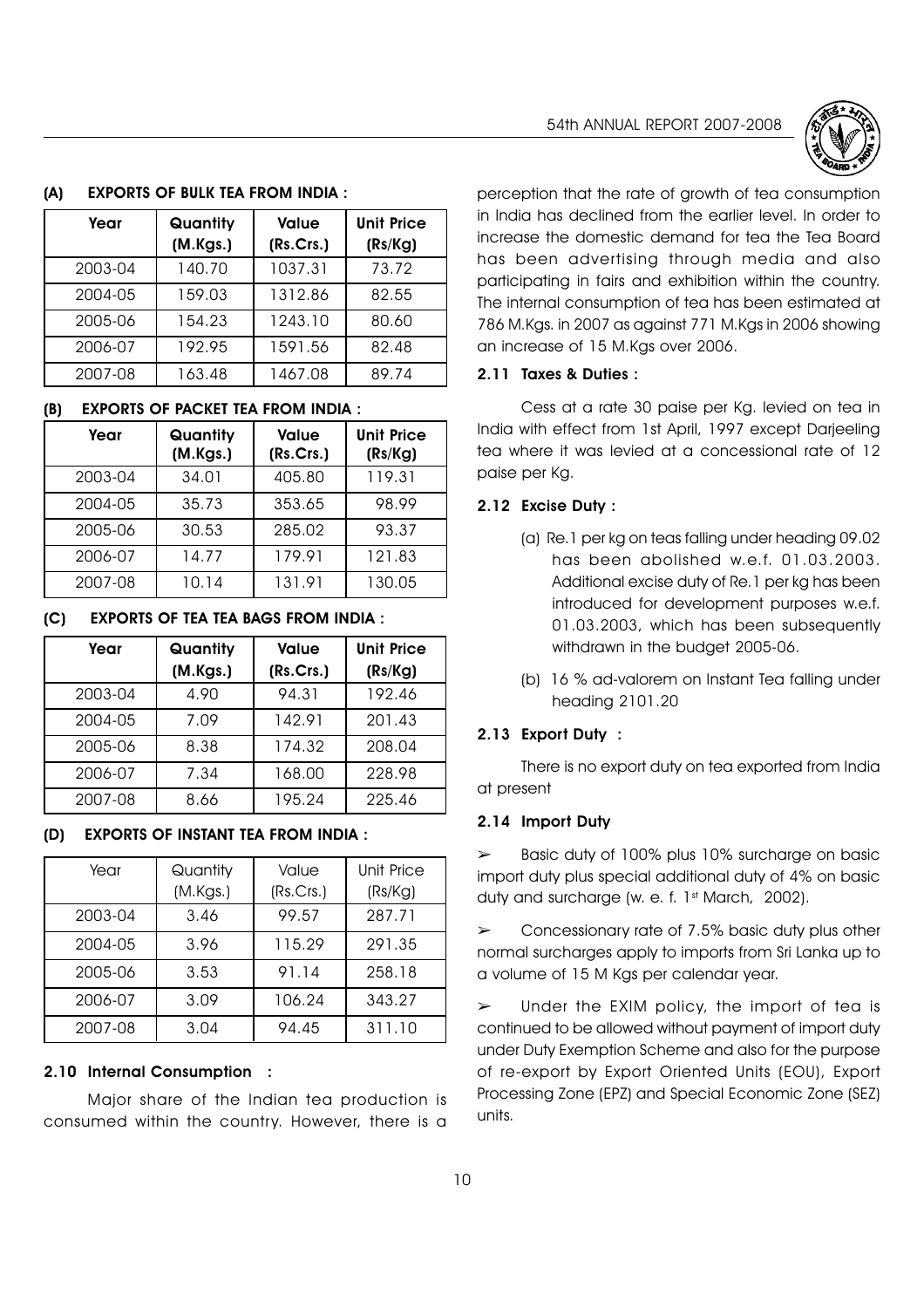| Year    | Quantity<br>(M.Kgs.) | Value<br>(Rs.Crs.) | <b>Unit Price</b><br>(Rs/Kg) |
|---------|----------------------|--------------------|------------------------------|
| 2003-04 | 140.70               | 1037.31            | 73.72                        |
| 2004-05 | 159.03               | 1312.86            | 82.55                        |
| 2005-06 | 154.23               | 1243.10            | 80.60                        |
| 2006-07 | 192.95               | 1591.56            | 82.48                        |
| 2007-08 | 163.48               | 1467.08            | 89.74                        |

#### **(A) EXPORTS OF BULK TEA FROM INDIA :**

#### **(B) EXPORTS OF PACKET TEA FROM INDIA :**

| Year    | Quantity<br>(M.Kgs.) | <b>Value</b><br>(Rs.Crs.) | <b>Unit Price</b><br>(Rs/Kg) |
|---------|----------------------|---------------------------|------------------------------|
| 2003-04 | 34.01                | 405.80                    | 119.31                       |
| 2004-05 | 35.73                | 353.65                    | 98.99                        |
| 2005-06 | 30.53                | 285.02                    | 93.37                        |
| 2006-07 | 14.77                | 179.91                    | 121.83                       |
| 2007-08 | 10.14                | 131.91                    | 130.05                       |

#### **(C) EXPORTS OF TEA TEA BAGS FROM INDIA :**

| Year    | Quantity<br>(M.Kgs.) | Value<br>(Rs.Crs.) | <b>Unit Price</b><br>(Rs/Kg) |
|---------|----------------------|--------------------|------------------------------|
| 2003-04 | 4.90                 | 94.31              | 192.46                       |
| 2004-05 | 7.09                 | 142.91             | 201.43                       |
| 2005-06 | 8.38                 | 174.32             | 208.04                       |
| 2006-07 | 7.34                 | 168.00             | 228.98                       |
| 2007-08 | 8.66                 | 195.24             | 225.46                       |

#### **(D) EXPORTS OF INSTANT TEA FROM INDIA :**

| Year    | Quantity<br>(M.Kgs.) | Unit Price<br>Value<br>(Rs.Crs.)<br>(Rs/Kg) |        |
|---------|----------------------|---------------------------------------------|--------|
| 2003-04 | 3.46                 | 99.57                                       | 287.71 |
| 2004-05 | 3.96                 | 115.29                                      | 291.35 |
| 2005-06 | 3.53                 | 91.14                                       | 258.18 |
| 2006-07 | 3.09                 | 106.24                                      | 343.27 |
| 2007-08 | 3.04                 | 94.45                                       | 311.10 |

#### **2.10 Internal Consumption :**

Major share of the Indian tea production is consumed within the country. However, there is a



perception that the rate of growth of tea consumption in India has declined from the earlier level. In order to increase the domestic demand for tea the Tea Board has been advertising through media and also participating in fairs and exhibition within the country. The internal consumption of tea has been estimated at 786 M.Kgs. in 2007 as against 771 M.Kgs in 2006 showing an increase of 15 M.Kgs over 2006.

#### **2.11 Taxes & Duties :**

Cess at a rate 30 paise per Kg. levied on tea in India with effect from 1st April, 1997 except Darjeeling tea where it was levied at a concessional rate of 12 paise per Kg.

#### **2.12 Excise Duty :**

- (a) Re.1 per kg on teas falling under heading 09.02 has been abolished w.e.f. 01.03.2003. Additional excise duty of Re.1 per kg has been introduced for development purposes w.e.f. 01.03.2003, which has been subsequently withdrawn in the budget 2005-06.
- (b) 16 % ad-valorem on Instant Tea falling under heading 2101.20

#### **2.13 Export Duty :**

There is no export duty on tea exported from India at present

#### **2.14 Import Duty**

 $\geq$  Basic duty of 100% plus 10% surcharge on basic import duty plus special additional duty of 4% on basic duty and surcharge (w. e. f. 1st March, 2002).

 $\geq$  Concessionary rate of 7.5% basic duty plus other normal surcharges apply to imports from Sri Lanka up to a volume of 15 M Kgs per calendar year.

 $\geq$  Under the EXIM policy, the import of tea is continued to be allowed without payment of import duty under Duty Exemption Scheme and also for the purpose of re-export by Export Oriented Units (EOU), Export Processing Zone (EPZ) and Special Economic Zone (SEZ) units.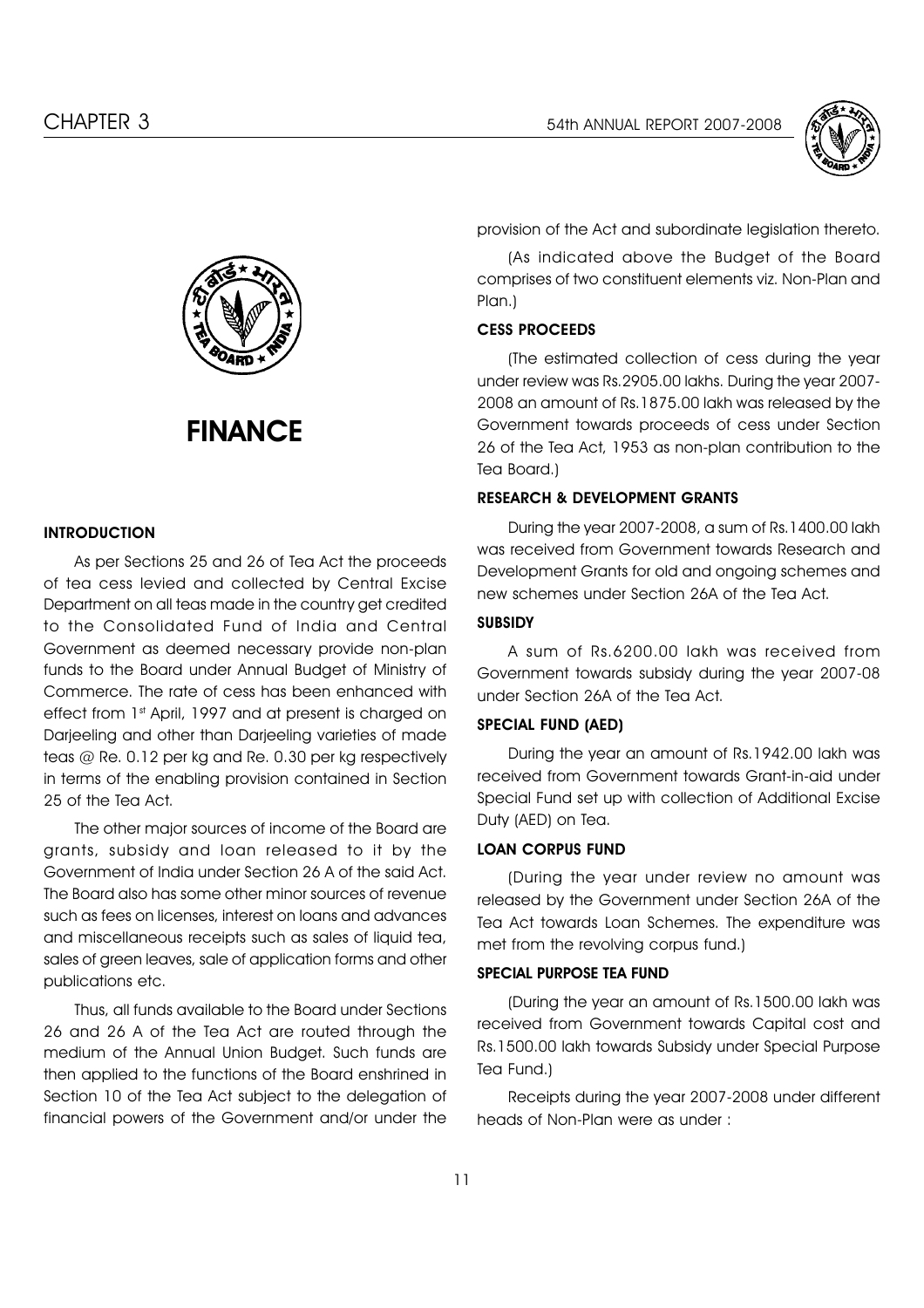



## **FINANCE**

#### **INTRODUCTION**

As per Sections 25 and 26 of Tea Act the proceeds of tea cess levied and collected by Central Excise Department on all teas made in the country get credited to the Consolidated Fund of India and Central Government as deemed necessary provide non-plan funds to the Board under Annual Budget of Ministry of Commerce. The rate of cess has been enhanced with effect from 1st April, 1997 and at present is charged on Darjeeling and other than Darjeeling varieties of made teas @ Re. 0.12 per kg and Re. 0.30 per kg respectively in terms of the enabling provision contained in Section 25 of the Tea Act.

The other major sources of income of the Board are grants, subsidy and loan released to it by the Government of India under Section 26 A of the said Act. The Board also has some other minor sources of revenue such as fees on licenses, interest on loans and advances and miscellaneous receipts such as sales of liquid tea, sales of green leaves, sale of application forms and other publications etc.

Thus, all funds available to the Board under Sections 26 and 26 A of the Tea Act are routed through the medium of the Annual Union Budget. Such funds are then applied to the functions of the Board enshrined in Section 10 of the Tea Act subject to the delegation of financial powers of the Government and/or under the provision of the Act and subordinate legislation thereto.

(As indicated above the Budget of the Board comprises of two constituent elements viz. Non-Plan and Plan.)

#### **CESS PROCEEDS**

(The estimated collection of cess during the year under review was Rs.2905.00 lakhs. During the year 2007- 2008 an amount of Rs.1875.00 lakh was released by the Government towards proceeds of cess under Section 26 of the Tea Act, 1953 as non-plan contribution to the Tea Board.)

#### **RESEARCH & DEVELOPMENT GRANTS**

During the year 2007-2008, a sum of Rs.1400.00 lakh was received from Government towards Research and Development Grants for old and ongoing schemes and new schemes under Section 26A of the Tea Act.

## **SUBSIDY**

A sum of Rs.6200.00 lakh was received from Government towards subsidy during the year 2007-08 under Section 26A of the Tea Act.

#### **SPECIAL FUND (AED)**

During the year an amount of Rs.1942.00 lakh was received from Government towards Grant-in-aid under Special Fund set up with collection of Additional Excise Duty (AED) on Tea.

#### **LOAN CORPUS FUND**

(During the year under review no amount was released by the Government under Section 26A of the Tea Act towards Loan Schemes. The expenditure was met from the revolving corpus fund.)

#### **SPECIAL PURPOSE TEA FUND**

(During the year an amount of Rs.1500.00 lakh was received from Government towards Capital cost and Rs.1500.00 lakh towards Subsidy under Special Purpose Tea Fund.)

Receipts during the year 2007-2008 under different heads of Non-Plan were as under :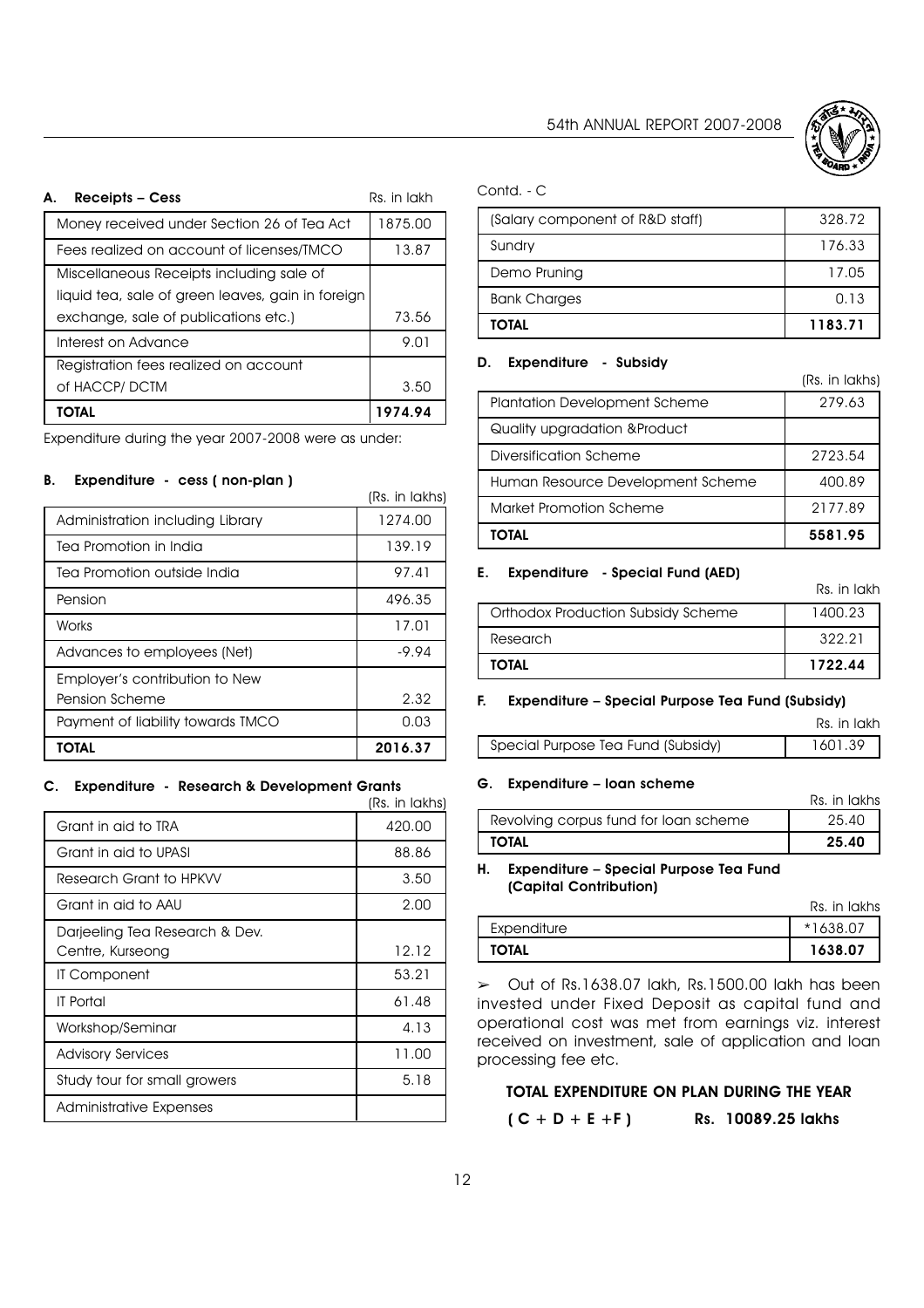

Rs. in lakhs

| А.<br><b>Receipts – Cess</b>                      | Rs. in lakh |
|---------------------------------------------------|-------------|
| Money received under Section 26 of Tea Act        | 1875.00     |
| Fees realized on account of licenses/TMCO         | 13.87       |
| Miscellaneous Receipts including sale of          |             |
| liquid tea, sale of green leaves, gain in foreign |             |
| exchange, sale of publications etc.)              | 73.56       |
| Interest on Advance                               | 9.01        |
| Registration fees realized on account             |             |
| of HACCP/DCTM                                     | 3.50        |
| <b>TOTAL</b>                                      | 1974.94     |

Expenditure during the year 2007-2008 were as under:

## **B. Expenditure - cess ( non-plan )**

|                                   | tks. in lakhs) |
|-----------------------------------|----------------|
| Administration including Library  | 1274.00        |
| Tea Promotion in India            | 139.19         |
| Tea Promotion outside India       | 97.41          |
| Pension                           | 496.35         |
| Works                             | 17.01          |
| Advances to employees (Net)       | $-9.94$        |
| Employer's contribution to New    |                |
| Pension Scheme                    | 2.32           |
| Payment of liability towards TMCO | 0.03           |
| <b>TOTAL</b>                      | 2016.37        |

#### **C. Expenditure - Research & Development Grants**

|                                | (Rs. in lakhs) |
|--------------------------------|----------------|
| Grant in aid to TRA            | 420.00         |
| Grant in aid to UPASI          | 88.86          |
| Research Grant to HPKVV        | 3.50           |
| Grant in aid to AAU            | 2.00           |
| Darjeeling Tea Research & Dev. |                |
| Centre, Kurseong               | 12.12          |
| IT Component                   | 53.21          |
| IT Portal                      | 61.48          |
| Workshop/Seminar               | 4.13           |
| <b>Advisory Services</b>       | 11.00          |
| Study tour for small growers   | 5.18           |
| Administrative Expenses        |                |

## Contd. - C

(Rs. in lakhs)

| (Salary component of R&D staff) | 328.72  |
|---------------------------------|---------|
| Sundry                          | 176.33  |
| Demo Pruning                    | 17.05   |
| <b>Bank Charges</b>             | 0.13    |
| <b>TOTAL</b>                    | 1183.71 |

#### **D. Expenditure - Subsidy**

| <br>L                                |                |
|--------------------------------------|----------------|
|                                      | (Rs. in lakhs) |
| <b>Plantation Development Scheme</b> | 279.63         |
| Quality upgradation & Product        |                |
| Diversification Scheme               | 2723.54        |
| Human Resource Development Scheme    | 400.89         |
| Market Promotion Scheme              | 2177.89        |
| <b>TOTAL</b>                         | 5581.95        |

## **E. Expenditure - Special Fund (AED)**

| <b>TOTAL</b>                       | 1722.44     |
|------------------------------------|-------------|
| Research                           | 322.21      |
| Orthodox Production Subsidy Scheme | 1400.23     |
|                                    | Rs. in lakh |

#### **F. Expenditure – Special Purpose Tea Fund (Subsidy)**

|                                    | Rs. in lakh |
|------------------------------------|-------------|
| Special Purpose Tea Fund (Subsidy) | 1601.39 L   |

#### **G. Expenditure – loan scheme**

|                                       | RS. IN IOKNS |
|---------------------------------------|--------------|
| Revolving corpus fund for loan scheme | 25.40        |
| I TOTAL                               | 25.40        |

#### **H. Expenditure – Special Purpose Tea Fund (Capital Contribution)**

|              | Rs. in lakhs |
|--------------|--------------|
| Expenditure  | *1638.07     |
| <b>TOTAL</b> | 1638.07      |

 $\geq$  Out of Rs.1638.07 lakh, Rs.1500.00 lakh has been invested under Fixed Deposit as capital fund and operational cost was met from earnings viz. interest received on investment, sale of application and loan processing fee etc.

## **TOTAL EXPENDITURE ON PLAN DURING THE YEAR**

## **( C + D + E +F ) Rs. 10089.25 lakhs**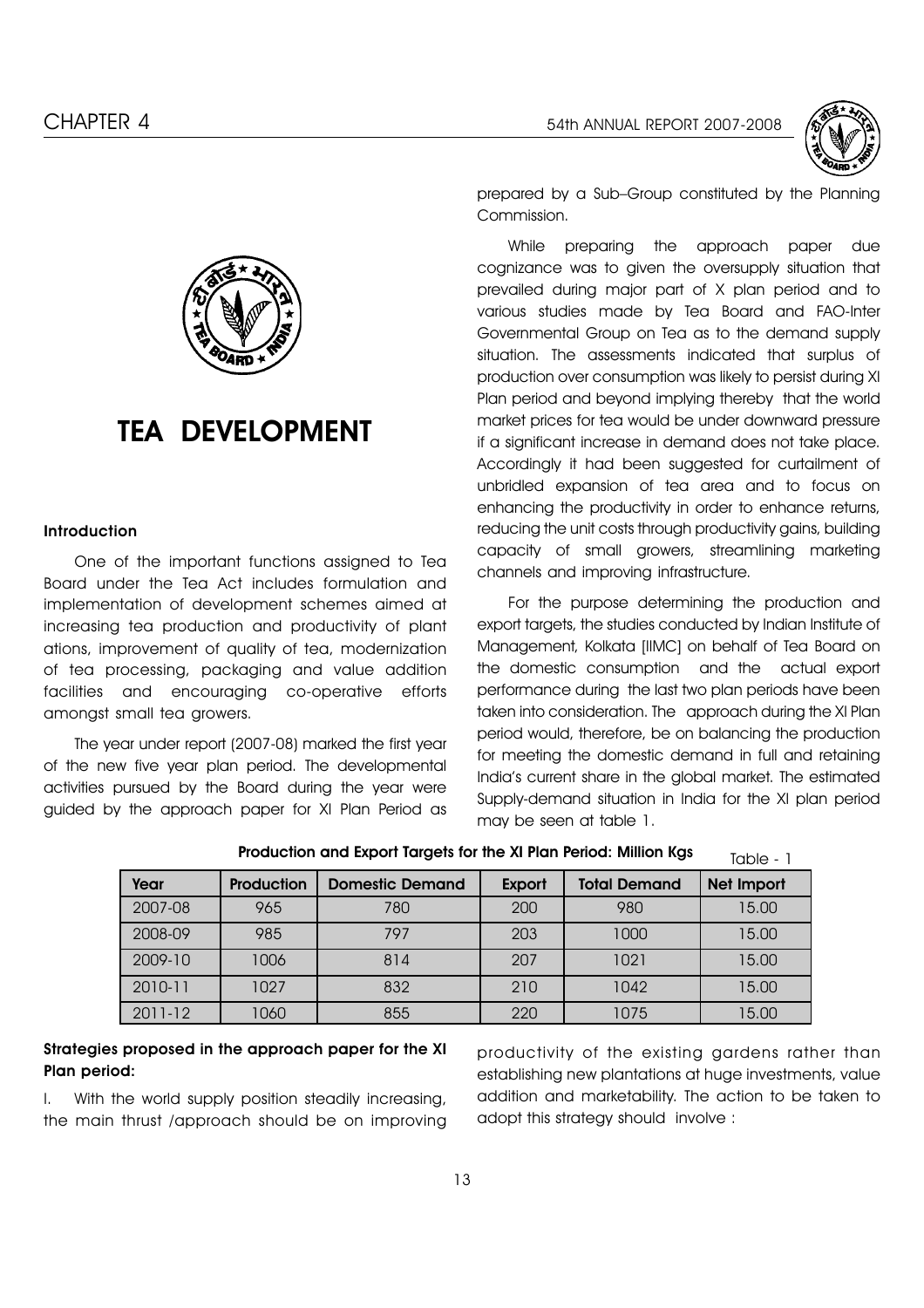

## **TEA DEVELOPMENT**

#### **Introduction**

One of the important functions assigned to Tea Board under the Tea Act includes formulation and implementation of development schemes aimed at increasing tea production and productivity of plant ations, improvement of quality of tea, modernization of tea processing, packaging and value addition facilities and encouraging co-operative efforts amongst small tea growers.

The year under report (2007-08) marked the first year of the new five year plan period. The developmental activities pursued by the Board during the year were guided by the approach paper for XI Plan Period as prepared by a Sub–Group constituted by the Planning Commission.

While preparing the approach paper due cognizance was to given the oversupply situation that prevailed during major part of X plan period and to various studies made by Tea Board and FAO-Inter Governmental Group on Tea as to the demand supply situation. The assessments indicated that surplus of production over consumption was likely to persist during XI Plan period and beyond implying thereby that the world market prices for tea would be under downward pressure if a significant increase in demand does not take place. Accordingly it had been suggested for curtailment of unbridled expansion of tea area and to focus on enhancing the productivity in order to enhance returns, reducing the unit costs through productivity gains, building capacity of small growers, streamlining marketing channels and improving infrastructure.

For the purpose determining the production and export targets, the studies conducted by Indian Institute of Management, Kolkata [IIMC] on behalf of Tea Board on the domestic consumption and the actual export performance during the last two plan periods have been taken into consideration. The approach during the XI Plan period would, therefore, be on balancing the production for meeting the domestic demand in full and retaining India's current share in the global market. The estimated Supply-demand situation in India for the XI plan period may be seen at table 1.

|         |                   |                        |               |                     | $I$ une - $I$ |
|---------|-------------------|------------------------|---------------|---------------------|---------------|
| Year    | <b>Production</b> | <b>Domestic Demand</b> | <b>Export</b> | <b>Total Demand</b> | Net Import    |
| 2007-08 | 965               | 780                    | 200           | 980                 | 15.00         |
| 2008-09 | 985               | 797                    | 203           | 1000                | 15.00         |
| 2009-10 | 1006              | 814                    | 207           | 1021                | 15.00         |
| 2010-11 | 1027              | 832                    | 210           | 1042                | 15.00         |
| 2011-12 | 1060              | 855                    | 220           | 1075                | 15.00         |

#### **Production and Export Targets for the XI Plan Period: Million Kgs**  $T_{\alpha}$ ble  $1$

## **Strategies proposed in the approach paper for the XI Plan period:**

I. With the world supply position steadily increasing, the main thrust /approach should be on improving productivity of the existing gardens rather than establishing new plantations at huge investments, value addition and marketability. The action to be taken to adopt this strategy should involve :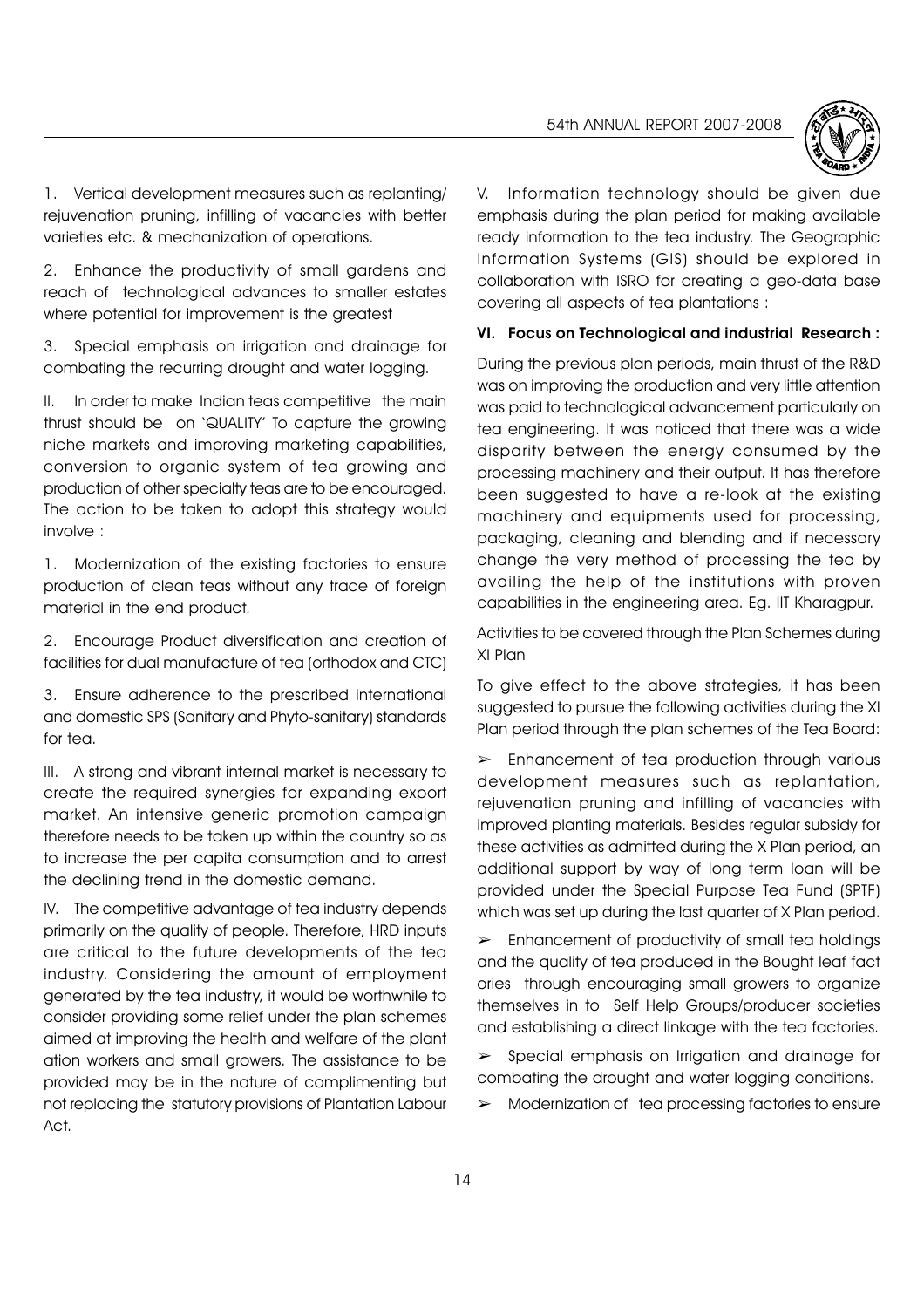

1. Vertical development measures such as replanting/ rejuvenation pruning, infilling of vacancies with better varieties etc. & mechanization of operations.

2. Enhance the productivity of small gardens and reach of technological advances to smaller estates where potential for improvement is the greatest

3. Special emphasis on irrigation and drainage for combating the recurring drought and water logging.

II. In order to make Indian teas competitive the main thrust should be on 'QUALITY' To capture the growing niche markets and improving marketing capabilities, conversion to organic system of tea growing and production of other specialty teas are to be encouraged. The action to be taken to adopt this strategy would involve :

1. Modernization of the existing factories to ensure production of clean teas without any trace of foreign material in the end product.

2. Encourage Product diversification and creation of facilities for dual manufacture of tea (orthodox and CTC)

3. Ensure adherence to the prescribed international and domestic SPS (Sanitary and Phyto-sanitary) standards for tea.

III. A strong and vibrant internal market is necessary to create the required synergies for expanding export market. An intensive generic promotion campaign therefore needs to be taken up within the country so as to increase the per capita consumption and to arrest the declining trend in the domestic demand.

IV. The competitive advantage of tea industry depends primarily on the quality of people. Therefore, HRD inputs are critical to the future developments of the tea industry. Considering the amount of employment generated by the tea industry, it would be worthwhile to consider providing some relief under the plan schemes aimed at improving the health and welfare of the plant ation workers and small growers. The assistance to be provided may be in the nature of complimenting but not replacing the statutory provisions of Plantation Labour Act.

V. Information technology should be given due emphasis during the plan period for making available ready information to the tea industry. The Geographic Information Systems (GIS) should be explored in collaboration with ISRO for creating a geo-data base covering all aspects of tea plantations :

### **VI. Focus on Technological and industrial Research :**

During the previous plan periods, main thrust of the R&D was on improving the production and very little attention was paid to technological advancement particularly on tea engineering. It was noticed that there was a wide disparity between the energy consumed by the processing machinery and their output. It has therefore been suggested to have a re-look at the existing machinery and equipments used for processing, packaging, cleaning and blending and if necessary change the very method of processing the tea by availing the help of the institutions with proven capabilities in the engineering area. Eg. IIT Kharagpur.

Activities to be covered through the Plan Schemes during XI Plan

To give effect to the above strategies, it has been suggested to pursue the following activities during the XI Plan period through the plan schemes of the Tea Board:

 $\geq$  Enhancement of tea production through various development measures such as replantation, rejuvenation pruning and infilling of vacancies with improved planting materials. Besides regular subsidy for these activities as admitted during the X Plan period, an additional support by way of long term loan will be provided under the Special Purpose Tea Fund (SPTF) which was set up during the last quarter of X Plan period.

 $\geq$  Enhancement of productivity of small tea holdings and the quality of tea produced in the Bought leaf fact ories through encouraging small growers to organize themselves in to Self Help Groups/producer societies and establishing a direct linkage with the tea factories.

 $\geq$  Special emphasis on Irrigation and drainage for combating the drought and water logging conditions.

 $\geq$  Modernization of tea processing factories to ensure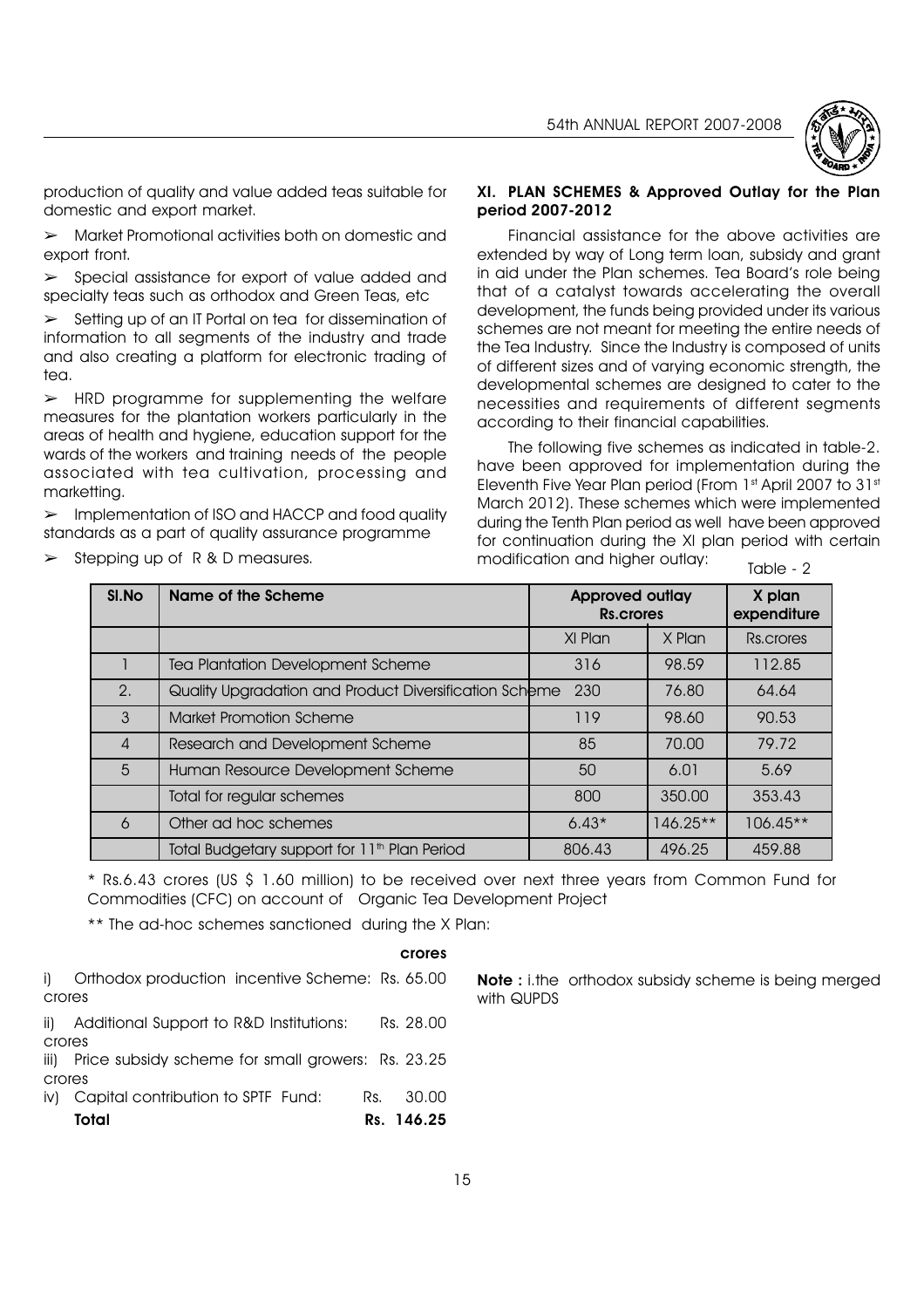

production of quality and value added teas suitable for domestic and export market.

 $\geq$  Market Promotional activities both on domestic and export front.

 $\geq$  Special assistance for export of value added and specialty teas such as orthodox and Green Teas, etc

 $\geq$  Setting up of an IT Portal on tea for dissemination of information to all segments of the industry and trade and also creating a platform for electronic trading of tea.

 $\geq$  HRD programme for supplementing the welfare measures for the plantation workers particularly in the areas of health and hygiene, education support for the wards of the workers and training needs of the people associated with tea cultivation, processing and marketting.

 $\geq$  Implementation of ISO and HACCP and food quality standards as a part of quality assurance programme

Stepping up of  $R & D$  measures.

#### **XI. PLAN SCHEMES & Approved Outlay for the Plan period 2007-2012**

Financial assistance for the above activities are extended by way of Long term loan, subsidy and grant in aid under the Plan schemes. Tea Board's role being that of a catalyst towards accelerating the overall development, the funds being provided under its various schemes are not meant for meeting the entire needs of the Tea Industry. Since the Industry is composed of units of different sizes and of varying economic strength, the developmental schemes are designed to cater to the necessities and requirements of different segments according to their financial capabilities.

The following five schemes as indicated in table-2. have been approved for implementation during the Eleventh Five Year Plan period (From 1st April 2007 to 31st March 2012). These schemes which were implemented during the Tenth Plan period as well have been approved for continuation during the XI plan period with certain modification and higher outlay: Table - 2

| SI.No          | Name of the Scheme                                       | <b>Approved outlay</b><br>Rs.crores |            | X plan<br>expenditure |
|----------------|----------------------------------------------------------|-------------------------------------|------------|-----------------------|
|                |                                                          | XI Plan                             | X Plan     | Rs.crores             |
|                | Tea Plantation Development Scheme                        | 316                                 | 98.59      | 112.85                |
| 2.             | Quality Upgradation and Product Diversification Scheme   | 230                                 | 76.80      | 64.64                 |
| $\mathcal{S}$  | <b>Market Promotion Scheme</b>                           | 119                                 | 98.60      | 90.53                 |
| $\overline{4}$ | Research and Development Scheme                          | 85                                  | 70,00      | 79.72                 |
| $\overline{5}$ | Human Resource Development Scheme                        | 50                                  | 6.01       | 5.69                  |
|                | Total for regular schemes                                | 800                                 | 350,00     | 353.43                |
| 6              | Other ad hoc schemes                                     | $6.43*$                             | $146.25**$ | $106.45**$            |
|                | Total Budgetary support for 11 <sup>th</sup> Plan Period | 806,43                              | 496.25     | 459.88                |

\* Rs.6.43 crores (US \$ 1.60 million) to be received over next three years from Common Fund for Commodities (CFC) on account of Organic Tea Development Project

\*\* The ad-hoc schemes sanctioned during the X Plan:

#### **crores**

|        | Total                                                  | Rs. 146.25 |
|--------|--------------------------------------------------------|------------|
|        | iv) Capital contribution to SPTF Fund:                 | Rs. 30.00  |
| crores |                                                        |            |
|        | iii) Price subsidy scheme for small growers: Rs. 23.25 |            |
| crores |                                                        |            |
|        | ii) Additional Support to R&D Institutions:            | Rs. 28.00  |
| crores |                                                        |            |
|        | i) Orthodox production incentive Scheme: Rs. 65.00     |            |

**Note :** i.the orthodox subsidy scheme is being merged with QUPDS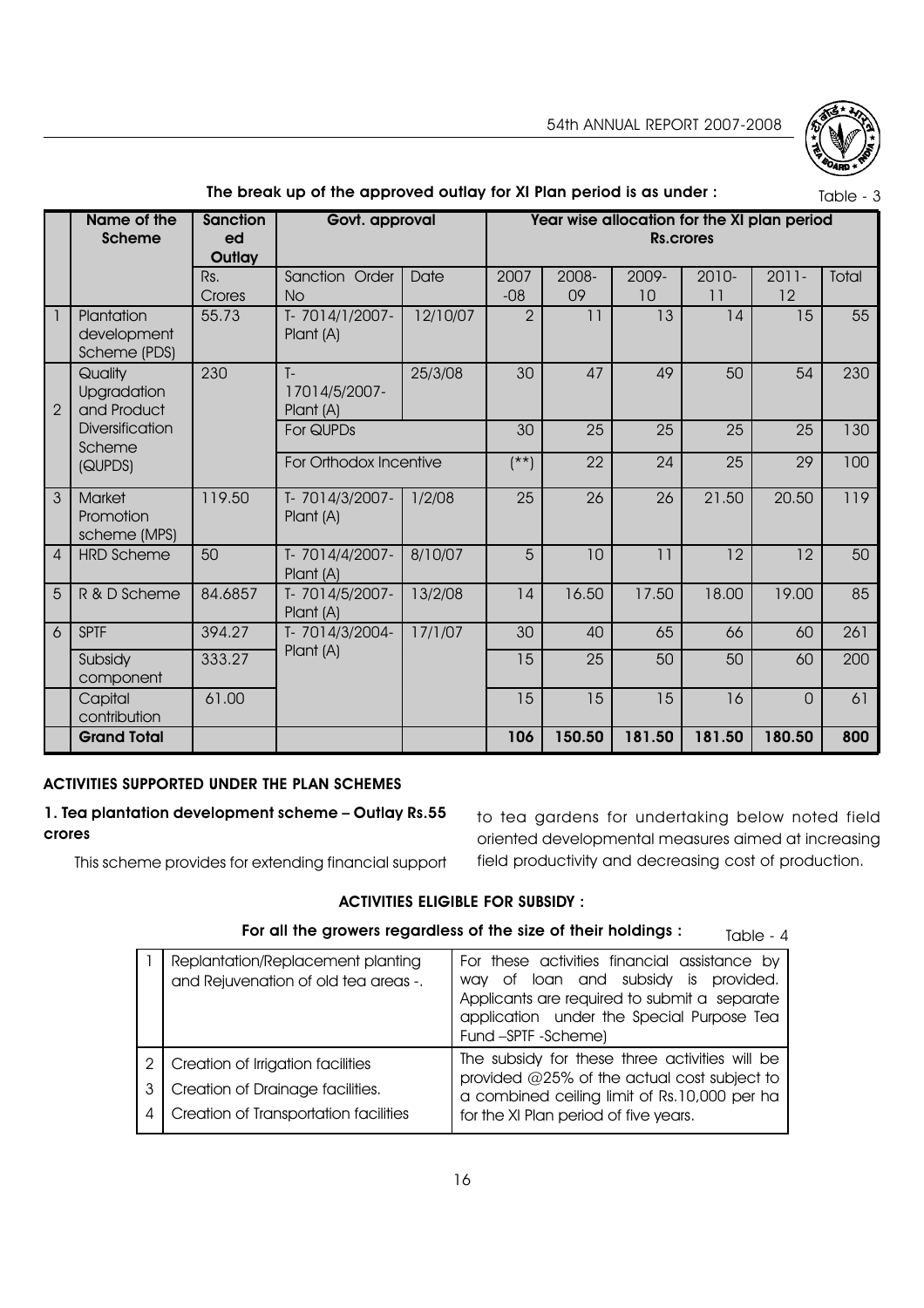

|                |                                              |                                 |                                     |          |                |             |             |                                             |                | יטועוס |
|----------------|----------------------------------------------|---------------------------------|-------------------------------------|----------|----------------|-------------|-------------|---------------------------------------------|----------------|--------|
|                | <b>Name of the</b><br>Scheme                 | <b>Sanction</b><br>ed<br>Outlay | Govt. approval                      |          |                |             | Rs.crores   | Year wise allocation for the XI plan period |                |        |
|                |                                              | Rs.<br>Crores                   | Sanction Order<br><b>No</b>         | Date     | 2007<br>$-08$  | 2008-<br>09 | 2009-<br>10 | 2010-<br>11                                 | $2011 -$<br>12 | Total  |
|                | Plantation<br>development<br>Scheme (PDS)    | 55.73                           | T-7014/1/2007-<br>Plant (A)         | 12/10/07 | $\overline{2}$ | 11          | 13          | 14                                          | 15             | 55     |
| $\overline{2}$ | Quality<br><b>Upgradation</b><br>and Product | 230                             | $T -$<br>17014/5/2007-<br>Plant (A) | 25/3/08  | 30             | 47          | 49          | 50                                          | 54             | 230    |
|                | Diversification<br>Scheme                    |                                 | For QUPDs                           |          | 30             | 25          | 25          | 25                                          | 25             | 130    |
|                | (QUPDS)                                      |                                 | For Orthodox Incentive              |          | $(**)$         | 22          | 24          | 25                                          | 29             | 100    |
| $\overline{3}$ | <b>Market</b><br>Promotion<br>scheme (MPS)   | 119.50                          | T-7014/3/2007-<br>Plant (A)         | 1/2/08   | 25             | 26          | 26          | 21.50                                       | 20.50          | 119    |
| $\overline{4}$ | <b>HRD Scheme</b>                            | 50                              | T-7014/4/2007-<br>Plant (A)         | 8/10/07  | 5              | 10          | 11          | 12                                          | 12             | 50     |
| 5              | R & D Scheme                                 | 84.6857                         | T-7014/5/2007-<br>Plant (A)         | 13/2/08  | 14             | 16.50       | 17.50       | 18.00                                       | 19.00          | 85     |
| 6              | <b>SPTF</b>                                  | 394.27                          | T- 7014/3/2004-                     | 17/1/07  | 30             | 40          | 65          | 66                                          | 60             | 261    |
|                | Subsidy<br>component                         | 333.27                          | Plant (A)                           |          | 15             | 25          | 50          | 50                                          | 60             | 200    |
|                | Capital<br>contribution                      | 61.00                           |                                     |          | 15             | 15          | 15          | 16                                          | $\Omega$       | 61     |
|                | <b>Grand Total</b>                           |                                 |                                     |          | 106            | 150.50      | 181.50      | 181.50                                      | 180.50         | 800    |

## The break up of the approved outlay for XI Plan period is as under :

## **ACTIVITIES SUPPORTED UNDER THE PLAN SCHEMES**

## **1. Tea plantation development scheme – Outlay Rs.55 crores**

This scheme provides for extending financial support

to tea gardens for undertaking below noted field oriented developmental measures aimed at increasing field productivity and decreasing cost of production.

## **ACTIVITIES ELIGIBLE FOR SUBSIDY :**

#### **For all the growers regardless of the size of their holdings :** Table - 4

|   | Replantation/Replacement planting<br>and Rejuvenation of old tea areas -.                                      | For these activities financial assistance by<br>way of loan and subsidy is provided.<br>Applicants are required to submit a separate<br>application under the Special Purpose Tea<br>Fund -SPTF -Scheme) |
|---|----------------------------------------------------------------------------------------------------------------|----------------------------------------------------------------------------------------------------------------------------------------------------------------------------------------------------------|
| 4 | Creation of Irrigation facilities<br>Creation of Drainage facilities.<br>Creation of Transportation facilities | The subsidy for these three activities will be<br>provided @25% of the actual cost subject to<br>a combined ceiling limit of Rs.10,000 per ha<br>for the XI Plan period of five years.                   |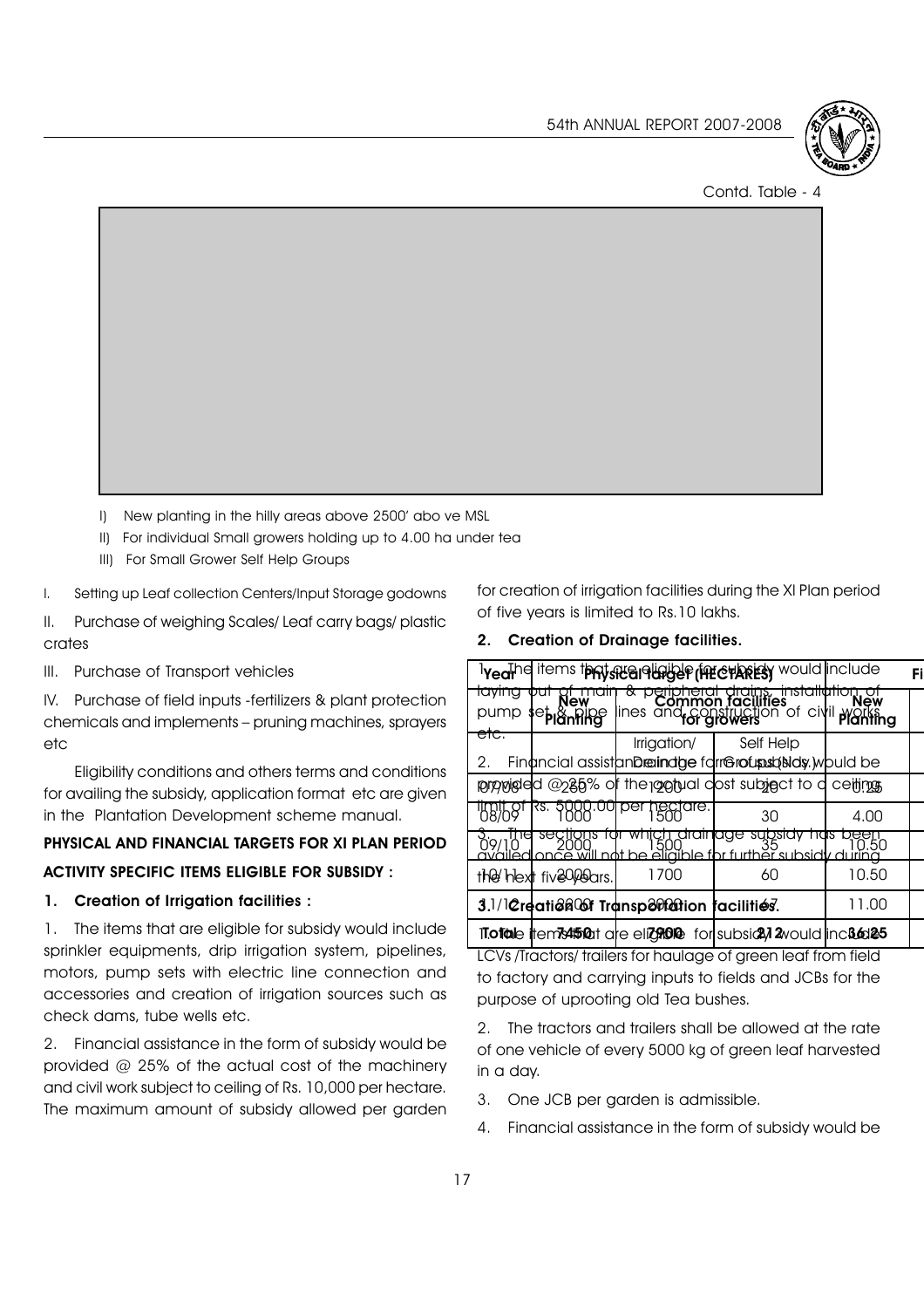

Contd. Table - 4

I) New planting in the hilly areas above 2500' abo ve MSL

- II) For individual Small growers holding up to 4.00 ha under tea
- III) For Small Grower Self Help Groups

I. Setting up Leaf collection Centers/Input Storage godowns

II. Purchase of weighing Scales/ Leaf carry bags/ plastic crates

III. Purchase of Transport vehicles

IV. Purchase of field inputs -fertilizers & plant protection chemicals and implements – pruning machines, sprayers etc

Eligibility conditions and others terms and conditions for availing the subsidy, application format etc are given in the Plantation Development scheme manual.

## **PHYSICAL AND FINANCIAL TARGETS FOR XI PLAN PERIOD**

## **ACTIVITY SPECIFIC ITEMS ELIGIBLE FOR SUBSIDY :**

## **1. Creation of Irrigation facilities :**

1. The items that are eligible for subsidy would include sprinkler equipments, drip irrigation system, pipelines, motors, pump sets with electric line connection and accessories and creation of irrigation sources such as check dams, tube wells etc.

2. Financial assistance in the form of subsidy would be provided @ 25% of the actual cost of the machinery and civil work subject to ceiling of Rs. 10,000 per hectare. The maximum amount of subsidy allowed per garden

for creation of irrigation facilities during the XI Plan period of five years is limited to Rs.10 lakhs.

#### **2. Creation of Drainage facilities.**

| l <sub>Yea</sub> The      |                                                                |                                           | items thrystear diright (it charges) would include                                                                                                    |       | Fi |
|---------------------------|----------------------------------------------------------------|-------------------------------------------|-------------------------------------------------------------------------------------------------------------------------------------------------------|-------|----|
| <del>layıng</del><br>pump | <del>or main</del><br>णमा<br><b>New</b><br><b>set Bionning</b> |                                           | <b>Experience drains installation of Common facilities Rew Rew Rew Report of Civil Months</b><br>Ines and construction of civil Months<br>Tor growers |       |    |
| etc.<br>2.                |                                                                | Irrigation/                               | Self Help<br>Financial assistanDeaindge formGrofundstoner would be                                                                                    |       |    |
|                           |                                                                |                                           | proprigied @285% of the poptual dost subject to d ceitings                                                                                            |       |    |
| <b>DB</b> /D9T            | रड <del>. २</del> प्तप्तप्त.००                                 | per hectare.                              | 30                                                                                                                                                    | 4.00  |    |
| ю                         | <b>CHOLIS TOI</b><br>sec                                       | WI                                        | <u>nich drainage subsiav nas</u>                                                                                                                      |       |    |
|                           | the hext five Of Bars.                                         | 1700                                      | 60                                                                                                                                                    | 10.50 |    |
|                           |                                                                | 3.1/1Creatida@f Transperidion facilities. |                                                                                                                                                       | 11.00 |    |
|                           |                                                                |                                           | Totale item34550t are elize00e for subside,1 2vould inc86d25                                                                                          |       |    |

LCVs /Tractors/ trailers for haulage of green leaf from field to factory and carrying inputs to fields and JCBs for the purpose of uprooting old Tea bushes.

2. The tractors and trailers shall be allowed at the rate of one vehicle of every 5000 kg of green leaf harvested in a day.

- 3. One JCB per garden is admissible.
- 4. Financial assistance in the form of subsidy would be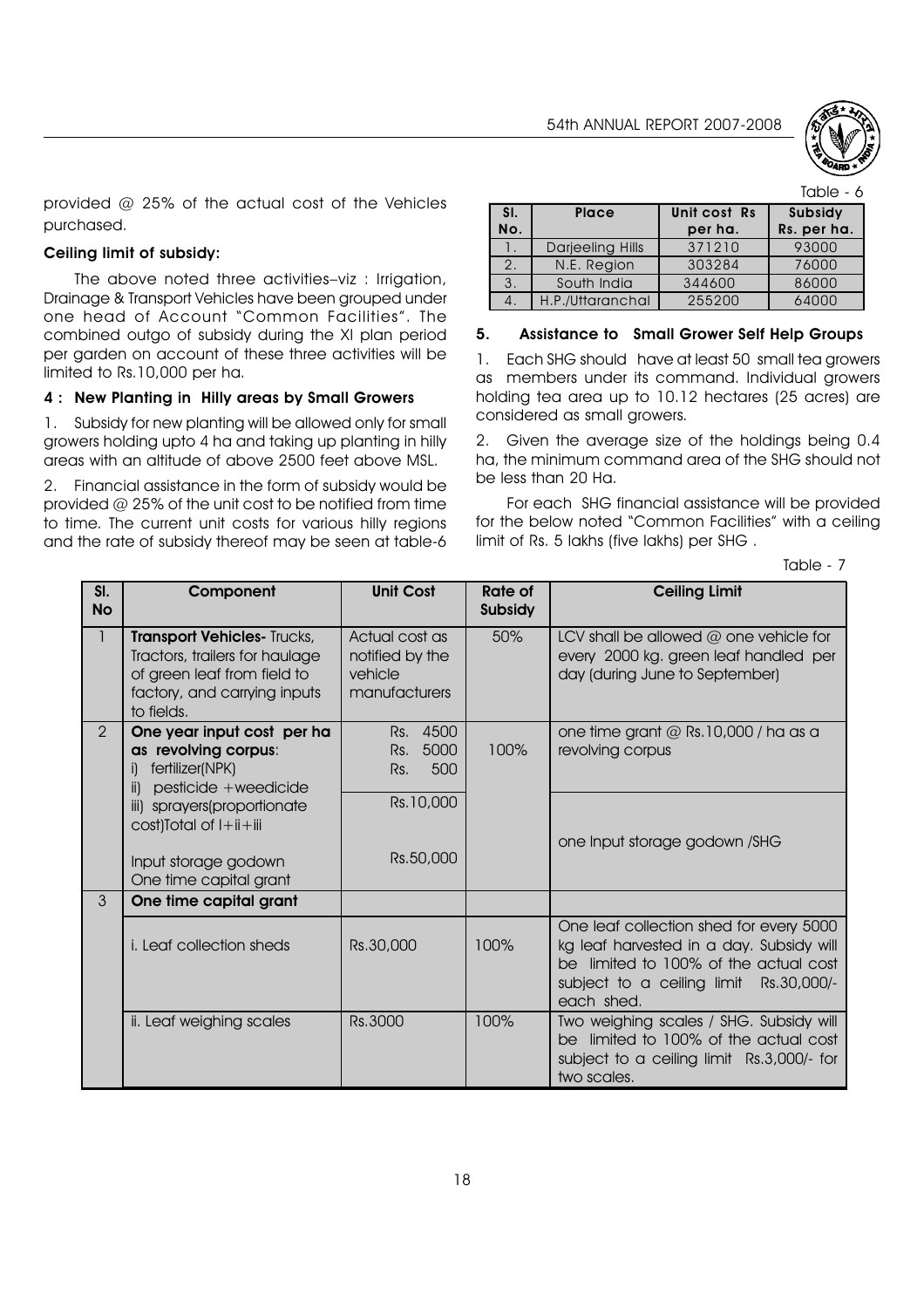

provided @ 25% of the actual cost of the Vehicles purchased.

#### **Ceiling limit of subsidy:**

The above noted three activities–viz : Irrigation, Drainage & Transport Vehicles have been grouped under one head of Account "Common Facilities". The combined outgo of subsidy during the XI plan period per garden on account of these three activities will be limited to Rs.10,000 per ha.

#### **4 : New Planting in Hilly areas by Small Growers**

1. Subsidy for new planting will be allowed only for small growers holding upto 4 ha and taking up planting in hilly areas with an altitude of above 2500 feet above MSL.

2. Financial assistance in the form of subsidy would be provided @ 25% of the unit cost to be notified from time to time. The current unit costs for various hilly regions and the rate of subsidy thereof may be seen at table-6

|     |                  |              | Table - $6$    |
|-----|------------------|--------------|----------------|
| SI. | <b>Place</b>     | Unit cost Rs | <b>Subsidy</b> |
| No. |                  | per ha.      | Rs. per ha.    |
| 1.  | Darjeeling Hills | 371210       | 93000          |
| 2.  | N.E. Region      | 303284       | 76000          |
| 3.  | South India      | 344600       | 86000          |
| 4.  | H.P./Uttaranchal | 255200       | 64000          |

#### **5. Assistance to Small Grower Self Help Groups**

1. Each SHG should have at least 50 small tea growers as members under its command. Individual growers holding tea area up to 10.12 hectares (25 acres) are considered as small growers.

2. Given the average size of the holdings being 0.4 ha, the minimum command area of the SHG should not be less than 20 Ha.

For each SHG financial assistance will be provided for the below noted "Common Facilities" with a ceiling limit of Rs. 5 lakhs (five lakhs) per SHG .

Table - 7

| SI.<br><b>No</b> | Component                                                                                                                                  | <b>Unit Cost</b>                                              | Rate of<br><b>Subsidy</b> | <b>Ceiling Limit</b>                                                                                                                                                                 |
|------------------|--------------------------------------------------------------------------------------------------------------------------------------------|---------------------------------------------------------------|---------------------------|--------------------------------------------------------------------------------------------------------------------------------------------------------------------------------------|
| 1                | Transport Vehicles- Trucks,<br>Tractors, trailers for haulage<br>of green leaf from field to<br>factory, and carrying inputs<br>to fields. | Actual cost as<br>notified by the<br>vehicle<br>manufacturers | 50%                       | LCV shall be allowed $@$ one vehicle for<br>every 2000 kg. green leaf handled per<br>day (during June to September)                                                                  |
| $\mathcal{P}$    | One year input cost per ha<br>as revolving corpus:<br>fertilizer(NPK)<br>i)<br>pesticide +weedicide<br>ii)                                 | 4500<br>Rs.<br>5000<br>Rs.<br>500<br>Rs.                      | 100%                      | one time grant $@$ Rs. 10,000 / ha as a<br>revolving corpus                                                                                                                          |
|                  | iii) sprayers(proportionate<br>$cost$ ] Total of $I + ii + iii$<br>Input storage godown<br>One time capital grant                          | Rs.10,000<br>Rs.50,000                                        |                           | one Input storage godown /SHG                                                                                                                                                        |
| $\mathcal{S}$    | One time capital grant                                                                                                                     |                                                               |                           |                                                                                                                                                                                      |
|                  | <i>i.</i> Leaf collection sheds                                                                                                            | Rs.30,000                                                     | 100%                      | One leaf collection shed for every 5000<br>kg leaf harvested in a day. Subsidy will<br>be limited to 100% of the actual cost<br>subject to a ceiling limit Rs.30,000/-<br>each shed. |
|                  | ii. Leaf weighing scales                                                                                                                   | Rs.3000                                                       | 100%                      | Two weighing scales / SHG. Subsidy will<br>be limited to 100% of the actual cost<br>subject to a ceiling limit Rs.3,000/- for<br>two scales.                                         |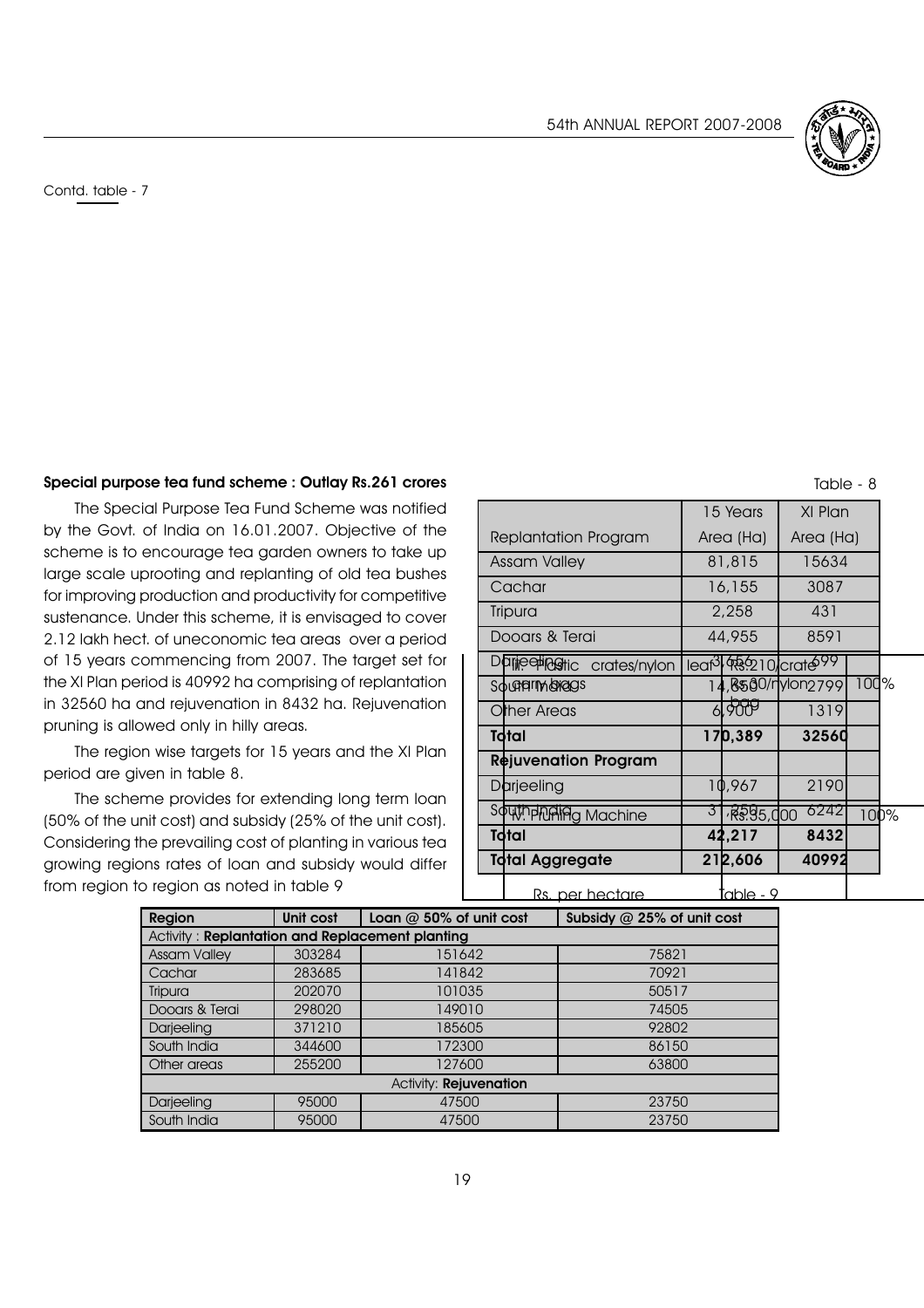

Contd. table - 7

## **Special purpose tea fund scheme : Outlay Rs.261 crores**

The Special Purpose Tea Fund Scheme was notified by the Govt. of India on 16.01.2007. Objective of the scheme is to encourage tea garden owners to take up large scale uprooting and replanting of old tea bushes for improving production and productivity for competitive sustenance. Under this scheme, it is envisaged to cover 2.12 lakh hect. of uneconomic tea areas over a period of 15 years commencing from 2007. The target set for the XI Plan period is 40992 ha comprising of replantation in 32560 ha and rejuvenation in 8432 ha. Rejuvenation pruning is allowed only in hilly areas.

The region wise targets for 15 years and the XI Plan period are given in table 8.

The scheme provides for extending long term loan (50% of the unit cost) and subsidy (25% of the unit cost). Considering the prevailing cost of planting in various tea growing regions rates of loan and subsidy would differ from region to region as noted in table 9

| able |  |
|------|--|
|------|--|

|                                | 15 Years         | XI Plan                          |                    |  |
|--------------------------------|------------------|----------------------------------|--------------------|--|
| Replantation Program           | Area (Ha)        | Area (Ha)                        |                    |  |
| Assam Valley                   | 81,815           | 15634                            |                    |  |
| Cachar                         | 16,155           | 3087                             |                    |  |
| Tripura                        | 2,258            | 431                              |                    |  |
| Dooars & Terai                 | 44,955           | 8591                             |                    |  |
| Darjee#leatic crates/nylon     |                  | leaf3,48210/crate <sup>999</sup> |                    |  |
| <b>Souterly biggs</b>          |                  | 14,8580/nylon2799                | $\overline{100}\%$ |  |
| Other Areas                    | त क्लूक          | 1319                             |                    |  |
| Total                          | 170,389          | 32560                            |                    |  |
| <b>Rejuvenation Program</b>    |                  |                                  |                    |  |
| Darjeeling                     | 10,967           | 2190                             |                    |  |
| South <b>Philain</b> g Machine | 3 .8595,000      | 6242                             | 100%               |  |
| Total                          | 42,217           | 8432                             |                    |  |
| <b>Total Aggregate</b>         | 212,606          | 40992                            |                    |  |
| De norhootoro                  | $t$ alala $\cap$ |                                  |                    |  |

| Region                                                 | Unit cost | Loan $@$ 50% of unit cost | Subsidy @ 25% of unit cost |
|--------------------------------------------------------|-----------|---------------------------|----------------------------|
| <b>Activity: Replantation and Replacement planting</b> |           |                           |                            |
| <b>Assam Valley</b>                                    | 303284    | 151642                    | 75821                      |
| Cachar                                                 | 283685    | 141842                    | 70921                      |
| Tripura                                                | 202070    | 101035                    | 50517                      |
| Doogrs & Tergi                                         | 298020    | 149010                    | 74505                      |
| Darjeeling                                             | 371210    | 185605                    | 92802                      |
| South India                                            | 344600    | 172300                    | 86150                      |
| Other areas                                            | 255200    | 127600                    | 63800                      |
|                                                        |           | Activity: Rejuvenation    |                            |
| Darjeeling                                             | 95000     | 47500                     | 23750                      |
| South India                                            | 95000     | 47500                     | 23750                      |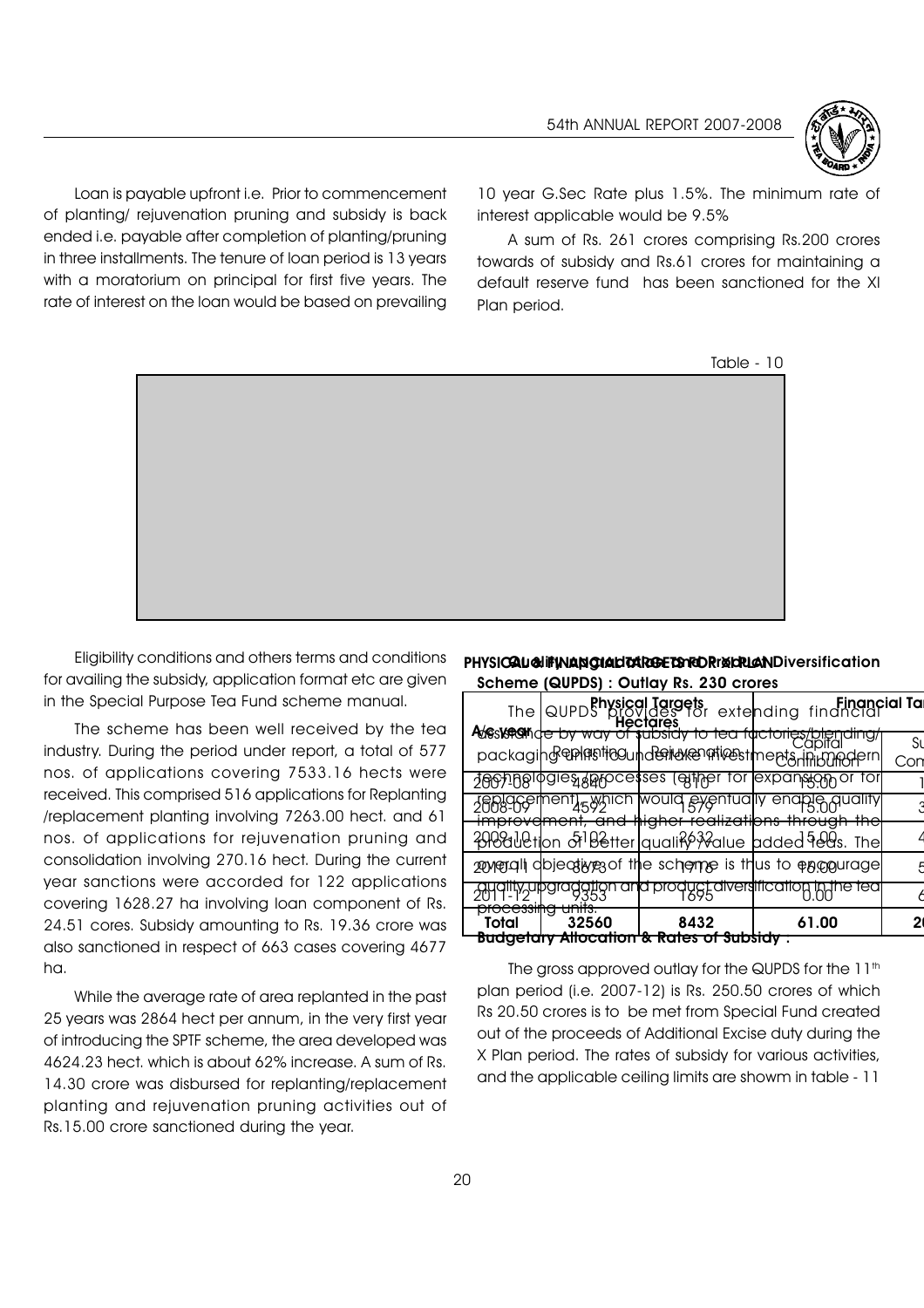

Loan is payable upfront i.e. Prior to commencement of planting/ rejuvenation pruning and subsidy is back ended i.e. payable after completion of planting/pruning in three installments. The tenure of loan period is 13 years with a moratorium on principal for first five years. The rate of interest on the loan would be based on prevailing

10 year G.Sec Rate plus 1.5%. The minimum rate of interest applicable would be 9.5%

A sum of Rs. 261 crores comprising Rs.200 crores towards of subsidy and Rs.61 crores for maintaining a default reserve fund has been sanctioned for the XI Plan period.





Eligibility conditions and others terms and conditions for availing the subsidy, application format etc are given in the Special Purpose Tea Fund scheme manual.

The scheme has been well received by the tea industry. During the period under report, a total of 577 nos. of applications covering 7533.16 hects were received. This comprised 516 applications for Replanting /replacement planting involving 7263.00 hect. and 61 nos. of applications for rejuvenation pruning and consolidation involving 270.16 hect. During the current year sanctions were accorded for 122 applications covering 1628.27 ha involving loan component of Rs. 24.51 cores. Subsidy amounting to Rs. 19.36 crore was also sanctioned in respect of 663 cases covering 4677 ha.

While the average rate of area replanted in the past 25 years was 2864 hect per annum, in the very first year of introducing the SPTF scheme, the area developed was 4624.23 hect. which is about 62% increase. A sum of Rs. 14.30 crore was disbursed for replanting/replacement planting and rejuvenation pruning activities out of Rs.15.00 crore sanctioned during the year.

#### PHYSI**CAL & FINANCIAL TARGE TS FOR XIAL AND** iversification **Scheme (QUPDS) : Outlay Rs. 230 crores**

|                 |                          |                                                               | The QUPDS Privated Targets<br>The QUPDS Provides for extending financial Targets |     |
|-----------------|--------------------------|---------------------------------------------------------------|----------------------------------------------------------------------------------|-----|
| Adesident de by |                          | i <del>siav to i</del>                                        |                                                                                  | Sι  |
|                 |                          |                                                               | packagingen modunder wennivestments in modern                                    | Cor |
|                 |                          | <b><i>jech nelocies surposesses</i></b> (either for expansion |                                                                                  |     |
|                 |                          | <sup>11</sup> 458911ch <mark>would ey</mark> entua            | <del>ent, and higher realizatibns through the shide</del>                        |     |
|                 |                          |                                                               | 39881&tion oilBetter qualif()%alue added =&s. The                                |     |
|                 |                          |                                                               | govergill dbjectives of the scheme is thus to eggodurage                         |     |
|                 |                          |                                                               | <del>aggilgn and product diversification in the fea</del>                        |     |
| ੮ਹਹਾ<br>Total   | 32560                    | 8432                                                          | 61.00                                                                            |     |
|                 | <b>BUDGETOLY AIIOCOT</b> | n & Rates of Supsia                                           |                                                                                  |     |

The gross approved outlay for the QUPDS for the 11<sup>th</sup> plan period (i.e. 2007-12) is Rs. 250.50 crores of which Rs 20.50 crores is to be met from Special Fund created out of the proceeds of Additional Excise duty during the X Plan period. The rates of subsidy for various activities, and the applicable ceiling limits are showm in table - 11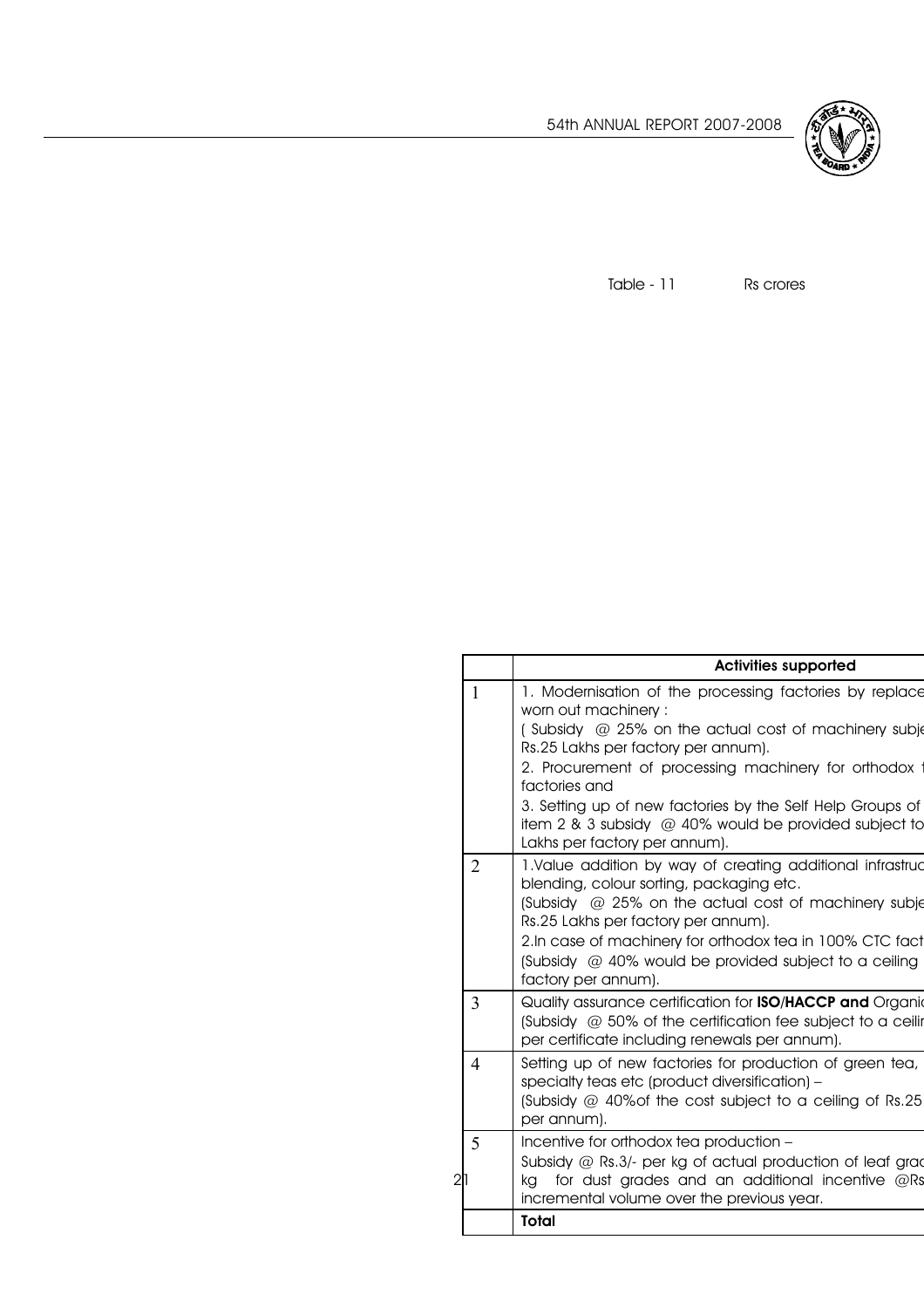

Table - 11 Rs crores

|                | <b>Activities supported</b>                                                                                                                                                                                 |
|----------------|-------------------------------------------------------------------------------------------------------------------------------------------------------------------------------------------------------------|
| 1              | 1. Modernisation of the processing factories by replace<br>worn out machinery:<br>(Subsidy $\omega$ 25% on the actual cost of machinery subje<br>Rs.25 Lakhs per factory per annum).                        |
|                | 2. Procurement of processing machinery for orthodox<br>factories and                                                                                                                                        |
|                | 3. Setting up of new factories by the Self Help Groups of<br>item 2 & 3 subsidy $@$ 40% would be provided subject to<br>Lakhs per factory per annum).                                                       |
| $\overline{2}$ | 1. Value addition by way of creating additional infrastrud<br>blending, colour sorting, packaging etc.<br>(Subsidy @ 25% on the actual cost of machinery subje<br>Rs.25 Lakhs per factory per annum).       |
|                | 2.In case of machinery for orthodox tea in 100% CTC fact<br>(Subsidy @ 40% would be provided subject to a ceiling<br>factory per annum).                                                                    |
| 3              | Quality assurance certification for <b>ISO/HACCP and</b> Organid<br>(Subsidy @ 50% of the certification fee subject to a ceilir<br>per certificate including renewals per annum).                           |
| $\overline{4}$ | Setting up of new factories for production of green tea,<br>specialty teas etc (product diversification) -<br>(Subsidy @ 40% of the cost subject to a ceiling of Rs.25<br>per annum).                       |
| 5              | Incentive for orthodox tea production -<br>Subsidy @ Rs.3/- per kg of actual production of leaf grad<br>for dust grades and an additional incentive @Rs<br>ka<br>incremental volume over the previous year. |
|                | Total                                                                                                                                                                                                       |
|                |                                                                                                                                                                                                             |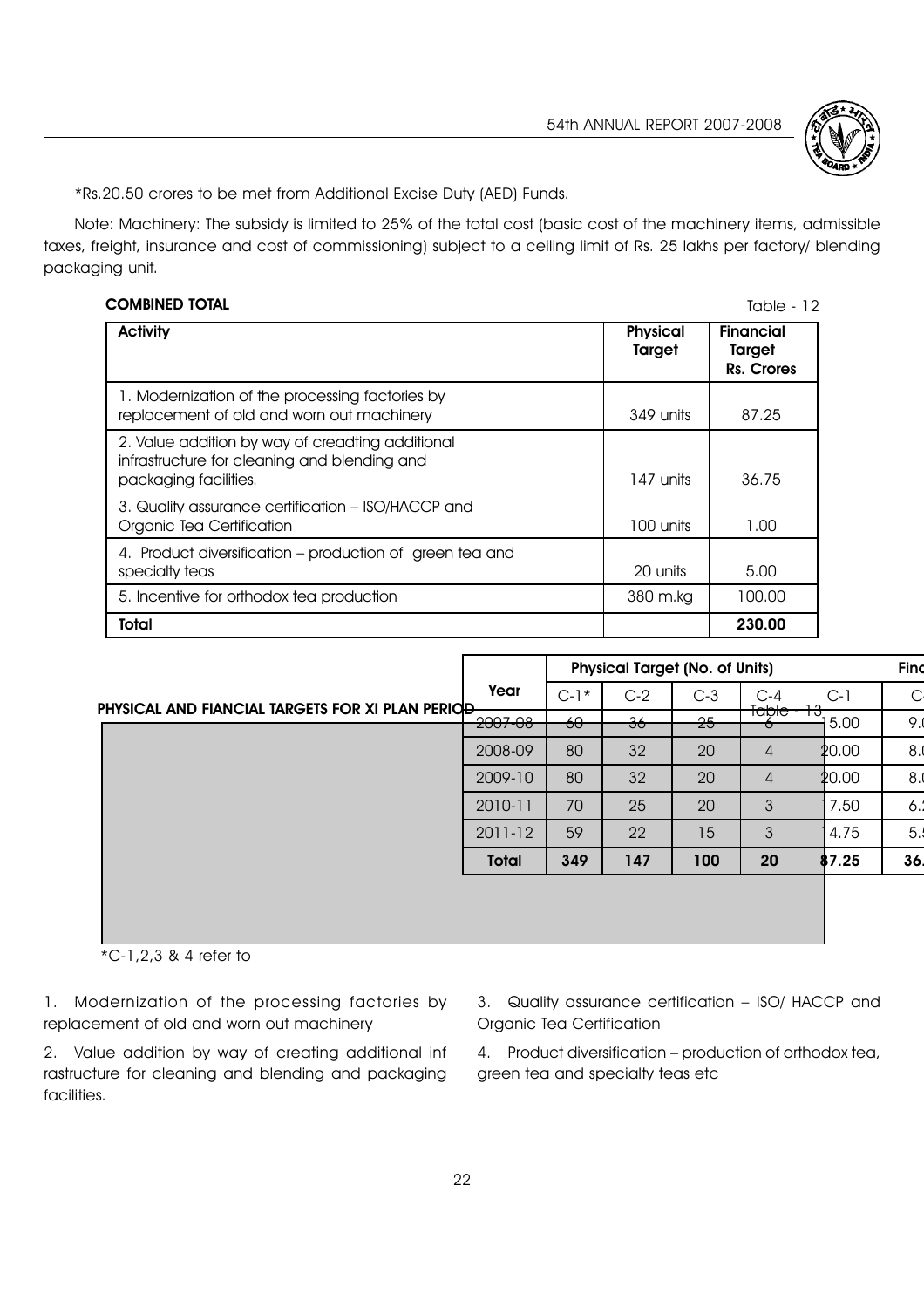

\*Rs.20.50 crores to be met from Additional Excise Duty (AED) Funds.

Note: Machinery: The subsidy is limited to 25% of the total cost (basic cost of the machinery items, admissible taxes, freight, insurance and cost of commissioning) subject to a ceiling limit of Rs. 25 lakhs per factory/ blending packaging unit.

| <b>COMBINED TOTAL</b>                                                                                                     |                                  | <b>Table - 12</b>                               |
|---------------------------------------------------------------------------------------------------------------------------|----------------------------------|-------------------------------------------------|
| <b>Activity</b>                                                                                                           | <b>Physical</b><br><b>Target</b> | <b>Financial</b><br><b>Target</b><br>Rs. Crores |
| 1. Modernization of the processing factories by<br>replacement of old and worn out machinery                              | 349 units                        | 87.25                                           |
| 2. Value addition by way of creadting additional<br>infrastructure for cleaning and blending and<br>packaging facilities. | 147 units                        | 36.75                                           |
| 3. Quality assurance certification - ISO/HACCP and<br>Organic Tea Certification                                           | 100 units                        | 1.00                                            |
| 4. Product diversification – production of green tea and<br>specialty teas                                                | 20 units                         | 5.00                                            |
| 5. Incentive for orthodox tea production                                                                                  | 380 m.kg                         | 100.00                                          |
| Total                                                                                                                     |                                  | 230.00                                          |

|                                                               |              | <b>Physical Target (No. of Units)</b> |               |       | Find                    |            |     |
|---------------------------------------------------------------|--------------|---------------------------------------|---------------|-------|-------------------------|------------|-----|
|                                                               | Year         | $C-1$ *                               | $C-2$         | $C-3$ | $C-4$                   | $C-1$      |     |
| PHYSICAL AND FIANCIAL TARGETS FOR XI PLAN PERICI <del>D</del> | 2007-08      | $\theta$                              | <del>36</del> | $-25$ | <del>taple.</del><br>᠊ᠣ | πυ<br>5.00 | 9.0 |
|                                                               | 2008-09      | 80                                    | 32            | 20    | 4                       | 20.00      | 8.1 |
|                                                               | 2009-10      | 80                                    | 32            | 20    | 4                       | 20.00      | 8.1 |
|                                                               | 2010-11      | 70                                    | 25            | 20    | 3                       | 7.50       | 6:  |
|                                                               | $2011 - 12$  | 59                                    | 22            | 15    | 3                       | 4.75       | 5.5 |
|                                                               | <b>Total</b> | 349                                   | 147           | 100   | 20                      | \$7.25     | 36. |
|                                                               |              |                                       |               |       |                         |            |     |
|                                                               |              |                                       |               |       |                         |            |     |

#### \*C-1,2,3 & 4 refer to

1. Modernization of the processing factories by replacement of old and worn out machinery

2. Value addition by way of creating additional inf rastructure for cleaning and blending and packaging facilities.

3. Quality assurance certification – ISO/ HACCP and Organic Tea Certification

4. Product diversification – production of orthodox tea, green tea and specialty teas etc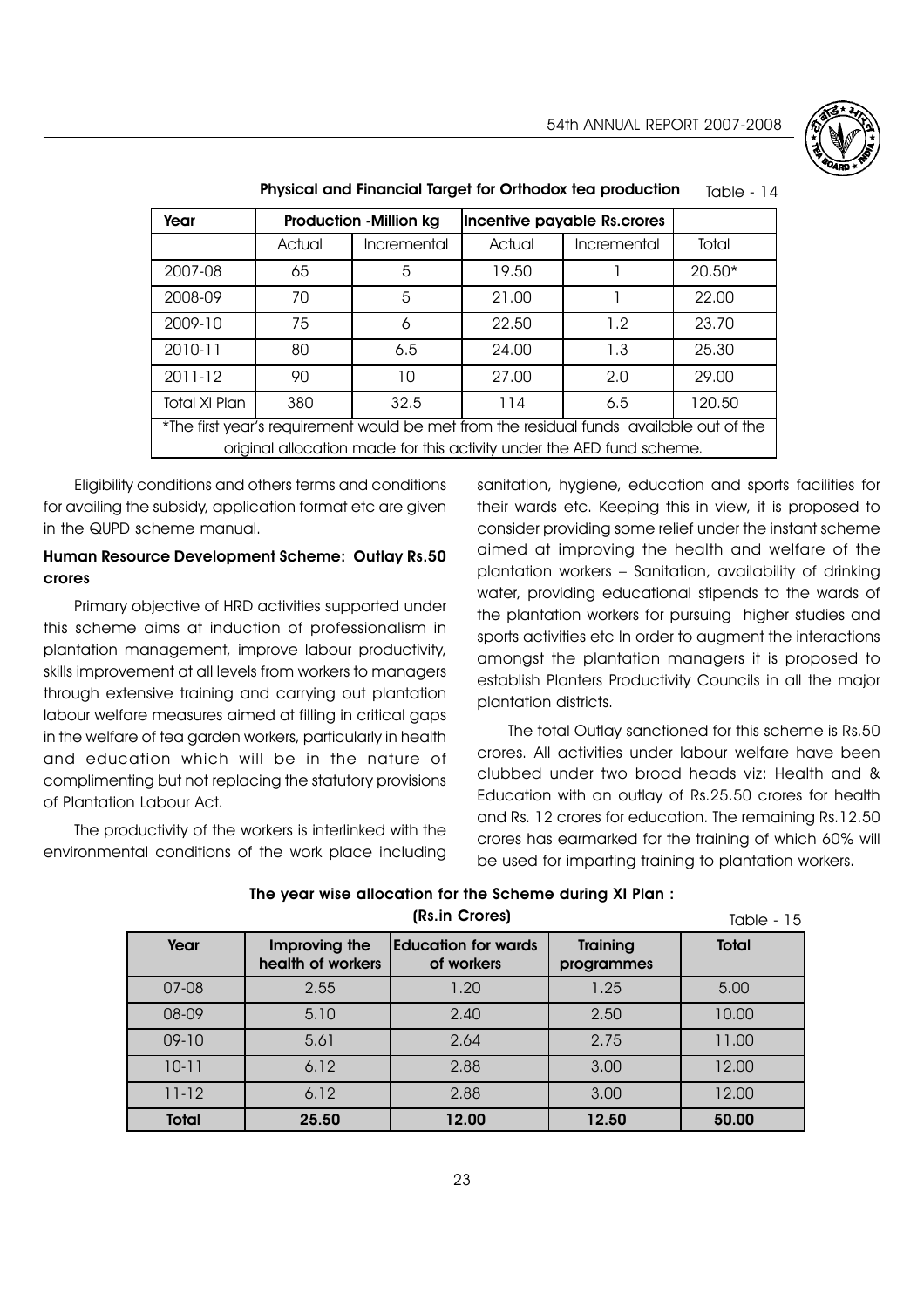

| Year                                                                                    |        | Production - Million kg |        | Incentive payable Rs.crores                                           |          |  |  |
|-----------------------------------------------------------------------------------------|--------|-------------------------|--------|-----------------------------------------------------------------------|----------|--|--|
|                                                                                         | Actual | Incremental             | Actual | Incremental                                                           | Total    |  |  |
| 2007-08                                                                                 | 65     | 5                       | 19.50  |                                                                       | $20.50*$ |  |  |
| 2008-09                                                                                 | 70     | 5                       | 21.00  |                                                                       | 22.00    |  |  |
| 2009-10                                                                                 | 75     | 6                       | 22.50  | 1.2                                                                   | 23.70    |  |  |
| 2010-11                                                                                 | 80     | 6.5                     | 24.00  | 1.3                                                                   | 25.30    |  |  |
| 2011-12                                                                                 | 90     | 10                      | 27.00  | 2.0                                                                   | 29.00    |  |  |
| 32.5<br>Total XI Plan<br>380<br>114<br>120.50<br>6.5                                    |        |                         |        |                                                                       |          |  |  |
| *The first year's requirement would be met from the residual funds available out of the |        |                         |        |                                                                       |          |  |  |
|                                                                                         |        |                         |        | original allocation made for this activity under the AED fund scheme. |          |  |  |

**Physical and Financial Target for Orthodox tea production** Table - 14

Eligibility conditions and others terms and conditions for availing the subsidy, application format etc are given in the QUPD scheme manual.

## **Human Resource Development Scheme: Outlay Rs.50 crores**

Primary objective of HRD activities supported under this scheme aims at induction of professionalism in plantation management, improve labour productivity, skills improvement at all levels from workers to managers through extensive training and carrying out plantation labour welfare measures aimed at filling in critical gaps in the welfare of tea garden workers, particularly in health and education which will be in the nature of complimenting but not replacing the statutory provisions of Plantation Labour Act.

The productivity of the workers is interlinked with the environmental conditions of the work place including

sanitation, hygiene, education and sports facilities for their wards etc. Keeping this in view, it is proposed to consider providing some relief under the instant scheme aimed at improving the health and welfare of the plantation workers – Sanitation, availability of drinking water, providing educational stipends to the wards of the plantation workers for pursuing higher studies and sports activities etc In order to augment the interactions amongst the plantation managers it is proposed to establish Planters Productivity Councils in all the major plantation districts.

The total Outlay sanctioned for this scheme is Rs.50 crores. All activities under labour welfare have been clubbed under two broad heads viz: Health and & Education with an outlay of Rs.25.50 crores for health and Rs. 12 crores for education. The remaining Rs.12.50 crores has earmarked for the training of which 60% will be used for imparting training to plantation workers.

|           | Table - 15                         |                                          |                               |              |
|-----------|------------------------------------|------------------------------------------|-------------------------------|--------------|
| Year      | Improving the<br>health of workers | <b>Education for wards</b><br>of workers | <b>Training</b><br>programmes | <b>Total</b> |
| $07-08$   | 2.55                               | 1.20                                     | 1.25                          | 5.00         |
| 08-09     | 5.10                               | 2.40                                     | 2.50                          | 10.00        |
| $09 - 10$ | 5.61                               | 2.64                                     | 2.75                          | 11.00        |
| $10 - 11$ | 6.12                               | 2.88                                     | 3.00                          | 12.00        |
| $11 - 12$ | 6.12                               | 2.88                                     | 3.00                          | 12.00        |
| Total     | 25.50                              | 12.00                                    | 12.50                         | 50.00        |

**The year wise allocation for the Scheme during XI Plan :**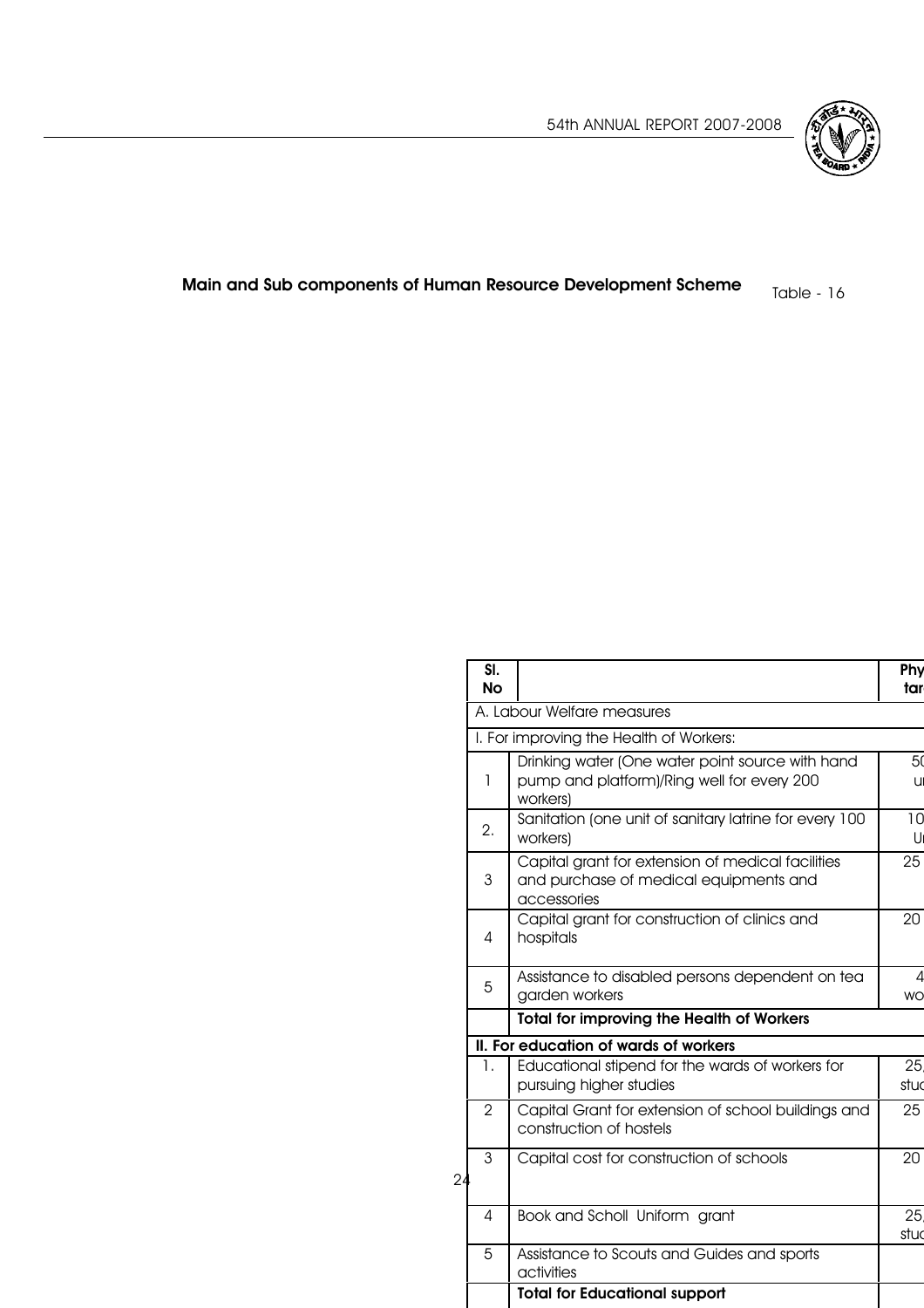

## **Main and Sub components of Human Resource Development Scheme** Table - 16

|    | SI.<br><b>No</b>                                                                                                |                                                                                                            | Phy<br>tar                  |  |  |  |  |  |
|----|-----------------------------------------------------------------------------------------------------------------|------------------------------------------------------------------------------------------------------------|-----------------------------|--|--|--|--|--|
|    | A. Labour Welfare measures                                                                                      |                                                                                                            |                             |  |  |  |  |  |
|    |                                                                                                                 | I. For improving the Health of Workers:                                                                    |                             |  |  |  |  |  |
|    | Drinking water (One water point source with hand<br>1<br>pump and platform)/Ring well for every 200<br>workers) |                                                                                                            |                             |  |  |  |  |  |
|    | 2.                                                                                                              | Sanitation (one unit of sanitary latrine for every 100<br>workers)                                         | 10<br>Uı                    |  |  |  |  |  |
|    | 3                                                                                                               | Capital grant for extension of medical facilities<br>and purchase of medical equipments and<br>accessories | 25                          |  |  |  |  |  |
|    | 4                                                                                                               | Capital grant for construction of clinics and<br>hospitals                                                 | 20                          |  |  |  |  |  |
|    | 5                                                                                                               | Assistance to disabled persons dependent on tea<br>garden workers                                          | $\overline{A}$<br><b>WO</b> |  |  |  |  |  |
|    | <b>Total for improving the Health of Workers</b>                                                                |                                                                                                            |                             |  |  |  |  |  |
|    |                                                                                                                 | II. For education of wards of workers                                                                      |                             |  |  |  |  |  |
|    | 1.                                                                                                              | Educational stipend for the wards of workers for<br>pursuing higher studies                                | 25<br>stud                  |  |  |  |  |  |
|    | $\overline{2}$                                                                                                  | Capital Grant for extension of school buildings and<br>construction of hostels                             | 25                          |  |  |  |  |  |
| 24 | 3                                                                                                               | Capital cost for construction of schools                                                                   | 20                          |  |  |  |  |  |
|    | 4                                                                                                               | Book and Scholl Uniform grant                                                                              | 25<br>stud                  |  |  |  |  |  |
|    | 5                                                                                                               | Assistance to Scouts and Guides and sports<br>activities                                                   |                             |  |  |  |  |  |
|    |                                                                                                                 | <b>Total for Educational support</b>                                                                       |                             |  |  |  |  |  |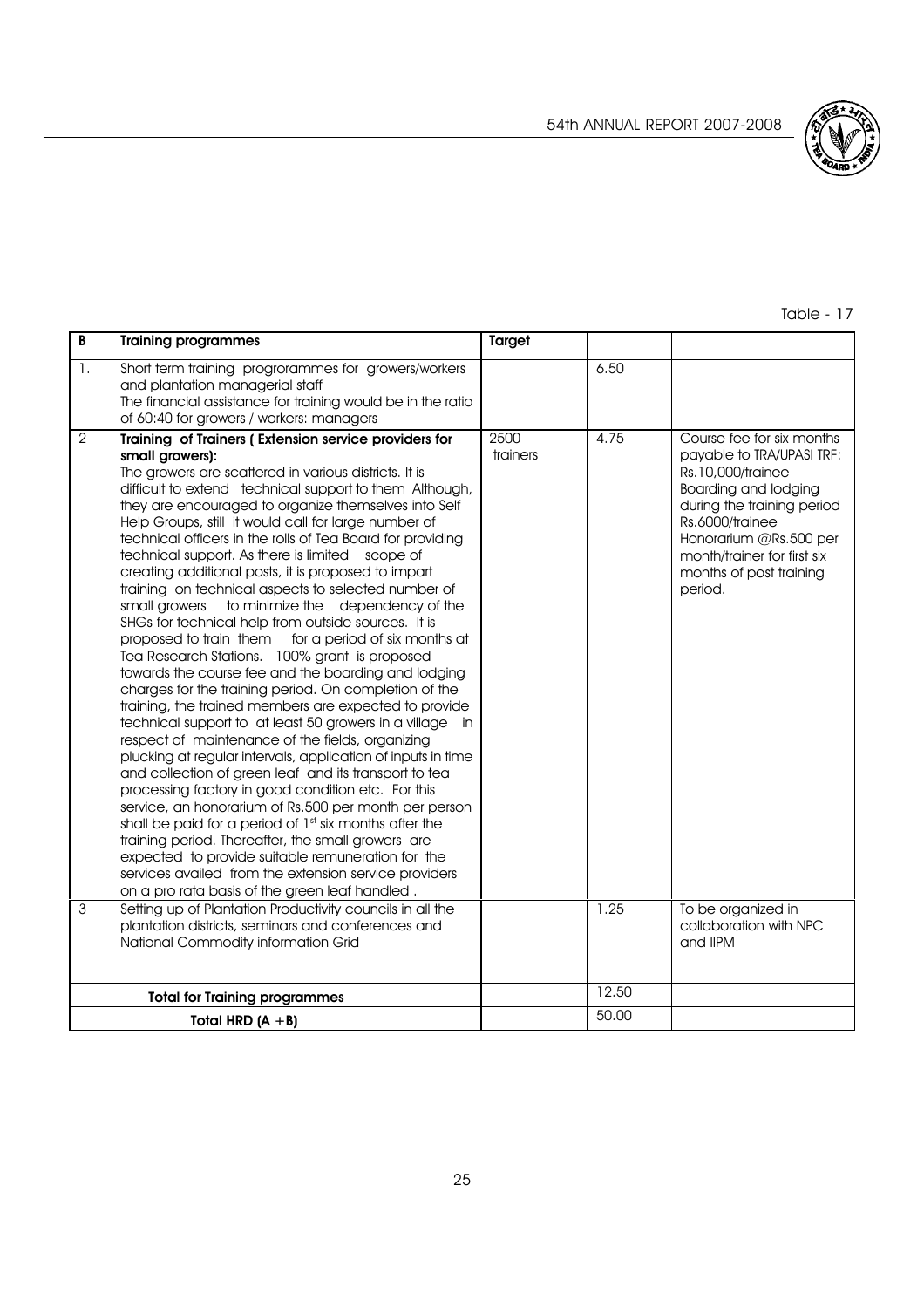

#### Table - 17

| B                | <b>Training programmes</b>                                                                                                                                                                                                                                                                                                                                                                                                                                                                                                                                                                                                                                                                                                                                                                                                                                                                                                                                                                                                                                                                                                                                                                                                                                                                                                                                                                                                                                                                                          | <b>Target</b>    |       |                                                                                                                                                                                                                                                      |
|------------------|---------------------------------------------------------------------------------------------------------------------------------------------------------------------------------------------------------------------------------------------------------------------------------------------------------------------------------------------------------------------------------------------------------------------------------------------------------------------------------------------------------------------------------------------------------------------------------------------------------------------------------------------------------------------------------------------------------------------------------------------------------------------------------------------------------------------------------------------------------------------------------------------------------------------------------------------------------------------------------------------------------------------------------------------------------------------------------------------------------------------------------------------------------------------------------------------------------------------------------------------------------------------------------------------------------------------------------------------------------------------------------------------------------------------------------------------------------------------------------------------------------------------|------------------|-------|------------------------------------------------------------------------------------------------------------------------------------------------------------------------------------------------------------------------------------------------------|
|                  |                                                                                                                                                                                                                                                                                                                                                                                                                                                                                                                                                                                                                                                                                                                                                                                                                                                                                                                                                                                                                                                                                                                                                                                                                                                                                                                                                                                                                                                                                                                     |                  |       |                                                                                                                                                                                                                                                      |
| $\overline{1}$ . | Short term training progrorammes for growers/workers<br>and plantation managerial staff                                                                                                                                                                                                                                                                                                                                                                                                                                                                                                                                                                                                                                                                                                                                                                                                                                                                                                                                                                                                                                                                                                                                                                                                                                                                                                                                                                                                                             |                  | 6.50  |                                                                                                                                                                                                                                                      |
|                  | The financial assistance for training would be in the ratio                                                                                                                                                                                                                                                                                                                                                                                                                                                                                                                                                                                                                                                                                                                                                                                                                                                                                                                                                                                                                                                                                                                                                                                                                                                                                                                                                                                                                                                         |                  |       |                                                                                                                                                                                                                                                      |
|                  |                                                                                                                                                                                                                                                                                                                                                                                                                                                                                                                                                                                                                                                                                                                                                                                                                                                                                                                                                                                                                                                                                                                                                                                                                                                                                                                                                                                                                                                                                                                     |                  |       |                                                                                                                                                                                                                                                      |
| $\overline{2}$   | of 60:40 for growers / workers: managers<br>Training of Trainers (Extension service providers for<br>small growers):<br>The growers are scattered in various districts. It is<br>difficult to extend technical support to them Although,<br>they are encouraged to organize themselves into Self<br>Help Groups, still it would call for large number of<br>technical officers in the rolls of Tea Board for providing<br>technical support. As there is limited scope of<br>creating additional posts, it is proposed to impart<br>training on technical aspects to selected number of<br>to minimize the dependency of the<br>small growers<br>SHGs for technical help from outside sources. It is<br>proposed to train them for a period of six months at<br>Tea Research Stations. 100% grant is proposed<br>towards the course fee and the boarding and lodging<br>charges for the training period. On completion of the<br>training, the trained members are expected to provide<br>technical support to at least 50 growers in a village in<br>respect of maintenance of the fields, organizing<br>plucking at regular intervals, application of inputs in time<br>and collection of green leaf and its transport to tea<br>processing factory in good condition etc. For this<br>service, an honorarium of Rs.500 per month per person<br>shall be paid for a period of 1st six months after the<br>training period. Thereafter, the small growers are<br>expected to provide suitable remuneration for the | 2500<br>trainers | 4.75  | Course fee for six months<br>payable to TRA/UPASI TRF:<br>Rs. 10,000/trainee<br>Boarding and lodging<br>during the training period<br>Rs.6000/trainee<br>Honorarium @Rs.500 per<br>month/trainer for first six<br>months of post training<br>period. |
|                  | services availed from the extension service providers<br>on a pro rata basis of the green leaf handled.                                                                                                                                                                                                                                                                                                                                                                                                                                                                                                                                                                                                                                                                                                                                                                                                                                                                                                                                                                                                                                                                                                                                                                                                                                                                                                                                                                                                             |                  |       |                                                                                                                                                                                                                                                      |
| 3                | Setting up of Plantation Productivity councils in all the<br>plantation districts, seminars and conferences and<br>National Commodity information Grid                                                                                                                                                                                                                                                                                                                                                                                                                                                                                                                                                                                                                                                                                                                                                                                                                                                                                                                                                                                                                                                                                                                                                                                                                                                                                                                                                              |                  | 1.25  | To be organized in<br>collaboration with NPC<br>and IIPM                                                                                                                                                                                             |
|                  | <b>Total for Training programmes</b>                                                                                                                                                                                                                                                                                                                                                                                                                                                                                                                                                                                                                                                                                                                                                                                                                                                                                                                                                                                                                                                                                                                                                                                                                                                                                                                                                                                                                                                                                |                  | 12.50 |                                                                                                                                                                                                                                                      |
|                  | Total HRD $(A + B)$                                                                                                                                                                                                                                                                                                                                                                                                                                                                                                                                                                                                                                                                                                                                                                                                                                                                                                                                                                                                                                                                                                                                                                                                                                                                                                                                                                                                                                                                                                 |                  | 50,00 |                                                                                                                                                                                                                                                      |
|                  |                                                                                                                                                                                                                                                                                                                                                                                                                                                                                                                                                                                                                                                                                                                                                                                                                                                                                                                                                                                                                                                                                                                                                                                                                                                                                                                                                                                                                                                                                                                     |                  |       |                                                                                                                                                                                                                                                      |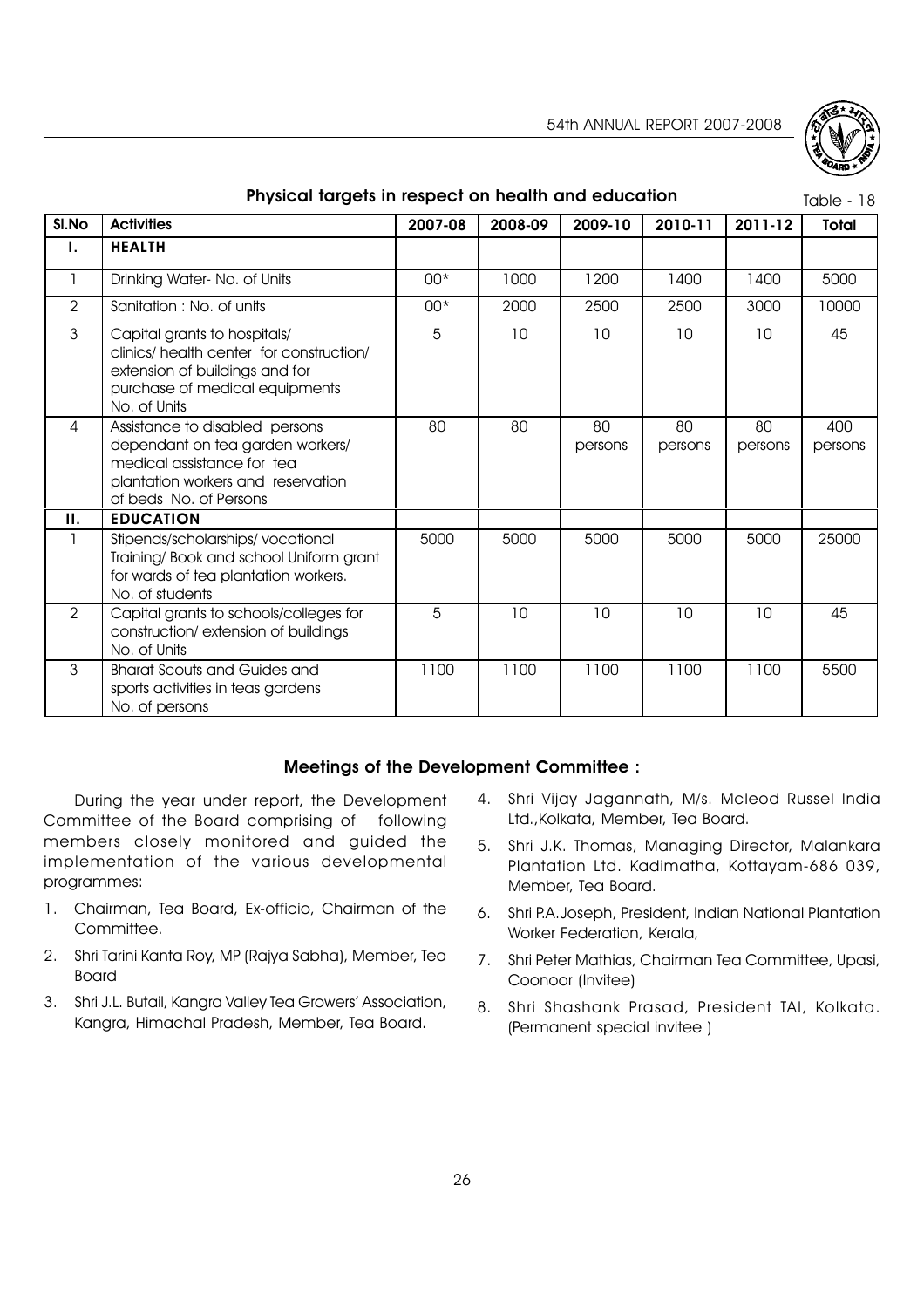

Table - 18

| SI.No          | <b>Activities</b>                                                                                                                                                | 2007-08 | 2008-09 | 2009-10       | 2010-11       | 2011-12       | Total          |
|----------------|------------------------------------------------------------------------------------------------------------------------------------------------------------------|---------|---------|---------------|---------------|---------------|----------------|
| ı.             | <b>HEALTH</b>                                                                                                                                                    |         |         |               |               |               |                |
|                | Drinking Water-No. of Units                                                                                                                                      | $00*$   | 1000    | 1200          | 1400          | 1400          | 5000           |
| $\overline{2}$ | Sanitation: No. of units                                                                                                                                         | $00*$   | 2000    | 2500          | 2500          | 3000          | 10000          |
| $\mathfrak{S}$ | Capital grants to hospitals/<br>clinics/ health center for construction/<br>extension of buildings and for<br>purchase of medical equipments<br>No. of Units     | 5       | 10      | 10            | 10            | 10            | 45             |
| 4              | Assistance to disabled persons<br>dependant on tea garden workers/<br>medical assistance for tea<br>plantation workers and reservation<br>of beds No. of Persons | 80      | 80      | 80<br>persons | 80<br>persons | 80<br>persons | 400<br>persons |
| Ш.             | <b>EDUCATION</b>                                                                                                                                                 |         |         |               |               |               |                |
|                | Stipends/scholarships/vocational<br>Training/ Book and school Uniform grant<br>for wards of tea plantation workers.<br>No. of students                           | 5000    | 5000    | 5000          | 5000          | 5000          | 25000          |
| 2              | Capital grants to schools/colleges for<br>construction/extension of buildings<br>No. of Units                                                                    | 5       | 10      | 10            | 10            | 10            | 45             |
| 3              | <b>Bharat Scouts and Guides and</b><br>sports activities in teas gardens<br>No. of persons                                                                       | 1100    | 1100    | 1100          | 1100          | 1100          | 5500           |

## **Physical targets in respect on health and education**

## **Meetings of the Development Committee :**

During the year under report, the Development Committee of the Board comprising of following members closely monitored and guided the implementation of the various developmental programmes:

- 1. Chairman, Tea Board, Ex-officio, Chairman of the Committee.
- 2. Shri Tarini Kanta Roy, MP (Rajya Sabha), Member, Tea Board
- 3. Shri J.L. Butail, Kangra Valley Tea Growers' Association, Kangra, Himachal Pradesh, Member, Tea Board.
- 4. Shri Vijay Jagannath, M/s. Mcleod Russel India Ltd.,Kolkata, Member, Tea Board.
- 5. Shri J.K. Thomas, Managing Director, Malankara Plantation Ltd. Kadimatha, Kottayam-686 039, Member, Tea Board.
- 6. Shri P.A.Joseph, President, Indian National Plantation Worker Federation, Kerala,
- 7. Shri Peter Mathias, Chairman Tea Committee, Upasi, Coonoor (Invitee)
- 8. Shri Shashank Prasad, President TAI, Kolkata. (Permanent special invitee )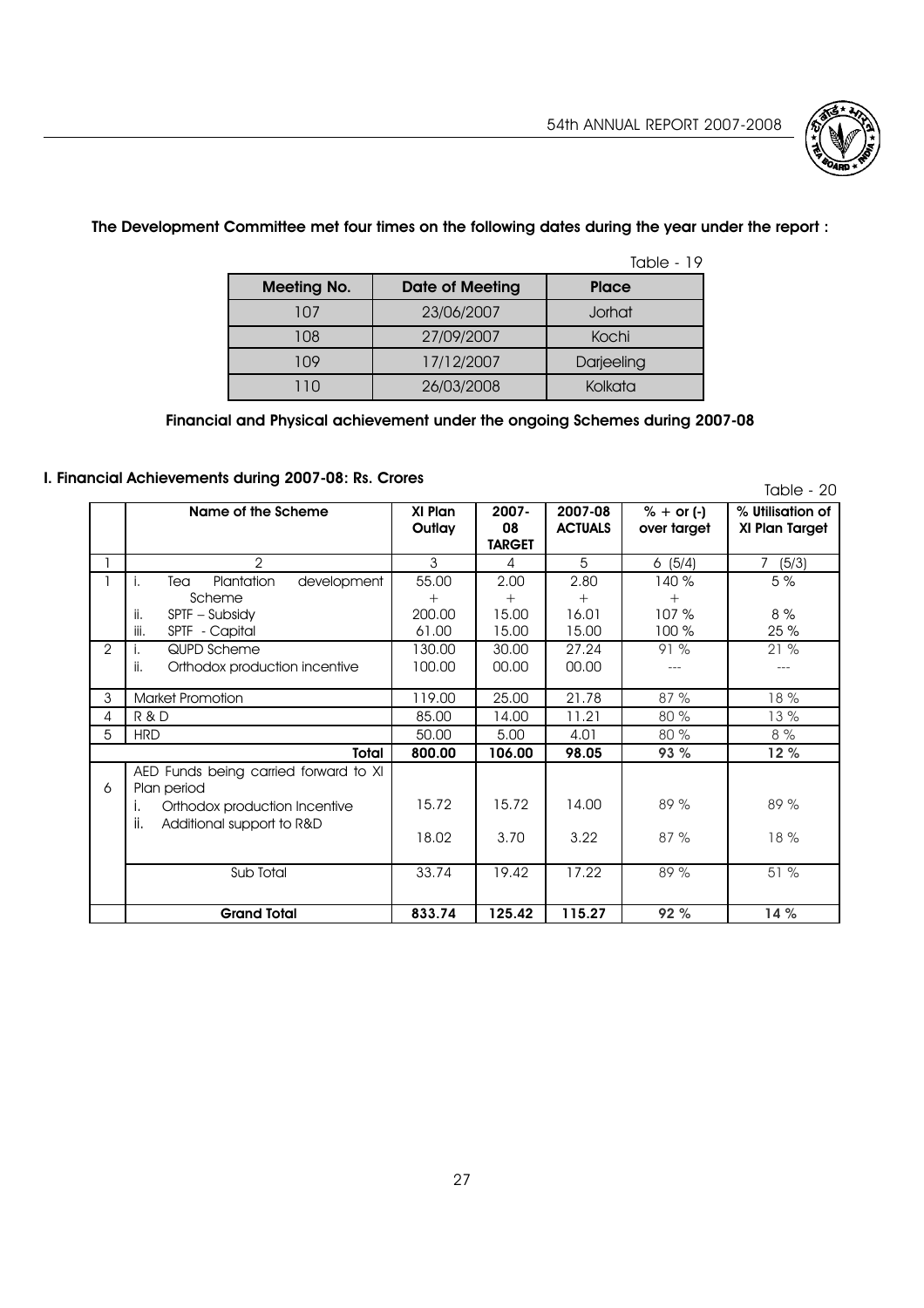

## **The Development Committee met four times on the following dates during the year under the report :**

|                    |                 | Table - 19 |
|--------------------|-----------------|------------|
| <b>Meeting No.</b> | Date of Meeting | Place      |
| 107                | 23/06/2007      | Jorhat     |
| 108                | 27/09/2007      | Kochi      |
| 109                | 17/12/2007      | Darjeeling |
| 110                | 26/03/2008      | Kolkata    |

## **Financial and Physical achievement under the ongoing Schemes during 2007-08**

## **I. Financial Achievements during 2007-08: Rs. Crores**

|                | ncial Achievements during 2007-06. Rs. Croies                                                                             |                           |                                 |                           |                             | Table - 20                         |
|----------------|---------------------------------------------------------------------------------------------------------------------------|---------------------------|---------------------------------|---------------------------|-----------------------------|------------------------------------|
|                | Name of the Scheme                                                                                                        | XI Plan<br>Outlay         | $2007 -$<br>08<br><b>TARGET</b> | 2007-08<br><b>ACTUALS</b> | $% + or (-)$<br>over target | % Utilisation of<br>XI Plan Target |
|                | $\mathcal{P}$                                                                                                             | 3                         | 4                               | 5                         | 6(5/4)                      | (5/3)<br>7                         |
|                | Plantation<br>Tea<br>development<br>Scheme<br>SPTF - Subsidy<br>ii.                                                       | 55.00<br>$^{+}$<br>200.00 | 2.00<br>$^{+}$<br>15.00         | 2.80<br>$^{+}$<br>16.01   | 140 %<br>$+$<br>107 %       | 5%<br>8%                           |
| $\overline{2}$ | SPTF - Capital<br>iii.<br>QUPD Scheme<br>Orthodox production incentive<br>ii.                                             | 61.00<br>130.00<br>100.00 | 15.00<br>30.00<br>00.00         | 15.00<br>27.24<br>00.00   | 100%<br>91 %<br>$---$       | 25 %<br>21%<br>---                 |
| 3              | <b>Market Promotion</b>                                                                                                   | 119.00                    | 25,00                           | 21.78                     | 87%                         | 18%                                |
| 4              | R&D                                                                                                                       | 85.00                     | 14.00                           | 11.21                     | 80 %                        | 13%                                |
| 5              | <b>HRD</b>                                                                                                                | 50.00                     | 5.00                            | 4.01                      | 80 %                        | 8%                                 |
|                | Total                                                                                                                     | 800,00                    | 106.00                          | 98.05                     | 93 %                        | 12%                                |
| 6              | AED Funds being carried forward to XI<br>Plan period<br>Orthodox production Incentive<br>ii.<br>Additional support to R&D | 15.72<br>18.02            | 15.72<br>3.70                   | 14.00<br>3.22             | 89 %<br>87%                 | 89 %<br>18%                        |
|                | Sub Total                                                                                                                 | 33.74                     | 19.42                           | 17.22                     | 89 %                        | 51 %                               |
|                | <b>Grand Total</b>                                                                                                        | 833.74                    | 125.42                          | 115.27                    | 92 %                        | 14 %                               |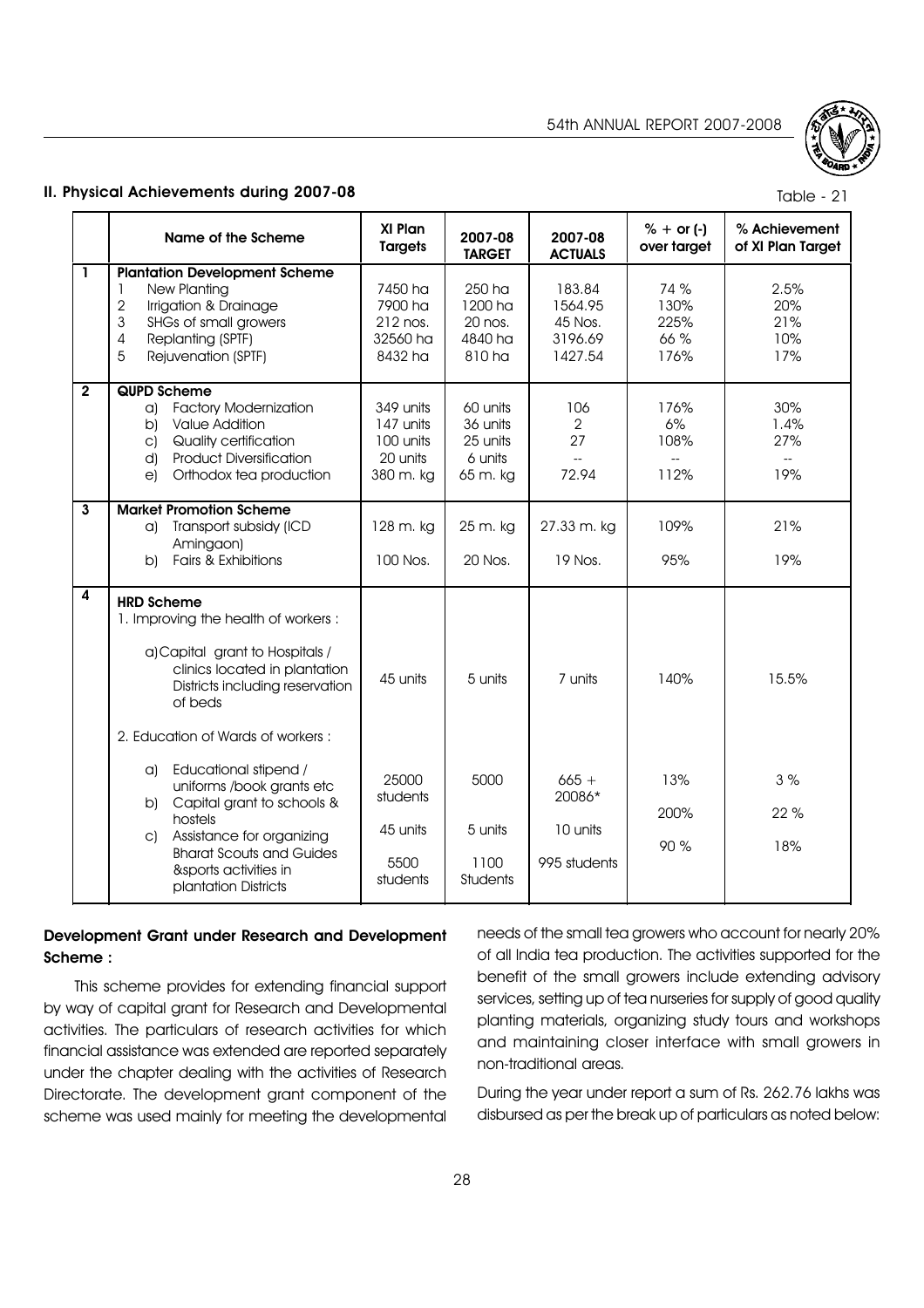

#### **II. Physical Achievements during 2007-08**

| Name of the Scheme<br><b>Plantation Development Scheme</b>                                                                                                                                                      | XI Plan<br><b>Targets</b>                                    | 2007-08                                                 |                                                    | $% + or (-)$                                 |                                                        |
|-----------------------------------------------------------------------------------------------------------------------------------------------------------------------------------------------------------------|--------------------------------------------------------------|---------------------------------------------------------|----------------------------------------------------|----------------------------------------------|--------------------------------------------------------|
|                                                                                                                                                                                                                 |                                                              | <b>TARGET</b>                                           | 2007-08<br><b>ACTUALS</b>                          | over target                                  | % Achievement<br>of XI Plan Target                     |
| <b>New Planting</b><br>1<br>$\sqrt{2}$<br>Irrigation & Drainage<br>$\mathbf{3}$<br>SHGs of small growers<br>4<br>Replanting (SPTF)<br>5<br>Rejuvenation (SPTF)                                                  | 7450 ha<br>7900 ha<br>212 nos.<br>32560 ha<br>8432 ha        | 250 ha<br>1200 ha<br>20 nos.<br>4840 ha<br>810 ha       | 183.84<br>1564.95<br>45 Nos.<br>3196.69<br>1427.54 | 74 %<br>130%<br>225%<br>66 %<br>176%         | 2.5%<br>20%<br>21%<br>10%<br>17%                       |
| QUPD Scheme<br><b>Factory Modernization</b><br>a)<br><b>Value Addition</b><br>b)<br>Quality certification<br>C<br><b>Product Diversification</b><br>d)<br>Orthodox tea production<br>e)                         | 349 units<br>147 units<br>100 units<br>20 units<br>380 m. kg | 60 units<br>36 units<br>25 units<br>6 units<br>65 m. kg | 106<br>$\overline{2}$<br>27<br>72.94               | 176%<br>6%<br>108%<br>$\overline{a}$<br>112% | 30%<br>1.4%<br>27%<br>$\mathbb{L}^{\mathbb{L}}$<br>19% |
| <b>Market Promotion Scheme</b><br>Transport subsidy (ICD<br>a)<br>Amingaon)<br>Fairs & Exhibitions<br>bì                                                                                                        | 128 m. kg<br>100 Nos.                                        | 25 m. kg<br>20 Nos.                                     | 27.33 m. kg<br>19 Nos.                             | 109%<br>95%                                  | 21%<br>19%                                             |
| <b>HRD Scheme</b><br>1. Improving the health of workers:<br>a) Capital grant to Hospitals /<br>clinics located in plantation<br>Districts including reservation<br>of beds<br>2. Education of Wards of workers: | 45 units                                                     | 5 units                                                 | 7 units                                            | 140%                                         | 15.5%                                                  |
| Educational stipend /<br>a)<br>uniforms /book grants etc<br>Capital grant to schools &<br>b)<br>hostels<br>Assistance for organizing<br>C)<br><b>Bharat Scouts and Guides</b><br>&sports activities in          | 25000<br>students<br>45 units<br>5500                        | 5000<br>5 units<br>1100                                 | $665 +$<br>20086*<br>10 units<br>995 students      | 13%<br>200%<br>90 %                          | 3%<br>22 %<br>18%                                      |
|                                                                                                                                                                                                                 | plantation Districts                                         | students                                                | <b>Students</b>                                    |                                              |                                                        |

## **Development Grant under Research and Development Scheme :**

This scheme provides for extending financial support by way of capital grant for Research and Developmental activities. The particulars of research activities for which financial assistance was extended are reported separately under the chapter dealing with the activities of Research Directorate. The development grant component of the scheme was used mainly for meeting the developmental needs of the small tea growers who account for nearly 20% of all India tea production. The activities supported for the benefit of the small growers include extending advisory services, setting up of tea nurseries for supply of good quality planting materials, organizing study tours and workshops and maintaining closer interface with small growers in non-traditional areas.

During the year under report a sum of Rs. 262.76 lakhs was disbursed as per the break up of particulars as noted below: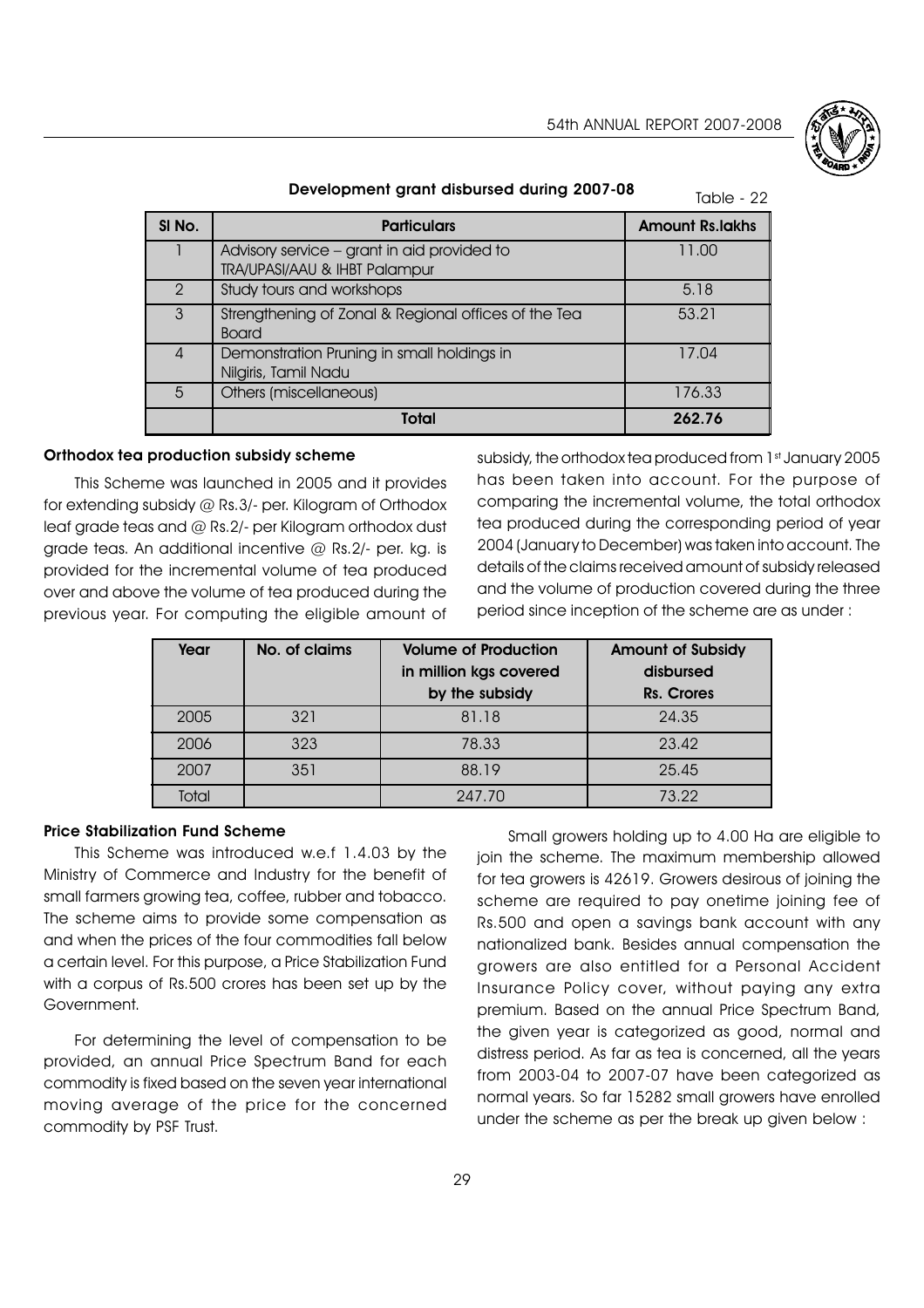Table - 22



| Development grant disbursed during 2007-08 |  |  |  |  |  |
|--------------------------------------------|--|--|--|--|--|
|--------------------------------------------|--|--|--|--|--|

| SI No.        | <b>Particulars</b>                                                           | <b>Amount Rs. lakhs</b> |
|---------------|------------------------------------------------------------------------------|-------------------------|
|               | Advisory service - grant in aid provided to<br>TRA/UPASI/AAU & IHBT Palampur | 11.00                   |
| ?             | Study tours and workshops                                                    | 5.18                    |
| $\mathcal{S}$ | Strengthening of Zonal & Regional offices of the Tea<br><b>Board</b>         | 53.21                   |
|               | Demonstration Pruning in small holdings in<br>Nilgiris, Tamil Nadu           | 17.04                   |
| 5             | Others (miscellaneous)                                                       | 176.33                  |
|               | Total                                                                        | 262.76                  |

#### **Orthodox tea production subsidy scheme**

This Scheme was launched in 2005 and it provides for extending subsidy @ Rs.3/- per. Kilogram of Orthodox leaf grade teas and @ Rs.2/- per Kilogram orthodox dust grade teas. An additional incentive @ Rs.2/- per. kg. is provided for the incremental volume of tea produced over and above the volume of tea produced during the previous year. For computing the eligible amount of subsidy, the orthodox tea produced from 1st January 2005 has been taken into account. For the purpose of comparing the incremental volume, the total orthodox tea produced during the corresponding period of year 2004 (January to December) was taken into account. The details of the claims received amount of subsidy released and the volume of production covered during the three period since inception of the scheme are as under :

| Year  | No. of claims | <b>Volume of Production</b><br>in million kgs covered<br>by the subsidy | <b>Amount of Subsidy</b><br>disbursed<br>Rs. Crores |
|-------|---------------|-------------------------------------------------------------------------|-----------------------------------------------------|
| 2005  | 321           | 81.18                                                                   | 24.35                                               |
| 2006  | 323           | 78.33                                                                   | 23.42                                               |
| 2007  | 351           | 88.19                                                                   | 25.45                                               |
| Total |               | 247.70                                                                  | 73.22                                               |

#### **Price Stabilization Fund Scheme**

This Scheme was introduced w.e.f 1.4.03 by the Ministry of Commerce and Industry for the benefit of small farmers growing tea, coffee, rubber and tobacco. The scheme aims to provide some compensation as and when the prices of the four commodities fall below a certain level. For this purpose, a Price Stabilization Fund with a corpus of Rs.500 crores has been set up by the Government.

For determining the level of compensation to be provided, an annual Price Spectrum Band for each commodity is fixed based on the seven year international moving average of the price for the concerned commodity by PSF Trust.

Small growers holding up to 4.00 Ha are eligible to join the scheme. The maximum membership allowed for tea growers is 42619. Growers desirous of joining the scheme are required to pay onetime joining fee of Rs.500 and open a savings bank account with any nationalized bank. Besides annual compensation the growers are also entitled for a Personal Accident Insurance Policy cover, without paying any extra premium. Based on the annual Price Spectrum Band, the given year is categorized as good, normal and distress period. As far as tea is concerned, all the years from 2003-04 to 2007-07 have been categorized as normal years. So far 15282 small growers have enrolled under the scheme as per the break up given below :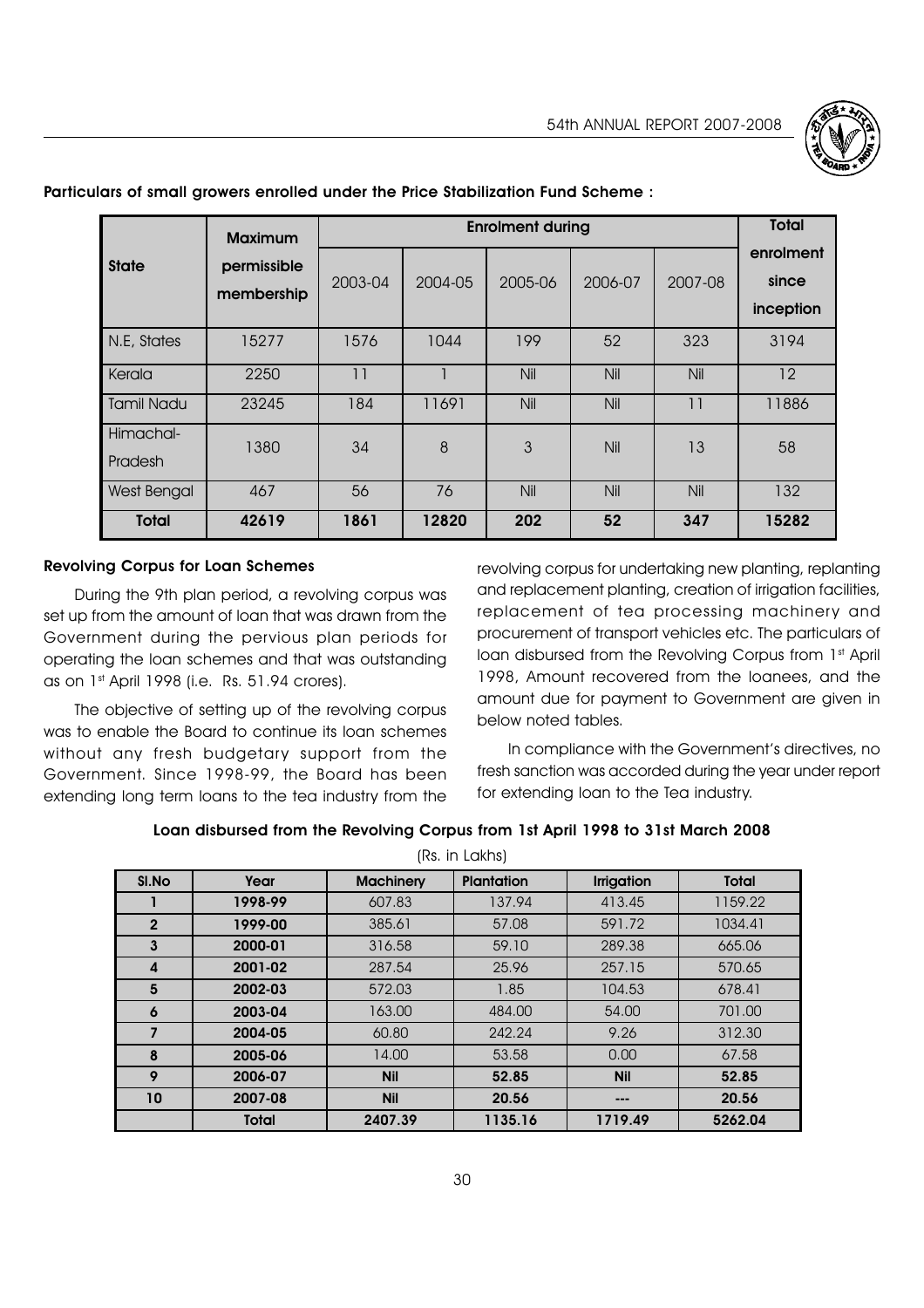

|                      | <b>Maximum</b>            | <b>Enrolment during</b> |               |         |         | <b>Total</b> |                                 |
|----------------------|---------------------------|-------------------------|---------------|---------|---------|--------------|---------------------------------|
| <b>State</b>         | permissible<br>membership | 2003-04                 | 2004-05       | 2005-06 | 2006-07 | 2007-08      | enrolment<br>since<br>inception |
| N.E, States          | 15277                     | 1576                    | 1044          | 199     | 52      | 323          | 3194                            |
| Kerala               | 2250                      | 11                      |               | Nil     | Nil     | Nil          | 12                              |
| <b>Tamil Nadu</b>    | 23245                     | 184                     | 11691         | Nil     | Nil     | 11           | 11886                           |
| Himachal-<br>Pradesh | 1380                      | 34                      | $\mathcal{B}$ | 3       | Nil     | 13           | 58                              |
| West Bengal          | 467                       | 56                      | 76            | Nil     | Nil     | Nil          | 132                             |
| <b>Total</b>         | 42619                     | 1861                    | 12820         | 202     | 52      | 347          | 15282                           |

**Particulars of small growers enrolled under the Price Stabilization Fund Scheme :**

#### **Revolving Corpus for Loan Schemes**

During the 9th plan period, a revolving corpus was set up from the amount of loan that was drawn from the Government during the pervious plan periods for operating the loan schemes and that was outstanding as on 1<sup>st</sup> April 1998 (i.e. Rs. 51.94 crores).

The objective of setting up of the revolving corpus was to enable the Board to continue its loan schemes without any fresh budgetary support from the Government. Since 1998-99, the Board has been extending long term loans to the tea industry from the

revolving corpus for undertaking new planting, replanting and replacement planting, creation of irrigation facilities, replacement of tea processing machinery and procurement of transport vehicles etc. The particulars of loan disbursed from the Revolving Corpus from 1st April 1998, Amount recovered from the loanees, and the amount due for payment to Government are given in below noted tables.

In compliance with the Government's directives, no fresh sanction was accorded during the year under report for extending loan to the Tea industry.

#### **Loan disbursed from the Revolving Corpus from 1st April 1998 to 31st March 2008**

| (Rs. in Lakhs)   |              |                  |            |                   |              |  |
|------------------|--------------|------------------|------------|-------------------|--------------|--|
| SI.No            | Year         | <b>Machinery</b> | Plantation | <b>Irrigation</b> | <b>Total</b> |  |
|                  | 1998-99      | 607.83           | 137.94     | 413.45            | 1159.22      |  |
| $\mathbf{2}$     | 1999-00      | 385.61           | 57.08      | 591.72            | 1034.41      |  |
| 3                | 2000-01      | 316.58           | 59.10      | 289.38            | 665.06       |  |
| $\boldsymbol{4}$ | 2001-02      | 287.54           | 25.96      | 257.15            | 570.65       |  |
| 5                | 2002-03      | 572.03           | 1.85       | 104.53            | 678.41       |  |
| 6                | 2003-04      | 163.00           | 484.00     | 54.00             | 701.00       |  |
| 7                | 2004-05      | 60,80            | 242.24     | 9.26              | 312.30       |  |
| 8                | 2005-06      | 14.00            | 53.58      | 0.00              | 67.58        |  |
| 9                | 2006-07      | <b>Nil</b>       | 52.85      | <b>Nil</b>        | 52.85        |  |
| 10               | 2007-08      | <b>Nil</b>       | 20.56      | ---               | 20.56        |  |
|                  | <b>Total</b> | 2407.39          | 1135.16    | 1719.49           | 5262.04      |  |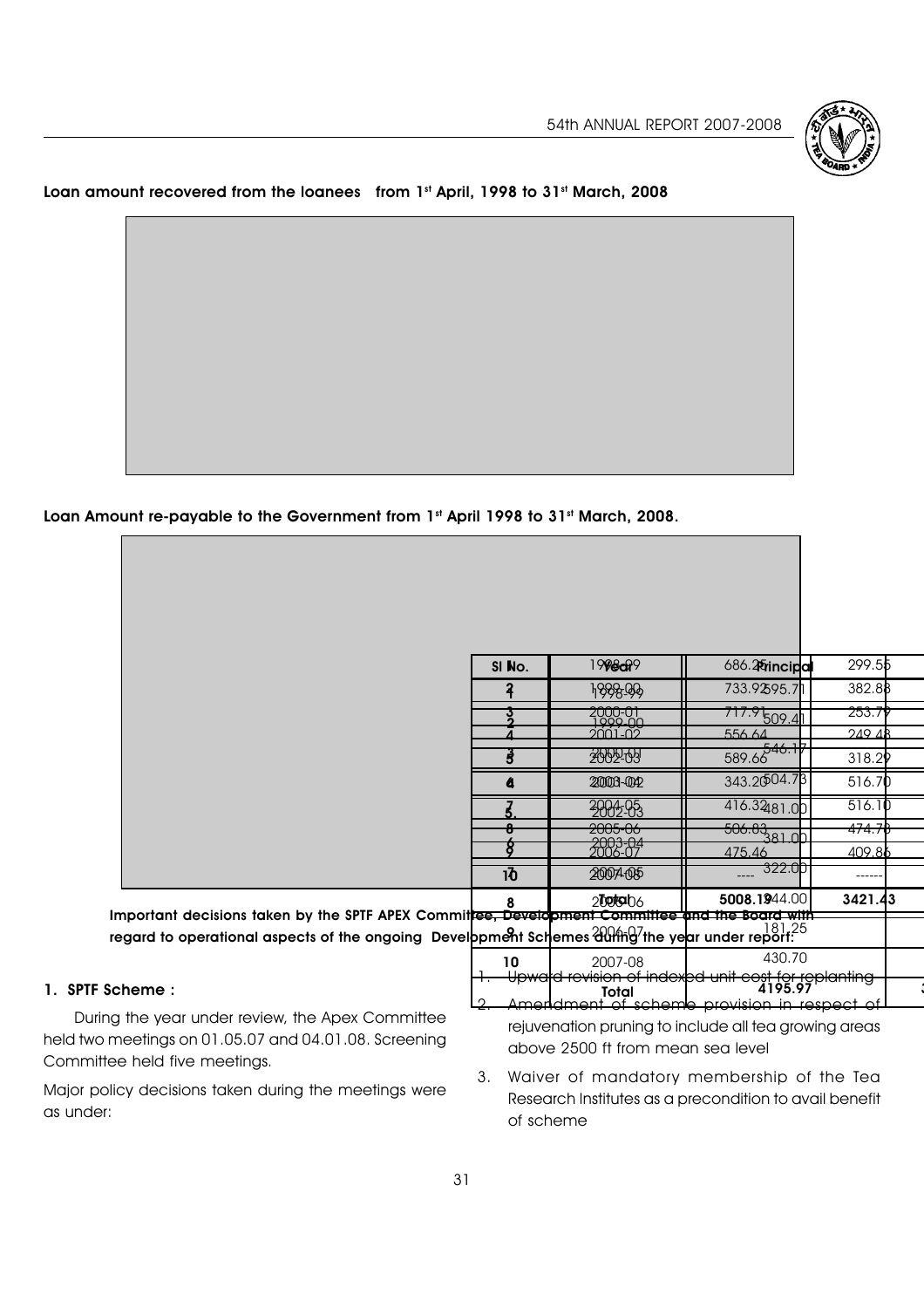

## Loan amount recovered from the loanees from 1st April, 1998 to 31st March, 2008

Loan Amount re-payable to the Government from 1st April 1998 to 31st March, 2008.

|                                                                                                                                                                                                   | SI No.                                                                                     | 198699                                                                 | 686.20 incipal          | 299.55     |  |  |
|---------------------------------------------------------------------------------------------------------------------------------------------------------------------------------------------------|--------------------------------------------------------------------------------------------|------------------------------------------------------------------------|-------------------------|------------|--|--|
|                                                                                                                                                                                                   |                                                                                            | <u> ነ</u> 998-99                                                       | 733.92595.7             | 382.88     |  |  |
|                                                                                                                                                                                                   |                                                                                            | 2000-01<br>1999-00                                                     | 717.91 <sub>509.4</sub> | 253.7      |  |  |
|                                                                                                                                                                                                   |                                                                                            | 2001-02                                                                | 556.64                  | $249$ $48$ |  |  |
|                                                                                                                                                                                                   | Ś                                                                                          | 3002-03                                                                | 589.66                  | 318.29     |  |  |
|                                                                                                                                                                                                   | a                                                                                          | 2006-02                                                                | 343.2004.78             | 516.70     |  |  |
|                                                                                                                                                                                                   |                                                                                            | 3884-83                                                                | 416.32481.0             | 516.1      |  |  |
|                                                                                                                                                                                                   |                                                                                            | 2005-06                                                                | 506.83381.00            | 474.7      |  |  |
|                                                                                                                                                                                                   |                                                                                            | $2003 - 04$                                                            | 475.46                  | 409.86     |  |  |
|                                                                                                                                                                                                   | $\overline{10}$                                                                            | 2007-05                                                                | <u>322.00</u>           | ------     |  |  |
|                                                                                                                                                                                                   |                                                                                            | $2$ <i>boto</i> $b$                                                    | 5008.1944.00            | 3421.43    |  |  |
| Important decisions taken by the SPTF APEX Committee, Development Committee and the Board with<br>regard to operational aspects of the ongoing Development Schemes durthe 7the year under report. |                                                                                            |                                                                        |                         |            |  |  |
|                                                                                                                                                                                                   |                                                                                            |                                                                        | 430.70                  |            |  |  |
|                                                                                                                                                                                                   | 10                                                                                         | 2007-08                                                                |                         |            |  |  |
| 1. SPTF Scheme:                                                                                                                                                                                   |                                                                                            | rotal   170.77<br>Americant of scheme provision in respect of American |                         |            |  |  |
| During the year under review, the Apex Committee                                                                                                                                                  |                                                                                            |                                                                        |                         |            |  |  |
| held two meetings on 01.05.07 and 04.01.08. Screening                                                                                                                                             | rejuvenation pruning to include all tea growing areas<br>above 2500 ft from mean sea level |                                                                        |                         |            |  |  |
| Committee held five meetings.                                                                                                                                                                     |                                                                                            |                                                                        |                         |            |  |  |
| the contract of the contract of the contract of the contract of the contract of the contract of the contract of                                                                                   | 3.                                                                                         | Waiver of mandatory membership of the Tea                              |                         |            |  |  |

Major policy decisions taken during the meetings were as under:

Research Institutes as a precondition to avail benefit of scheme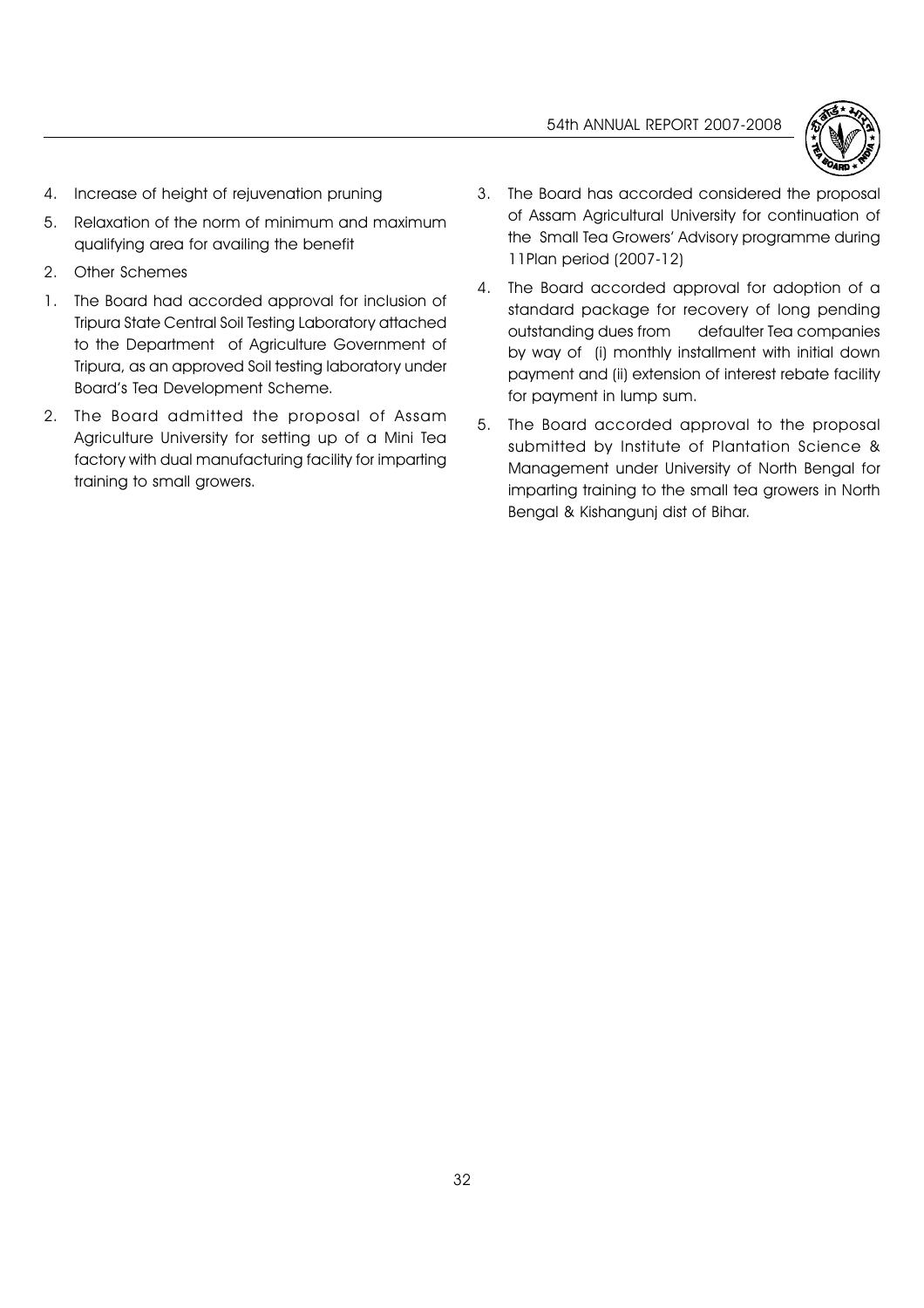

- 4. Increase of height of rejuvenation pruning
- 5. Relaxation of the norm of minimum and maximum qualifying area for availing the benefit
- 2. Other Schemes
- 1. The Board had accorded approval for inclusion of Tripura State Central Soil Testing Laboratory attached to the Department of Agriculture Government of Tripura, as an approved Soil testing laboratory under Board's Tea Development Scheme.
- 2. The Board admitted the proposal of Assam Agriculture University for setting up of a Mini Tea factory with dual manufacturing facility for imparting training to small growers.
- 3. The Board has accorded considered the proposal of Assam Agricultural University for continuation of the Small Tea Growers' Advisory programme during 11Plan period (2007-12)
- 4. The Board accorded approval for adoption of a standard package for recovery of long pending outstanding dues from defaulter Tea companies by way of (i) monthly installment with initial down payment and (ii) extension of interest rebate facility for payment in lump sum.
- 5. The Board accorded approval to the proposal submitted by Institute of Plantation Science & Management under University of North Bengal for imparting training to the small tea growers in North Bengal & Kishangunj dist of Bihar.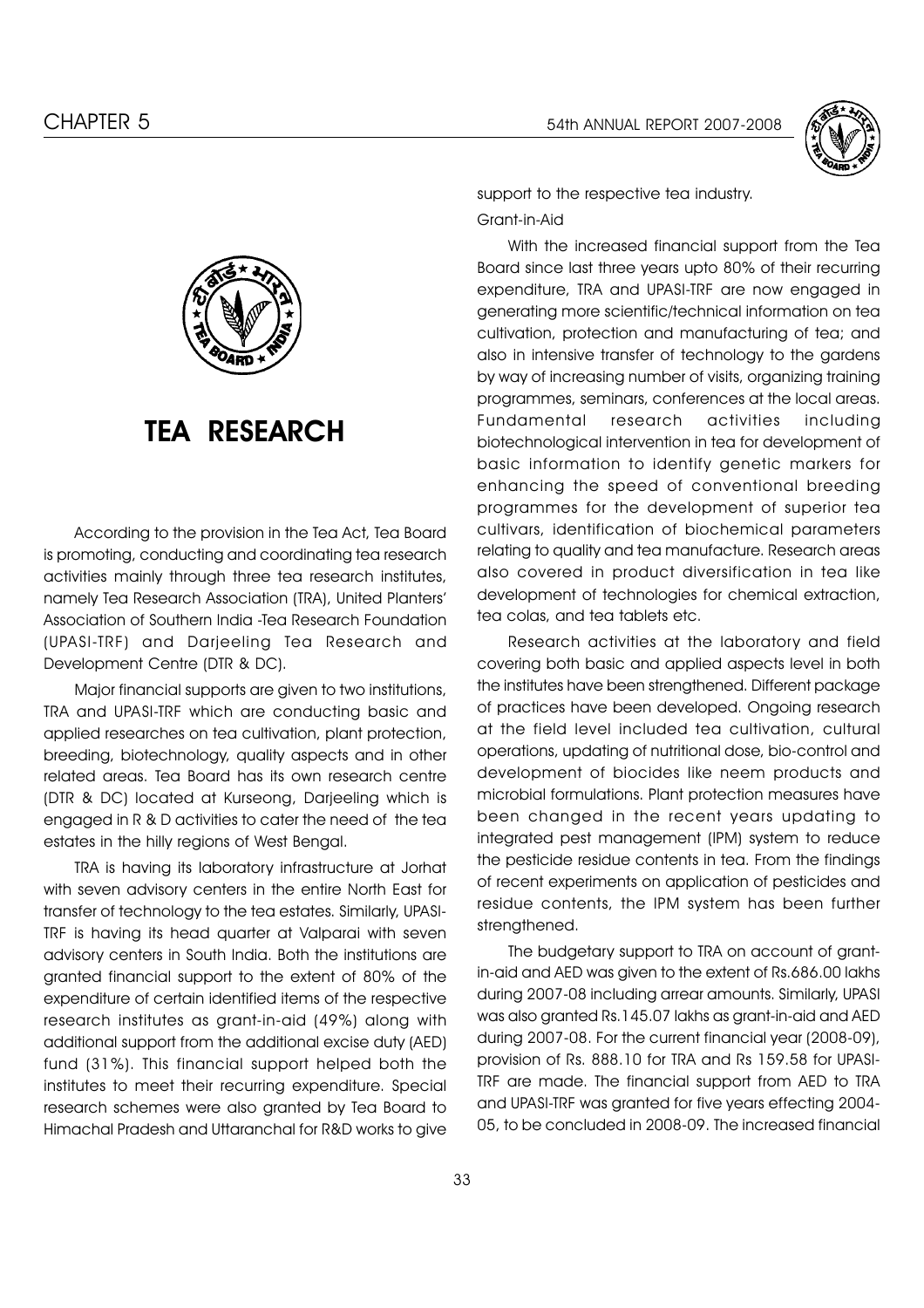

support to the respective tea industry. Grant-in-Aid

With the increased financial support from the Tea Board since last three years upto 80% of their recurring expenditure, TRA and UPASI-TRF are now engaged in generating more scientific/technical information on tea cultivation, protection and manufacturing of tea; and also in intensive transfer of technology to the gardens by way of increasing number of visits, organizing training programmes, seminars, conferences at the local areas. Fundamental research activities including biotechnological intervention in tea for development of basic information to identify genetic markers for enhancing the speed of conventional breeding programmes for the development of superior tea cultivars, identification of biochemical parameters relating to quality and tea manufacture. Research areas also covered in product diversification in tea like development of technologies for chemical extraction, tea colas, and tea tablets etc.

Research activities at the laboratory and field covering both basic and applied aspects level in both the institutes have been strengthened. Different package of practices have been developed. Ongoing research at the field level included tea cultivation, cultural operations, updating of nutritional dose, bio-control and development of biocides like neem products and microbial formulations. Plant protection measures have been changed in the recent years updating to integrated pest management (IPM) system to reduce the pesticide residue contents in tea. From the findings of recent experiments on application of pesticides and residue contents, the IPM system has been further strengthened.

The budgetary support to TRA on account of grantin-aid and AED was given to the extent of Rs.686.00 lakhs during 2007-08 including arrear amounts. Similarly, UPASI was also granted Rs.145.07 lakhs as grant-in-aid and AED during 2007-08. For the current financial year (2008-09), provision of Rs. 888.10 for TRA and Rs 159.58 for UPASI-TRF are made. The financial support from AED to TRA and UPASI-TRF was granted for five years effecting 2004- 05, to be concluded in 2008-09. The increased financial



# **TEA RESEARCH**

According to the provision in the Tea Act, Tea Board is promoting, conducting and coordinating tea research activities mainly through three tea research institutes, namely Tea Research Association (TRA), United Planters' Association of Southern India -Tea Research Foundation (UPASI-TRF) and Darjeeling Tea Research and Development Centre (DTR & DC).

Major financial supports are given to two institutions, TRA and UPASI-TRF which are conducting basic and applied researches on tea cultivation, plant protection, breeding, biotechnology, quality aspects and in other related areas. Tea Board has its own research centre (DTR & DC) located at Kurseong, Darjeeling which is engaged in R & D activities to cater the need of the tea estates in the hilly regions of West Bengal.

TRA is having its laboratory infrastructure at Jorhat with seven advisory centers in the entire North East for transfer of technology to the tea estates. Similarly, UPASI-TRF is having its head quarter at Valparai with seven advisory centers in South India. Both the institutions are granted financial support to the extent of 80% of the expenditure of certain identified items of the respective research institutes as grant-in-aid (49%) along with additional support from the additional excise duty (AED) fund (31%). This financial support helped both the institutes to meet their recurring expenditure. Special research schemes were also granted by Tea Board to Himachal Pradesh and Uttaranchal for R&D works to give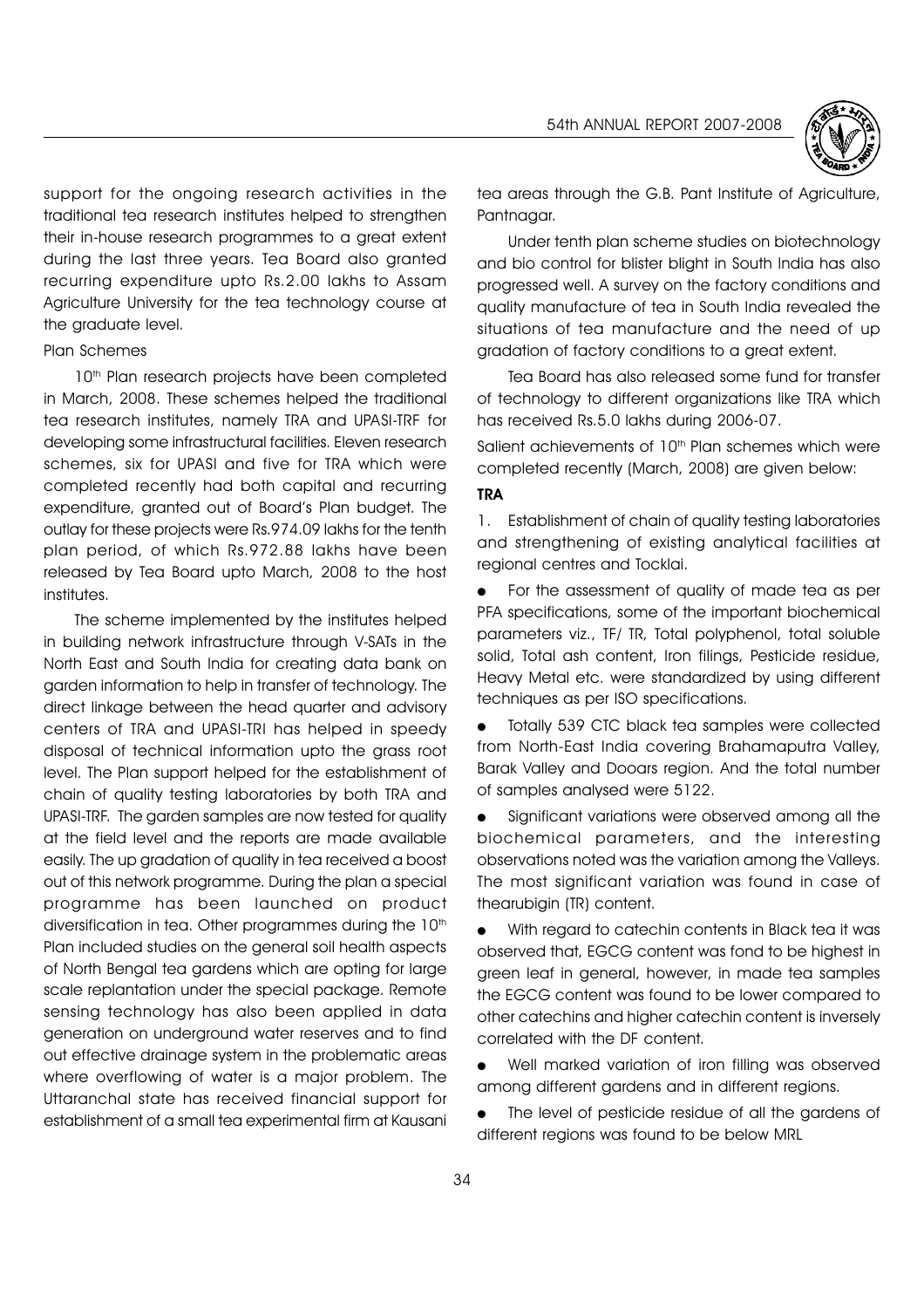

support for the ongoing research activities in the traditional tea research institutes helped to strengthen their in-house research programmes to a great extent during the last three years. Tea Board also granted recurring expenditure upto Rs.2.00 lakhs to Assam Agriculture University for the tea technology course at the graduate level.

## Plan Schemes

10<sup>th</sup> Plan research projects have been completed in March, 2008. These schemes helped the traditional tea research institutes, namely TRA and UPASI-TRF for developing some infrastructural facilities. Eleven research schemes, six for UPASI and five for TRA which were completed recently had both capital and recurring expenditure, granted out of Board's Plan budget. The outlay for these projects were Rs.974.09 lakhs for the tenth plan period, of which Rs.972.88 lakhs have been released by Tea Board upto March, 2008 to the host institutes.

The scheme implemented by the institutes helped in building network infrastructure through V-SATs in the North East and South India for creating data bank on garden information to help in transfer of technology. The direct linkage between the head quarter and advisory centers of TRA and UPASI-TRI has helped in speedy disposal of technical information upto the grass root level. The Plan support helped for the establishment of chain of quality testing laboratories by both TRA and UPASI-TRF. The garden samples are now tested for quality at the field level and the reports are made available easily. The up gradation of quality in tea received a boost out of this network programme. During the plan a special programme has been launched on product diversification in tea. Other programmes during the 10<sup>th</sup> Plan included studies on the general soil health aspects of North Bengal tea gardens which are opting for large scale replantation under the special package. Remote sensing technology has also been applied in data generation on underground water reserves and to find out effective drainage system in the problematic areas where overflowing of water is a major problem. The Uttaranchal state has received financial support for establishment of a small tea experimental firm at Kausani tea areas through the G.B. Pant Institute of Agriculture, Pantnagar.

Under tenth plan scheme studies on biotechnology and bio control for blister blight in South India has also progressed well. A survey on the factory conditions and quality manufacture of tea in South India revealed the situations of tea manufacture and the need of up gradation of factory conditions to a great extent.

Tea Board has also released some fund for transfer of technology to different organizations like TRA which has received Rs.5.0 lakhs during 2006-07.

Salient achievements of 10<sup>th</sup> Plan schemes which were completed recently (March, 2008) are given below:

#### **TRA**

1. Establishment of chain of quality testing laboratories and strengthening of existing analytical facilities at regional centres and Tocklai.

For the assessment of quality of made tea as per PFA specifications, some of the important biochemical parameters viz., TF/ TR, Total polyphenol, total soluble solid, Total ash content, Iron filings, Pesticide residue, Heavy Metal etc. were standardized by using different techniques as per ISO specifications.

 $\bullet$  Totally 539 CTC black tea samples were collected from North-East India covering Brahamaputra Valley, Barak Valley and Dooars region. And the total number of samples analysed were 5122.

Significant variations were observed among all the biochemical parameters, and the interesting observations noted was the variation among the Valleys. The most significant variation was found in case of thearubigin (TR) content.

With regard to catechin contents in Black tea it was observed that, EGCG content was fond to be highest in green leaf in general, however, in made tea samples the EGCG content was found to be lower compared to other catechins and higher catechin content is inversely correlated with the DF content.

Well marked variation of iron filling was observed among different gardens and in different regions.

The level of pesticide residue of all the gardens of different regions was found to be below MRL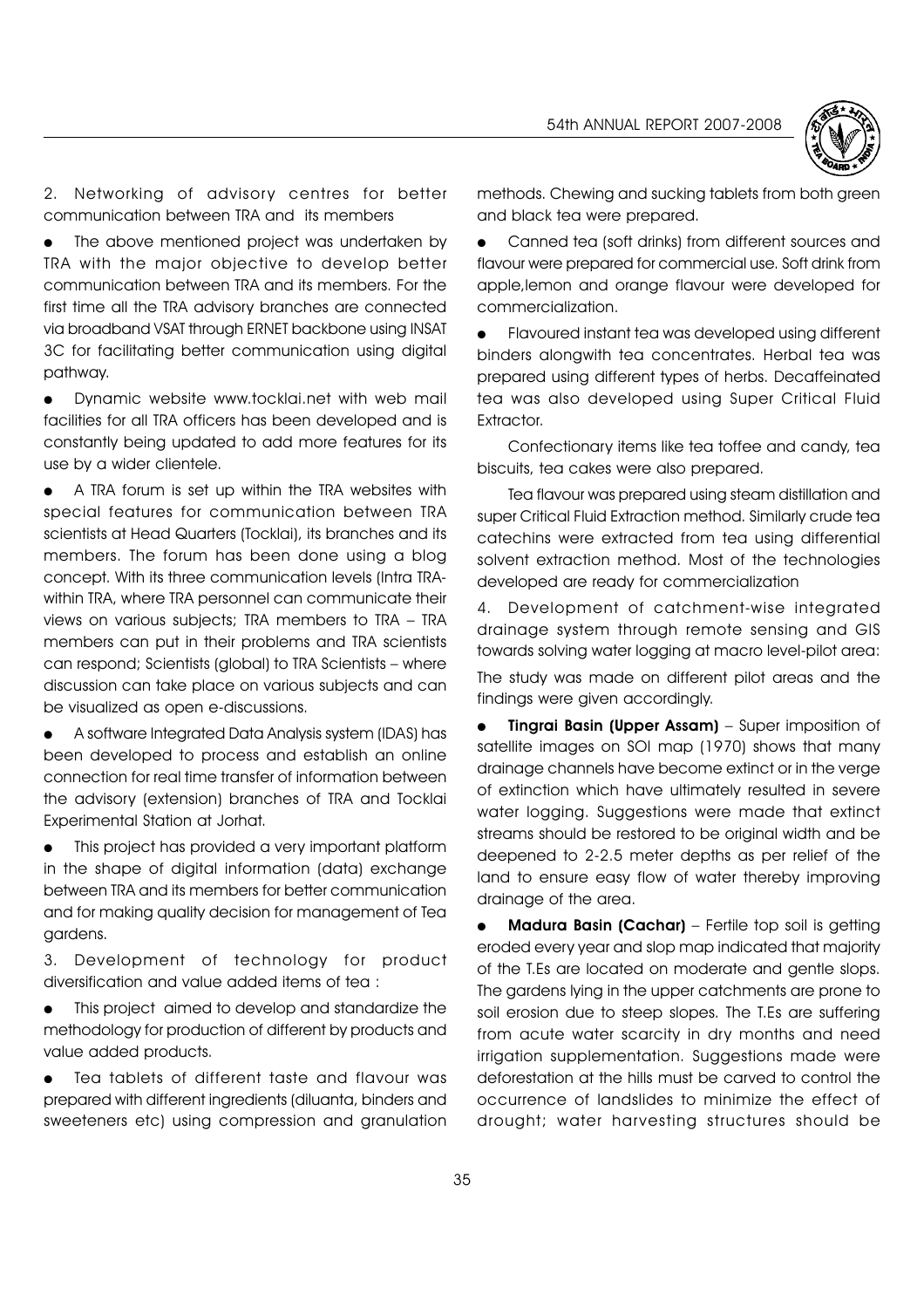

2. Networking of advisory centres for better communication between TRA and its members

• The above mentioned project was undertaken by TRA with the major objective to develop better communication between TRA and its members. For the first time all the TRA advisory branches are connected via broadband VSAT through ERNET backbone using INSAT 3C for facilitating better communication using digital pathway.

<sup>O</sup> Dynamic website www.tocklai.net with web mail facilities for all TRA officers has been developed and is constantly being updated to add more features for its use by a wider clientele.

A TRA forum is set up within the TRA websites with special features for communication between TRA scientists at Head Quarters (Tocklai), its branches and its members. The forum has been done using a blog concept. With its three communication levels (Intra TRAwithin TRA, where TRA personnel can communicate their views on various subjects; TRA members to TRA – TRA members can put in their problems and TRA scientists can respond; Scientists (global) to TRA Scientists – where discussion can take place on various subjects and can be visualized as open e-discussions.

A software Integrated Data Analysis system (IDAS) has been developed to process and establish an online connection for real time transfer of information between the advisory (extension) branches of TRA and Tocklai Experimental Station at Jorhat.

• This project has provided a very important platform in the shape of digital information (data) exchange between TRA and its members for better communication and for making quality decision for management of Tea gardens.

3. Development of technology for product diversification and value added items of tea :

• This project aimed to develop and standardize the methodology for production of different by products and value added products.

<sup>O</sup> Tea tablets of different taste and flavour was prepared with different ingredients (diluanta, binders and sweeteners etc) using compression and granulation methods. Chewing and sucking tablets from both green and black tea were prepared.

• Canned tea (soft drinks) from different sources and flavour were prepared for commercial use. Soft drink from apple,lemon and orange flavour were developed for commercialization.

Flavoured instant tea was developed using different binders alongwith tea concentrates. Herbal tea was prepared using different types of herbs. Decaffeinated tea was also developed using Super Critical Fluid Extractor.

Confectionary items like tea toffee and candy, tea biscuits, tea cakes were also prepared.

Tea flavour was prepared using steam distillation and super Critical Fluid Extraction method. Similarly crude tea catechins were extracted from tea using differential solvent extraction method. Most of the technologies developed are ready for commercialization

4. Development of catchment-wise integrated drainage system through remote sensing and GIS towards solving water logging at macro level-pilot area: The study was made on different pilot areas and the findings were given accordingly.

**• Tingrai Basin (Upper Assam)** – Super imposition of satellite images on SOI map (1970) shows that many drainage channels have become extinct or in the verge of extinction which have ultimately resulted in severe water logging. Suggestions were made that extinct streams should be restored to be original width and be deepened to 2-2.5 meter depths as per relief of the land to ensure easy flow of water thereby improving drainage of the area.

Madura Basin (Cachar) - Fertile top soil is getting eroded every year and slop map indicated that majority of the T.Es are located on moderate and gentle slops. The gardens lying in the upper catchments are prone to soil erosion due to steep slopes. The T.Es are suffering from acute water scarcity in dry months and need irrigation supplementation. Suggestions made were deforestation at the hills must be carved to control the occurrence of landslides to minimize the effect of drought; water harvesting structures should be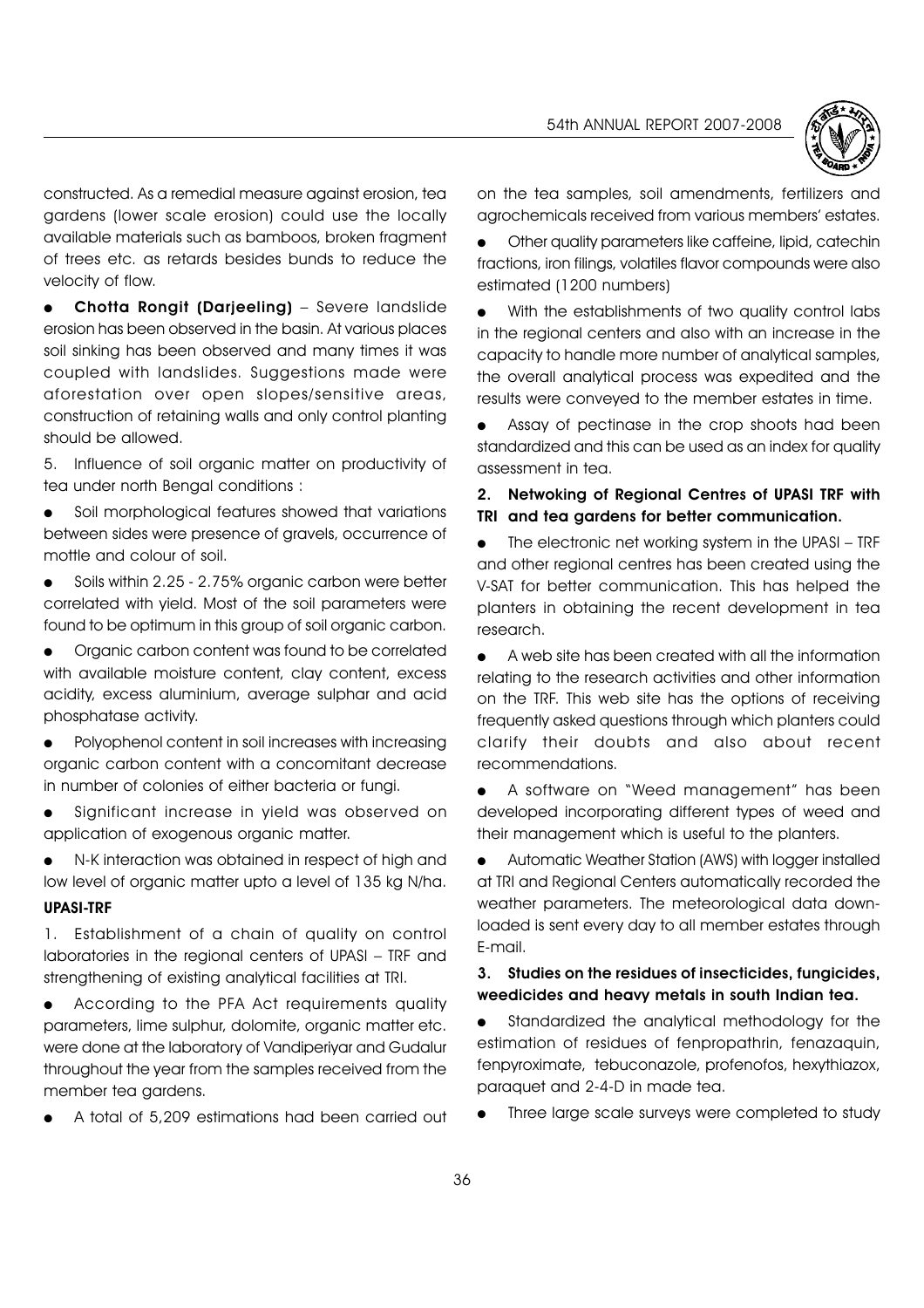

constructed. As a remedial measure against erosion, tea gardens (lower scale erosion) could use the locally available materials such as bamboos, broken fragment of trees etc. as retards besides bunds to reduce the velocity of flow.

**• Chotta Rongit (Darjeeling)** - Severe landslide erosion has been observed in the basin. At various places soil sinking has been observed and many times it was coupled with landslides. Suggestions made were aforestation over open slopes/sensitive areas, construction of retaining walls and only control planting should be allowed.

5. Influence of soil organic matter on productivity of tea under north Bengal conditions :

• Soil morphological features showed that variations between sides were presence of gravels, occurrence of mottle and colour of soil.

o Soils within 2.25 - 2.75% organic carbon were better correlated with yield. Most of the soil parameters were found to be optimum in this group of soil organic carbon.

• Organic carbon content was found to be correlated with available moisture content, clay content, excess acidity, excess aluminium, average sulphar and acid phosphatase activity.

• Polyophenol content in soil increases with increasing organic carbon content with a concomitant decrease in number of colonies of either bacteria or fungi.

O Significant increase in yield was observed on application of exogenous organic matter.

O N-K interaction was obtained in respect of high and low level of organic matter upto a level of 135 kg N/ha. **UPASI-TRF**

1. Establishment of a chain of quality on control laboratories in the regional centers of UPASI – TRF and strengthening of existing analytical facilities at TRI.

• According to the PFA Act requirements quality parameters, lime sulphur, dolomite, organic matter etc. were done at the laboratory of Vandiperiyar and Gudalur throughout the year from the samples received from the member tea gardens.

A total of 5,209 estimations had been carried out

on the tea samples, soil amendments, fertilizers and agrochemicals received from various members' estates.

Other quality parameters like caffeine, lipid, catechin fractions, iron filings, volatiles flavor compounds were also estimated (1200 numbers)

With the establishments of two quality control labs in the regional centers and also with an increase in the capacity to handle more number of analytical samples, the overall analytical process was expedited and the results were conveyed to the member estates in time.

Assay of pectinase in the crop shoots had been standardized and this can be used as an index for quality assessment in tea.

**2. Netwoking of Regional Centres of UPASI TRF with TRI and tea gardens for better communication.**

The electronic net working system in the UPASI – TRF and other regional centres has been created using the V-SAT for better communication. This has helped the planters in obtaining the recent development in tea research.

O A web site has been created with all the information relating to the research activities and other information on the TRF. This web site has the options of receiving frequently asked questions through which planters could clarify their doubts and also about recent recommendations.

• A software on "Weed management" has been developed incorporating different types of weed and their management which is useful to the planters.

Automatic Weather Station (AWS) with logger installed at TRI and Regional Centers automatically recorded the weather parameters. The meteorological data downloaded is sent every day to all member estates through E-mail.

## **3. Studies on the residues of insecticides, fungicides, weedicides and heavy metals in south Indian tea.**

**•** Standardized the analytical methodology for the estimation of residues of fenpropathrin, fenazaquin, fenpyroximate, tebuconazole, profenofos, hexythiazox, paraquet and 2-4-D in made tea.

Three large scale surveys were completed to study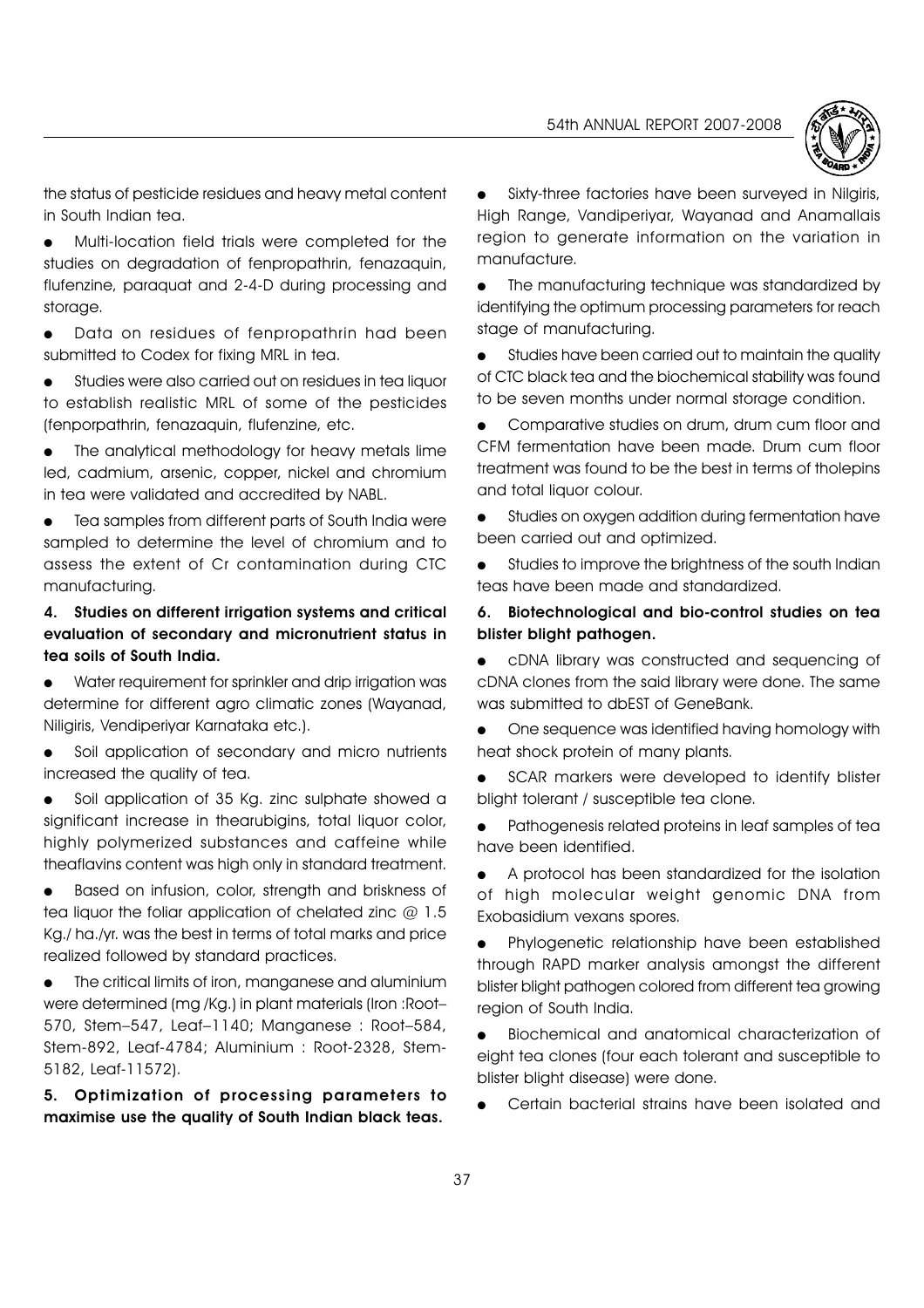

the status of pesticide residues and heavy metal content in South Indian tea.

- $\bullet$  Multi-location field trials were completed for the studies on degradation of fenpropathrin, fenazaquin, flufenzine, paraquat and 2-4-D during processing and storage.
- Data on residues of fenpropathrin had been submitted to Codex for fixing MRL in tea.
- <sup>O</sup> Studies were also carried out on residues in tea liquor to establish realistic MRL of some of the pesticides (fenporpathrin, fenazaquin, flufenzine, etc.
- The analytical methodology for heavy metals lime led, cadmium, arsenic, copper, nickel and chromium in tea were validated and accredited by NABL.
- <sup>O</sup> Tea samples from different parts of South India were sampled to determine the level of chromium and to assess the extent of Cr contamination during CTC manufacturing.

# **4. Studies on different irrigation systems and critical evaluation of secondary and micronutrient status in tea soils of South India.**

- Water requirement for sprinkler and drip irrigation was determine for different agro climatic zones (Wayanad, Niligiris, Vendiperiyar Karnataka etc.).
- Soil application of secondary and micro nutrients increased the quality of tea.
- Soil application of 35 Kg. zinc sulphate showed a significant increase in thearubigins, total liquor color, highly polymerized substances and caffeine while theaflavins content was high only in standard treatment.
- Based on infusion, color, strength and briskness of tea liquor the foliar application of chelated zinc @ 1.5 Kg./ ha./yr. was the best in terms of total marks and price realized followed by standard practices.
- The critical limits of iron, manganese and aluminium were determined (mg /Kg.) in plant materials (Iron :Root-570, Stem–547, Leaf–1140; Manganese : Root–584, Stem-892, Leaf-4784; Aluminium : Root-2328, Stem-5182, Leaf-11572).

# **5. Optimization of processing parameters to maximise use the quality of South Indian black teas.**

Sixty-three factories have been surveyed in Nilgiris, High Range, Vandiperiyar, Wayanad and Anamallais region to generate information on the variation in manufacture.

• The manufacturing technique was standardized by identifying the optimum processing parameters for reach stage of manufacturing.

**•** Studies have been carried out to maintain the quality of CTC black tea and the biochemical stability was found to be seven months under normal storage condition.

• Comparative studies on drum, drum cum floor and CFM fermentation have been made. Drum cum floor treatment was found to be the best in terms of tholepins and total liquor colour.

- $\bullet$  Studies on oxygen addition during fermentation have been carried out and optimized.
- **•** Studies to improve the brightness of the south Indian teas have been made and standardized.

# **6. Biotechnological and bio-control studies on tea blister blight pathogen.**

- O cDNA library was constructed and sequencing of cDNA clones from the said library were done. The same was submitted to dbEST of GeneBank.
- One sequence was identified having homology with heat shock protein of many plants.
- SCAR markers were developed to identify blister blight tolerant / susceptible tea clone.
- Pathogenesis related proteins in leaf samples of tea have been identified.
- A protocol has been standardized for the isolation of high molecular weight genomic DNA from Exobasidium vexans spores.

Phylogenetic relationship have been established through RAPD marker analysis amongst the different blister blight pathogen colored from different tea growing region of South India.

- Biochemical and anatomical characterization of eight tea clones (four each tolerant and susceptible to blister blight disease) were done.
- O Certain bacterial strains have been isolated and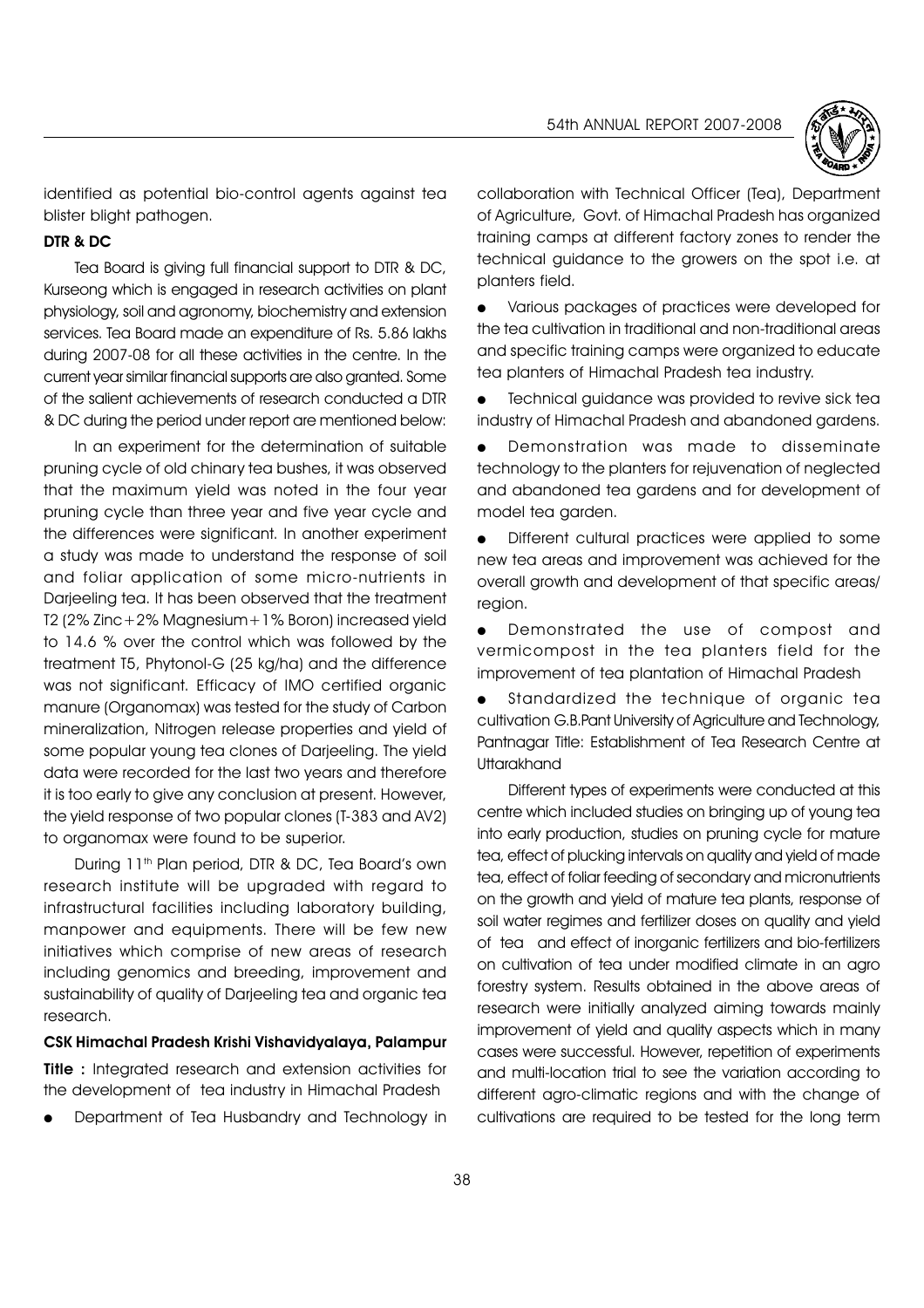

identified as potential bio-control agents against tea blister blight pathogen.

# **DTR & DC**

Tea Board is giving full financial support to DTR & DC, Kurseong which is engaged in research activities on plant physiology, soil and agronomy, biochemistry and extension services. Tea Board made an expenditure of Rs. 5.86 lakhs during 2007-08 for all these activities in the centre. In the current year similar financial supports are also granted. Some of the salient achievements of research conducted a DTR & DC during the period under report are mentioned below:

In an experiment for the determination of suitable pruning cycle of old chinary tea bushes, it was observed that the maximum yield was noted in the four year pruning cycle than three year and five year cycle and the differences were significant. In another experiment a study was made to understand the response of soil and foliar application of some micro-nutrients in Darjeeling tea. It has been observed that the treatment T2 (2% Zinc+2% Magnesium+1% Boron) increased yield to 14.6 % over the control which was followed by the treatment T5, Phytonol-G (25 kg/ha) and the difference was not significant. Efficacy of IMO certified organic manure (Organomax) was tested for the study of Carbon mineralization, Nitrogen release properties and yield of some popular young tea clones of Darjeeling. The yield data were recorded for the last two years and therefore it is too early to give any conclusion at present. However, the yield response of two popular clones (T-383 and AV2) to organomax were found to be superior.

During 11<sup>th</sup> Plan period, DTR & DC, Tea Board's own research institute will be upgraded with regard to infrastructural facilities including laboratory building, manpower and equipments. There will be few new initiatives which comprise of new areas of research including genomics and breeding, improvement and sustainability of quality of Darjeeling tea and organic tea research.

## **CSK Himachal Pradesh Krishi Vishavidyalaya, Palampur**

**Title :** Integrated research and extension activities for the development of tea industry in Himachal Pradesh

Department of Tea Husbandry and Technology in

collaboration with Technical Officer (Tea), Department of Agriculture, Govt. of Himachal Pradesh has organized training camps at different factory zones to render the technical guidance to the growers on the spot i.e. at planters field.

<sup>O</sup> Various packages of practices were developed for the tea cultivation in traditional and non-traditional areas and specific training camps were organized to educate tea planters of Himachal Pradesh tea industry.

• Technical guidance was provided to revive sick tea industry of Himachal Pradesh and abandoned gardens.

<sup>O</sup> Demonstration was made to disseminate technology to the planters for rejuvenation of neglected and abandoned tea gardens and for development of model tea garden.

• Different cultural practices were applied to some new tea areas and improvement was achieved for the overall growth and development of that specific areas/ region.

Demonstrated the use of compost and vermicompost in the tea planters field for the improvement of tea plantation of Himachal Pradesh

Standardized the technique of organic tea cultivation G.B.Pant University of Agriculture and Technology, Pantnagar Title: Establishment of Tea Research Centre at Uttarakhand

Different types of experiments were conducted at this centre which included studies on bringing up of young tea into early production, studies on pruning cycle for mature tea, effect of plucking intervals on quality and yield of made tea, effect of foliar feeding of secondary and micronutrients on the growth and yield of mature tea plants, response of soil water regimes and fertilizer doses on quality and yield of tea and effect of inorganic fertilizers and bio-fertilizers on cultivation of tea under modified climate in an agro forestry system. Results obtained in the above areas of research were initially analyzed aiming towards mainly improvement of yield and quality aspects which in many cases were successful. However, repetition of experiments and multi-location trial to see the variation according to different agro-climatic regions and with the change of cultivations are required to be tested for the long term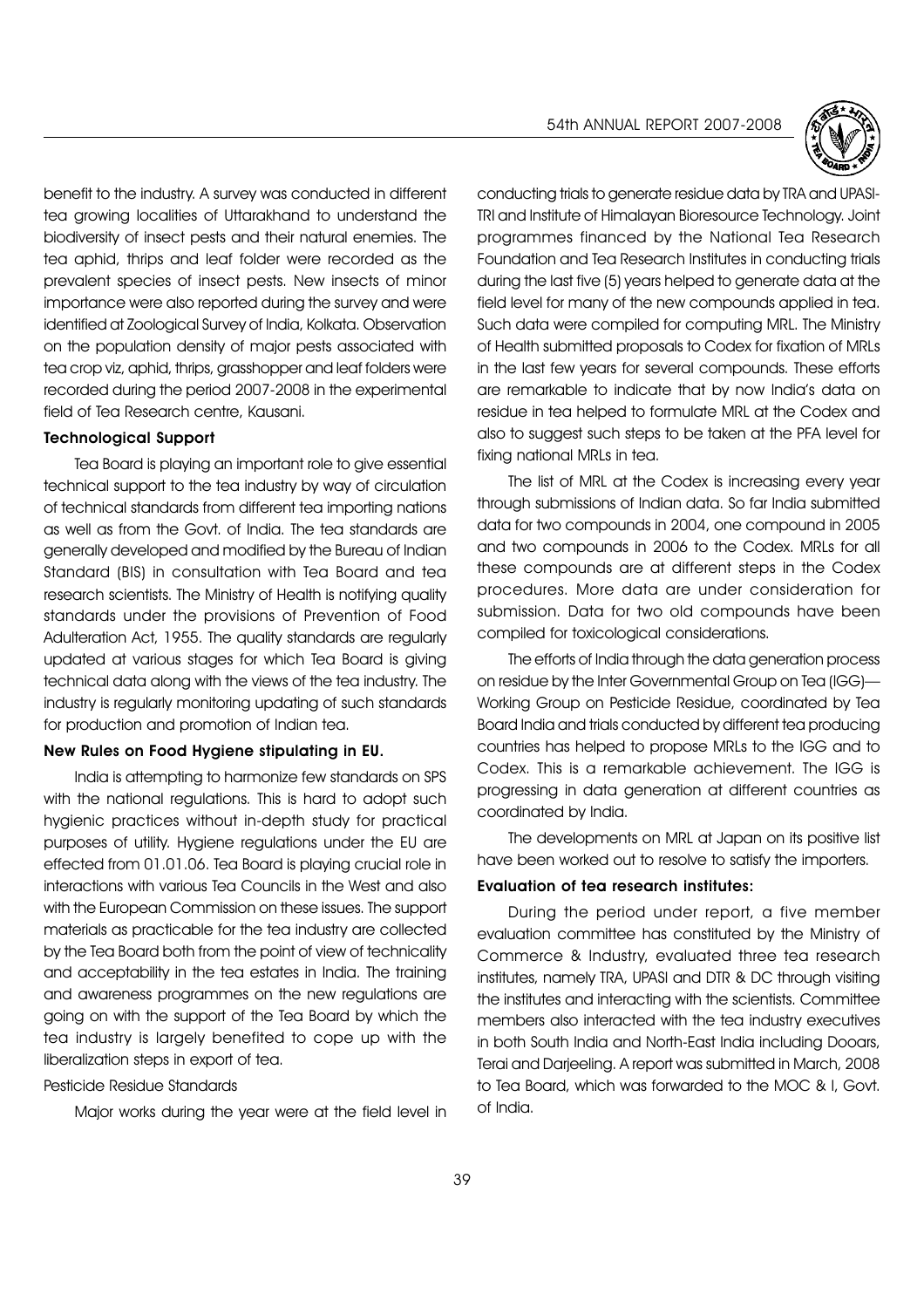

benefit to the industry. A survey was conducted in different tea growing localities of Uttarakhand to understand the biodiversity of insect pests and their natural enemies. The tea aphid, thrips and leaf folder were recorded as the prevalent species of insect pests. New insects of minor importance were also reported during the survey and were identified at Zoological Survey of India, Kolkata. Observation on the population density of major pests associated with tea crop viz, aphid, thrips, grasshopper and leaf folders were recorded during the period 2007-2008 in the experimental field of Tea Research centre, Kausani.

#### **Technological Support**

Tea Board is playing an important role to give essential technical support to the tea industry by way of circulation of technical standards from different tea importing nations as well as from the Govt. of India. The tea standards are generally developed and modified by the Bureau of Indian Standard (BIS) in consultation with Tea Board and tea research scientists. The Ministry of Health is notifying quality standards under the provisions of Prevention of Food Adulteration Act, 1955. The quality standards are regularly updated at various stages for which Tea Board is giving technical data along with the views of the tea industry. The industry is regularly monitoring updating of such standards for production and promotion of Indian tea.

#### **New Rules on Food Hygiene stipulating in EU.**

India is attempting to harmonize few standards on SPS with the national regulations. This is hard to adopt such hygienic practices without in-depth study for practical purposes of utility. Hygiene regulations under the EU are effected from 01.01.06. Tea Board is playing crucial role in interactions with various Tea Councils in the West and also with the European Commission on these issues. The support materials as practicable for the tea industry are collected by the Tea Board both from the point of view of technicality and acceptability in the tea estates in India. The training and awareness programmes on the new regulations are going on with the support of the Tea Board by which the tea industry is largely benefited to cope up with the liberalization steps in export of tea.

#### Pesticide Residue Standards

Major works during the year were at the field level in

conducting trials to generate residue data by TRA and UPASI-TRI and Institute of Himalayan Bioresource Technology. Joint programmes financed by the National Tea Research Foundation and Tea Research Institutes in conducting trials during the last five (5) years helped to generate data at the field level for many of the new compounds applied in tea. Such data were compiled for computing MRL. The Ministry of Health submitted proposals to Codex for fixation of MRLs in the last few years for several compounds. These efforts are remarkable to indicate that by now India's data on residue in tea helped to formulate MRL at the Codex and also to suggest such steps to be taken at the PFA level for fixing national MRLs in tea.

The list of MRL at the Codex is increasing every year through submissions of Indian data. So far India submitted data for two compounds in 2004, one compound in 2005 and two compounds in 2006 to the Codex. MRLs for all these compounds are at different steps in the Codex procedures. More data are under consideration for submission. Data for two old compounds have been compiled for toxicological considerations.

The efforts of India through the data generation process on residue by the Inter Governmental Group on Tea (IGG)— Working Group on Pesticide Residue, coordinated by Tea Board India and trials conducted by different tea producing countries has helped to propose MRLs to the IGG and to Codex. This is a remarkable achievement. The IGG is progressing in data generation at different countries as coordinated by India.

The developments on MRL at Japan on its positive list have been worked out to resolve to satisfy the importers.

#### **Evaluation of tea research institutes:**

During the period under report, a five member evaluation committee has constituted by the Ministry of Commerce & Industry, evaluated three tea research institutes, namely TRA, UPASI and DTR & DC through visiting the institutes and interacting with the scientists. Committee members also interacted with the tea industry executives in both South India and North-East India including Dooars, Terai and Darjeeling. A report was submitted in March, 2008 to Tea Board, which was forwarded to the MOC & I, Govt. of India.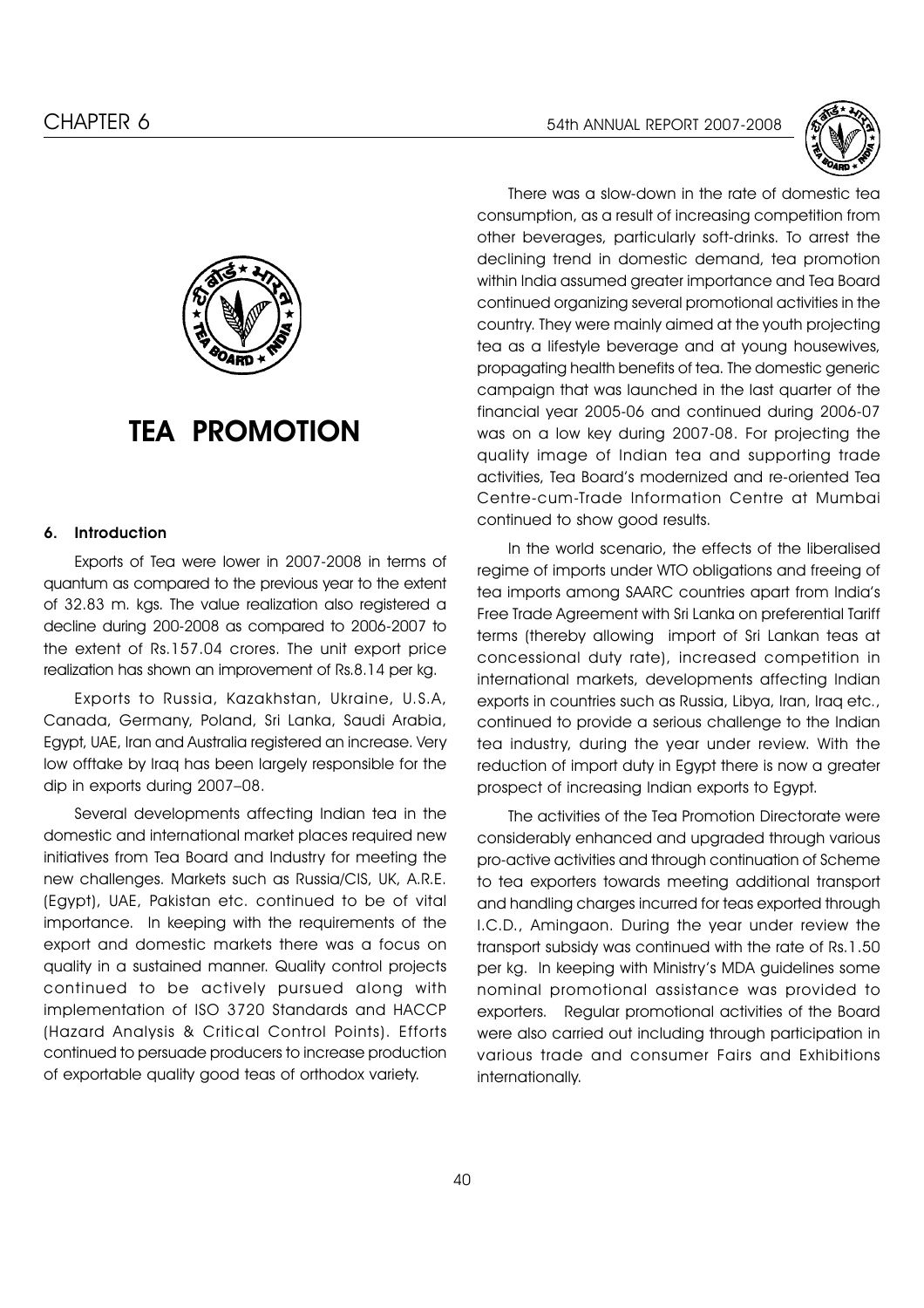

# **TEA PROMOTION**

#### **6. Introduction**

Exports of Tea were lower in 2007-2008 in terms of quantum as compared to the previous year to the extent of 32.83 m. kgs. The value realization also registered a decline during 200-2008 as compared to 2006-2007 to the extent of Rs.157.04 crores. The unit export price realization has shown an improvement of Rs.8.14 per kg.

Exports to Russia, Kazakhstan, Ukraine, U.S.A, Canada, Germany, Poland, Sri Lanka, Saudi Arabia, Egypt, UAE, Iran and Australia registered an increase. Very low offtake by Iraq has been largely responsible for the dip in exports during 2007–08.

Several developments affecting Indian tea in the domestic and international market places required new initiatives from Tea Board and Industry for meeting the new challenges. Markets such as Russia/CIS, UK, A.R.E. (Egypt), UAE, Pakistan etc. continued to be of vital importance. In keeping with the requirements of the export and domestic markets there was a focus on quality in a sustained manner. Quality control projects continued to be actively pursued along with implementation of ISO 3720 Standards and HACCP (Hazard Analysis & Critical Control Points). Efforts continued to persuade producers to increase production of exportable quality good teas of orthodox variety.

54th ANNUAL REPORT 2007-2008



There was a slow-down in the rate of domestic tea consumption, as a result of increasing competition from other beverages, particularly soft-drinks. To arrest the declining trend in domestic demand, tea promotion within India assumed greater importance and Tea Board continued organizing several promotional activities in the country. They were mainly aimed at the youth projecting tea as a lifestyle beverage and at young housewives, propagating health benefits of tea. The domestic generic campaign that was launched in the last quarter of the financial year 2005-06 and continued during 2006-07 was on a low key during 2007-08. For projecting the quality image of Indian tea and supporting trade activities, Tea Board's modernized and re-oriented Tea Centre-cum-Trade Information Centre at Mumbai continued to show good results.

In the world scenario, the effects of the liberalised regime of imports under WTO obligations and freeing of tea imports among SAARC countries apart from India's Free Trade Agreement with Sri Lanka on preferential Tariff terms (thereby allowing import of Sri Lankan teas at concessional duty rate), increased competition in international markets, developments affecting Indian exports in countries such as Russia, Libya, Iran, Iraq etc., continued to provide a serious challenge to the Indian tea industry, during the year under review. With the reduction of import duty in Egypt there is now a greater prospect of increasing Indian exports to Egypt.

The activities of the Tea Promotion Directorate were considerably enhanced and upgraded through various pro-active activities and through continuation of Scheme to tea exporters towards meeting additional transport and handling charges incurred for teas exported through I.C.D., Amingaon. During the year under review the transport subsidy was continued with the rate of Rs.1.50 per kg. In keeping with Ministry's MDA guidelines some nominal promotional assistance was provided to exporters. Regular promotional activities of the Board were also carried out including through participation in various trade and consumer Fairs and Exhibitions internationally.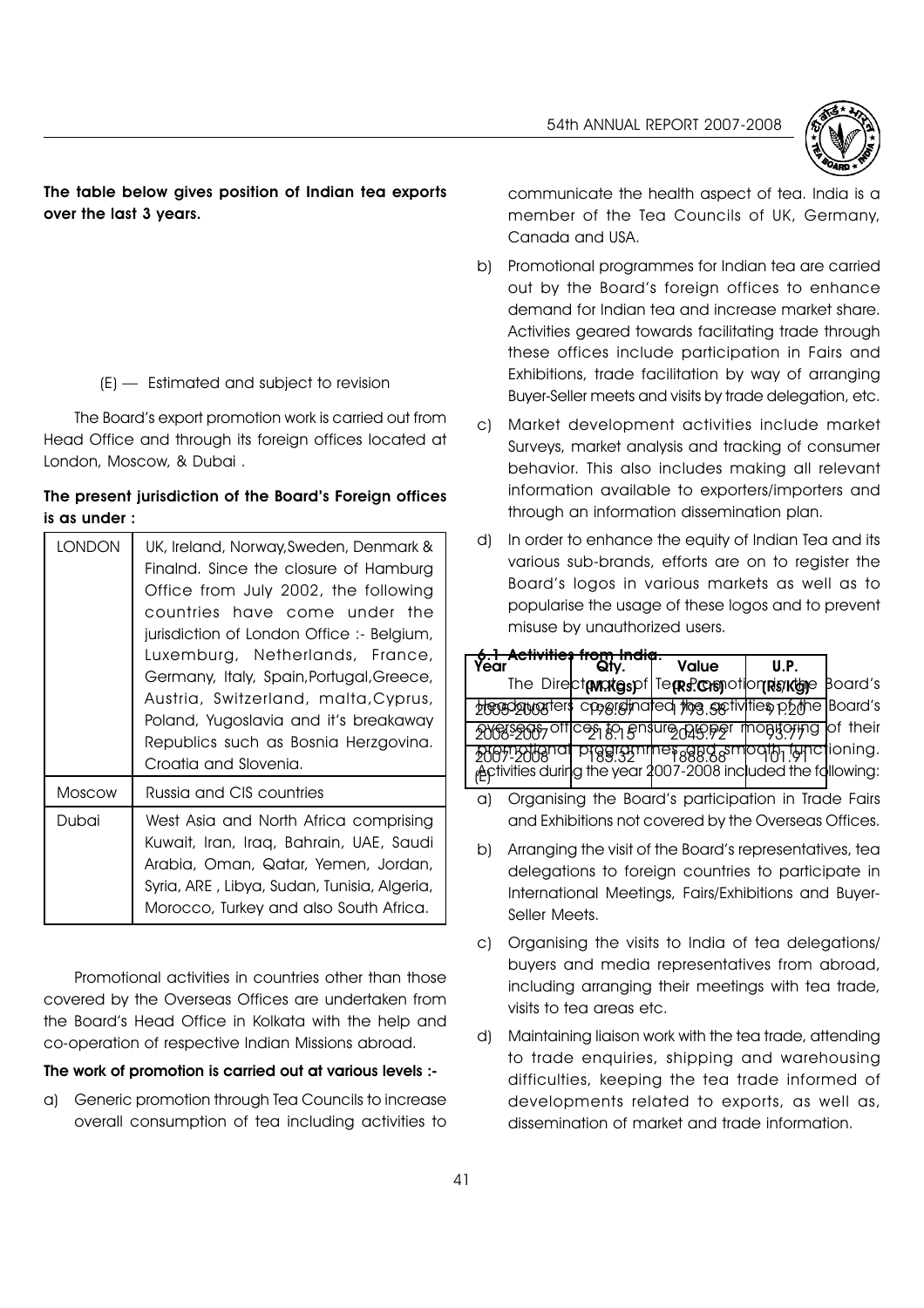

**The table below gives position of Indian tea exports over the last 3 years.**

(E) — Estimated and subject to revision

The Board's export promotion work is carried out from Head Office and through its foreign offices located at London, Moscow, & Dubai .

# **The present jurisdiction of the Board's Foreign offices is as under :**

| <b>LONDON</b> | UK, Ireland, Norway, Sweden, Denmark &<br>Finalnd. Since the closure of Hamburg<br>Office from July 2002, the following<br>countries have come under the<br>jurisdiction of London Office :- Belgium,<br>Luxemburg, Netherlands, France,<br>Germany, Italy, Spain, Portugal, Greece,<br>Austria, Switzerland, malta, Cyprus,<br>Poland, Yugoslavia and it's breakaway<br>Republics such as Bosnia Herzgovina.<br>Croatia and Slovenia. |
|---------------|----------------------------------------------------------------------------------------------------------------------------------------------------------------------------------------------------------------------------------------------------------------------------------------------------------------------------------------------------------------------------------------------------------------------------------------|
| Moscow        | Russia and CIS countries                                                                                                                                                                                                                                                                                                                                                                                                               |
| Dubai         | West Asia and North Africa comprising<br>Kuwait, Iran, Iraq, Bahrain, UAE, Saudi<br>Arabia, Oman, Qatar, Yemen, Jordan,<br>Syria, ARE, Libya, Sudan, Tunisia, Algeria,<br>Morocco, Turkey and also South Africa.                                                                                                                                                                                                                       |

Promotional activities in countries other than those covered by the Overseas Offices are undertaken from the Board's Head Office in Kolkata with the help and co-operation of respective Indian Missions abroad.

## **The work of promotion is carried out at various levels :-**

a) Generic promotion through Tea Councils to increase overall consumption of tea including activities to communicate the health aspect of tea. India is a member of the Tea Councils of UK, Germany, Canada and USA.

- b) Promotional programmes for Indian tea are carried out by the Board's foreign offices to enhance demand for Indian tea and increase market share. Activities geared towards facilitating trade through these offices include participation in Fairs and Exhibitions, trade facilitation by way of arranging Buyer-Seller meets and visits by trade delegation, etc.
- c) Market development activities include market Surveys, market analysis and tracking of consumer behavior. This also includes making all relevant information available to exporters/importers and through an information dissemination plan.
- d) In order to enhance the equity of Indian Tea and its various sub-brands, efforts are on to register the Board's logos in various markets as well as to popularise the usage of these logos and to prevent misuse by unauthorized users.

|                                                                                                                                                                               | Value                                              | U.P. |  |
|-------------------------------------------------------------------------------------------------------------------------------------------------------------------------------|----------------------------------------------------|------|--|
|                                                                                                                                                                               | The Directavic terres of Terres and to the poord's |      |  |
| bleadouguters coograinated the setivities philhe Board's                                                                                                                      |                                                    |      |  |
| AVRISARS Offices to enjure Dioper montoing of their                                                                                                                           |                                                    |      |  |
| 2007-2009 nal president product of the control of the set of the control of the control of the control of the<br>Activities during the year 2007-2008 included the following: |                                                    |      |  |

- a) Organising the Board's participation in Trade Fairs and Exhibitions not covered by the Overseas Offices.
- b) Arranging the visit of the Board's representatives, tea delegations to foreign countries to participate in International Meetings, Fairs/Exhibitions and Buyer-Seller Meets.
- c) Organising the visits to India of tea delegations/ buyers and media representatives from abroad, including arranging their meetings with tea trade, visits to tea areas etc.
- d) Maintaining liaison work with the tea trade, attending to trade enquiries, shipping and warehousing difficulties, keeping the tea trade informed of developments related to exports, as well as, dissemination of market and trade information.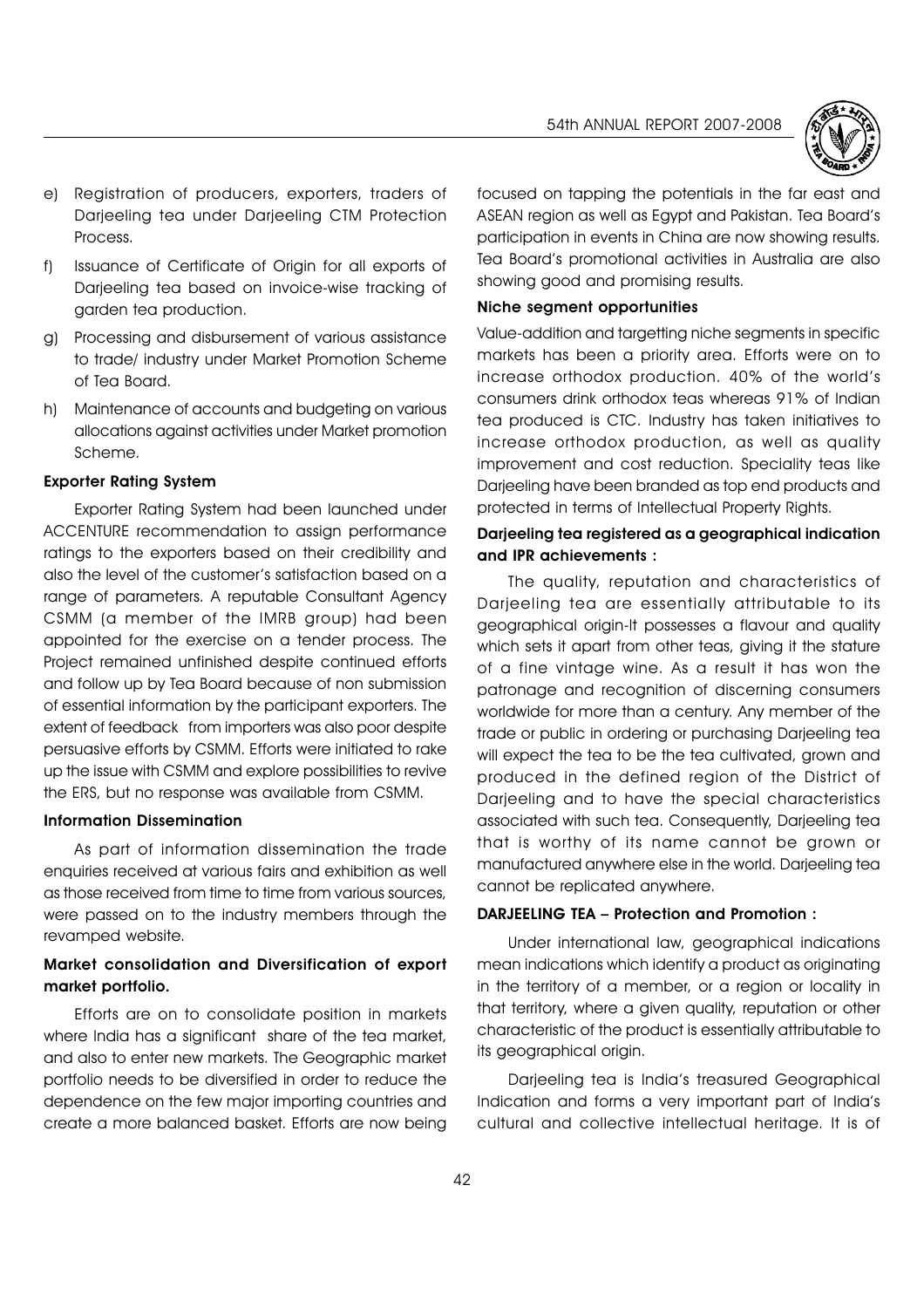

- e) Registration of producers, exporters, traders of Darjeeling tea under Darjeeling CTM Protection Process.
- f) Issuance of Certificate of Origin for all exports of Darjeeling tea based on invoice-wise tracking of garden tea production.
- g) Processing and disbursement of various assistance to trade/ industry under Market Promotion Scheme of Tea Board.
- h) Maintenance of accounts and budgeting on various allocations against activities under Market promotion Scheme.

### **Exporter Rating System**

Exporter Rating System had been launched under ACCENTURE recommendation to assign performance ratings to the exporters based on their credibility and also the level of the customer's satisfaction based on a range of parameters. A reputable Consultant Agency CSMM (a member of the IMRB group) had been appointed for the exercise on a tender process. The Project remained unfinished despite continued efforts and follow up by Tea Board because of non submission of essential information by the participant exporters. The extent of feedback from importers was also poor despite persuasive efforts by CSMM. Efforts were initiated to rake up the issue with CSMM and explore possibilities to revive the ERS, but no response was available from CSMM.

#### **Information Dissemination**

As part of information dissemination the trade enquiries received at various fairs and exhibition as well as those received from time to time from various sources, were passed on to the industry members through the revamped website.

# **Market consolidation and Diversification of export market portfolio.**

Efforts are on to consolidate position in markets where India has a significant share of the tea market, and also to enter new markets. The Geographic market portfolio needs to be diversified in order to reduce the dependence on the few major importing countries and create a more balanced basket. Efforts are now being focused on tapping the potentials in the far east and ASEAN region as well as Egypt and Pakistan. Tea Board's participation in events in China are now showing results. Tea Board's promotional activities in Australia are also showing good and promising results.

#### **Niche segment opportunities**

Value-addition and targetting niche segments in specific markets has been a priority area. Efforts were on to increase orthodox production. 40% of the world's consumers drink orthodox teas whereas 91% of Indian tea produced is CTC. Industry has taken initiatives to increase orthodox production, as well as quality improvement and cost reduction. Speciality teas like Darjeeling have been branded as top end products and protected in terms of Intellectual Property Rights.

## **Darjeeling tea registered as a geographical indication and IPR achievements :**

The quality, reputation and characteristics of Darjeeling tea are essentially attributable to its geographical origin-It possesses a flavour and quality which sets it apart from other teas, giving it the stature of a fine vintage wine. As a result it has won the patronage and recognition of discerning consumers worldwide for more than a century. Any member of the trade or public in ordering or purchasing Darjeeling tea will expect the tea to be the tea cultivated, grown and produced in the defined region of the District of Darjeeling and to have the special characteristics associated with such tea. Consequently, Darjeeling tea that is worthy of its name cannot be grown or manufactured anywhere else in the world. Darjeeling tea cannot be replicated anywhere.

## **DARJEELING TEA – Protection and Promotion :**

Under international law, geographical indications mean indications which identify a product as originating in the territory of a member, or a region or locality in that territory, where a given quality, reputation or other characteristic of the product is essentially attributable to its geographical origin.

Darjeeling tea is India's treasured Geographical Indication and forms a very important part of India's cultural and collective intellectual heritage. It is of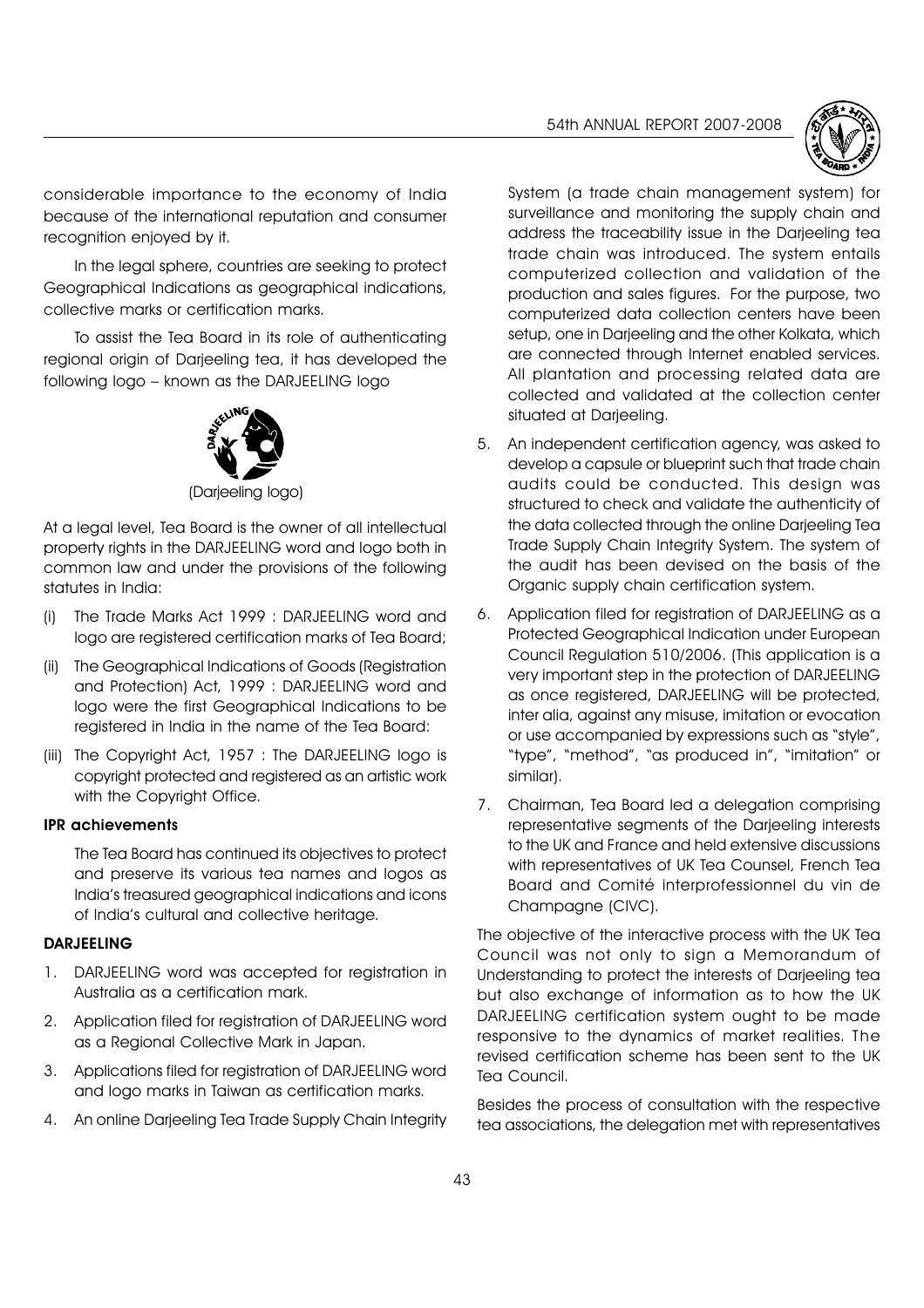

considerable importance to the economy of India because of the international reputation and consumer recognition enjoyed by it.

In the legal sphere, countries are seeking to protect Geographical Indications as geographical indications, collective marks or certification marks.

To assist the Tea Board in its role of authenticating regional origin of Darjeeling tea, it has developed the following logo – known as the DARJEELING logo



At a legal level, Tea Board is the owner of all intellectual property rights in the DARJEELING word and logo both in common law and under the provisions of the following statutes in India:

- (i) The Trade Marks Act 1999 : DARJEELING word and logo are registered certification marks of Tea Board;
- (ii) The Geographical Indications of Goods (Registration and Protection) Act, 1999 : DARJEELING word and logo were the first Geographical Indications to be registered in India in the name of the Tea Board:
- (iii) The Copyright Act, 1957 : The DARJEELING logo is copyright protected and registered as an artistic work with the Copyright Office.

## **IPR achievements**

The Tea Board has continued its objectives to protect and preserve its various tea names and logos as India's treasured geographical indications and icons of India's cultural and collective heritage.

#### **DARJEELING**

- 1. DARJEELING word was accepted for registration in Australia as a certification mark.
- 2. Application filed for registration of DARJEELING word as a Regional Collective Mark in Japan.
- 3. Applications filed for registration of DARJEELING word and logo marks in Taiwan as certification marks.
- 4. An online Darjeeling Tea Trade Supply Chain Integrity

System (a trade chain management system) for surveillance and monitoring the supply chain and address the traceability issue in the Darjeeling tea trade chain was introduced. The system entails computerized collection and validation of the production and sales figures. For the purpose, two computerized data collection centers have been setup, one in Darjeeling and the other Kolkata, which are connected through Internet enabled services. All plantation and processing related data are collected and validated at the collection center situated at Darjeeling.

- 5. An independent certification agency, was asked to develop a capsule or blueprint such that trade chain audits could be conducted. This design was structured to check and validate the authenticity of the data collected through the online Darjeeling Tea Trade Supply Chain Integrity System. The system of the audit has been devised on the basis of the Organic supply chain certification system.
- 6. Application filed for registration of DARJEELING as a Protected Geographical Indication under European Council Regulation 510/2006. (This application is a very important step in the protection of DARJEELING as once registered, DARJEELING will be protected, inter alia, against any misuse, imitation or evocation or use accompanied by expressions such as "style", "type", "method", "as produced in", "imitation" or similar).
- 7. Chairman, Tea Board led a delegation comprising representative segments of the Darjeeling interests to the UK and France and held extensive discussions with representatives of UK Tea Counsel, French Tea Board and Comité interprofessionnel du vin de Champagne (CIVC).

The objective of the interactive process with the UK Tea Council was not only to sign a Memorandum of Understanding to protect the interests of Darjeeling tea but also exchange of information as to how the UK DARJEELING certification system ought to be made responsive to the dynamics of market realities. The revised certification scheme has been sent to the UK Tea Council.

Besides the process of consultation with the respective tea associations, the delegation met with representatives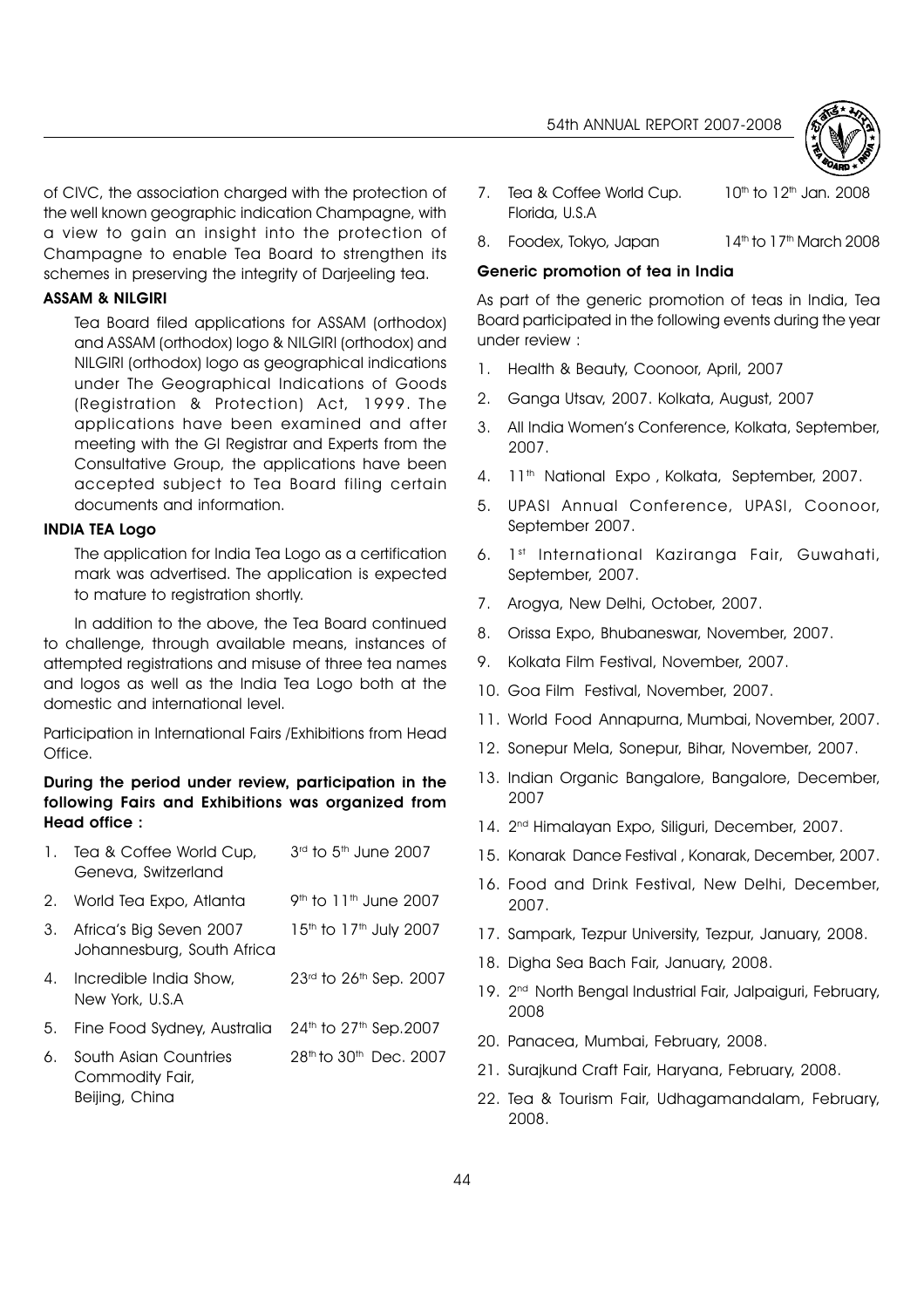

of CIVC, the association charged with the protection of the well known geographic indication Champagne, with a view to gain an insight into the protection of Champagne to enable Tea Board to strengthen its schemes in preserving the integrity of Darjeeling tea.

# **ASSAM & NILGIRI**

Tea Board filed applications for ASSAM (orthodox) and ASSAM (orthodox) logo & NILGIRI (orthodox) and NILGIRI (orthodox) logo as geographical indications under The Geographical Indications of Goods (Registration & Protection) Act, 1999. The applications have been examined and after meeting with the GI Registrar and Experts from the Consultative Group, the applications have been accepted subject to Tea Board filing certain documents and information.

#### **INDIA TEA Logo**

The application for India Tea Logo as a certification mark was advertised. The application is expected to mature to registration shortly.

In addition to the above, the Tea Board continued to challenge, through available means, instances of attempted registrations and misuse of three tea names and logos as well as the India Tea Logo both at the domestic and international level.

Participation in International Fairs /Exhibitions from Head Office.

# **During the period under review, participation in the following Fairs and Exhibitions was organized from Head office :**

- 1. Tea & Coffee World Cup,  $3<sup>rd</sup>$  to  $5<sup>th</sup>$  June 2007 Geneva, Switzerland
- 2. World Tea Expo, Atlanta  $9<sup>th</sup>$  to 11<sup>th</sup> June 2007
- 3. Africa's Big Seven 2007  $15<sup>th</sup>$  to 17<sup>th</sup> July 2007 Johannesburg, South Africa
- 4. Incredible India Show, 23<sup>rd</sup> to 26<sup>th</sup> Sep. 2007 New York, U.S.A
- 5. Fine Food Sydney, Australia 24<sup>th</sup> to 27<sup>th</sup> Sep.2007
- 6. South Asian Countries 28th to 30th Dec. 2007 Commodity Fair, Beijing, China

7. Tea & Coffee World Cup.  $10<sup>th</sup>$  to 12<sup>th</sup> Jan. 2008 Florida, U.S.A

8. Foodex, Tokyo, Japan 14th to 17th March 2008

#### **Generic promotion of tea in India**

As part of the generic promotion of teas in India, Tea Board participated in the following events during the year under review :

- 1. Health & Beauty, Coonoor, April, 2007
- 2. Ganga Utsav, 2007. Kolkata, August, 2007
- 3. All India Women's Conference, Kolkata, September, 2007.
- 4. 11<sup>th</sup> National Expo, Kolkata, September, 2007.
- 5. UPASI Annual Conference, UPASI, Coonoor, September 2007.
- 6. 1st International Kaziranga Fair, Guwahati, September, 2007.
- 7. Arogya, New Delhi, October, 2007.
- 8. Orissa Expo, Bhubaneswar, November, 2007.
- 9. Kolkata Film Festival, November, 2007.
- 10. Goa Film Festival, November, 2007.
- 11. World Food Annapurna, Mumbai, November, 2007.
- 12. Sonepur Mela, Sonepur, Bihar, November, 2007.
- 13. Indian Organic Bangalore, Bangalore, December, 2007
- 14. 2<sup>nd</sup> Himalayan Expo, Siliguri, December, 2007.
- 15. Konarak Dance Festival , Konarak, December, 2007.
- 16. Food and Drink Festival, New Delhi, December, 2007.
- 17. Sampark, Tezpur University, Tezpur, January, 2008.
- 18. Digha Sea Bach Fair, January, 2008.
- 19. 2<sup>nd</sup> North Bengal Industrial Fair, Jalpaiguri, February, 2008
- 20. Panacea, Mumbai, February, 2008.
- 21. Surajkund Craft Fair, Haryana, February, 2008.
- 22. Tea & Tourism Fair, Udhagamandalam, February, 2008.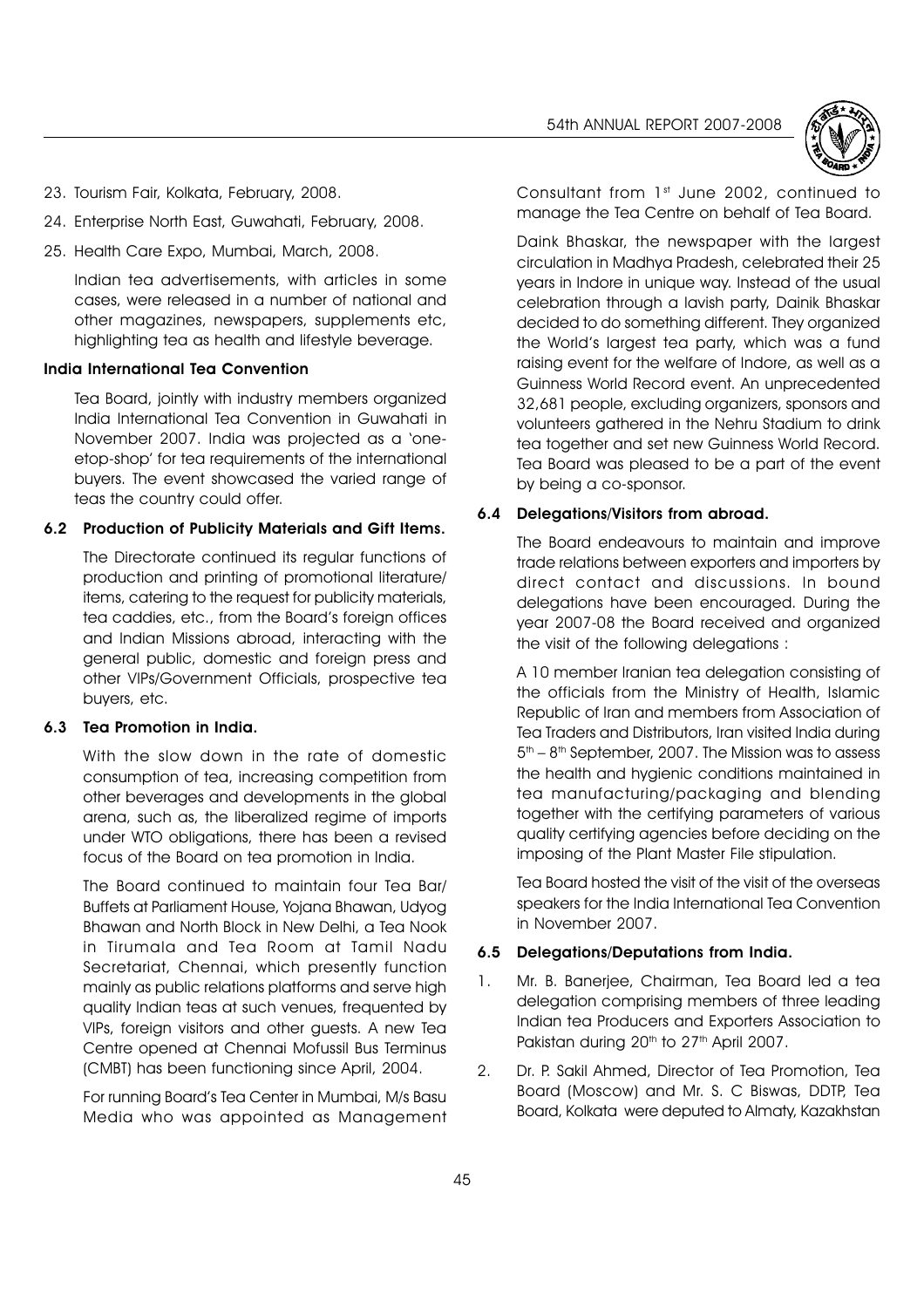

- 23. Tourism Fair, Kolkata, February, 2008.
- 24. Enterprise North East, Guwahati, February, 2008.
- 25. Health Care Expo, Mumbai, March, 2008.

Indian tea advertisements, with articles in some cases, were released in a number of national and other magazines, newspapers, supplements etc, highlighting tea as health and lifestyle beverage.

#### **India International Tea Convention**

Tea Board, jointly with industry members organized India International Tea Convention in Guwahati in November 2007. India was projected as a 'oneetop-shop' for tea requirements of the international buyers. The event showcased the varied range of teas the country could offer.

#### **6.2 Production of Publicity Materials and Gift Items.**

The Directorate continued its regular functions of production and printing of promotional literature/ items, catering to the request for publicity materials, tea caddies, etc., from the Board's foreign offices and Indian Missions abroad, interacting with the general public, domestic and foreign press and other VIPs/Government Officials, prospective tea buyers, etc.

#### **6.3 Tea Promotion in India.**

With the slow down in the rate of domestic consumption of tea, increasing competition from other beverages and developments in the global arena, such as, the liberalized regime of imports under WTO obligations, there has been a revised focus of the Board on tea promotion in India.

The Board continued to maintain four Tea Bar/ Buffets at Parliament House, Yojana Bhawan, Udyog Bhawan and North Block in New Delhi, a Tea Nook in Tirumala and Tea Room at Tamil Nadu Secretariat, Chennai, which presently function mainly as public relations platforms and serve high quality Indian teas at such venues, frequented by VIPs, foreign visitors and other guests. A new Tea Centre opened at Chennai Mofussil Bus Terminus (CMBT) has been functioning since April, 2004.

For running Board's Tea Center in Mumbai, M/s Basu Media who was appointed as Management Consultant from 1st June 2002, continued to manage the Tea Centre on behalf of Tea Board.

Daink Bhaskar, the newspaper with the largest circulation in Madhya Pradesh, celebrated their 25 years in Indore in unique way. Instead of the usual celebration through a lavish party, Dainik Bhaskar decided to do something different. They organized the World's largest tea party, which was a fund raising event for the welfare of Indore, as well as a Guinness World Record event. An unprecedented 32,681 people, excluding organizers, sponsors and volunteers gathered in the Nehru Stadium to drink tea together and set new Guinness World Record. Tea Board was pleased to be a part of the event by being a co-sponsor.

#### **6.4 Delegations/Visitors from abroad.**

The Board endeavours to maintain and improve trade relations between exporters and importers by direct contact and discussions. In bound delegations have been encouraged. During the year 2007-08 the Board received and organized the visit of the following delegations :

A 10 member Iranian tea delegation consisting of the officials from the Ministry of Health, Islamic Republic of Iran and members from Association of Tea Traders and Distributors, Iran visited India during 5th – 8th September, 2007. The Mission was to assess the health and hygienic conditions maintained in tea manufacturing/packaging and blending together with the certifying parameters of various quality certifying agencies before deciding on the imposing of the Plant Master File stipulation.

Tea Board hosted the visit of the visit of the overseas speakers for the India International Tea Convention in November 2007.

#### **6.5 Delegations/Deputations from India.**

- 1. Mr. B. Banerjee, Chairman, Tea Board led a tea delegation comprising members of three leading Indian tea Producers and Exporters Association to Pakistan during 20<sup>th</sup> to 27<sup>th</sup> April 2007.
- 2. Dr. P. Sakil Ahmed, Director of Tea Promotion, Tea Board (Moscow) and Mr. S. C Biswas, DDTP, Tea Board, Kolkata were deputed to Almaty, Kazakhstan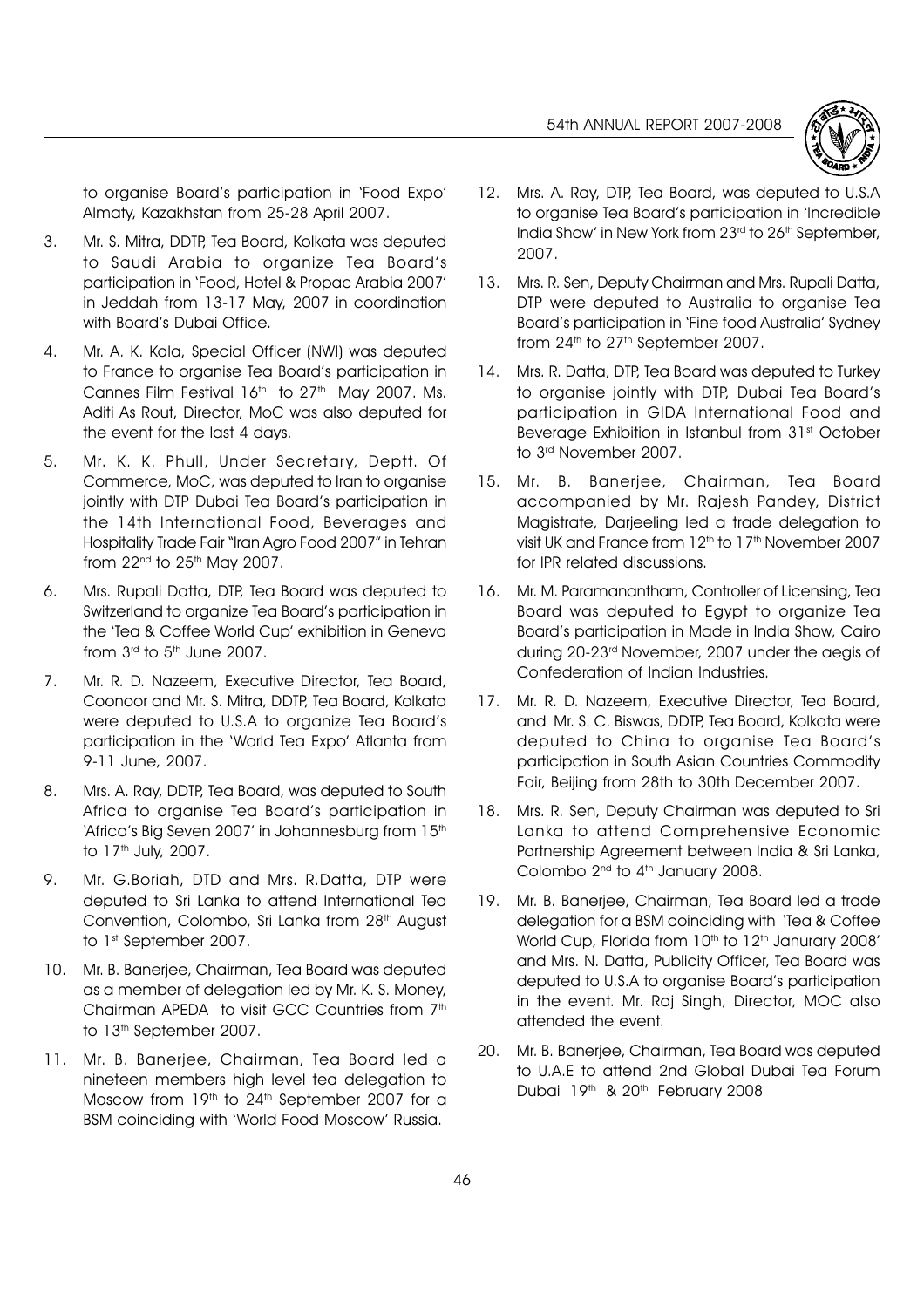

to organise Board's participation in 'Food Expo' Almaty, Kazakhstan from 25-28 April 2007.

- 3. Mr. S. Mitra, DDTP, Tea Board, Kolkata was deputed to Saudi Arabia to organize Tea Board's participation in 'Food, Hotel & Propac Arabia 2007' in Jeddah from 13-17 May, 2007 in coordination with Board's Dubai Office.
- 4. Mr. A. K. Kala, Special Officer (NWI) was deputed to France to organise Tea Board's participation in Cannes Film Festival  $16<sup>th</sup>$  to  $27<sup>th</sup>$  May 2007. Ms. Aditi As Rout, Director, MoC was also deputed for the event for the last 4 days.
- 5. Mr. K. K. Phull, Under Secretary, Deptt. Of Commerce, MoC, was deputed to Iran to organise jointly with DTP Dubai Tea Board's participation in the 14th International Food, Beverages and Hospitality Trade Fair "Iran Agro Food 2007" in Tehran from  $22<sup>nd</sup>$  to  $25<sup>th</sup>$  May 2007.
- 6. Mrs. Rupali Datta, DTP, Tea Board was deputed to Switzerland to organize Tea Board's participation in the 'Tea & Coffee World Cup' exhibition in Geneva from  $3<sup>rd</sup>$  to  $5<sup>th</sup>$  June 2007.
- 7. Mr. R. D. Nazeem, Executive Director, Tea Board, Coonoor and Mr. S. Mitra, DDTP, Tea Board, Kolkata were deputed to U.S.A to organize Tea Board's participation in the 'World Tea Expo' Atlanta from 9-11 June, 2007.
- 8. Mrs. A. Ray, DDTP, Tea Board, was deputed to South Africa to organise Tea Board's participation in 'Africa's Big Seven 2007' in Johannesburg from 15<sup>th</sup> to 17<sup>th</sup> July, 2007.
- 9. Mr. G.Boriah, DTD and Mrs. R.Datta, DTP were deputed to Sri Lanka to attend International Tea Convention, Colombo, Sri Lanka from 28<sup>th</sup> August to 1st September 2007.
- 10. Mr. B. Banerjee, Chairman, Tea Board was deputed as a member of delegation led by Mr. K. S. Money, Chairman APEDA to visit GCC Countries from 7<sup>th</sup> to 13<sup>th</sup> September 2007.
- 11. Mr. B. Banerjee, Chairman, Tea Board led a nineteen members high level tea delegation to Moscow from 19th to 24th September 2007 for a BSM coinciding with 'World Food Moscow' Russia.
- 12. Mrs. A. Ray, DTP, Tea Board, was deputed to U.S.A to organise Tea Board's participation in 'Incredible India Show' in New York from 23<sup>rd</sup> to 26<sup>th</sup> September, 2007.
- 13. Mrs. R. Sen, Deputy Chairman and Mrs. Rupali Datta, DTP were deputed to Australia to organise Tea Board's participation in 'Fine food Australia' Sydney from 24<sup>th</sup> to 27<sup>th</sup> September 2007.
- 14. Mrs. R. Datta, DTP, Tea Board was deputed to Turkey to organise jointly with DTP, Dubai Tea Board's participation in GIDA International Food and Beverage Exhibition in Istanbul from 31<sup>st</sup> October to 3rd November 2007.
- 15. Mr. B. Banerjee, Chairman, Tea Board accompanied by Mr. Rajesh Pandey, District Magistrate, Darjeeling led a trade delegation to visit UK and France from 12<sup>th</sup> to 17<sup>th</sup> November 2007 for IPR related discussions.
- 16. Mr. M. Paramanantham, Controller of Licensing, Tea Board was deputed to Egypt to organize Tea Board's participation in Made in India Show, Cairo during 20-23rd November, 2007 under the aegis of Confederation of Indian Industries.
- 17. Mr. R. D. Nazeem, Executive Director, Tea Board, and Mr. S. C. Biswas, DDTP, Tea Board, Kolkata were deputed to China to organise Tea Board's participation in South Asian Countries Commodity Fair, Beijing from 28th to 30th December 2007.
- 18. Mrs. R. Sen, Deputy Chairman was deputed to Sri Lanka to attend Comprehensive Economic Partnership Agreement between India & Sri Lanka, Colombo  $2^{nd}$  to  $4^{th}$  January 2008.
- 19. Mr. B. Banerjee, Chairman, Tea Board led a trade delegation for a BSM coinciding with 'Tea & Coffee World Cup, Florida from 10<sup>th</sup> to 12<sup>th</sup> Janurary 2008' and Mrs. N. Datta, Publicity Officer, Tea Board was deputed to U.S.A to organise Board's participation in the event. Mr. Raj Singh, Director, MOC also attended the event.
- 20. Mr. B. Banerjee, Chairman, Tea Board was deputed to U.A.E to attend 2nd Global Dubai Tea Forum Dubai 19<sup>th</sup> & 20<sup>th</sup> February 2008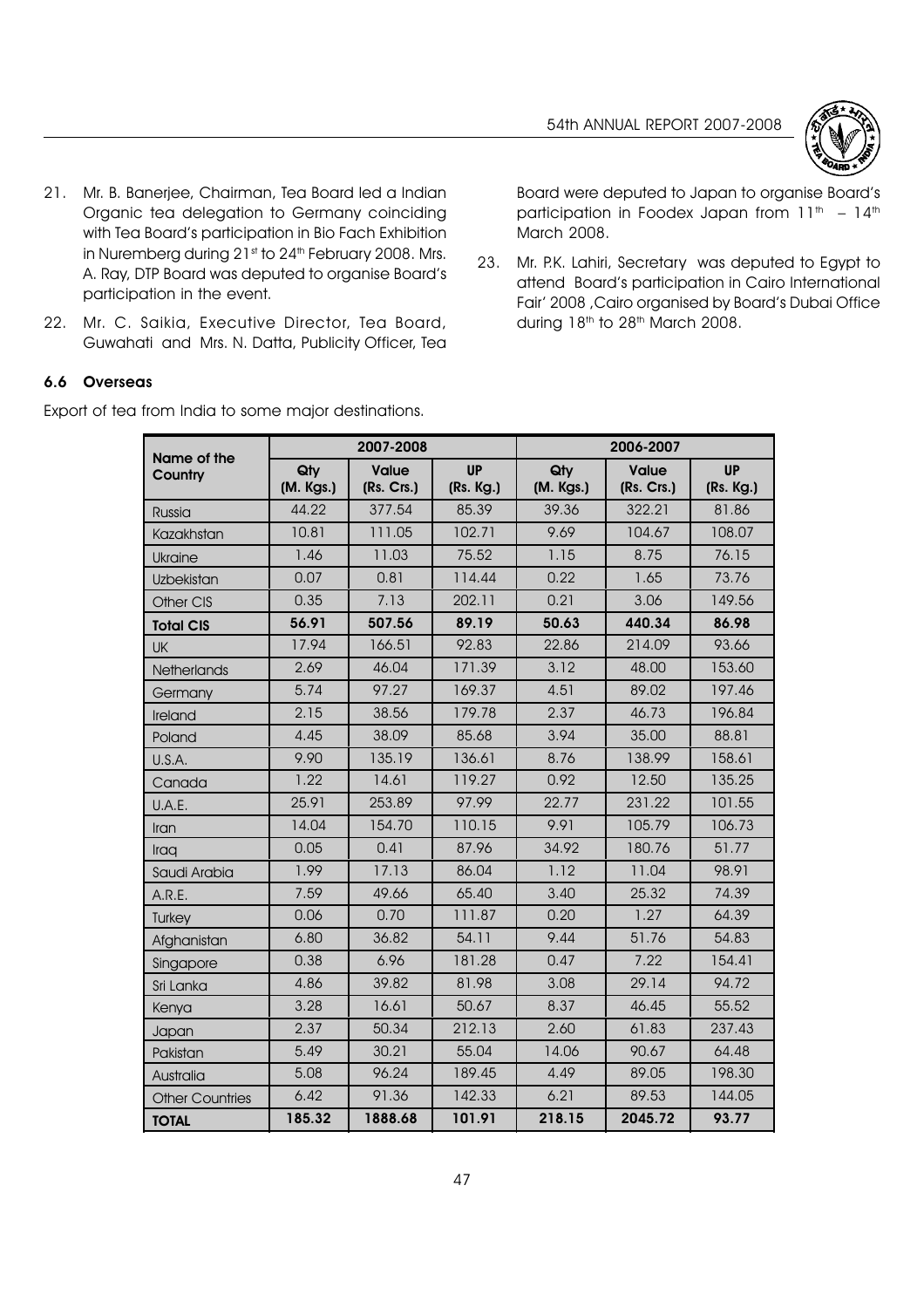

- 21. Mr. B. Banerjee, Chairman, Tea Board led a Indian Organic tea delegation to Germany coinciding with Tea Board's participation in Bio Fach Exhibition in Nuremberg during 21st to 24th February 2008. Mrs. A. Ray, DTP Board was deputed to organise Board's participation in the event.
- 22. Mr. C. Saikia, Executive Director, Tea Board, Guwahati and Mrs. N. Datta, Publicity Officer, Tea

# **6.6 Overseas**

Export of tea from India to some major destinations.

Board were deputed to Japan to organise Board's participation in Foodex Japan from  $11<sup>th</sup> - 14<sup>th</sup>$ March 2008.

23. Mr. P.K. Lahiri, Secretary was deputed to Egypt to attend Board's participation in Cairo International Fair' 2008 ,Cairo organised by Board's Dubai Office during 18th to 28th March 2008.

| Name of the            |                  | 2007-2008                  |                        |                  | 2006-2007                  |                        |
|------------------------|------------------|----------------------------|------------------------|------------------|----------------------------|------------------------|
| Country                | Qty<br>(M. Kgs.) | <b>Value</b><br>(Rs. Crs.) | <b>UP</b><br>(Rs. Kg.) | Qty<br>(M. Kgs.) | <b>Value</b><br>(Rs. Crs.) | <b>UP</b><br>(Rs. Kg.) |
| Russia                 | 44.22            | 377.54                     | 85.39                  | 39.36            | 322.21                     | 81.86                  |
| Kazakhstan             | 10.81            | 111.05                     | 102.71                 | 9.69             | 104.67                     | 108.07                 |
| <b>Ukraine</b>         | 1.46             | 11.03                      | 75.52                  | 1.15             | 8.75                       | 76.15                  |
| <b>Uzbekistan</b>      | 0.07             | 0.81                       | 114.44                 | 0.22             | 1.65                       | 73.76                  |
| Other CIS              | 0.35             | 7.13                       | 202.11                 | 0.21             | 3.06                       | 149.56                 |
| <b>Total CIS</b>       | 56.91            | 507.56                     | 89.19                  | 50.63            | 440.34                     | 86.98                  |
| <b>UK</b>              | 17.94            | 166.51                     | 92.83                  | 22.86            | 214.09                     | 93.66                  |
| Netherlands            | 2.69             | 46.04                      | 171.39                 | 3.12             | 48.00                      | 153.60                 |
| Germany                | 5.74             | 97.27                      | 169.37                 | 4.51             | 89.02                      | 197.46                 |
| Ireland                | 2.15             | 38.56                      | 179.78                 | 2.37             | 46.73                      | 196.84                 |
| Poland                 | 4.45             | 38.09                      | 85.68                  | 3.94             | 35.00                      | 88.81                  |
| U.S.A.                 | 9.90             | 135.19                     | 136.61                 | 8.76             | 138.99                     | 158.61                 |
| Canada                 | 1.22             | 14.61                      | 119.27                 | 0.92             | 12.50                      | 135.25                 |
| U.A.E.                 | 25.91            | 253.89                     | 97.99                  | 22.77            | 231.22                     | 101.55                 |
| Iran                   | 14.04            | 154.70                     | 110.15                 | 9.91             | 105.79                     | 106.73                 |
| Iraa                   | 0.05             | 0.41                       | 87.96                  | 34.92            | 180.76                     | 51.77                  |
| Saudi Arabia           | 1.99             | 17.13                      | 86.04                  | 1.12             | 11.04                      | 98.91                  |
| A.R.E.                 | 7.59             | 49.66                      | 65.40                  | 3.40             | 25.32                      | 74.39                  |
| Turkey                 | 0.06             | 0.70                       | 111.87                 | 0.20             | 1.27                       | 64.39                  |
| Afghanistan            | 6.80             | 36.82                      | 54.11                  | 9.44             | 51.76                      | 54.83                  |
| Singapore              | 0.38             | 6.96                       | 181.28                 | 0.47             | 7.22                       | 154.41                 |
| Sri Lanka              | 4.86             | 39.82                      | 81.98                  | 3.08             | 29.14                      | 94.72                  |
| Kenya                  | 3.28             | 16.61                      | 50.67                  | 8.37             | 46.45                      | 55.52                  |
| Japan                  | 2.37             | 50.34                      | 212.13                 | 2.60             | 61.83                      | 237.43                 |
| Pakistan               | 5.49             | 30.21                      | 55.04                  | 14.06            | 90.67                      | 64.48                  |
| Australia              | 5.08             | 96.24                      | 189.45                 | 4.49             | 89.05                      | 198.30                 |
| <b>Other Countries</b> | 6.42             | 91.36                      | 142.33                 | 6.21             | 89.53                      | 144.05                 |
| <b>TOTAL</b>           | 185.32           | 1888.68                    | 101.91                 | 218.15           | 2045.72                    | 93.77                  |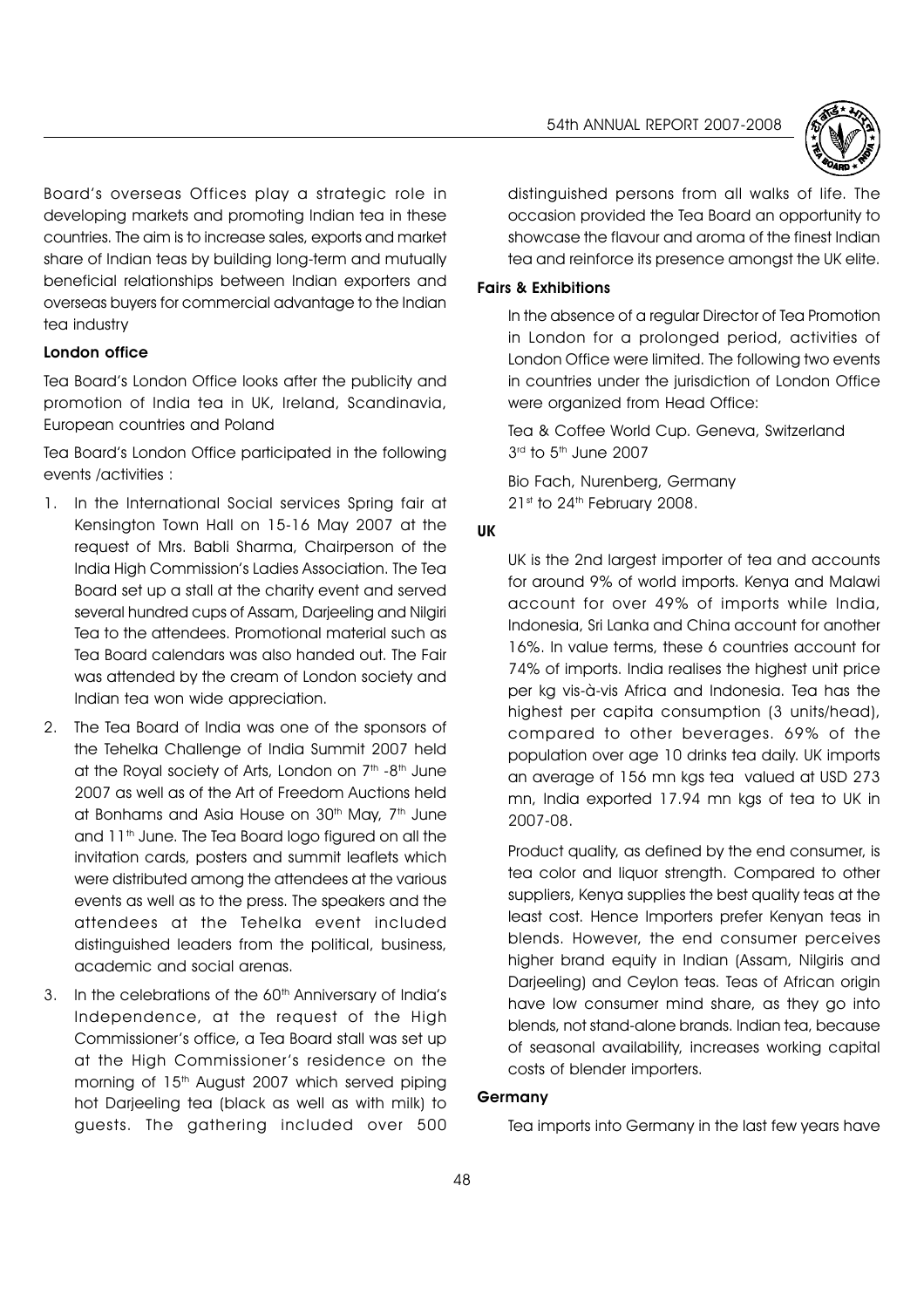

Board's overseas Offices play a strategic role in developing markets and promoting Indian tea in these countries. The aim is to increase sales, exports and market share of Indian teas by building long-term and mutually beneficial relationships between Indian exporters and overseas buyers for commercial advantage to the Indian tea industry

## **London office**

Tea Board's London Office looks after the publicity and promotion of India tea in UK, Ireland, Scandinavia, European countries and Poland

Tea Board's London Office participated in the following events /activities :

- 1. In the International Social services Spring fair at Kensington Town Hall on 15-16 May 2007 at the request of Mrs. Babli Sharma, Chairperson of the India High Commission's Ladies Association. The Tea Board set up a stall at the charity event and served several hundred cups of Assam, Darjeeling and Nilgiri Tea to the attendees. Promotional material such as Tea Board calendars was also handed out. The Fair was attended by the cream of London society and Indian tea won wide appreciation.
- 2. The Tea Board of India was one of the sponsors of the Tehelka Challenge of India Summit 2007 held at the Royal society of Arts, London on 7<sup>th</sup> -8<sup>th</sup> June 2007 as well as of the Art of Freedom Auctions held at Bonhams and Asia House on 30<sup>th</sup> May, 7<sup>th</sup> June and 11<sup>th</sup> June. The Tea Board logo figured on all the invitation cards, posters and summit leaflets which were distributed among the attendees at the various events as well as to the press. The speakers and the attendees at the Tehelka event included distinguished leaders from the political, business, academic and social arenas.
- 3. In the celebrations of the 60<sup>th</sup> Anniversary of India's Independence, at the request of the High Commissioner's office, a Tea Board stall was set up at the High Commissioner's residence on the morning of 15<sup>th</sup> August 2007 which served piping hot Darjeeling tea (black as well as with milk) to guests. The gathering included over 500

distinguished persons from all walks of life. The occasion provided the Tea Board an opportunity to showcase the flavour and aroma of the finest Indian tea and reinforce its presence amongst the UK elite.

## **Fairs & Exhibitions**

In the absence of a regular Director of Tea Promotion in London for a prolonged period, activities of London Office were limited. The following two events in countries under the jurisdiction of London Office were organized from Head Office:

Tea & Coffee World Cup. Geneva, Switzerland 3rd to 5<sup>th</sup> June 2007

Bio Fach, Nurenberg, Germany 21st to 24th February 2008.

## **UK**

UK is the 2nd largest importer of tea and accounts for around 9% of world imports. Kenya and Malawi account for over 49% of imports while India, Indonesia, Sri Lanka and China account for another 16%. In value terms, these 6 countries account for 74% of imports. India realises the highest unit price per kg vis-à-vis Africa and Indonesia. Tea has the highest per capita consumption (3 units/head), compared to other beverages. 69% of the population over age 10 drinks tea daily. UK imports an average of 156 mn kgs tea valued at USD 273 mn, India exported 17.94 mn kgs of tea to UK in 2007-08.

Product quality, as defined by the end consumer, is tea color and liquor strength. Compared to other suppliers, Kenya supplies the best quality teas at the least cost. Hence Importers prefer Kenyan teas in blends. However, the end consumer perceives higher brand equity in Indian (Assam, Nilgiris and Darjeeling) and Ceylon teas. Teas of African origin have low consumer mind share, as they go into blends, not stand-alone brands. Indian tea, because of seasonal availability, increases working capital costs of blender importers.

## **Germany**

Tea imports into Germany in the last few years have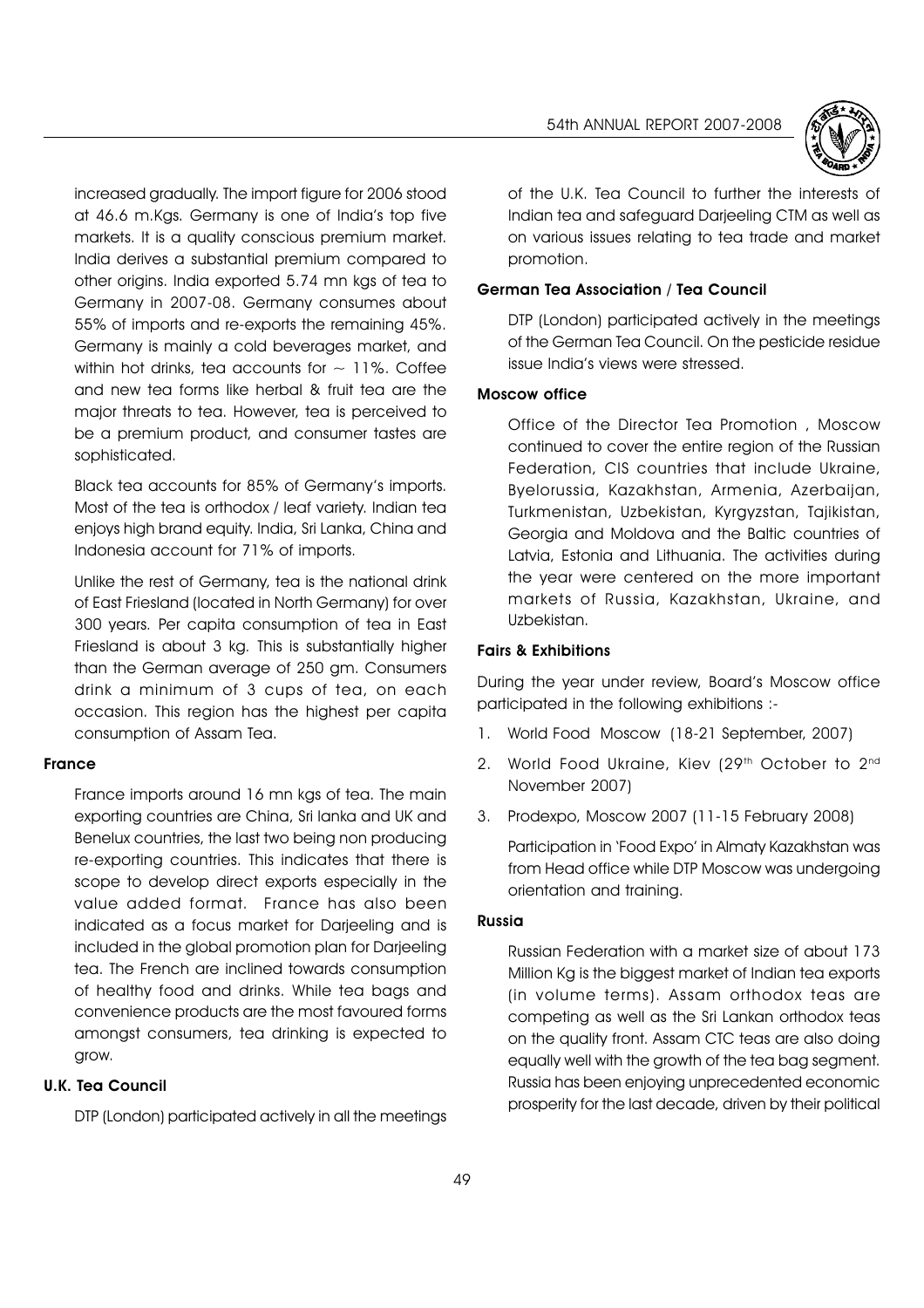

increased gradually. The import figure for 2006 stood at 46.6 m.Kgs. Germany is one of India's top five markets. It is a quality conscious premium market. India derives a substantial premium compared to other origins. India exported 5.74 mn kgs of tea to Germany in 2007-08. Germany consumes about 55% of imports and re-exports the remaining 45%. Germany is mainly a cold beverages market, and within hot drinks, tea accounts for  $\sim$  11%. Coffee and new tea forms like herbal & fruit tea are the major threats to tea. However, tea is perceived to be a premium product, and consumer tastes are sophisticated.

Black tea accounts for 85% of Germany's imports. Most of the tea is orthodox / leaf variety. Indian tea enjoys high brand equity. India, Sri Lanka, China and Indonesia account for 71% of imports*.*

Unlike the rest of Germany, tea is the national drink of East Friesland (located in North Germany) for over 300 years*.* Per capita consumption of tea in East Friesland is about 3 kg*.* This is substantially higher than the German average of 250 gm. Consumers drink a minimum of 3 cups of tea, on each occasion. This region has the highest per capita consumption of Assam Tea.

#### **France**

France imports around 16 mn kgs of tea. The main exporting countries are China, Sri lanka and UK and Benelux countries, the last two being non producing re-exporting countries. This indicates that there is scope to develop direct exports especially in the value added format. France has also been indicated as a focus market for Darjeeling and is included in the global promotion plan for Darjeeling tea. The French are inclined towards consumption of healthy food and drinks. While tea bags and convenience products are the most favoured forms amongst consumers, tea drinking is expected to grow.

## **U.K. Tea Council**

DTP (London) participated actively in all the meetings

of the U.K. Tea Council to further the interests of Indian tea and safeguard Darjeeling CTM as well as on various issues relating to tea trade and market promotion.

#### **German Tea Association / Tea Council**

DTP (London) participated actively in the meetings of the German Tea Council. On the pesticide residue issue India's views were stressed.

#### **Moscow office**

Office of the Director Tea Promotion , Moscow continued to cover the entire region of the Russian Federation, CIS countries that include Ukraine, Byelorussia, Kazakhstan, Armenia, Azerbaijan, Turkmenistan, Uzbekistan, Kyrgyzstan, Tajikistan, Georgia and Moldova and the Baltic countries of Latvia, Estonia and Lithuania. The activities during the year were centered on the more important markets of Russia, Kazakhstan, Ukraine, and Uzbekistan.

#### **Fairs & Exhibitions**

During the year under review, Board's Moscow office participated in the following exhibitions :-

- 1. World Food Moscow (18-21 September, 2007)
- 2. World Food Ukraine, Kiev (29th October to 2nd November 2007)
- 3. Prodexpo, Moscow 2007 (11-15 February 2008)

Participation in 'Food Expo' in Almaty Kazakhstan was from Head office while DTP Moscow was undergoing orientation and training.

## **Russia**

Russian Federation with a market size of about 173 Million Kg is the biggest market of Indian tea exports (in volume terms). Assam orthodox teas are competing as well as the Sri Lankan orthodox teas on the quality front. Assam CTC teas are also doing equally well with the growth of the tea bag segment. Russia has been enjoying unprecedented economic prosperity for the last decade, driven by their political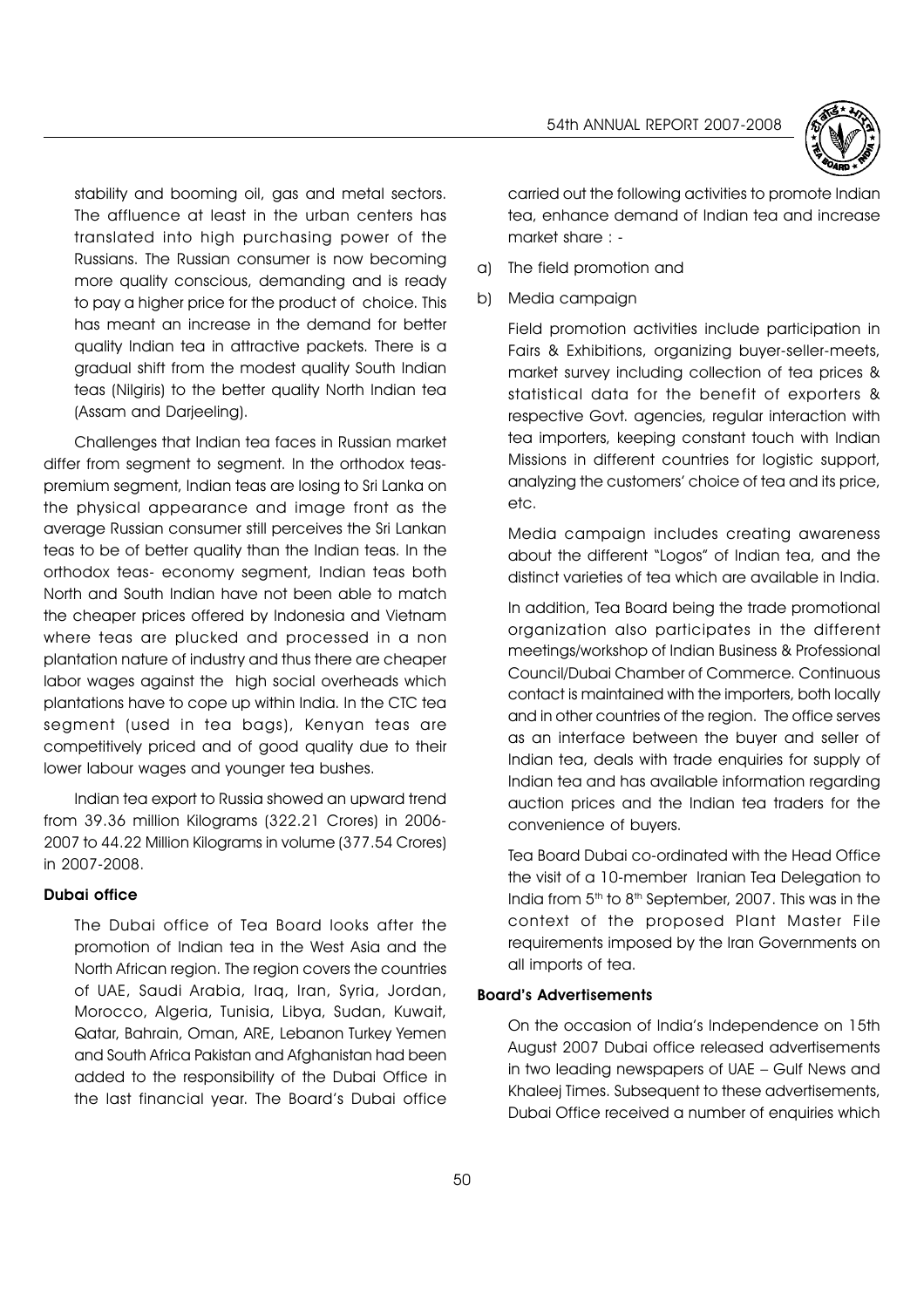

stability and booming oil, gas and metal sectors. The affluence at least in the urban centers has translated into high purchasing power of the Russians. The Russian consumer is now becoming more quality conscious, demanding and is ready to pay a higher price for the product of choice. This has meant an increase in the demand for better quality Indian tea in attractive packets. There is a gradual shift from the modest quality South Indian teas (Nilgiris) to the better quality North Indian tea (Assam and Darjeeling).

Challenges that Indian tea faces in Russian market differ from segment to segment. In the orthodox teaspremium segment, Indian teas are losing to Sri Lanka on the physical appearance and image front as the average Russian consumer still perceives the Sri Lankan teas to be of better quality than the Indian teas. In the orthodox teas- economy segment, Indian teas both North and South Indian have not been able to match the cheaper prices offered by Indonesia and Vietnam where teas are plucked and processed in a non plantation nature of industry and thus there are cheaper labor wages against the high social overheads which plantations have to cope up within India. In the CTC tea segment (used in tea bags), Kenyan teas are competitively priced and of good quality due to their lower labour wages and younger tea bushes.

Indian tea export to Russia showed an upward trend from 39.36 million Kilograms (322.21 Crores) in 2006- 2007 to 44.22 Million Kilograms in volume (377.54 Crores) in 2007-2008.

# **Dubai office**

The Dubai office of Tea Board looks after the promotion of Indian tea in the West Asia and the North African region. The region covers the countries of UAE, Saudi Arabia, Iraq, Iran, Syria, Jordan, Morocco, Algeria, Tunisia, Libya, Sudan, Kuwait, Qatar, Bahrain, Oman, ARE, Lebanon Turkey Yemen and South Africa Pakistan and Afghanistan had been added to the responsibility of the Dubai Office in the last financial year. The Board's Dubai office

carried out the following activities to promote Indian tea, enhance demand of Indian tea and increase market share : -

- a) The field promotion and
- b) Media campaign

Field promotion activities include participation in Fairs & Exhibitions, organizing buyer-seller-meets, market survey including collection of tea prices & statistical data for the benefit of exporters & respective Govt. agencies, regular interaction with tea importers, keeping constant touch with Indian Missions in different countries for logistic support, analyzing the customers' choice of tea and its price, etc.

Media campaign includes creating awareness about the different "Logos" of Indian tea, and the distinct varieties of tea which are available in India.

In addition, Tea Board being the trade promotional organization also participates in the different meetings/workshop of Indian Business & Professional Council/Dubai Chamber of Commerce. Continuous contact is maintained with the importers, both locally and in other countries of the region. The office serves as an interface between the buyer and seller of Indian tea, deals with trade enquiries for supply of Indian tea and has available information regarding auction prices and the Indian tea traders for the convenience of buyers.

Tea Board Dubai co-ordinated with the Head Office the visit of a 10-member Iranian Tea Delegation to India from 5<sup>th</sup> to 8<sup>th</sup> September, 2007. This was in the context of the proposed Plant Master File requirements imposed by the Iran Governments on all imports of tea.

## **Board's Advertisements**

On the occasion of India's Independence on 15th August 2007 Dubai office released advertisements in two leading newspapers of UAE – Gulf News and Khaleej Times. Subsequent to these advertisements, Dubai Office received a number of enquiries which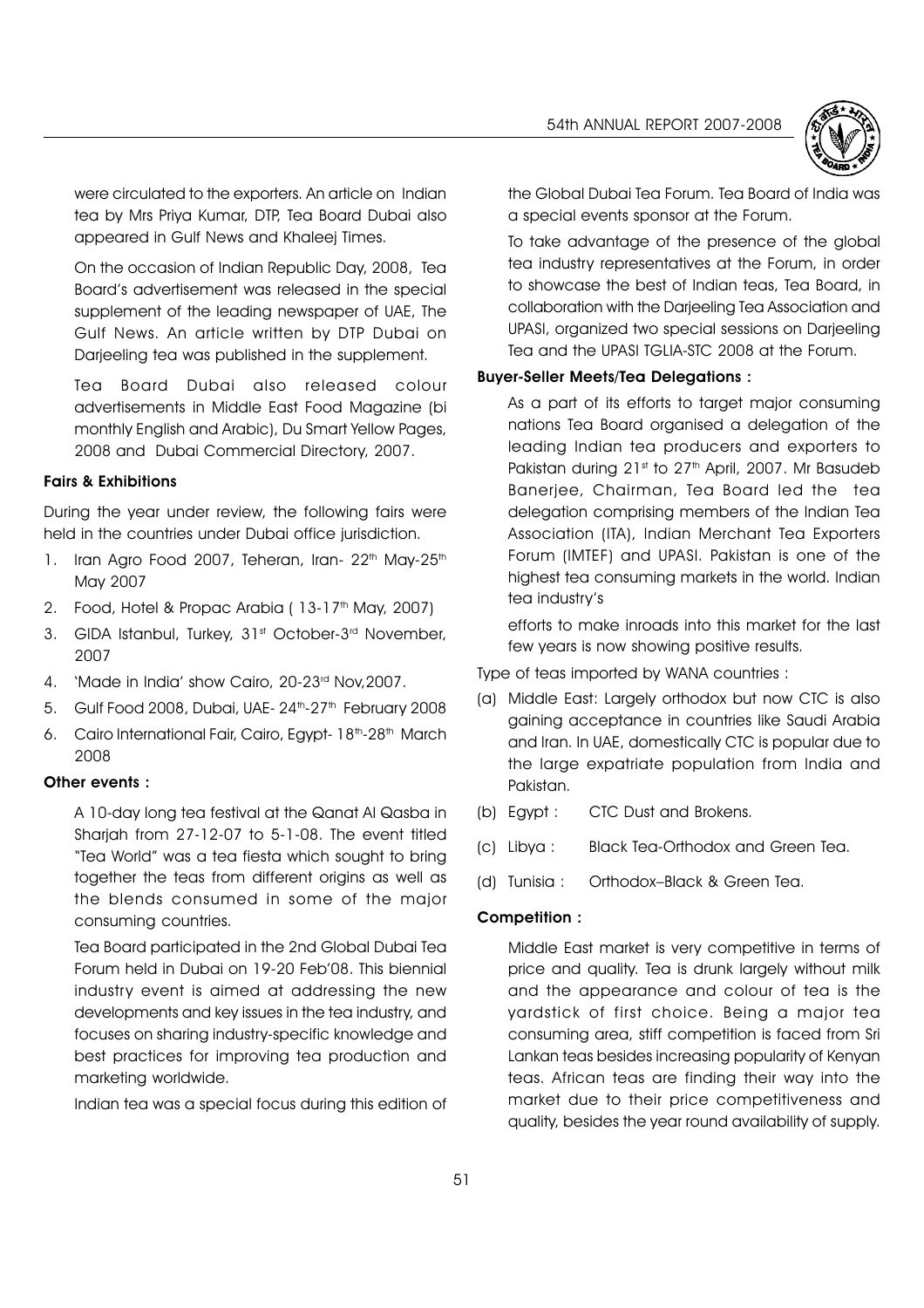

were circulated to the exporters. An article on Indian tea by Mrs Priya Kumar, DTP, Tea Board Dubai also appeared in Gulf News and Khaleej Times.

On the occasion of Indian Republic Day, 2008, Tea Board's advertisement was released in the special supplement of the leading newspaper of UAE, The Gulf News. An article written by DTP Dubai on Darjeeling tea was published in the supplement.

Tea Board Dubai also released colour advertisements in Middle East Food Magazine (bi monthly English and Arabic), Du Smart Yellow Pages, 2008 and Dubai Commercial Directory, 2007.

#### **Fairs & Exhibitions**

During the year under review, the following fairs were held in the countries under Dubai office jurisdiction.

- 1. Iran Agro Food 2007, Teheran, Iran- 22<sup>th</sup> May-25<sup>th</sup> May 2007
- 2. Food, Hotel & Propac Arabia (13-17<sup>th</sup> May, 2007).
- 3. GIDA Istanbul, Turkey, 31st October-3rd November, 2007
- 4. Y Made in India' show Cairo, 20-23<sup>rd</sup> Nov, 2007.
- 5. Gulf Food 2008, Dubai, UAE- 24<sup>th</sup>-27<sup>th</sup> February 2008
- 6. Cairo International Fair, Cairo, Egypt- 18<sup>th</sup>-28<sup>th</sup> March 2008

#### **Other events :**

A 10-day long tea festival at the Qanat Al Qasba in Sharjah from 27-12-07 to 5-1-08. The event titled "Tea World" was a tea fiesta which sought to bring together the teas from different origins as well as the blends consumed in some of the major consuming countries.

Tea Board participated in the 2nd Global Dubai Tea Forum held in Dubai on 19-20 Feb'08. This biennial industry event is aimed at addressing the new developments and key issues in the tea industry, and focuses on sharing industry-specific knowledge and best practices for improving tea production and marketing worldwide.

Indian tea was a special focus during this edition of

the Global Dubai Tea Forum. Tea Board of India was a special events sponsor at the Forum.

To take advantage of the presence of the global tea industry representatives at the Forum, in order to showcase the best of Indian teas, Tea Board, in collaboration with the Darjeeling Tea Association and UPASI, organized two special sessions on Darjeeling Tea and the UPASI TGLIA-STC 2008 at the Forum.

## **Buyer-Seller Meets/Tea Delegations :**

As a part of its efforts to target major consuming nations Tea Board organised a delegation of the leading Indian tea producers and exporters to Pakistan during 21st to 27th April, 2007. Mr Basudeb Banerjee, Chairman, Tea Board led the tea delegation comprising members of the Indian Tea Association (ITA), Indian Merchant Tea Exporters Forum (IMTEF) and UPASI. Pakistan is one of the highest tea consuming markets in the world. Indian tea industry's

efforts to make inroads into this market for the last few years is now showing positive results.

Type of teas imported by WANA countries :

- (a) Middle East: Largely orthodox but now CTC is also gaining acceptance in countries like Saudi Arabia and Iran. In UAE, domestically CTC is popular due to the large expatriate population from India and Pakistan.
- (b) Egypt : CTC Dust and Brokens.
- (c) Libya : Black Tea-Orthodox and Green Tea.
- (d) Tunisia : Orthodox–Black & Green Tea.

#### **Competition :**

Middle East market is very competitive in terms of price and quality. Tea is drunk largely without milk and the appearance and colour of tea is the yardstick of first choice. Being a major tea consuming area, stiff competition is faced from Sri Lankan teas besides increasing popularity of Kenyan teas. African teas are finding their way into the market due to their price competitiveness and quality, besides the year round availability of supply.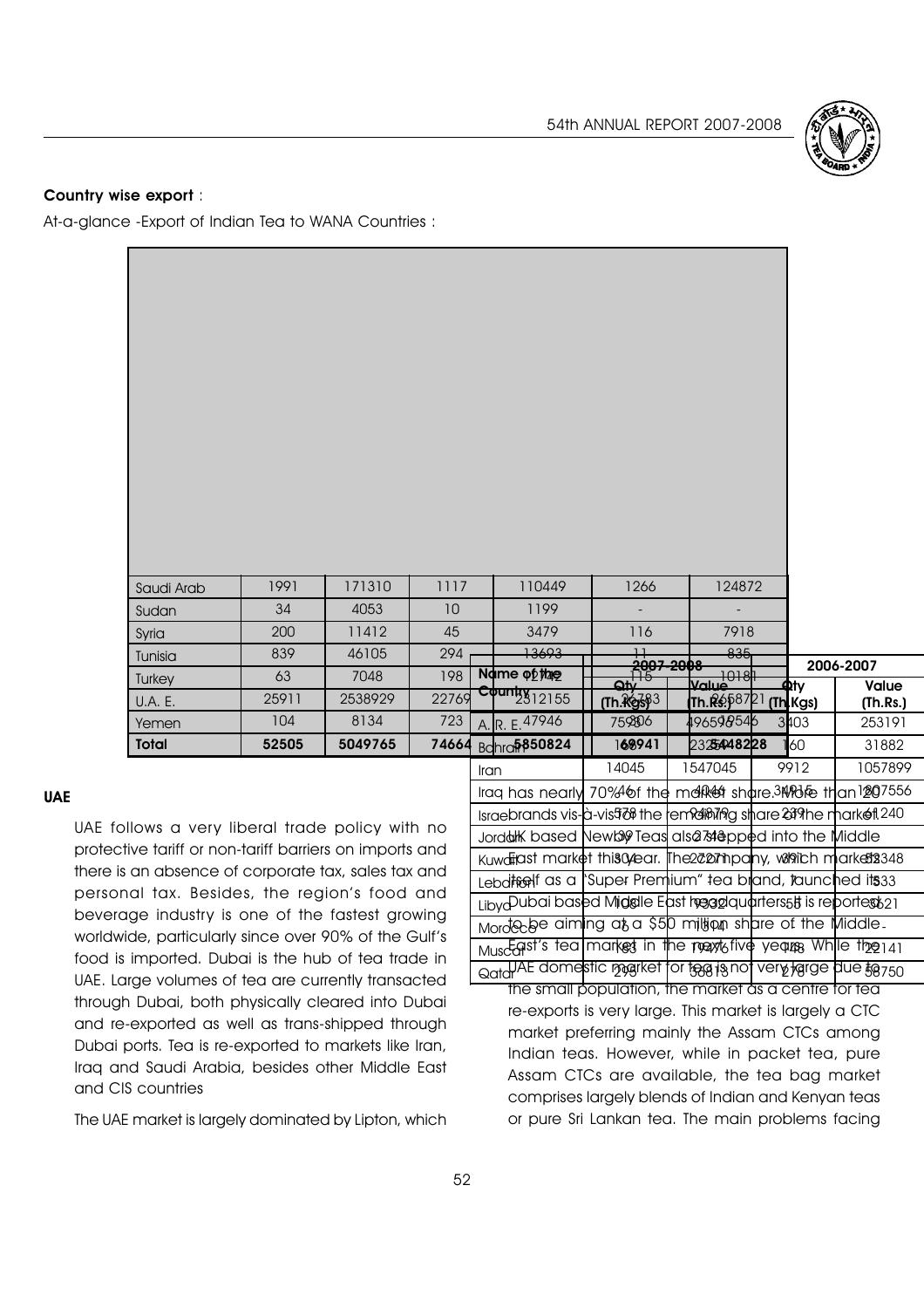

## **Country wise export** :

At-a-glance -Export of Indian Tea to WANA Countries :

| 46105<br>294<br>198<br>7048<br>22769<br>2538929<br>8134<br>723<br>5049765<br>74664 | 13693<br>Name of the<br><b>County</b> <sub>12155</sub><br>A. R. E. 47946<br><b>Bohra</b> \$850824 | י י<br>$\frac{1}{2007}$ 2008<br>$\frac{115}{\text{Qh}$<br>$(Th. Kg/s)^3$<br>759806<br>168941 | 835<br><b>Value</b><br>(Th.R͡≨़§ <sup>87</sup>  21<br>496598546<br>23254048228 | 2006-2007<br>Value<br>$\Phi$ ty<br>(Th <sub>i</sub> Kgs)<br>(Th.Rs.)<br>3403<br>253191<br>60<br>31882 |
|------------------------------------------------------------------------------------|---------------------------------------------------------------------------------------------------|----------------------------------------------------------------------------------------------|--------------------------------------------------------------------------------|-------------------------------------------------------------------------------------------------------|
|                                                                                    |                                                                                                   |                                                                                              |                                                                                |                                                                                                       |
|                                                                                    |                                                                                                   |                                                                                              |                                                                                |                                                                                                       |
|                                                                                    |                                                                                                   |                                                                                              |                                                                                |                                                                                                       |
|                                                                                    |                                                                                                   |                                                                                              |                                                                                |                                                                                                       |
|                                                                                    |                                                                                                   |                                                                                              |                                                                                |                                                                                                       |
| 11412<br>45                                                                        | 3479                                                                                              | 116                                                                                          | 7918                                                                           |                                                                                                       |
| 4053<br>10                                                                         | 1199                                                                                              |                                                                                              |                                                                                |                                                                                                       |
| 171310                                                                             | 110449                                                                                            | 1266                                                                                         | 124872                                                                         |                                                                                                       |
|                                                                                    |                                                                                                   | 1117                                                                                         |                                                                                |                                                                                                       |

# **UAE**

UAE follows a very liberal trade policy with no protective tariff or non-tariff barriers on imports and there is an absence of corporate tax, sales tax and personal tax. Besides, the region's food and beverage industry is one of the fastest growing worldwide, particularly since over 90% of the Gulf's food is imported. Dubai is the hub of tea trade in UAE. Large volumes of tea are currently transacted through Dubai, both physically cleared into Dubai and re-exported as well as trans-shipped through Dubai ports. Tea is re-exported to markets like Iran, Iraq and Saudi Arabia, besides other Middle East and CIS countries

The UAE market is largely dominated by Lipton, which

| A.IN. L.                                                                  |        |            |      |         |
|---------------------------------------------------------------------------|--------|------------|------|---------|
| <b>Bohro \$850824</b>                                                     | 169941 | 2325448228 | 160  | 31882   |
| Iran                                                                      | 14045  | 1547045    | 9912 | 1057899 |
| Iraq has nearly 70%46f the merret share.3NPbTe than 1207556               |        |            |      |         |
| Israebrands vis-à-vis560 the emetioning share 2019 he market 240          |        |            |      |         |
| Jordalk based Newlay Teas als@7stepped into the Middle                    |        |            |      |         |
| Kuwdijast market this Osear. The 272 Thpany, wis ich market 8348          |        |            |      |         |
| Lebaits of as a Super Premium" tea brand, Jaunched its33                  |        |            |      |         |
| LibycDubai based Midslle East heagdquarters5t is reportest 21             |        |            |      |         |
| Mordeebe aiming at a \$50 million share of the Middle.                    |        |            |      |         |
| <sub>Musc</sub> Egist's tea marked in the reaxt five years While the 141  |        |            |      |         |
| <sub>Qata</sub> yAE domestic magrket for teg is not very farge due to 750 |        |            |      |         |

the small population, the market as a centre for tea re-exports is very large. This market is largely a CTC market preferring mainly the Assam CTCs among Indian teas. However, while in packet tea, pure Assam CTCs are available, the tea bag market comprises largely blends of Indian and Kenyan teas or pure Sri Lankan tea. The main problems facing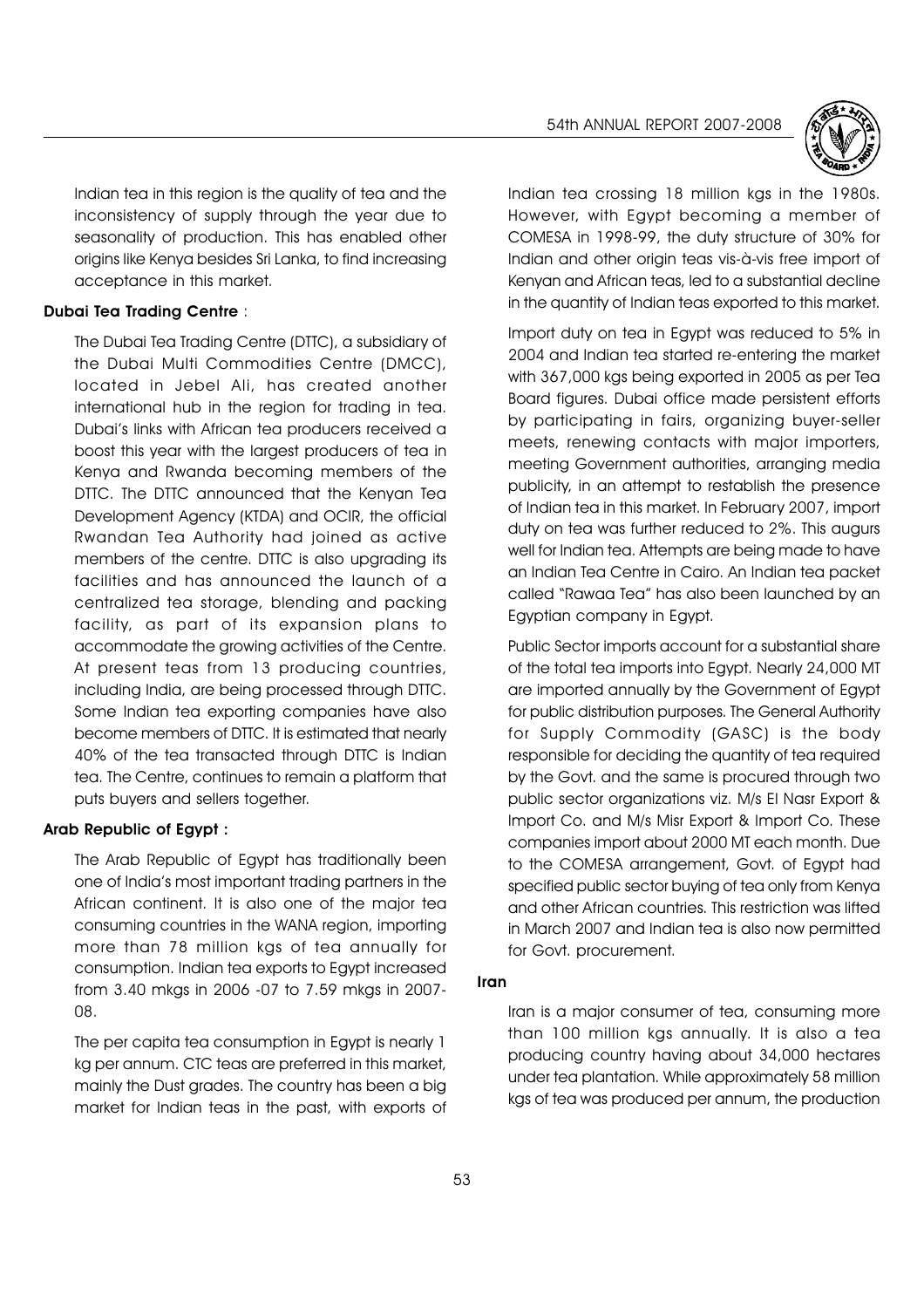

Indian tea in this region is the quality of tea and the inconsistency of supply through the year due to seasonality of production. This has enabled other origins like Kenya besides Sri Lanka, to find increasing acceptance in this market.

## **Dubai Tea Trading Centre** :

The Dubai Tea Trading Centre (DTTC), a subsidiary of the Dubai Multi Commodities Centre (DMCC), located in Jebel Ali, has created another international hub in the region for trading in tea. Dubai's links with African tea producers received a boost this year with the largest producers of tea in Kenya and Rwanda becoming members of the DTTC. The DTTC announced that the Kenyan Tea Development Agency (KTDA) and OCIR, the official Rwandan Tea Authority had joined as active members of the centre. DTTC is also upgrading its facilities and has announced the launch of a centralized tea storage, blending and packing facility, as part of its expansion plans to accommodate the growing activities of the Centre. At present teas from 13 producing countries, including India, are being processed through DTTC. Some Indian tea exporting companies have also become members of DTTC. It is estimated that nearly 40% of the tea transacted through DTTC is Indian tea. The Centre, continues to remain a platform that puts buyers and sellers together.

## **Arab Republic of Egypt :**

The Arab Republic of Egypt has traditionally been one of India's most important trading partners in the African continent. It is also one of the major tea consuming countries in the WANA region, importing more than 78 million kgs of tea annually for consumption. Indian tea exports to Egypt increased from 3.40 mkgs in 2006 -07 to 7.59 mkgs in 2007- 08.

The per capita tea consumption in Egypt is nearly 1 kg per annum. CTC teas are preferred in this market, mainly the Dust grades. The country has been a big market for Indian teas in the past, with exports of

Indian tea crossing 18 million kgs in the 1980s. However, with Egypt becoming a member of COMESA in 1998-99, the duty structure of 30% for Indian and other origin teas vis-à-vis free import of Kenyan and African teas, led to a substantial decline in the quantity of Indian teas exported to this market.

Import duty on tea in Egypt was reduced to 5% in 2004 and Indian tea started re-entering the market with 367,000 kgs being exported in 2005 as per Tea Board figures. Dubai office made persistent efforts by participating in fairs, organizing buyer-seller meets, renewing contacts with major importers, meeting Government authorities, arranging media publicity, in an attempt to restablish the presence of Indian tea in this market. In February 2007, import duty on tea was further reduced to 2%. This augurs well for Indian tea. Attempts are being made to have an Indian Tea Centre in Cairo. An Indian tea packet called "Rawaa Tea" has also been launched by an Egyptian company in Egypt.

Public Sector imports account for a substantial share of the total tea imports into Egypt. Nearly 24,000 MT are imported annually by the Government of Egypt for public distribution purposes. The General Authority for Supply Commodity (GASC) is the body responsible for deciding the quantity of tea required by the Govt. and the same is procured through two public sector organizations viz. M/s El Nasr Export & Import Co. and M/s Misr Export & Import Co. These companies import about 2000 MT each month. Due to the COMESA arrangement, Govt. of Egypt had specified public sector buying of tea only from Kenya and other African countries. This restriction was lifted in March 2007 and Indian tea is also now permitted for Govt. procurement.

## **Iran**

Iran is a major consumer of tea, consuming more than 100 million kgs annually. It is also a tea producing country having about 34,000 hectares under tea plantation. While approximately 58 million kgs of tea was produced per annum, the production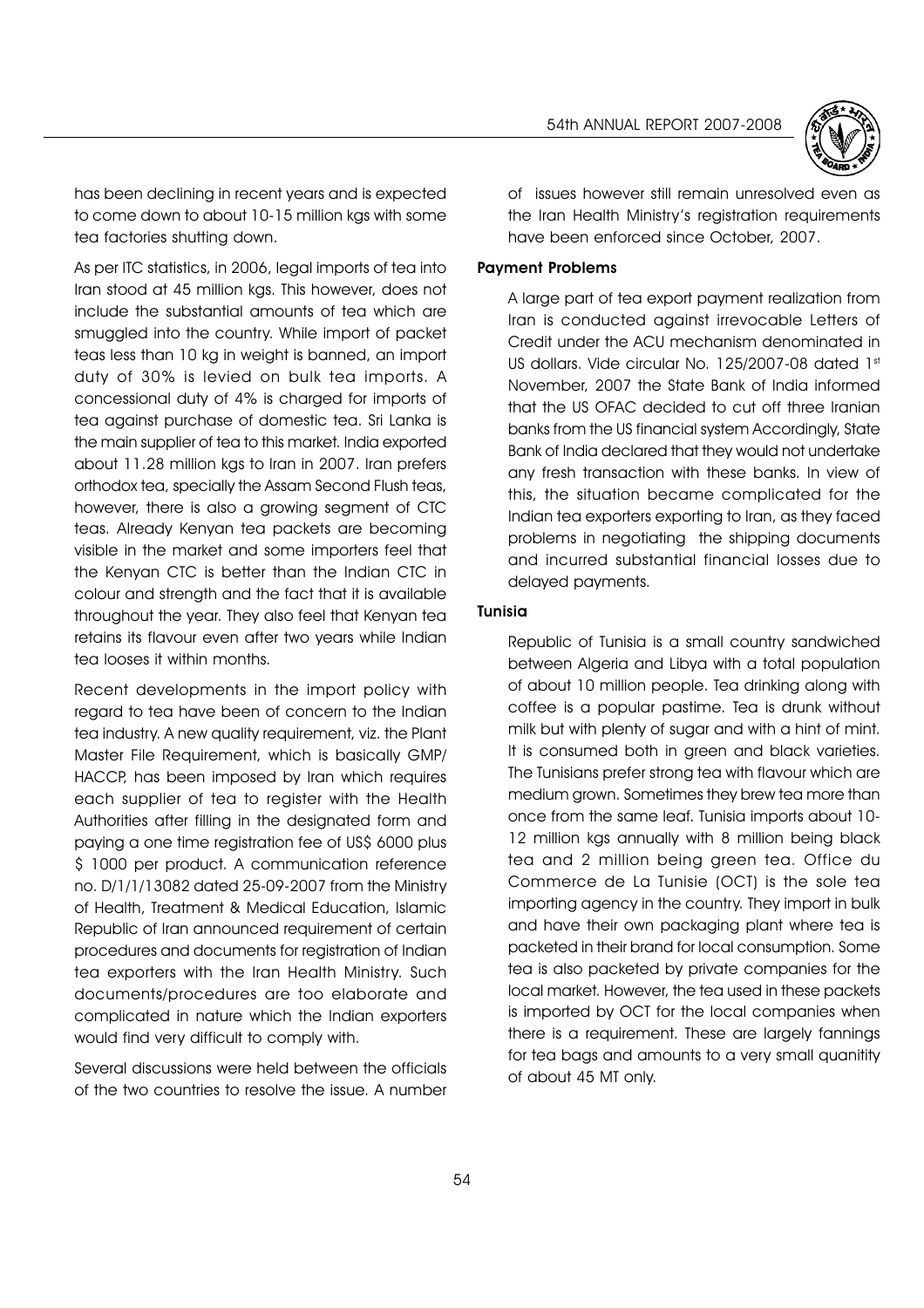

has been declining in recent years and is expected to come down to about 10-15 million kgs with some tea factories shutting down.

As per ITC statistics, in 2006, legal imports of tea into Iran stood at 45 million kgs. This however, does not include the substantial amounts of tea which are smuggled into the country. While import of packet teas less than 10 kg in weight is banned, an import duty of 30% is levied on bulk tea imports. A concessional duty of 4% is charged for imports of tea against purchase of domestic tea. Sri Lanka is the main supplier of tea to this market. India exported about 11.28 million kgs to Iran in 2007. Iran prefers orthodox tea, specially the Assam Second Flush teas, however, there is also a growing segment of CTC teas. Already Kenyan tea packets are becoming visible in the market and some importers feel that the Kenyan CTC is better than the Indian CTC in colour and strength and the fact that it is available throughout the year. They also feel that Kenyan tea retains its flavour even after two years while Indian tea looses it within months.

Recent developments in the import policy with regard to tea have been of concern to the Indian tea industry. A new quality requirement, viz. the Plant Master File Requirement, which is basically GMP/ HACCP, has been imposed by Iran which requires each supplier of tea to register with the Health Authorities after filling in the designated form and paying a one time registration fee of US\$ 6000 plus \$ 1000 per product. A communication reference no. D/1/1/13082 dated 25-09-2007 from the Ministry of Health, Treatment & Medical Education, Islamic Republic of Iran announced requirement of certain procedures and documents for registration of Indian tea exporters with the Iran Health Ministry. Such documents/procedures are too elaborate and complicated in nature which the Indian exporters would find very difficult to comply with.

Several discussions were held between the officials of the two countries to resolve the issue. A number

of issues however still remain unresolved even as the Iran Health Ministry's registration requirements have been enforced since October, 2007.

## **Payment Problems**

A large part of tea export payment realization from Iran is conducted against irrevocable Letters of Credit under the ACU mechanism denominated in US dollars. Vide circular No. 125/2007-08 dated 1st November, 2007 the State Bank of India informed that the US OFAC decided to cut off three Iranian banks from the US financial system Accordingly, State Bank of India declared that they would not undertake any fresh transaction with these banks. In view of this, the situation became complicated for the Indian tea exporters exporting to Iran, as they faced problems in negotiating the shipping documents and incurred substantial financial losses due to delayed payments.

#### **Tunisia**

Republic of Tunisia is a small country sandwiched between Algeria and Libya with a total population of about 10 million people. Tea drinking along with coffee is a popular pastime. Tea is drunk without milk but with plenty of sugar and with a hint of mint. It is consumed both in green and black varieties. The Tunisians prefer strong tea with flavour which are medium grown. Sometimes they brew tea more than once from the same leaf. Tunisia imports about 10- 12 million kgs annually with 8 million being black tea and 2 million being green tea. Office du Commerce de La Tunisie (OCT) is the sole tea importing agency in the country. They import in bulk and have their own packaging plant where tea is packeted in their brand for local consumption. Some tea is also packeted by private companies for the local market. However, the tea used in these packets is imported by OCT for the local companies when there is a requirement. These are largely fannings for tea bags and amounts to a very small quanitity of about 45 MT only.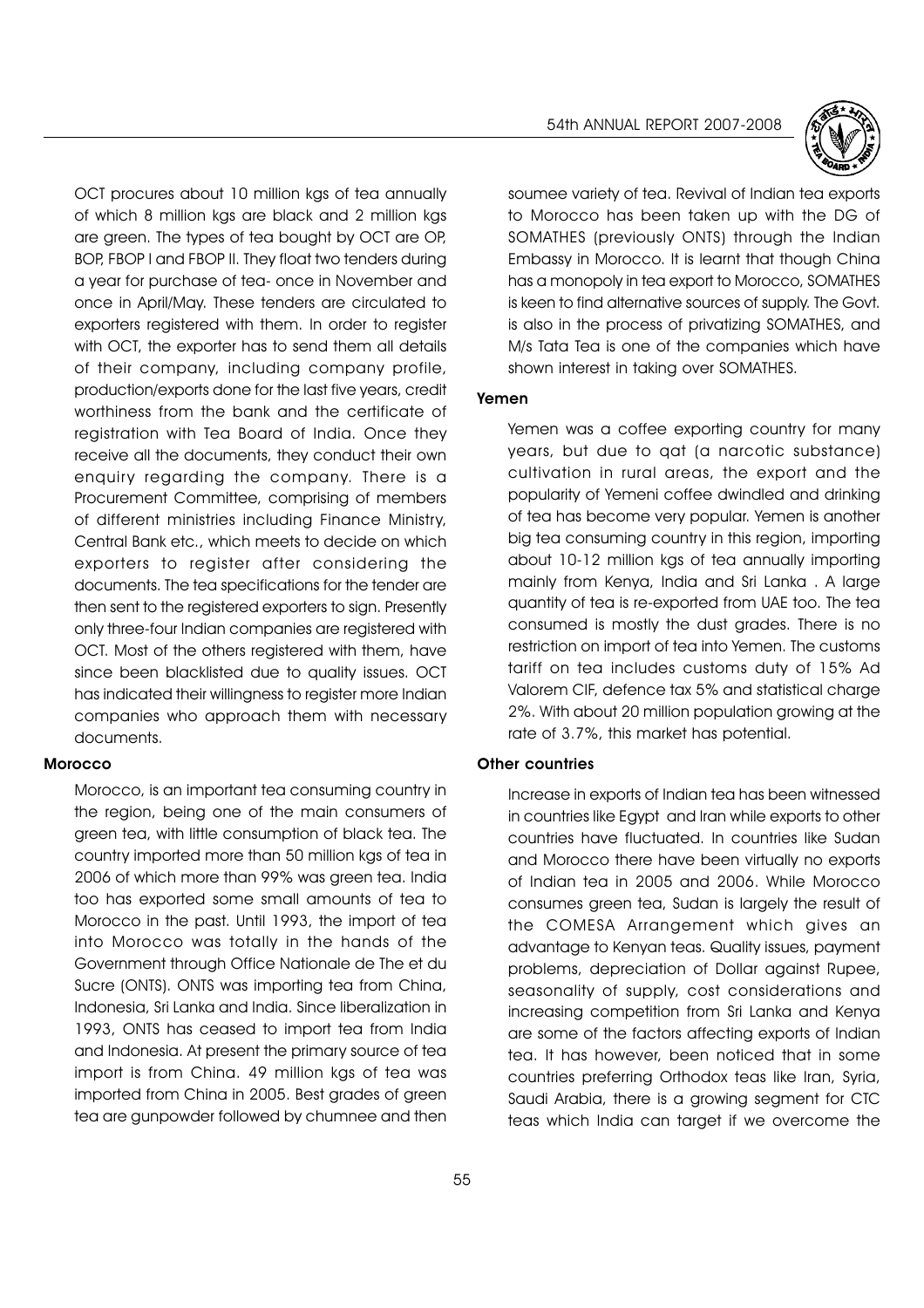OCT procures about 10 million kgs of tea annually of which 8 million kgs are black and 2 million kgs are green. The types of tea bought by OCT are OP, BOP, FBOP I and FBOP II. They float two tenders during a year for purchase of tea- once in November and once in April/May. These tenders are circulated to exporters registered with them. In order to register with OCT, the exporter has to send them all details of their company, including company profile, production/exports done for the last five years, credit worthiness from the bank and the certificate of registration with Tea Board of India. Once they receive all the documents, they conduct their own enquiry regarding the company. There is a Procurement Committee, comprising of members of different ministries including Finance Ministry, Central Bank etc., which meets to decide on which exporters to register after considering the documents. The tea specifications for the tender are then sent to the registered exporters to sign. Presently only three-four Indian companies are registered with OCT. Most of the others registered with them, have since been blacklisted due to quality issues. OCT has indicated their willingness to register more Indian companies who approach them with necessary documents.

# **Morocco**

Morocco, is an important tea consuming country in the region, being one of the main consumers of green tea, with little consumption of black tea. The country imported more than 50 million kgs of tea in 2006 of which more than 99% was green tea. India too has exported some small amounts of tea to Morocco in the past. Until 1993, the import of tea into Morocco was totally in the hands of the Government through Office Nationale de The et du Sucre (ONTS). ONTS was importing tea from China, Indonesia, Sri Lanka and India. Since liberalization in 1993, ONTS has ceased to import tea from India and Indonesia. At present the primary source of tea import is from China. 49 million kgs of tea was imported from China in 2005. Best grades of green tea are gunpowder followed by chumnee and then 54th ANNUAL REPORT 2007-2008



soumee variety of tea. Revival of Indian tea exports to Morocco has been taken up with the DG of SOMATHES (previously ONTS) through the Indian Embassy in Morocco. It is learnt that though China has a monopoly in tea export to Morocco, SOMATHES is keen to find alternative sources of supply. The Govt. is also in the process of privatizing SOMATHES, and M/s Tata Tea is one of the companies which have shown interest in taking over SOMATHES.

# **Yemen**

Yemen was a coffee exporting country for many years, but due to qat (a narcotic substance) cultivation in rural areas, the export and the popularity of Yemeni coffee dwindled and drinking of tea has become very popular. Yemen is another big tea consuming country in this region, importing about 10-12 million kgs of tea annually importing mainly from Kenya, India and Sri Lanka . A large quantity of tea is re-exported from UAE too. The tea consumed is mostly the dust grades. There is no restriction on import of tea into Yemen. The customs tariff on tea includes customs duty of 15% Ad Valorem CIF, defence tax 5% and statistical charge 2%. With about 20 million population growing at the rate of 3.7%, this market has potential.

## **Other countries**

Increase in exports of Indian tea has been witnessed in countries like Egypt and Iran while exports to other countries have fluctuated. In countries like Sudan and Morocco there have been virtually no exports of Indian tea in 2005 and 2006. While Morocco consumes green tea, Sudan is largely the result of the COMESA Arrangement which gives an advantage to Kenyan teas. Quality issues, payment problems, depreciation of Dollar against Rupee, seasonality of supply, cost considerations and increasing competition from Sri Lanka and Kenya are some of the factors affecting exports of Indian tea. It has however, been noticed that in some countries preferring Orthodox teas like Iran, Syria, Saudi Arabia, there is a growing segment for CTC teas which India can target if we overcome the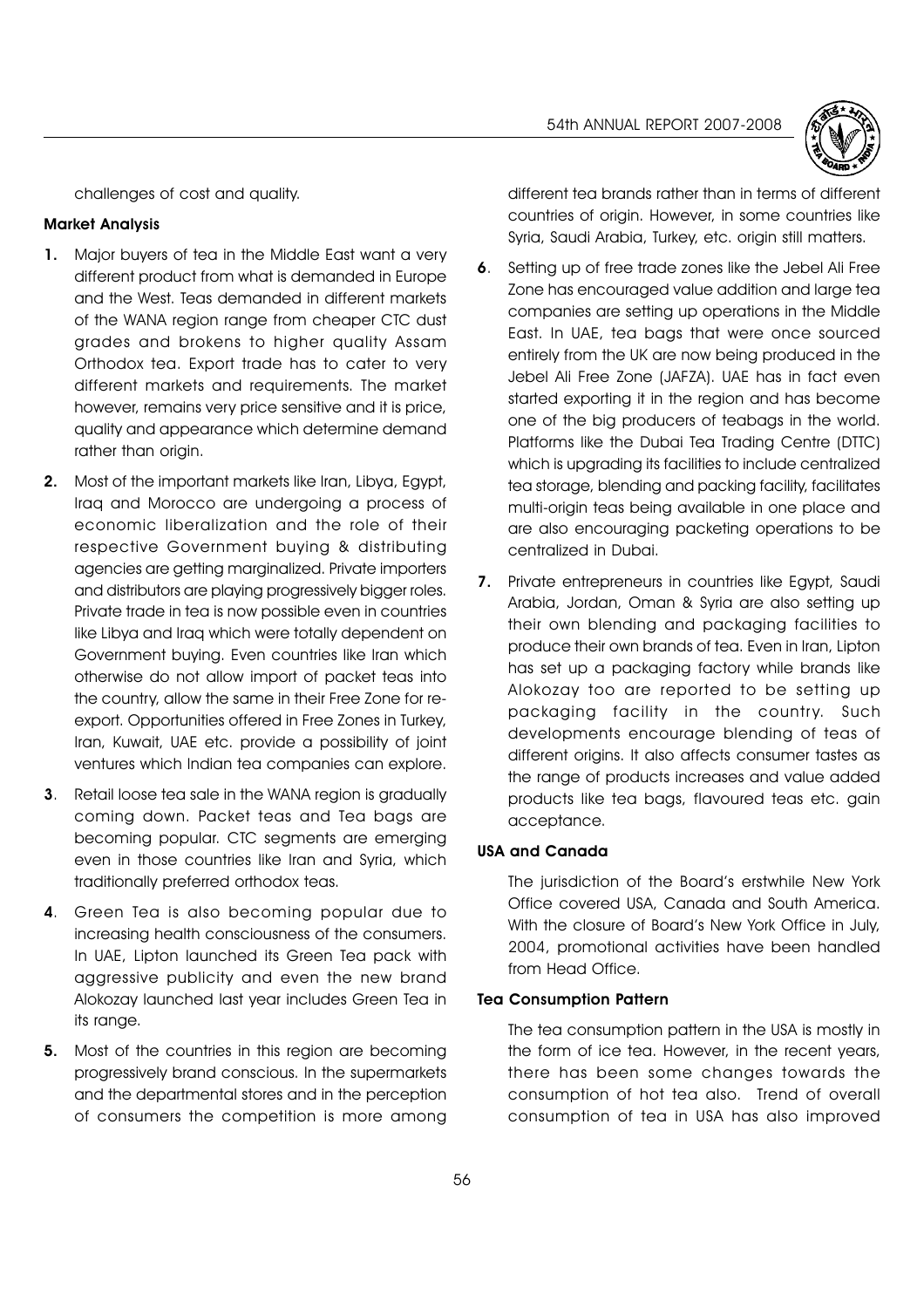

challenges of cost and quality.

## **Market Analysis**

- **1.** Major buyers of tea in the Middle East want a very different product from what is demanded in Europe and the West. Teas demanded in different markets of the WANA region range from cheaper CTC dust grades and brokens to higher quality Assam Orthodox tea. Export trade has to cater to very different markets and requirements. The market however, remains very price sensitive and it is price, quality and appearance which determine demand rather than origin.
- **2.** Most of the important markets like Iran, Libya, Egypt, Iraq and Morocco are undergoing a process of economic liberalization and the role of their respective Government buying & distributing agencies are getting marginalized. Private importers and distributors are playing progressively bigger roles. Private trade in tea is now possible even in countries like Libya and Iraq which were totally dependent on Government buying. Even countries like Iran which otherwise do not allow import of packet teas into the country, allow the same in their Free Zone for reexport. Opportunities offered in Free Zones in Turkey, Iran, Kuwait, UAE etc. provide a possibility of joint ventures which Indian tea companies can explore.
- **3**. Retail loose tea sale in the WANA region is gradually coming down. Packet teas and Tea bags are becoming popular. CTC segments are emerging even in those countries like Iran and Syria, which traditionally preferred orthodox teas.
- **4**. Green Tea is also becoming popular due to increasing health consciousness of the consumers. In UAE, Lipton launched its Green Tea pack with aggressive publicity and even the new brand Alokozay launched last year includes Green Tea in its range.
- **5.** Most of the countries in this region are becoming progressively brand conscious. In the supermarkets and the departmental stores and in the perception of consumers the competition is more among

different tea brands rather than in terms of different countries of origin. However, in some countries like Syria, Saudi Arabia, Turkey, etc. origin still matters.

- **6**. Setting up of free trade zones like the Jebel Ali Free Zone has encouraged value addition and large tea companies are setting up operations in the Middle East. In UAE, tea bags that were once sourced entirely from the UK are now being produced in the Jebel Ali Free Zone (JAFZA). UAE has in fact even started exporting it in the region and has become one of the big producers of teabags in the world. Platforms like the Dubai Tea Trading Centre (DTTC) which is upgrading its facilities to include centralized tea storage, blending and packing facility, facilitates multi-origin teas being available in one place and are also encouraging packeting operations to be centralized in Dubai.
- **7.** Private entrepreneurs in countries like Egypt, Saudi Arabia, Jordan, Oman & Syria are also setting up their own blending and packaging facilities to produce their own brands of tea. Even in Iran, Lipton has set up a packaging factory while brands like Alokozay too are reported to be setting up packaging facility in the country. Such developments encourage blending of teas of different origins. It also affects consumer tastes as the range of products increases and value added products like tea bags, flavoured teas etc. gain acceptance.

#### **USA and Canada**

The jurisdiction of the Board's erstwhile New York Office covered USA, Canada and South America. With the closure of Board's New York Office in July, 2004, promotional activities have been handled from Head Office.

#### **Tea Consumption Pattern**

The tea consumption pattern in the USA is mostly in the form of ice tea. However, in the recent years, there has been some changes towards the consumption of hot tea also. Trend of overall consumption of tea in USA has also improved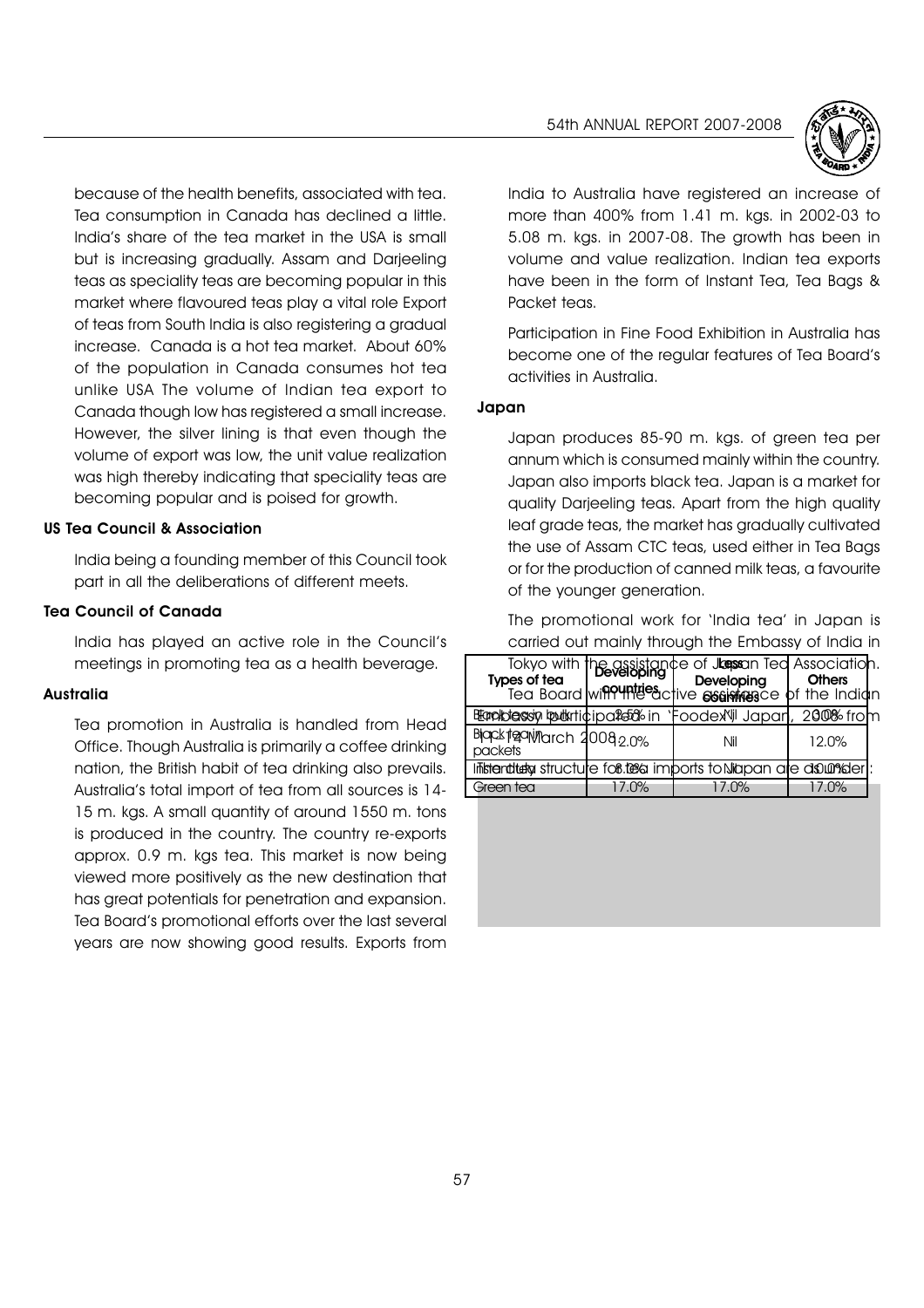

because of the health benefits, associated with tea. Tea consumption in Canada has declined a little. India's share of the tea market in the USA is small but is increasing gradually. Assam and Darjeeling teas as speciality teas are becoming popular in this market where flavoured teas play a vital role Export of teas from South India is also registering a gradual increase. Canada is a hot tea market. About 60% of the population in Canada consumes hot tea unlike USA The volume of Indian tea export to Canada though low has registered a small increase. However, the silver lining is that even though the volume of export was low, the unit value realization was high thereby indicating that speciality teas are becoming popular and is poised for growth.

#### **US Tea Council & Association**

India being a founding member of this Council took part in all the deliberations of different meets.

## **Tea Council of Canada**

India has played an active role in the Council's meetings in promoting tea as a health beverage.

## **Australia**

Tea promotion in Australia is handled from Head Office. Though Australia is primarily a coffee drinking nation, the British habit of tea drinking also prevails. Australia's total import of tea from all sources is 14- 15 m. kgs. A small quantity of around 1550 m. tons is produced in the country. The country re-exports approx. 0.9 m. kgs tea. This market is now being viewed more positively as the new destination that has great potentials for penetration and expansion. Tea Board's promotional efforts over the last several years are now showing good results. Exports from India to Australia have registered an increase of more than 400% from 1.41 m. kgs. in 2002-03 to 5.08 m. kgs. in 2007-08. The growth has been in volume and value realization. Indian tea exports have been in the form of Instant Tea, Tea Bags & Packet teas.

Participation in Fine Food Exhibition in Australia has become one of the regular features of Tea Board's activities in Australia.

## **Japan**

Japan produces 85-90 m. kgs. of green tea per annum which is consumed mainly within the country. Japan also imports black tea. Japan is a market for quality Darjeeling teas. Apart from the high quality leaf grade teas, the market has gradually cultivated the use of Assam CTC teas, used either in Tea Bags or for the production of canned milk teas, a favourite of the younger generation.

The promotional work for 'India tea' in Japan is carried out mainly through the Embassy of India in

| Types of tea                                               |       | Tokyo with the assistance of Just in Ted Association.<br>Developing<br>Tea Board with the contract of the Indian | <b>Others</b> |
|------------------------------------------------------------|-------|------------------------------------------------------------------------------------------------------------------|---------------|
| Benaldersty buttrition at the 'Fooder Vil Japan, 2008 from |       |                                                                                                                  |               |
| Block to 2008 2.0%<br>packets                              |       | Nil                                                                                                              | 12.0%         |
|                                                            |       | Inistenditety structure for tesa imports to Niapan are disunsider :                                              |               |
| Green tea                                                  | 17.0% | 17.0%                                                                                                            | 7.0%          |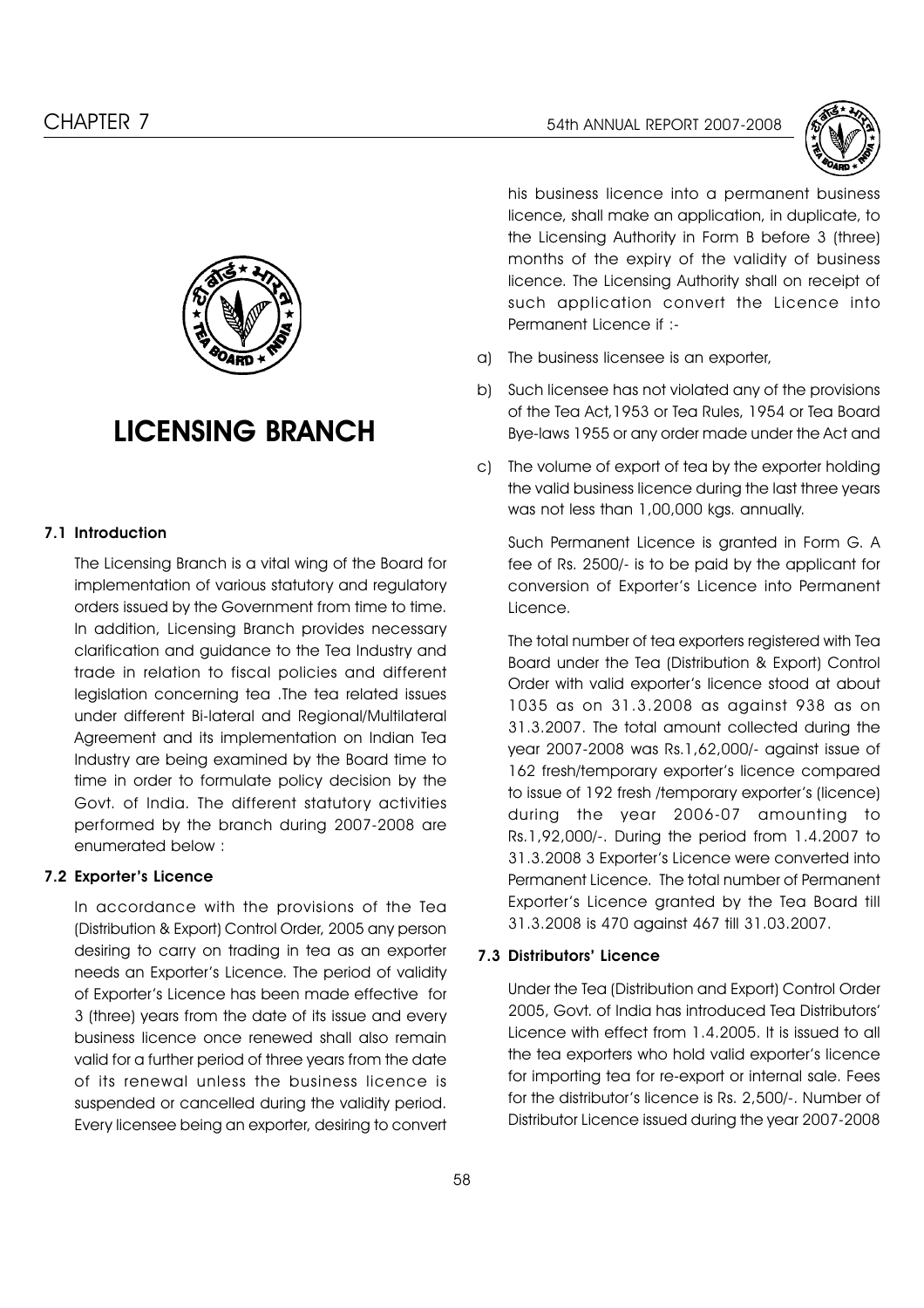

# **LICENSING BRANCH**

# **7.1 Introduction**

The Licensing Branch is a vital wing of the Board for implementation of various statutory and regulatory orders issued by the Government from time to time. In addition, Licensing Branch provides necessary clarification and guidance to the Tea Industry and trade in relation to fiscal policies and different legislation concerning tea .The tea related issues under different Bi-lateral and Regional/Multilateral Agreement and its implementation on Indian Tea Industry are being examined by the Board time to time in order to formulate policy decision by the Govt. of India. The different statutory activities performed by the branch during 2007-2008 are enumerated below :

## **7.2 Exporter's Licence**

In accordance with the provisions of the Tea (Distribution & Export) Control Order, 2005 any person desiring to carry on trading in tea as an exporter needs an Exporter's Licence. The period of validity of Exporter's Licence has been made effective for 3 (three) years from the date of its issue and every business licence once renewed shall also remain valid for a further period of three years from the date of its renewal unless the business licence is suspended or cancelled during the validity period. Every licensee being an exporter, desiring to convert his business licence into a permanent business licence, shall make an application, in duplicate, to the Licensing Authority in Form B before 3 (three) months of the expiry of the validity of business licence. The Licensing Authority shall on receipt of such application convert the Licence into Permanent Licence if :-

- a) The business licensee is an exporter,
- b) Such licensee has not violated any of the provisions of the Tea Act,1953 or Tea Rules, 1954 or Tea Board Bye-laws 1955 or any order made under the Act and
- c) The volume of export of tea by the exporter holding the valid business licence during the last three years was not less than 1,00,000 kas, annually.

Such Permanent Licence is granted in Form G. A fee of Rs. 2500/- is to be paid by the applicant for conversion of Exporter's Licence into Permanent Licence.

The total number of tea exporters registered with Tea Board under the Tea (Distribution & Export) Control Order with valid exporter's licence stood at about 1035 as on 31.3.2008 as against 938 as on 31.3.2007. The total amount collected during the year 2007-2008 was Rs.1,62,000/- against issue of 162 fresh/temporary exporter's licence compared to issue of 192 fresh /temporary exporter's (licence) during the year 2006-07 amounting to Rs.1,92,000/-. During the period from 1.4.2007 to 31.3.2008 3 Exporter's Licence were converted into Permanent Licence. The total number of Permanent Exporter's Licence granted by the Tea Board till 31.3.2008 is 470 against 467 till 31.03.2007.

#### **7.3 Distributors' Licence**

Under the Tea (Distribution and Export) Control Order 2005, Govt. of India has introduced Tea Distributors' Licence with effect from 1.4.2005. It is issued to all the tea exporters who hold valid exporter's licence for importing tea for re-export or internal sale. Fees for the distributor's licence is Rs. 2,500/-. Number of Distributor Licence issued during the year 2007-2008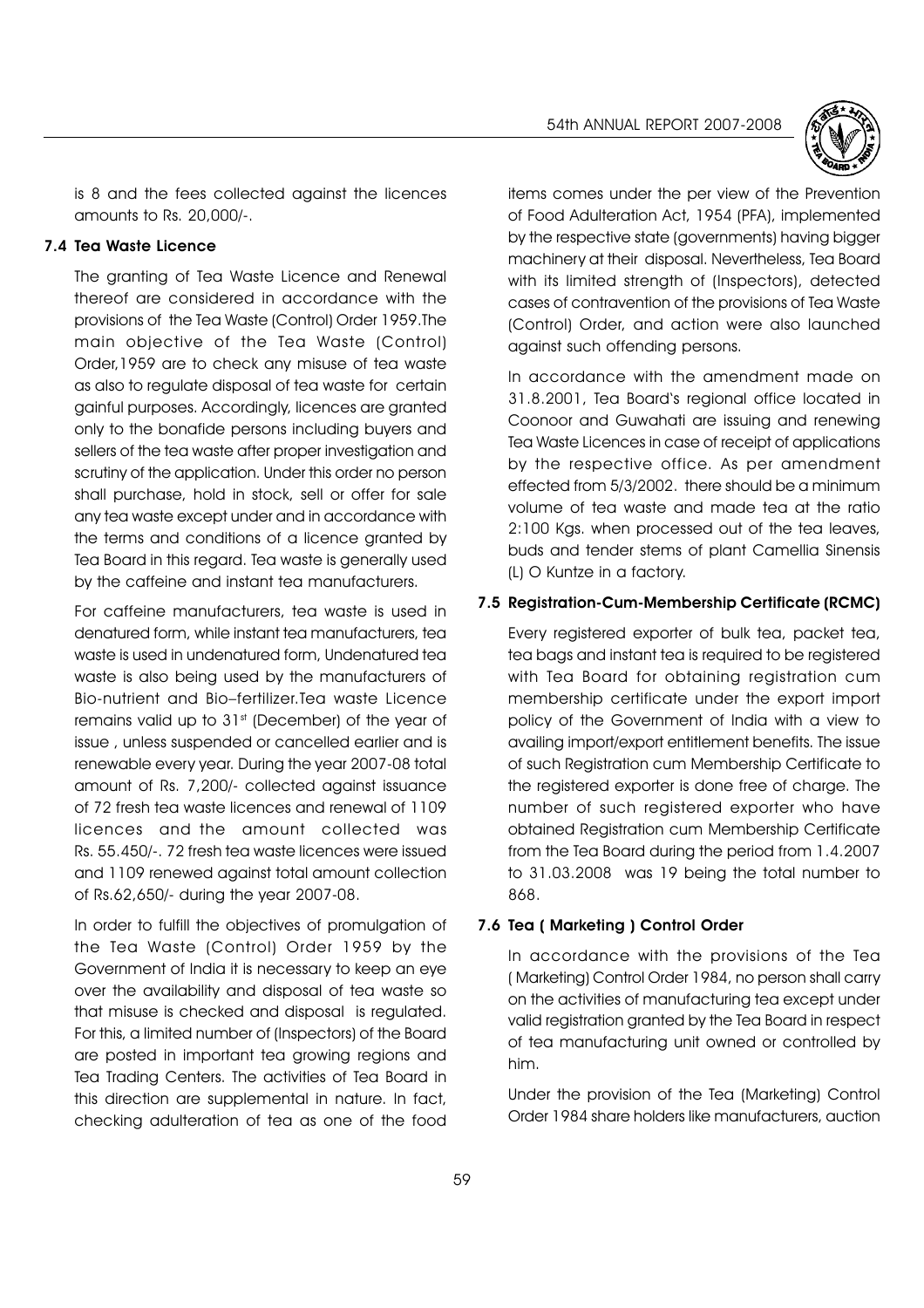

is 8 and the fees collected against the licences amounts to Rs. 20,000/-.

# **7.4 Tea Waste Licence**

The granting of Tea Waste Licence and Renewal thereof are considered in accordance with the provisions of the Tea Waste (Control) Order 1959.The main objective of the Tea Waste (Control) Order,1959 are to check any misuse of tea waste as also to regulate disposal of tea waste for certain gainful purposes. Accordingly, licences are granted only to the bonafide persons including buyers and sellers of the tea waste after proper investigation and scrutiny of the application. Under this order no person shall purchase, hold in stock, sell or offer for sale any tea waste except under and in accordance with the terms and conditions of a licence granted by Tea Board in this regard. Tea waste is generally used by the caffeine and instant tea manufacturers.

For caffeine manufacturers, tea waste is used in denatured form, while instant tea manufacturers, tea waste is used in undenatured form, Undenatured tea waste is also being used by the manufacturers of Bio-nutrient and Bio–fertilizer.Tea waste Licence remains valid up to 31<sup>st</sup> (December) of the year of issue , unless suspended or cancelled earlier and is renewable every year. During the year 2007-08 total amount of Rs. 7,200/- collected against issuance of 72 fresh tea waste licences and renewal of 1109 licences and the amount collected was Rs. 55.450/-. 72 fresh tea waste licences were issued and 1109 renewed against total amount collection of Rs.62,650/- during the year 2007-08.

In order to fulfill the objectives of promulgation of the Tea Waste (Control) Order 1959 by the Government of India it is necessary to keep an eye over the availability and disposal of tea waste so that misuse is checked and disposal is regulated. For this, a limited number of (Inspectors) of the Board are posted in important tea growing regions and Tea Trading Centers. The activities of Tea Board in this direction are supplemental in nature. In fact, checking adulteration of tea as one of the food

items comes under the per view of the Prevention of Food Adulteration Act, 1954 (PFA), implemented by the respective state (governments) having bigger machinery at their disposal. Nevertheless, Tea Board with its limited strength of (Inspectors), detected cases of contravention of the provisions of Tea Waste (Control) Order, and action were also launched against such offending persons.

In accordance with the amendment made on 31.8.2001, Tea Board's regional office located in Coonoor and Guwahati are issuing and renewing Tea Waste Licences in case of receipt of applications by the respective office. As per amendment effected from 5/3/2002. there should be a minimum volume of tea waste and made tea at the ratio 2:100 Kgs. when processed out of the tea leaves, buds and tender stems of plant Camellia Sinensis (L) O Kuntze in a factory.

# **7.5 Registration-Cum-Membership Certificate (RCMC)**

Every registered exporter of bulk tea, packet tea, tea bags and instant tea is required to be registered with Tea Board for obtaining registration cum membership certificate under the export import policy of the Government of India with a view to availing import/export entitlement benefits. The issue of such Registration cum Membership Certificate to the registered exporter is done free of charge. The number of such registered exporter who have obtained Registration cum Membership Certificate from the Tea Board during the period from 1.4.2007 to 31.03.2008 was 19 being the total number to 868.

## **7.6 Tea ( Marketing ) Control Order**

In accordance with the provisions of the Tea ( Marketing) Control Order 1984, no person shall carry on the activities of manufacturing tea except under valid registration granted by the Tea Board in respect of tea manufacturing unit owned or controlled by him.

Under the provision of the Tea (Marketing) Control Order 1984 share holders like manufacturers, auction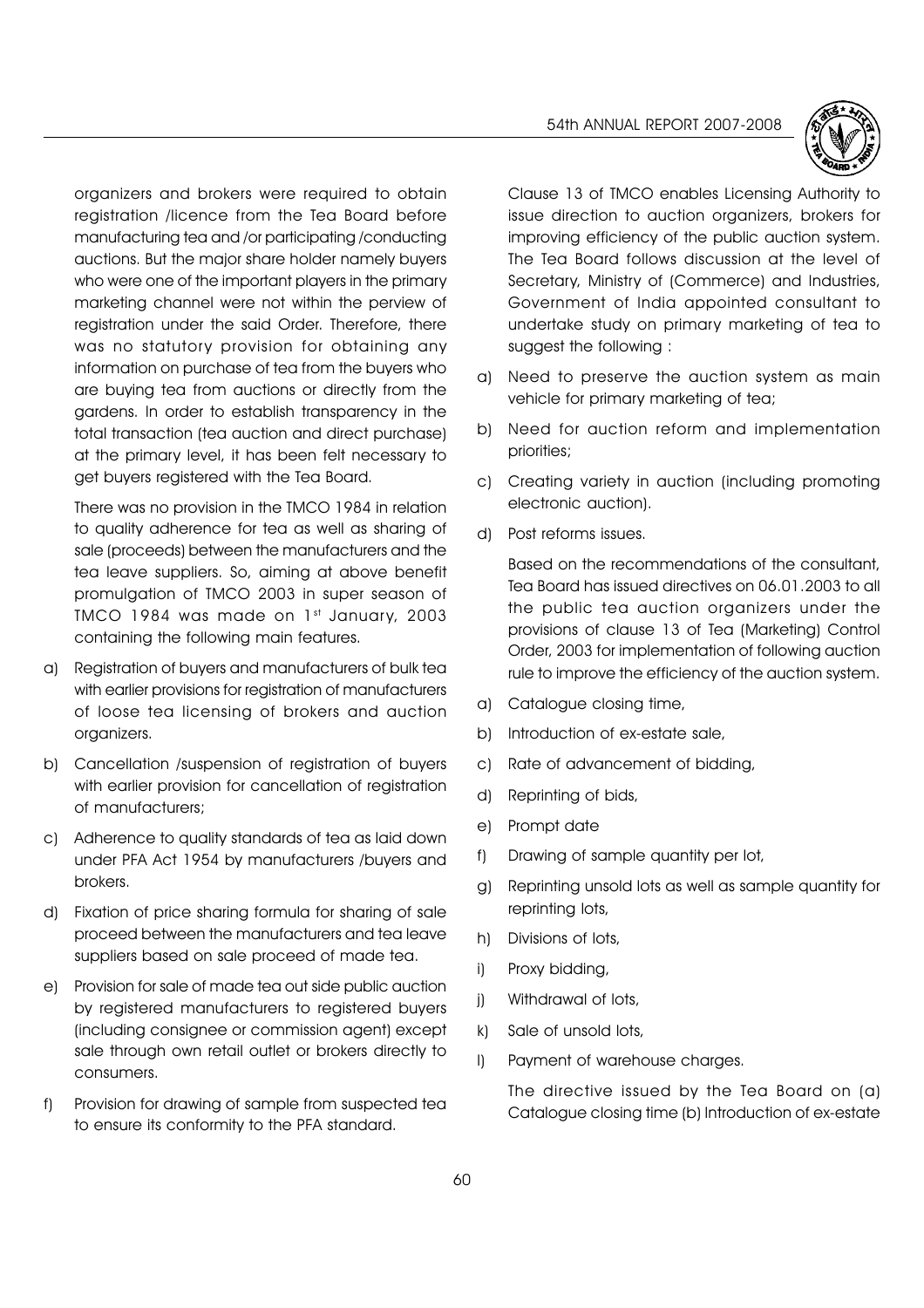

organizers and brokers were required to obtain registration /licence from the Tea Board before manufacturing tea and /or participating /conducting auctions. But the major share holder namely buyers who were one of the important players in the primary marketing channel were not within the perview of registration under the said Order. Therefore, there was no statutory provision for obtaining any information on purchase of tea from the buyers who are buying tea from auctions or directly from the gardens. In order to establish transparency in the total transaction (tea auction and direct purchase) at the primary level, it has been felt necessary to get buyers registered with the Tea Board.

There was no provision in the TMCO 1984 in relation to quality adherence for tea as well as sharing of sale (proceeds) between the manufacturers and the tea leave suppliers. So, aiming at above benefit promulgation of TMCO 2003 in super season of TMCO 1984 was made on  $1<sup>st</sup>$  January, 2003 containing the following main features.

- a) Registration of buyers and manufacturers of bulk tea with earlier provisions for registration of manufacturers of loose tea licensing of brokers and auction organizers.
- b) Cancellation /suspension of registration of buyers with earlier provision for cancellation of registration of manufacturers;
- c) Adherence to quality standards of tea as laid down under PFA Act 1954 by manufacturers /buyers and brokers.
- d) Fixation of price sharing formula for sharing of sale proceed between the manufacturers and tea leave suppliers based on sale proceed of made tea.
- e) Provision for sale of made tea out side public auction by registered manufacturers to registered buyers (including consignee or commission agent) except sale through own retail outlet or brokers directly to consumers.
- f) Provision for drawing of sample from suspected tea to ensure its conformity to the PFA standard.

Clause 13 of TMCO enables Licensing Authority to issue direction to auction organizers, brokers for improving efficiency of the public auction system. The Tea Board follows discussion at the level of Secretary, Ministry of (Commerce) and Industries, Government of India appointed consultant to undertake study on primary marketing of tea to suggest the following :

- a) Need to preserve the auction system as main vehicle for primary marketing of tea;
- b) Need for auction reform and implementation priorities;
- c) Creating variety in auction (including promoting electronic auction).
- d) Post reforms issues.

Based on the recommendations of the consultant, Tea Board has issued directives on 06.01.2003 to all the public tea auction organizers under the provisions of clause 13 of Tea (Marketing) Control Order, 2003 for implementation of following auction rule to improve the efficiency of the auction system.

- a) Catalogue closing time,
- b) Introduction of ex-estate sale,
- c) Rate of advancement of bidding,
- d) Reprinting of bids,
- e) Prompt date
- f) Drawing of sample quantity per lot,
- g) Reprinting unsold lots as well as sample quantity for reprinting lots,
- h) Divisions of lots,
- i) Proxy bidding,
- j) Withdrawal of lots,
- k) Sale of unsold lots,
- l) Payment of warehouse charges.

The directive issued by the Tea Board on (a) Catalogue closing time (b) Introduction of ex-estate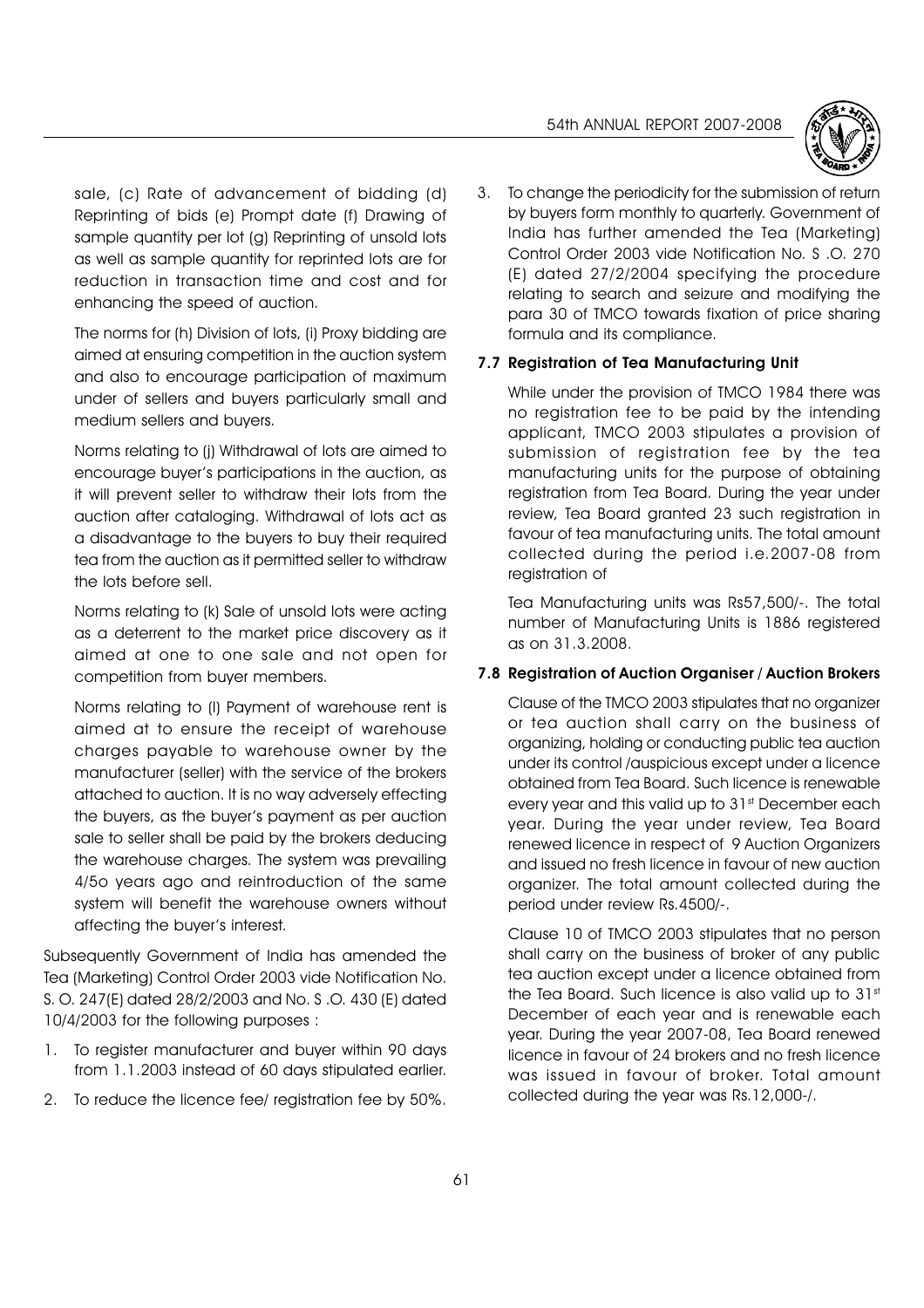

sale, (c) Rate of advancement of bidding (d) Reprinting of bids (e) Prompt date (f) Drawing of sample quantity per lot (g) Reprinting of unsold lots as well as sample quantity for reprinted lots are for reduction in transaction time and cost and for enhancing the speed of auction.

The norms for (h) Division of lots, (i) Proxy bidding are aimed at ensuring competition in the auction system and also to encourage participation of maximum under of sellers and buyers particularly small and medium sellers and buyers.

Norms relating to (j) Withdrawal of lots are aimed to encourage buyer's participations in the auction, as it will prevent seller to withdraw their lots from the auction after cataloging. Withdrawal of lots act as a disadvantage to the buyers to buy their required tea from the auction as it permitted seller to withdraw the lots before sell.

Norms relating to (k) Sale of unsold lots were acting as a deterrent to the market price discovery as it aimed at one to one sale and not open for competition from buyer members.

Norms relating to (l) Payment of warehouse rent is aimed at to ensure the receipt of warehouse charges payable to warehouse owner by the manufacturer (seller) with the service of the brokers attached to auction. It is no way adversely effecting the buyers, as the buyer's payment as per auction sale to seller shall be paid by the brokers deducing the warehouse charges. The system was prevailing 4/5o years ago and reintroduction of the same system will benefit the warehouse owners without affecting the buyer's interest.

Subsequently Government of India has amended the Tea (Marketing) Control Order 2003 vide Notification No. S. O. 247(E) dated 28/2/2003 and No. S .O. 430 (E) dated 10/4/2003 for the following purposes :

- 1. To register manufacturer and buyer within 90 days from 1.1.2003 instead of 60 days stipulated earlier.
- 2. To reduce the licence fee/ registration fee by 50%.

3. To change the periodicity for the submission of return by buyers form monthly to quarterly. Government of India has further amended the Tea (Marketing) Control Order 2003 vide Notification No. S .O. 270 (E) dated 27/2/2004 specifying the procedure relating to search and seizure and modifying the para 30 of TMCO towards fixation of price sharing formula and its compliance.

## **7.7 Registration of Tea Manufacturing Unit**

While under the provision of TMCO 1984 there was no registration fee to be paid by the intending applicant, TMCO 2003 stipulates a provision of submission of registration fee by the tea manufacturing units for the purpose of obtaining registration from Tea Board. During the year under review, Tea Board granted 23 such registration in favour of tea manufacturing units. The total amount collected during the period i.e.2007-08 from reaistration of

Tea Manufacturing units was Rs57,500/-. The total number of Manufacturing Units is 1886 registered as on 31.3.2008.

### **7.8 Registration of Auction Organiser / Auction Brokers**

Clause of the TMCO 2003 stipulates that no organizer or tea auction shall carry on the business of organizing, holding or conducting public tea auction under its control /auspicious except under a licence obtained from Tea Board. Such licence is renewable every year and this valid up to 31st December each year. During the year under review, Tea Board renewed licence in respect of 9 Auction Organizers and issued no fresh licence in favour of new auction organizer. The total amount collected during the period under review Rs.4500/-.

Clause 10 of TMCO 2003 stipulates that no person shall carry on the business of broker of any public tea auction except under a licence obtained from the Tea Board. Such licence is also valid up to  $31<sup>st</sup>$ December of each year and is renewable each year. During the year 2007-08, Tea Board renewed licence in favour of 24 brokers and no fresh licence was issued in favour of broker. Total amount collected during the year was Rs.12,000-/.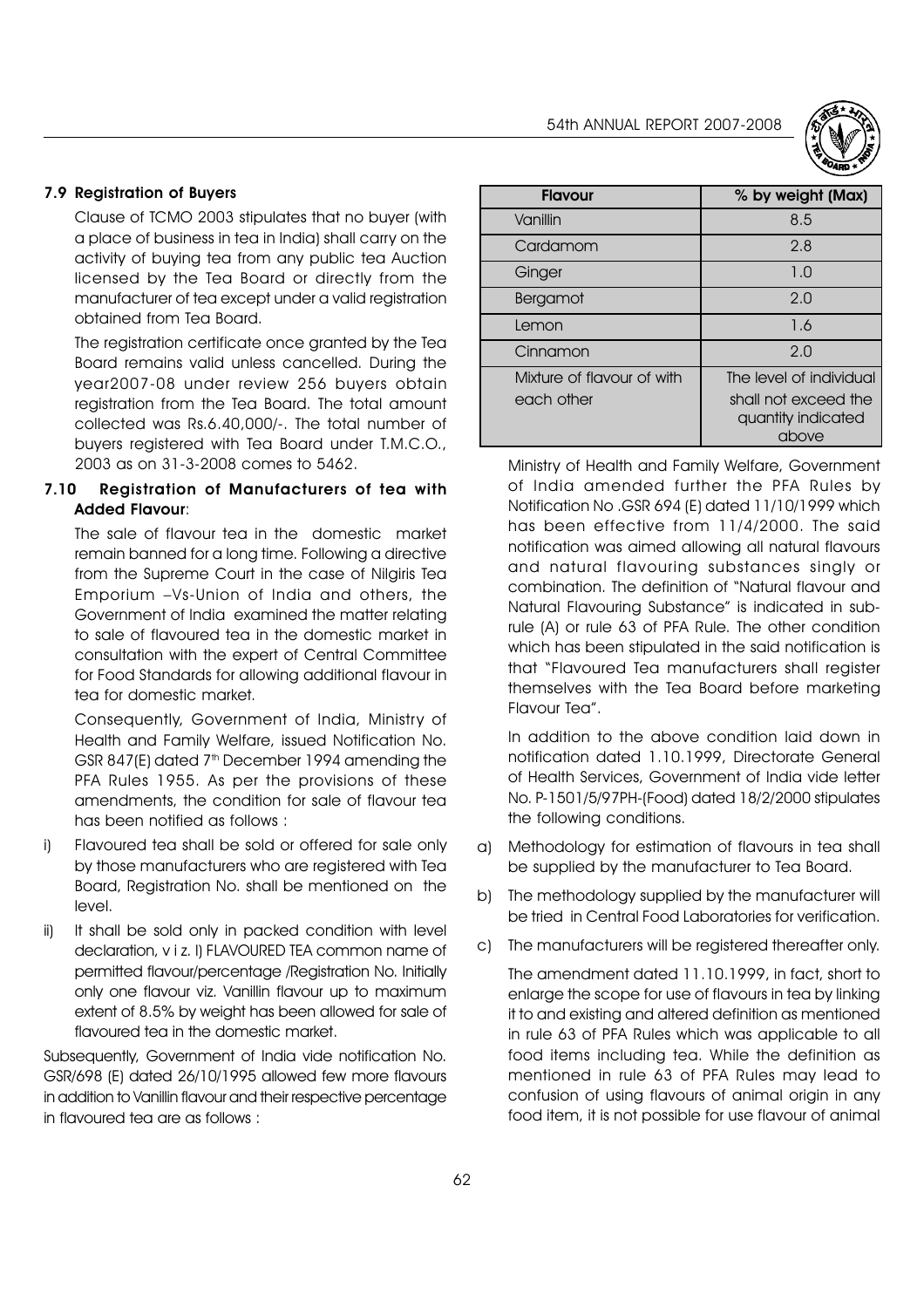54th ANNUAL REPORT 2007-2008



## **7.9 Registration of Buyers**

Clause of TCMO 2003 stipulates that no buyer (with a place of business in tea in India) shall carry on the activity of buying tea from any public tea Auction licensed by the Tea Board or directly from the manufacturer of tea except under a valid registration obtained from Tea Board.

The registration certificate once granted by the Tea Board remains valid unless cancelled. During the year2007-08 under review 256 buyers obtain registration from the Tea Board. The total amount collected was Rs.6.40,000/-. The total number of buyers registered with Tea Board under T.M.C.O., 2003 as on 31-3-2008 comes to 5462.

## **7.10 Registration of Manufacturers of tea with Added Flavour**:

The sale of flavour tea in the domestic market remain banned for a long time. Following a directive from the Supreme Court in the case of Nilgiris Tea Emporium –Vs-Union of India and others, the Government of India examined the matter relating to sale of flavoured tea in the domestic market in consultation with the expert of Central Committee for Food Standards for allowing additional flavour in tea for domestic market.

Consequently, Government of India, Ministry of Health and Family Welfare, issued Notification No. GSR 847(E) dated 7<sup>th</sup> December 1994 amending the PFA Rules 1955. As per the provisions of these amendments, the condition for sale of flavour tea has been notified as follows :

- i) Flavoured tea shall be sold or offered for sale only by those manufacturers who are registered with Tea Board, Registration No. shall be mentioned on the level.
- ii) It shall be sold only in packed condition with level declaration, v i z. I) FLAVOURED TEA common name of permitted flavour/percentage /Registration No. Initially only one flavour viz. Vanillin flavour up to maximum extent of 8.5% by weight has been allowed for sale of flavoured tea in the domestic market.

Subsequently, Government of India vide notification No. GSR/698 (E) dated 26/10/1995 allowed few more flavours in addition to Vanillin flavour and their respective percentage in flavoured tea are as follows :

| <b>Flavour</b>                           | % by weight (Max)                                                              |
|------------------------------------------|--------------------------------------------------------------------------------|
| Vanillin                                 | 8.5                                                                            |
| Cardamom                                 | 2.8                                                                            |
| Ginger                                   | 1.0                                                                            |
| Bergamot                                 | 2.0                                                                            |
| <b>lemon</b>                             | 1.6                                                                            |
| Cinnamon                                 | 2.0                                                                            |
| Mixture of flavour of with<br>each other | The level of individual<br>shall not exceed the<br>quantity indicated<br>above |

Ministry of Health and Family Welfare, Government of India amended further the PFA Rules by Notification No .GSR 694 (E) dated 11/10/1999 which has been effective from 11/4/2000. The said notification was aimed allowing all natural flavours and natural flavouring substances singly or combination. The definition of "Natural flavour and Natural Flavouring Substance" is indicated in subrule (A) or rule 63 of PFA Rule. The other condition which has been stipulated in the said notification is that "Flavoured Tea manufacturers shall register themselves with the Tea Board before marketing Flavour Tea".

In addition to the above condition laid down in notification dated 1.10.1999, Directorate General of Health Services, Government of India vide letter No. P-1501/5/97PH-(Food) dated 18/2/2000 stipulates the following conditions.

- a) Methodology for estimation of flavours in tea shall be supplied by the manufacturer to Tea Board.
- b) The methodology supplied by the manufacturer will be tried in Central Food Laboratories for verification.
- c) The manufacturers will be registered thereafter only.

The amendment dated 11.10.1999, in fact, short to enlarge the scope for use of flavours in tea by linking it to and existing and altered definition as mentioned in rule 63 of PFA Rules which was applicable to all food items including tea. While the definition as mentioned in rule 63 of PFA Rules may lead to confusion of using flavours of animal origin in any food item, it is not possible for use flavour of animal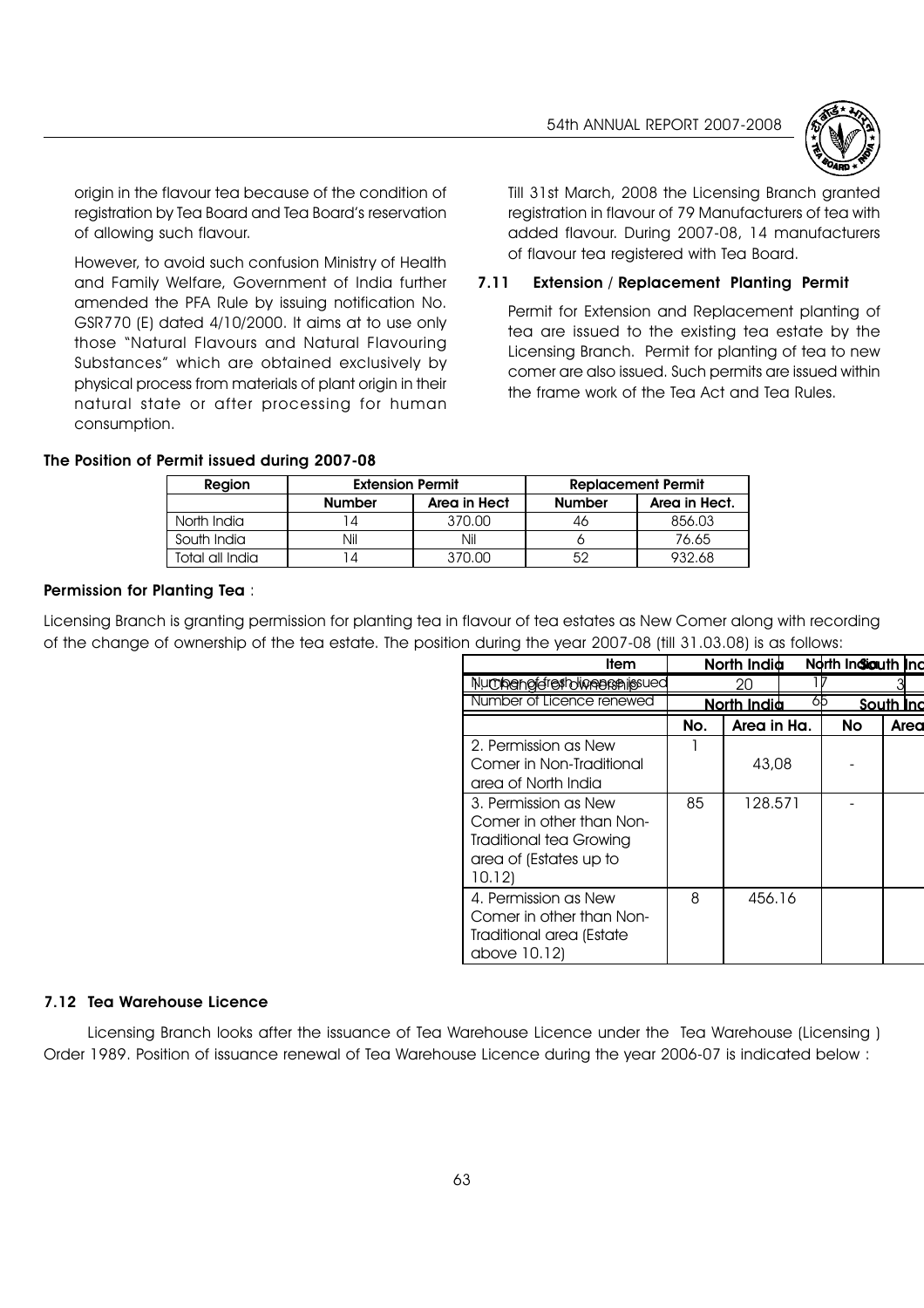

origin in the flavour tea because of the condition of registration by Tea Board and Tea Board's reservation of allowing such flavour.

However, to avoid such confusion Ministry of Health and Family Welfare, Government of India further amended the PFA Rule by issuing notification No. GSR770 (E) dated 4/10/2000. It aims at to use only those "Natural Flavours and Natural Flavouring Substances" which are obtained exclusively by physical process from materials of plant origin in their natural state or after processing for human consumption.

Till 31st March, 2008 the Licensing Branch granted registration in flavour of 79 Manufacturers of tea with added flavour. During 2007-08, 14 manufacturers of flavour tea registered with Tea Board.

#### **7.11 Extension / Replacement Planting Permit**

Permit for Extension and Replacement planting of tea are issued to the existing tea estate by the Licensing Branch. Permit for planting of tea to new comer are also issued. Such permits are issued within the frame work of the Tea Act and Tea Rules.

#### **The Position of Permit issued during 2007-08**

| Region          | <b>Extension Permit</b> |              | <b>Replacement Permit</b> |               |
|-----------------|-------------------------|--------------|---------------------------|---------------|
|                 | <b>Number</b>           | Area in Hect | <b>Number</b>             | Area in Hect. |
| North India     |                         | 370.00       | 46                        | 856.03        |
| South India     | Nil                     | Nil          |                           | 76.65         |
| Total all India |                         | 370.00       |                           | 932.68        |

### **Permission for Planting Tea** :

Licensing Branch is granting permission for planting tea in flavour of tea estates as New Comer along with recording of the change of ownership of the tea estate. The position during the year 2007-08 (till 31.03.08) is as follows:

| Item                                                                                                           |     | North India |    | North Indiauth Ind |             |  |
|----------------------------------------------------------------------------------------------------------------|-----|-------------|----|--------------------|-------------|--|
| Numbeneferestolionense ijssued                                                                                 |     | 20          |    |                    |             |  |
| Number of Licence renewed                                                                                      |     | North India | Λh |                    | South Ind   |  |
|                                                                                                                | No. | Area in Ha. |    | <b>No</b>          | <b>Area</b> |  |
| 2. Permission as New<br>Comer in Non-Traditional<br>area of North India                                        |     | 43,08       |    |                    |             |  |
| 3. Permission as New<br>Comer in other than Non-<br>Traditional tea Growing<br>area of (Estates up to<br>10.12 | 85  | 128.571     |    |                    |             |  |
| 4. Permission as New<br>Comer in other than Non-<br>Traditional area (Estate<br>above 10.12)                   | 8   | 456.16      |    |                    |             |  |

#### **7.12 Tea Warehouse Licence**

Licensing Branch looks after the issuance of Tea Warehouse Licence under the Tea Warehouse (Licensing ) Order 1989. Position of issuance renewal of Tea Warehouse Licence during the year 2006-07 is indicated below :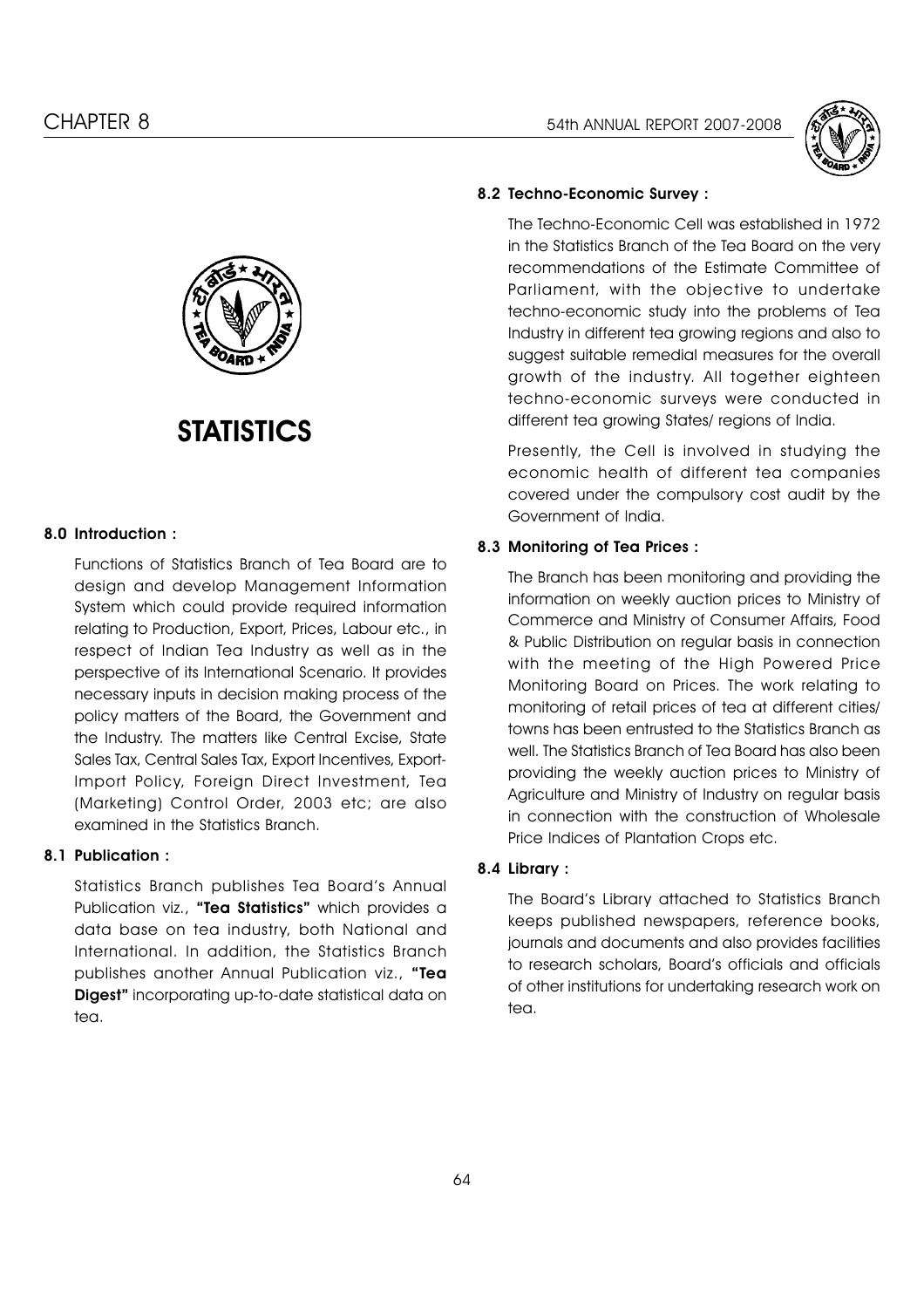



# **STATISTICS**

# **8.0 Introduction :**

Functions of Statistics Branch of Tea Board are to design and develop Management Information System which could provide required information relating to Production, Export, Prices, Labour etc., in respect of Indian Tea Industry as well as in the perspective of its International Scenario. It provides necessary inputs in decision making process of the policy matters of the Board, the Government and the Industry. The matters like Central Excise, State Sales Tax, Central Sales Tax, Export Incentives, Export-Import Policy, Foreign Direct Investment, Tea (Marketing) Control Order, 2003 etc; are also examined in the Statistics Branch.

# **8.1 Publication :**

Statistics Branch publishes Tea Board's Annual Publication viz., **"Tea Statistics"** which provides a data base on tea industry, both National and International. In addition, the Statistics Branch publishes another Annual Publication viz., **"Tea Digest"** incorporating up-to-date statistical data on tea.

## **8.2 Techno-Economic Survey :**

The Techno-Economic Cell was established in 1972 in the Statistics Branch of the Tea Board on the very recommendations of the Estimate Committee of Parliament, with the objective to undertake techno-economic study into the problems of Tea Industry in different tea growing regions and also to suggest suitable remedial measures for the overall growth of the industry. All together eighteen techno-economic surveys were conducted in different tea growing States/ regions of India.

Presently, the Cell is involved in studying the economic health of different tea companies covered under the compulsory cost audit by the Government of India.

# **8.3 Monitoring of Tea Prices :**

The Branch has been monitoring and providing the information on weekly auction prices to Ministry of Commerce and Ministry of Consumer Affairs, Food & Public Distribution on regular basis in connection with the meeting of the High Powered Price Monitoring Board on Prices. The work relating to monitoring of retail prices of tea at different cities/ towns has been entrusted to the Statistics Branch as well. The Statistics Branch of Tea Board has also been providing the weekly auction prices to Ministry of Agriculture and Ministry of Industry on regular basis in connection with the construction of Wholesale Price Indices of Plantation Crops etc.

# **8.4 Library :**

The Board's Library attached to Statistics Branch keeps published newspapers, reference books, journals and documents and also provides facilities to research scholars, Board's officials and officials of other institutions for undertaking research work on tea.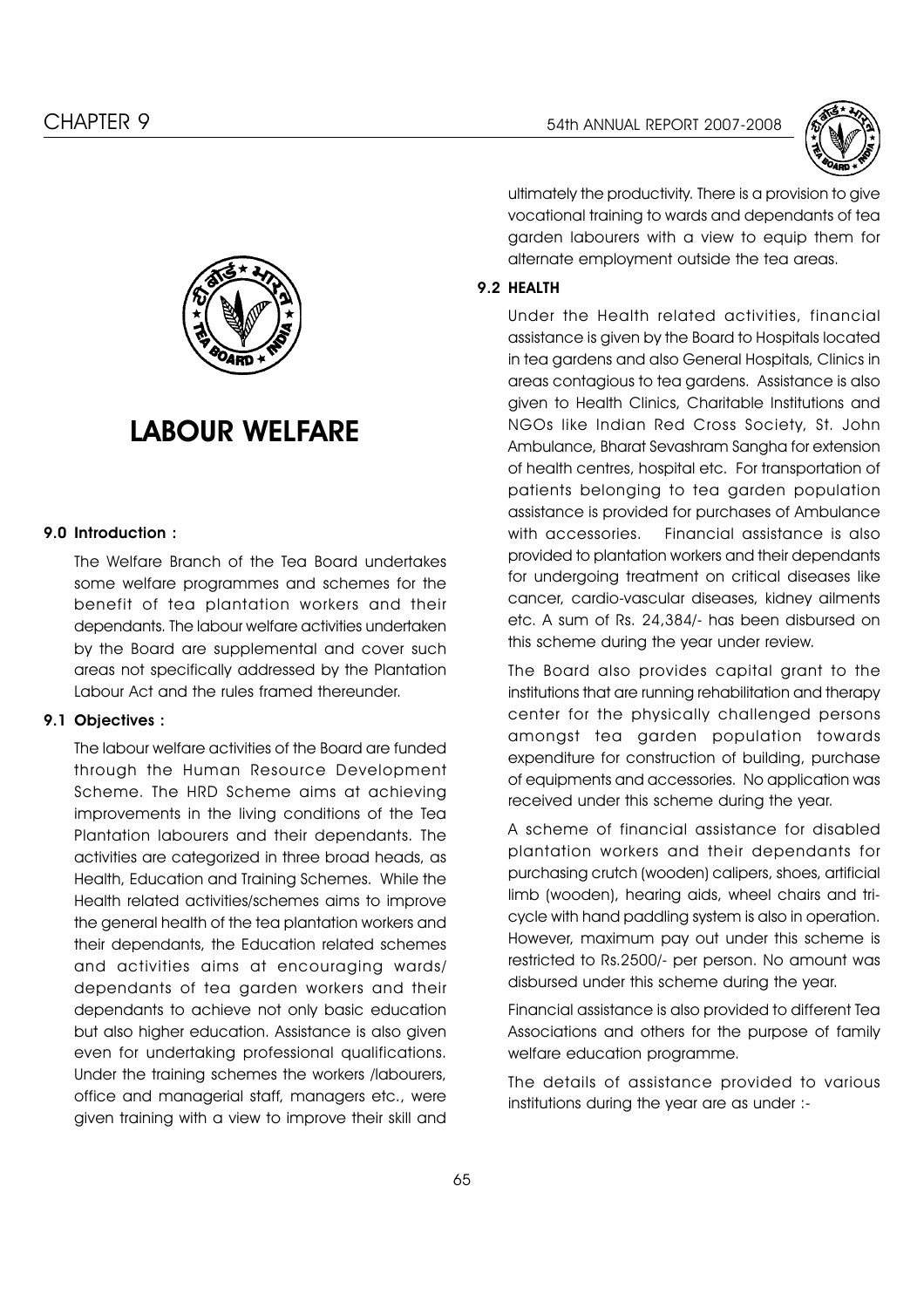

# **LABOUR WELFARE**

## **9.0 Introduction :**

The Welfare Branch of the Tea Board undertakes some welfare programmes and schemes for the benefit of tea plantation workers and their dependants. The labour welfare activities undertaken by the Board are supplemental and cover such areas not specifically addressed by the Plantation Labour Act and the rules framed thereunder.

## **9.1 Objectives :**

The labour welfare activities of the Board are funded through the Human Resource Development Scheme. The HRD Scheme aims at achieving improvements in the living conditions of the Tea Plantation labourers and their dependants. The activities are categorized in three broad heads, as Health, Education and Training Schemes. While the Health related activities/schemes aims to improve the general health of the tea plantation workers and their dependants, the Education related schemes and activities aims at encouraging wards/ dependants of tea garden workers and their dependants to achieve not only basic education but also higher education. Assistance is also given even for undertaking professional qualifications. Under the training schemes the workers /labourers, office and managerial staff, managers etc., were given training with a view to improve their skill and

ultimately the productivity. There is a provision to give vocational training to wards and dependants of tea garden labourers with a view to equip them for alternate employment outside the tea areas.

# **9.2 HEALTH**

Under the Health related activities, financial assistance is given by the Board to Hospitals located in tea gardens and also General Hospitals, Clinics in areas contagious to tea gardens. Assistance is also given to Health Clinics, Charitable Institutions and NGOs like Indian Red Cross Society, St. John Ambulance, Bharat Sevashram Sangha for extension of health centres, hospital etc. For transportation of patients belonging to tea garden population assistance is provided for purchases of Ambulance with accessories. Financial assistance is also provided to plantation workers and their dependants for undergoing treatment on critical diseases like cancer, cardio-vascular diseases, kidney ailments etc. A sum of Rs. 24,384/- has been disbursed on this scheme during the year under review.

The Board also provides capital grant to the institutions that are running rehabilitation and therapy center for the physically challenged persons amongst tea garden population towards expenditure for construction of building, purchase of equipments and accessories. No application was received under this scheme during the year.

A scheme of financial assistance for disabled plantation workers and their dependants for purchasing crutch (wooden) calipers, shoes, artificial limb (wooden), hearing aids, wheel chairs and tricycle with hand paddling system is also in operation. However, maximum pay out under this scheme is restricted to Rs.2500/- per person. No amount was disbursed under this scheme during the year.

Financial assistance is also provided to different Tea Associations and others for the purpose of family welfare education programme.

The details of assistance provided to various institutions during the year are as under :-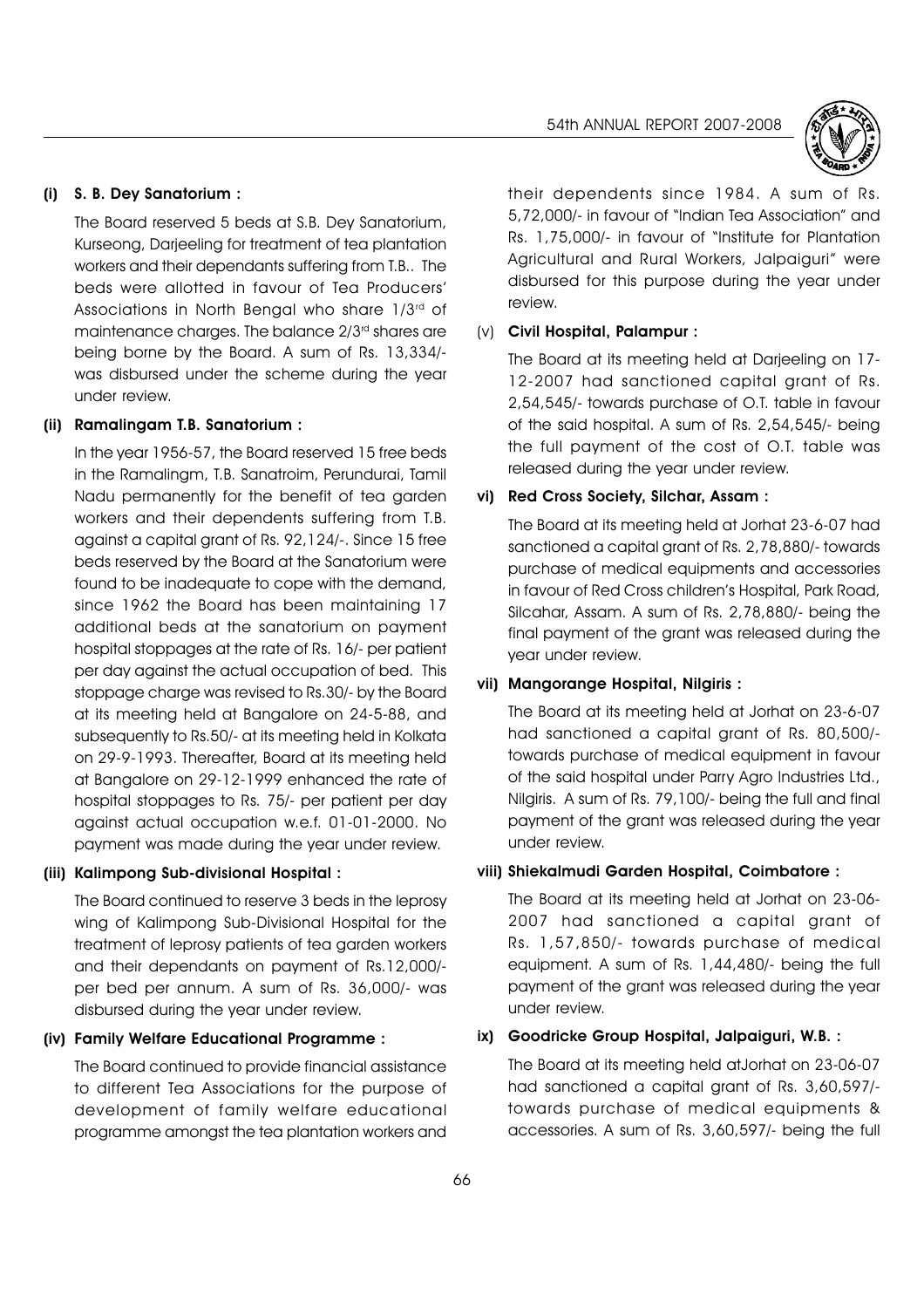

## **(i) S. B. Dey Sanatorium :**

The Board reserved 5 beds at S.B. Dey Sanatorium, Kurseong, Darjeeling for treatment of tea plantation workers and their dependants suffering from T.B.. The beds were allotted in favour of Tea Producers' Associations in North Bengal who share 1/3rd of maintenance charges. The balance 2/3<sup>rd</sup> shares are being borne by the Board. A sum of Rs. 13,334/ was disbursed under the scheme during the year under review.

#### **(ii) Ramalingam T.B. Sanatorium :**

In the year 1956-57, the Board reserved 15 free beds in the Ramalingm, T.B. Sanatroim, Perundurai, Tamil Nadu permanently for the benefit of tea garden workers and their dependents suffering from T.B. against a capital grant of Rs. 92,124/-. Since 15 free beds reserved by the Board at the Sanatorium were found to be inadequate to cope with the demand, since 1962 the Board has been maintaining 17 additional beds at the sanatorium on payment hospital stoppages at the rate of Rs. 16/- per patient per day against the actual occupation of bed. This stoppage charge was revised to Rs.30/- by the Board at its meeting held at Bangalore on 24-5-88, and subsequently to Rs.50/- at its meeting held in Kolkata on 29-9-1993. Thereafter, Board at its meeting held at Bangalore on 29-12-1999 enhanced the rate of hospital stoppages to Rs. 75/- per patient per day against actual occupation w.e.f. 01-01-2000. No payment was made during the year under review.

## **(iii) Kalimpong Sub-divisional Hospital :**

The Board continued to reserve 3 beds in the leprosy wing of Kalimpong Sub-Divisional Hospital for the treatment of leprosy patients of tea garden workers and their dependants on payment of Rs.12,000/ per bed per annum. A sum of Rs. 36,000/- was disbursed during the year under review.

# **(iv) Family Welfare Educational Programme :**

The Board continued to provide financial assistance to different Tea Associations for the purpose of development of family welfare educational programme amongst the tea plantation workers and

their dependents since 1984. A sum of Rs. 5,72,000/- in favour of "Indian Tea Association" and Rs. 1,75,000/- in favour of "Institute for Plantation Agricultural and Rural Workers, Jalpaiguri" were disbursed for this purpose during the year under review.

## (v) **Civil Hospital, Palampur :**

The Board at its meeting held at Darjeeling on 17- 12-2007 had sanctioned capital grant of Rs. 2,54,545/- towards purchase of O.T. table in favour of the said hospital. A sum of Rs. 2,54,545/- being the full payment of the cost of O.T. table was released during the year under review.

#### **vi) Red Cross Society, Silchar, Assam :**

The Board at its meeting held at Jorhat 23-6-07 had sanctioned a capital grant of Rs. 2,78,880/- towards purchase of medical equipments and accessories in favour of Red Cross children's Hospital, Park Road, Silcahar, Assam. A sum of Rs. 2,78,880/- being the final payment of the grant was released during the year under review.

#### **vii) Mangorange Hospital, Nilgiris :**

The Board at its meeting held at Jorhat on 23-6-07 had sanctioned a capital grant of Rs. 80,500/ towards purchase of medical equipment in favour of the said hospital under Parry Agro Industries Ltd., Nilgiris. A sum of Rs. 79,100/- being the full and final payment of the grant was released during the year under review.

#### **viii) Shiekalmudi Garden Hospital, Coimbatore :**

The Board at its meeting held at Jorhat on 23-06- 2007 had sanctioned a capital grant of Rs. 1,57,850/- towards purchase of medical equipment. A sum of Rs. 1,44,480/- being the full payment of the grant was released during the year under review.

#### **ix) Goodricke Group Hospital, Jalpaiguri, W.B. :**

The Board at its meeting held atJorhat on 23-06-07 had sanctioned a capital grant of Rs. 3,60,597/ towards purchase of medical equipments & accessories. A sum of Rs. 3,60,597/- being the full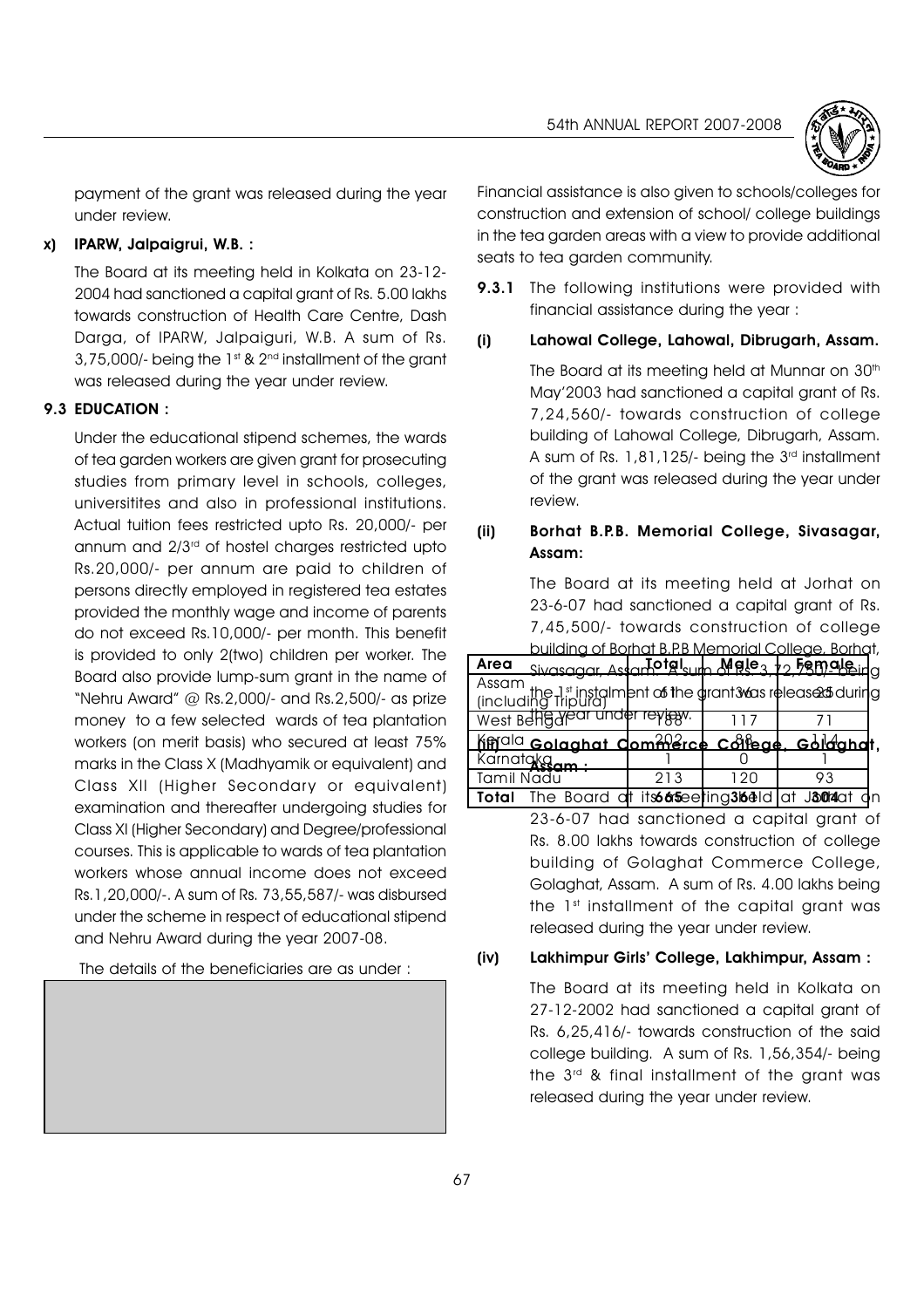

payment of the grant was released during the year under review.

# **x) IPARW, Jalpaigrui, W.B. :**

The Board at its meeting held in Kolkata on 23-12- 2004 had sanctioned a capital grant of Rs. 5.00 lakhs towards construction of Health Care Centre, Dash Darga, of IPARW, Jalpaiguri, W.B. A sum of Rs. 3,75,000/- being the  $1<sup>st</sup>$  &  $2<sup>nd</sup>$  installment of the grant was released during the year under review.

## **9.3 EDUCATION :**

Under the educational stipend schemes, the wards of tea garden workers are given grant for prosecuting studies from primary level in schools, colleges, universitites and also in professional institutions. Actual tuition fees restricted upto Rs. 20,000/- per annum and 2/3<sup>rd</sup> of hostel charges restricted upto Rs.20,000/- per annum are paid to children of persons directly employed in registered tea estates provided the monthly wage and income of parents do not exceed Rs.10,000/- per month. This benefit is provided to only 2(two) children per worker. The Board also provide lump-sum grant in the name of "Nehru Award" @ Rs.2,000/- and Rs.2,500/- as prize money to a few selected wards of tea plantation workers (on merit basis) who secured at least 75% marks in the Class X (Madhyamik or equivalent) and Class XII (Higher Secondary or equivalent) examination and thereafter undergoing studies for Class XI (Higher Secondary) and Degree/professional courses. This is applicable to wards of tea plantation workers whose annual income does not exceed Rs.1,20,000/-. A sum of Rs. 73,55,587/- was disbursed under the scheme in respect of educational stipend and Nehru Award during the year 2007-08.

The details of the beneficiaries are as under :

Financial assistance is also given to schools/colleges for construction and extension of school/ college buildings in the tea garden areas with a view to provide additional seats to tea garden community.

**9.3.1** The following institutions were provided with financial assistance during the year :

## **(i) Lahowal College, Lahowal, Dibrugarh, Assam.**

The Board at its meeting held at Munnar on 30<sup>th</sup> May'2003 had sanctioned a capital grant of Rs. 7,24,560/- towards construction of college building of Lahowal College, Dibrugarh, Assam. A sum of Rs.  $1.81.125/-$  being the  $3<sup>rd</sup>$  installment of the grant was released during the year under review.

# **(ii) Borhat B.P.B. Memorial College, Sivasagar, Assam:**

**Area** Sivasagar, Assamotal um Males, 72,550,916 ing Assam Assam, the 1st instalment of the grant was released during<br>(including Tripura) west Bengalear under review. 117 117 11 Kerala 202 88 114 **(iii) Golaghat Commerce College, Golaghat,** Karnataka 1 0 1 **Assam :** Tamil Nadu 1 213 | 120 | 93 **Total** The Board at its 65eeting 3641d at J304at on The Board at its meeting held at Jorhat on 23-6-07 had sanctioned a capital grant of Rs. 7,45,500/- towards construction of college building of Borhat B.P.B Memorial College, Borhat,

23-6-07 had sanctioned a capital grant of Rs. 8.00 lakhs towards construction of college building of Golaghat Commerce College, Golaghat, Assam. A sum of Rs. 4.00 lakhs being the  $1<sup>st</sup>$  installment of the capital grant was released during the year under review.

# **(iv) Lakhimpur Girls' College, Lakhimpur, Assam :**

The Board at its meeting held in Kolkata on 27-12-2002 had sanctioned a capital grant of Rs. 6,25,416/- towards construction of the said college building. A sum of Rs. 1,56,354/- being the  $3<sup>rd</sup>$  & final installment of the grant was released during the year under review.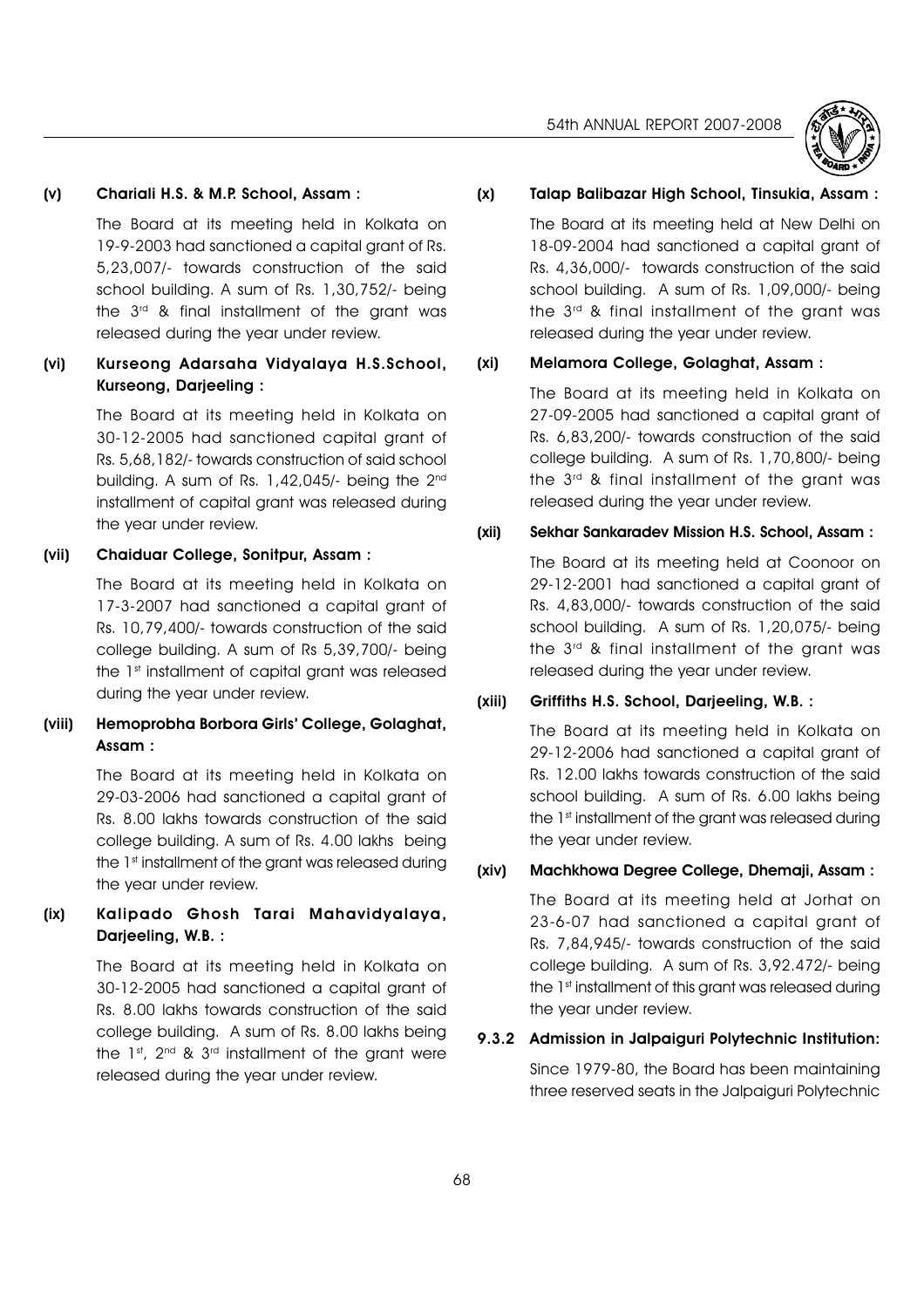

## **(v) Chariali H.S. & M.P. School, Assam :**

The Board at its meeting held in Kolkata on 19-9-2003 had sanctioned a capital grant of Rs. 5,23,007/- towards construction of the said school building. A sum of Rs. 1,30,752/- being the  $3<sup>rd</sup>$  & final installment of the grant was released during the year under review.

# **(vi) Kurseong Adarsaha Vidyalaya H.S.School, Kurseong, Darjeeling :**

The Board at its meeting held in Kolkata on 30-12-2005 had sanctioned capital grant of Rs. 5,68,182/- towards construction of said school building. A sum of Rs. 1,42,045/- being the 2nd installment of capital grant was released during the year under review.

## **(vii) Chaiduar College, Sonitpur, Assam :**

The Board at its meeting held in Kolkata on 17-3-2007 had sanctioned a capital grant of Rs. 10,79,400/- towards construction of the said college building. A sum of Rs 5,39,700/- being the 1st installment of capital grant was released during the year under review.

# **(viii) Hemoprobha Borbora Girls' College, Golaghat, Assam :**

The Board at its meeting held in Kolkata on 29-03-2006 had sanctioned a capital grant of Rs. 8.00 lakhs towards construction of the said college building. A sum of Rs. 4.00 lakhs being the 1st installment of the grant was released during the year under review.

# **(ix) Kalipado Ghosh Tarai Mahavidyalaya, Darjeeling, W.B. :**

The Board at its meeting held in Kolkata on 30-12-2005 had sanctioned a capital grant of Rs. 8.00 lakhs towards construction of the said college building. A sum of Rs. 8.00 lakhs being the  $1^{st}$ ,  $2^{nd}$  &  $3^{rd}$  installment of the grant were released during the year under review.

## **(x) Talap Balibazar High School, Tinsukia, Assam :**

The Board at its meeting held at New Delhi on 18-09-2004 had sanctioned a capital grant of Rs. 4,36,000/- towards construction of the said school building. A sum of Rs. 1,09,000/- being the  $3<sup>rd</sup>$  & final installment of the grant was released during the year under review.

### **(xi) Melamora College, Golaghat, Assam :**

The Board at its meeting held in Kolkata on 27-09-2005 had sanctioned a capital grant of Rs. 6,83,200/- towards construction of the said college building. A sum of Rs. 1,70,800/- being the  $3<sup>rd</sup>$  & final installment of the grant was released during the year under review.

#### **(xii) Sekhar Sankaradev Mission H.S. School, Assam :**

The Board at its meeting held at Coonoor on 29-12-2001 had sanctioned a capital grant of Rs. 4,83,000/- towards construction of the said school building. A sum of Rs. 1,20,075/- being the  $3<sup>rd</sup>$  & final installment of the grant was released during the year under review.

#### **(xiii) Griffiths H.S. School, Darjeeling, W.B. :**

The Board at its meeting held in Kolkata on 29-12-2006 had sanctioned a capital grant of Rs. 12.00 lakhs towards construction of the said school building. A sum of Rs. 6.00 lakhs being the  $1<sup>st</sup>$  installment of the grant was released during the year under review.

#### **(xiv) Machkhowa Degree College, Dhemaji, Assam :**

The Board at its meeting held at Jorhat on 23-6-07 had sanctioned a capital grant of Rs. 7,84,945/- towards construction of the said college building. A sum of Rs. 3,92.472/- being the 1st installment of this grant was released during the year under review.

#### **9.3.2 Admission in Jalpaiguri Polytechnic Institution:**

Since 1979-80, the Board has been maintaining three reserved seats in the Jalpaiguri Polytechnic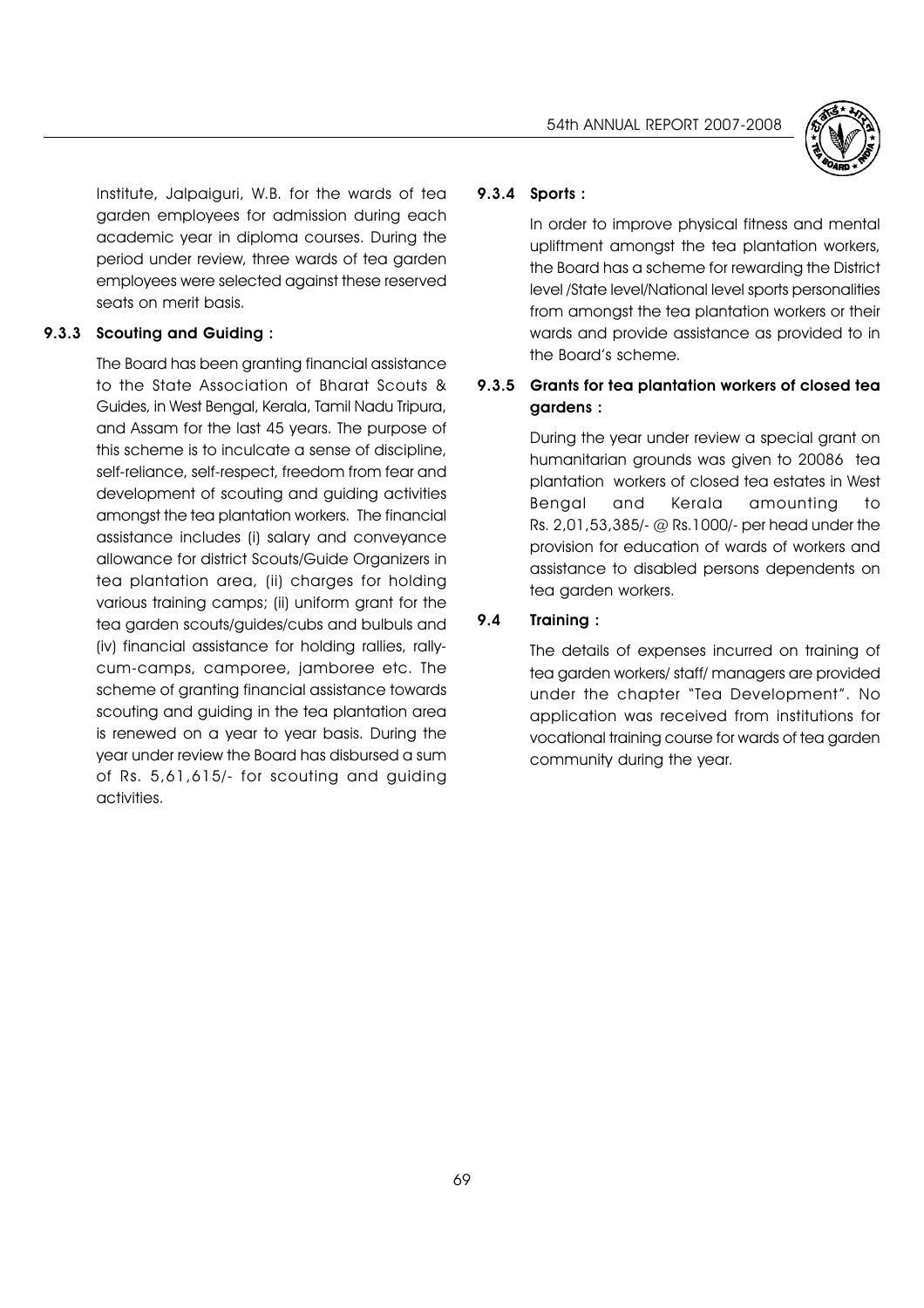

Institute, Jalpaiguri, W.B. for the wards of tea garden employees for admission during each academic year in diploma courses. During the period under review, three wards of tea garden employees were selected against these reserved seats on merit basis.

## **9.3.3 Scouting and Guiding :**

The Board has been granting financial assistance to the State Association of Bharat Scouts & Guides, in West Bengal, Kerala, Tamil Nadu Tripura, and Assam for the last 45 years. The purpose of this scheme is to inculcate a sense of discipline, self-reliance, self-respect, freedom from fear and development of scouting and guiding activities amongst the tea plantation workers. The financial assistance includes (i) salary and conveyance allowance for district Scouts/Guide Organizers in tea plantation area, (ii) charges for holding various training camps; (ii) uniform grant for the tea garden scouts/guides/cubs and bulbuls and (iv) financial assistance for holding rallies, rallycum-camps, camporee, jamboree etc. The scheme of granting financial assistance towards scouting and guiding in the tea plantation area is renewed on a year to year basis. During the year under review the Board has disbursed a sum of Rs. 5,61,615/- for scouting and guiding activities.

## **9.3.4 Sports :**

In order to improve physical fitness and mental upliftment amongst the tea plantation workers, the Board has a scheme for rewarding the District level /State level/National level sports personalities from amongst the tea plantation workers or their wards and provide assistance as provided to in the Board's scheme.

# **9.3.5 Grants for tea plantation workers of closed tea gardens :**

During the year under review a special grant on humanitarian grounds was given to 20086 tea plantation workers of closed tea estates in West Bengal and Kerala amounting to Rs. 2,01,53,385/- @ Rs.1000/- per head under the provision for education of wards of workers and assistance to disabled persons dependents on tea garden workers.

# **9.4 Training :**

The details of expenses incurred on training of tea garden workers/ staff/ managers are provided under the chapter "Tea Development". No application was received from institutions for vocational training course for wards of tea garden community during the year.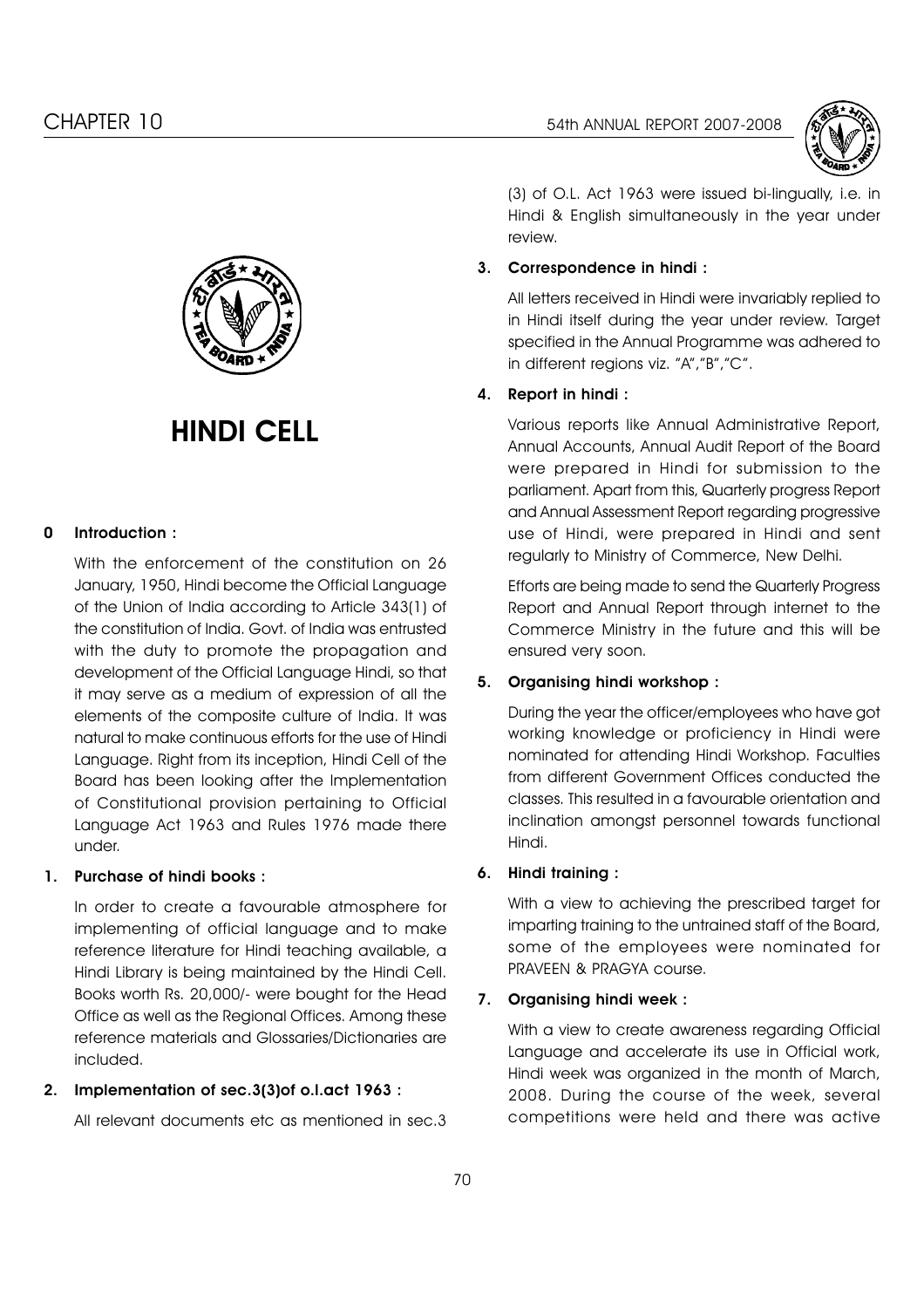



# **HINDI CELL**

## **0 Introduction :**

With the enforcement of the constitution on 26 January, 1950, Hindi become the Official Language of the Union of India according to Article 343(1) of the constitution of India. Govt. of India was entrusted with the duty to promote the propagation and development of the Official Language Hindi, so that it may serve as a medium of expression of all the elements of the composite culture of India. It was natural to make continuous efforts for the use of Hindi Language. Right from its inception, Hindi Cell of the Board has been looking after the Implementation of Constitutional provision pertaining to Official Language Act 1963 and Rules 1976 made there under.

# **1. Purchase of hindi books :**

In order to create a favourable atmosphere for implementing of official language and to make reference literature for Hindi teaching available, a Hindi Library is being maintained by the Hindi Cell. Books worth Rs. 20,000/- were bought for the Head Office as well as the Regional Offices. Among these reference materials and Glossaries/Dictionaries are included.

## **2. Implementation of sec.3(3)of o.l.act 1963 :**

All relevant documents etc as mentioned in sec. 3

(3) of O.L. Act 1963 were issued bi-lingually, i.e. in Hindi & English simultaneously in the year under review.

# **3. Correspondence in hindi :**

All letters received in Hindi were invariably replied to in Hindi itself during the year under review. Target specified in the Annual Programme was adhered to in different regions viz. "A","B","C".

## **4. Report in hindi :**

Various reports like Annual Administrative Report, Annual Accounts, Annual Audit Report of the Board were prepared in Hindi for submission to the parliament. Apart from this, Quarterly progress Report and Annual Assessment Report regarding progressive use of Hindi, were prepared in Hindi and sent regularly to Ministry of Commerce, New Delhi.

Efforts are being made to send the Quarterly Progress Report and Annual Report through internet to the Commerce Ministry in the future and this will be ensured very soon.

## **5. Organising hindi workshop :**

During the year the officer/employees who have got working knowledge or proficiency in Hindi were nominated for attending Hindi Workshop. Faculties from different Government Offices conducted the classes. This resulted in a favourable orientation and inclination amongst personnel towards functional Hindi.

## **6. Hindi training :**

With a view to achieving the prescribed target for imparting training to the untrained staff of the Board, some of the employees were nominated for PRAVEEN & PRAGYA course.

## **7. Organising hindi week :**

With a view to create awareness regarding Official Language and accelerate its use in Official work, Hindi week was organized in the month of March, 2008. During the course of the week, several competitions were held and there was active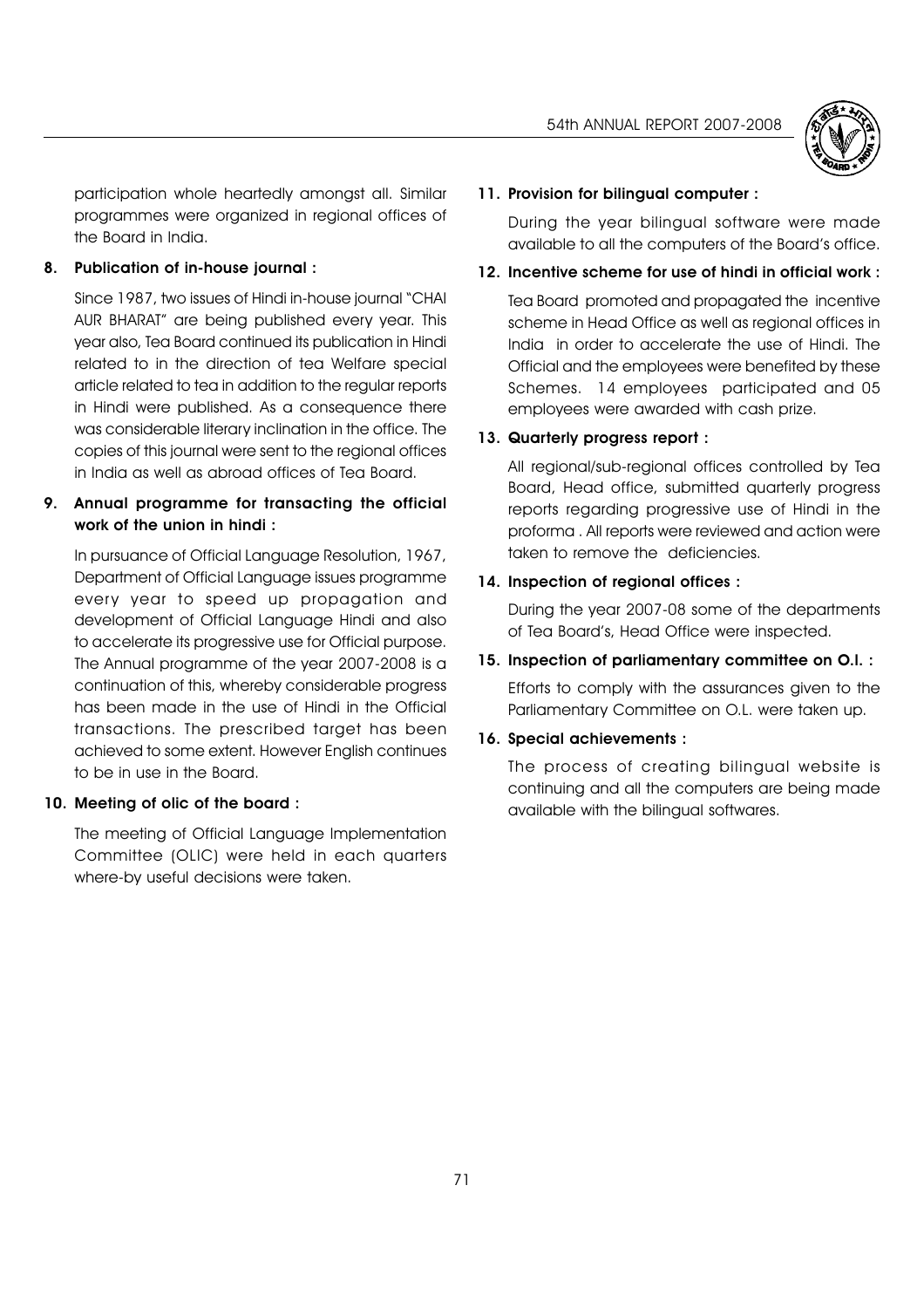

participation whole heartedly amongst all. Similar programmes were organized in regional offices of the Board in India.

## **8. Publication of in-house journal :**

Since 1987, two issues of Hindi in-house journal "CHAI AUR BHARAT" are being published every year. This year also, Tea Board continued its publication in Hindi related to in the direction of tea Welfare special article related to tea in addition to the regular reports in Hindi were published. As a consequence there was considerable literary inclination in the office. The copies of this journal were sent to the regional offices in India as well as abroad offices of Tea Board.

# **9. Annual programme for transacting the official work of the union in hindi :**

In pursuance of Official Language Resolution, 1967, Department of Official Language issues programme every year to speed up propagation and development of Official Language Hindi and also to accelerate its progressive use for Official purpose. The Annual programme of the year 2007-2008 is a continuation of this, whereby considerable progress has been made in the use of Hindi in the Official transactions. The prescribed target has been achieved to some extent. However English continues to be in use in the Board.

## **10. Meeting of olic of the board :**

The meeting of Official Language Implementation Committee (OLIC) were held in each quarters where-by useful decisions were taken.

#### **11. Provision for bilingual computer :**

During the year bilingual software were made available to all the computers of the Board's office.

## **12. Incentive scheme for use of hindi in official work :**

Tea Board promoted and propagated the incentive scheme in Head Office as well as regional offices in India in order to accelerate the use of Hindi. The Official and the employees were benefited by these Schemes. 14 employees participated and 05 employees were awarded with cash prize.

## **13. Quarterly progress report :**

All regional/sub-regional offices controlled by Tea Board, Head office, submitted quarterly progress reports regarding progressive use of Hindi in the proforma . All reports were reviewed and action were taken to remove the deficiencies.

#### **14. Inspection of regional offices :**

During the year 2007-08 some of the departments of Tea Board's, Head Office were inspected.

#### **15. Inspection of parliamentary committee on O.l. :**

Efforts to comply with the assurances given to the Parliamentary Committee on O.L. were taken up.

## **16. Special achievements :**

The process of creating bilingual website is continuing and all the computers are being made available with the bilingual softwares.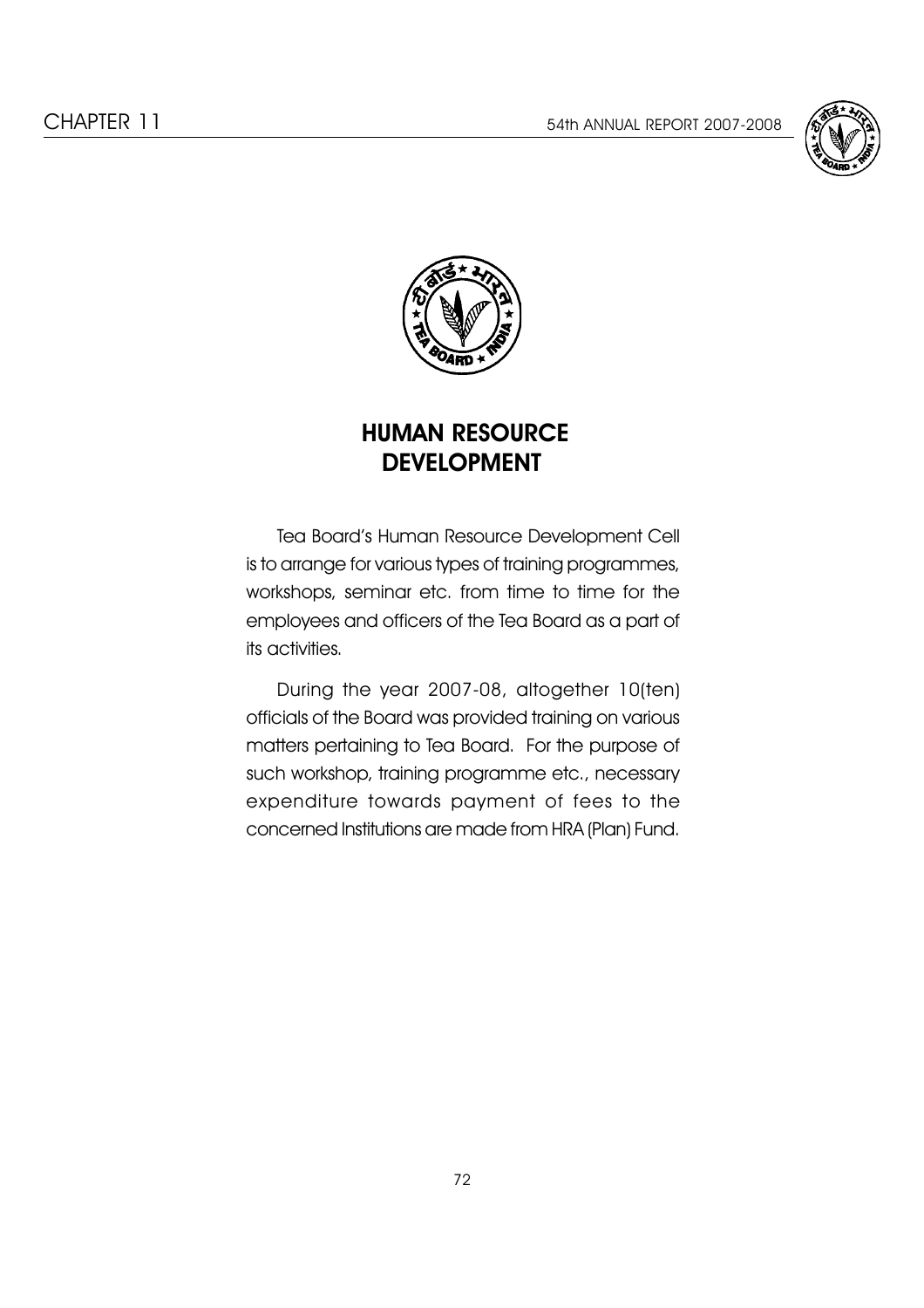



# **HUMAN RESOURCE DEVELOPMENT**

Tea Board's Human Resource Development Cell is to arrange for various types of training programmes, workshops, seminar etc. from time to time for the employees and officers of the Tea Board as a part of its activities.

During the year 2007-08, altogether 10(ten) officials of the Board was provided training on various matters pertaining to Tea Board. For the purpose of such workshop, training programme etc., necessary expenditure towards payment of fees to the concerned Institutions are made from HRA (Plan) Fund.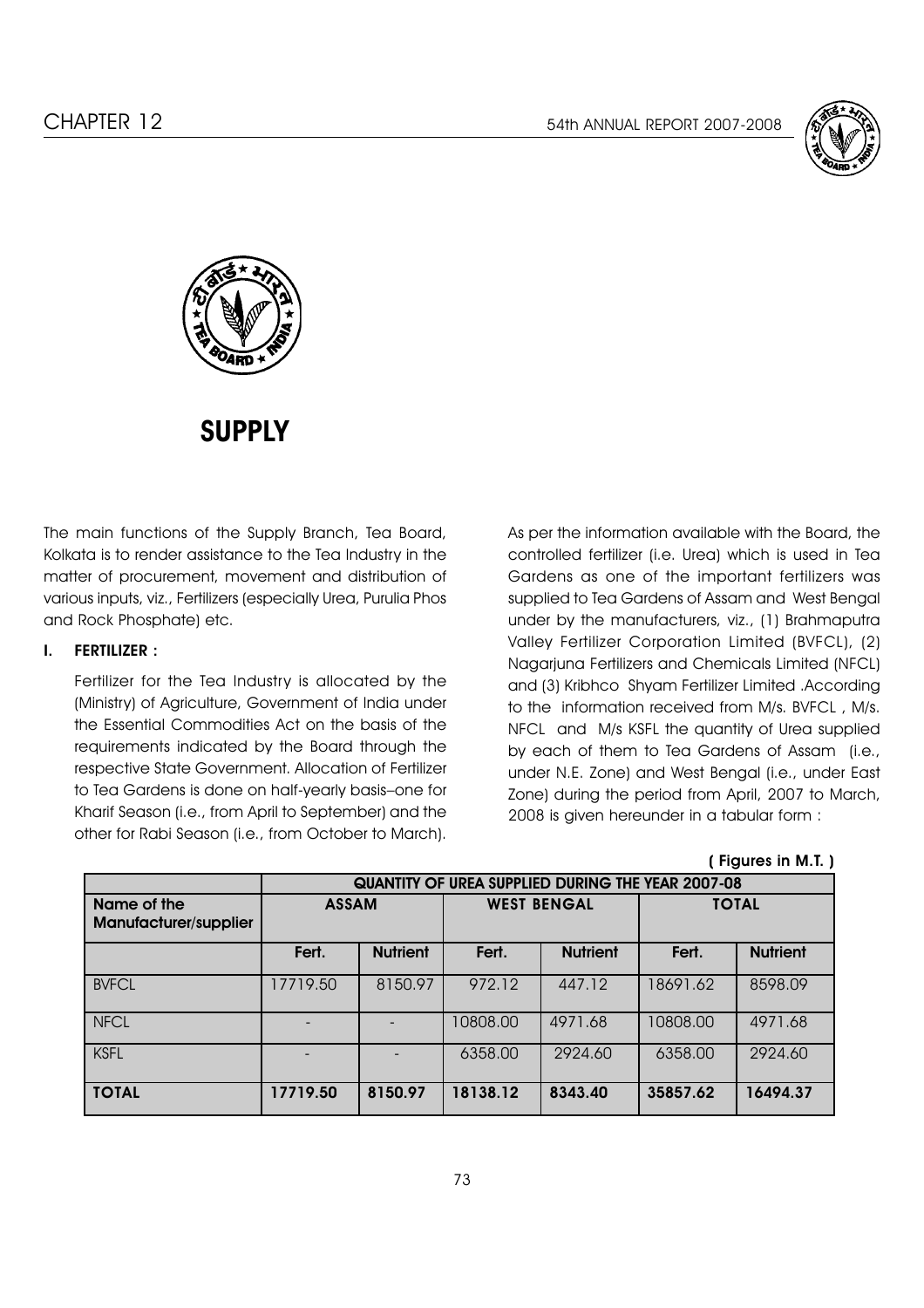



**SUPPLY**

The main functions of the Supply Branch, Tea Board, Kolkata is to render assistance to the Tea Industry in the matter of procurement, movement and distribution of various inputs, viz., Fertilizers (especially Urea, Purulia Phos and Rock Phosphate) etc.

## **I. FERTILIZER :**

Fertilizer for the Tea Industry is allocated by the (Ministry) of Agriculture, Government of India under the Essential Commodities Act on the basis of the requirements indicated by the Board through the respective State Government. Allocation of Fertilizer to Tea Gardens is done on half-yearly basis–one for Kharif Season (i.e., from April to September) and the other for Rabi Season (i.e., from October to March).

As per the information available with the Board, the controlled fertilizer (i.e. Urea) which is used in Tea Gardens as one of the important fertilizers was supplied to Tea Gardens of Assam and West Bengal under by the manufacturers, viz., (1) Brahmaputra Valley Fertilizer Corporation Limited (BVFCL), (2) Nagarjuna Fertilizers and Chemicals Limited (NFCL) and (3) Kribhco Shyam Fertilizer Limited .According to the information received from M/s. BVFCL , M/s. NFCL and M/s KSFL the quantity of Urea supplied by each of them to Tea Gardens of Assam (i.e., under N.E. Zone) and West Bengal (i.e., under East Zone) during the period from April, 2007 to March, 2008 is given hereunder in a tabular form :

|                                      |              |                 |                    |                 |                                                   | Figures in M.T. ) |
|--------------------------------------|--------------|-----------------|--------------------|-----------------|---------------------------------------------------|-------------------|
|                                      |              |                 |                    |                 | QUANTITY OF UREA SUPPLIED DURING THE YEAR 2007-08 |                   |
| Name of the<br>Manufacturer/supplier | <b>ASSAM</b> |                 | <b>WEST BENGAL</b> |                 | <b>TOTAL</b>                                      |                   |
|                                      | Fert.        | <b>Nutrient</b> | Fert.              | <b>Nutrient</b> | Fert.                                             | <b>Nutrient</b>   |
| <b>BVFCL</b>                         | 17719.50     | 8150.97         | 972.12             | 447.12          | 18691.62                                          | 8598.09           |
| <b>NFCL</b>                          |              |                 | 10808,00           | 4971.68         | 10808.00                                          | 4971.68           |
| <b>KSFL</b>                          |              |                 | 6358,00            | 2924.60         | 6358,00                                           | 2924.60           |
| <b>TOTAL</b>                         | 17719.50     | 8150.97         | 18138.12           | 8343.40         | 35857.62                                          | 16494.37          |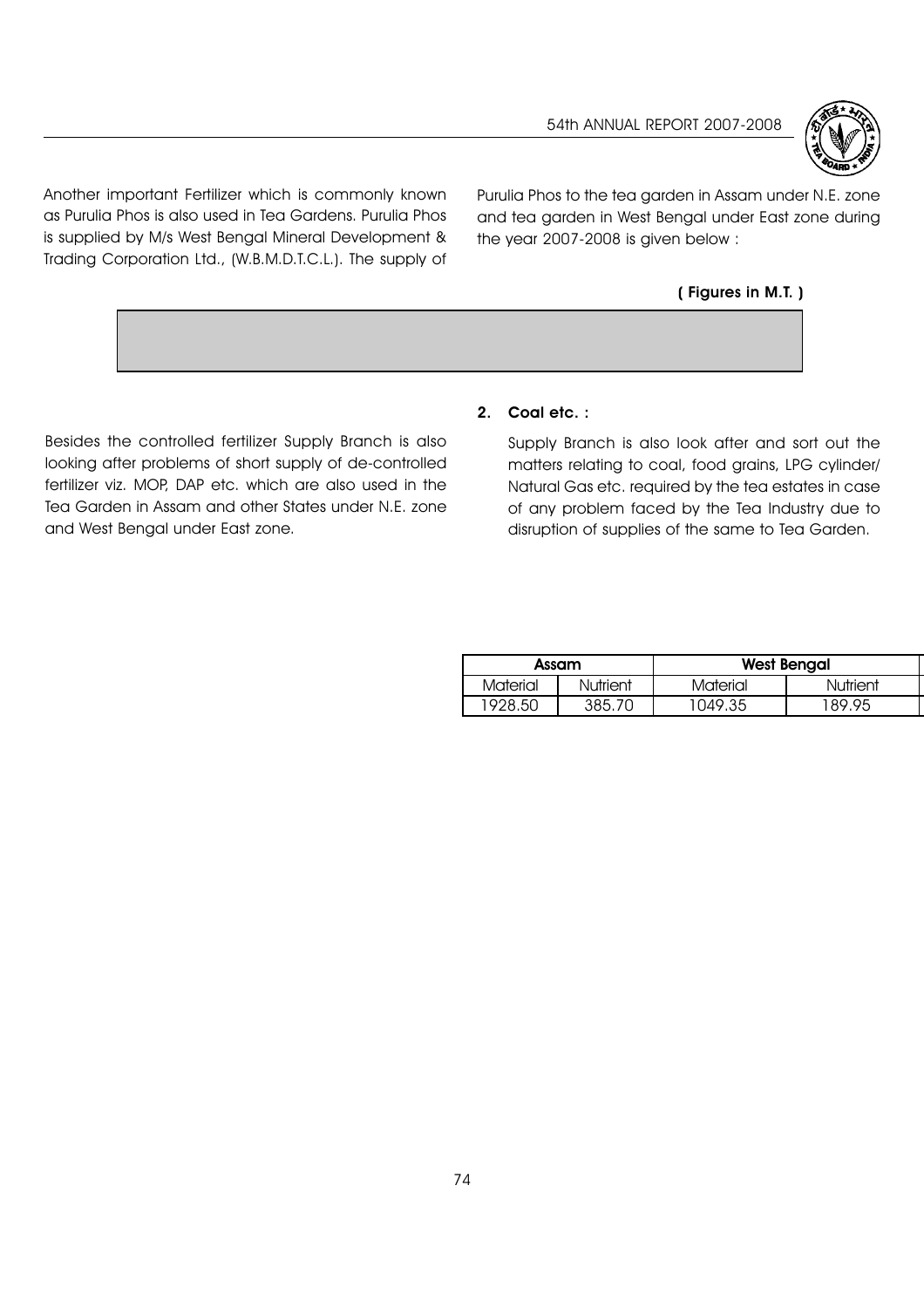

Another important Fertilizer which is commonly known as Purulia Phos is also used in Tea Gardens. Purulia Phos is supplied by M/s West Bengal Mineral Development & Trading Corporation Ltd., (W.B.M.D.T.C.L.). The supply of Purulia Phos to the tea garden in Assam under N.E. zone and tea garden in West Bengal under East zone during the year 2007-2008 is given below :

#### **( Figures in M.T. )**

Besides the controlled fertilizer Supply Branch is also looking after problems of short supply of de-controlled fertilizer viz. MOP, DAP etc. which are also used in the Tea Garden in Assam and other States under N.E. zone and West Bengal under East zone.

#### **2. Coal etc. :**

Supply Branch is also look after and sort out the matters relating to coal, food grains, LPG cylinder/ Natural Gas etc. required by the tea estates in case of any problem faced by the Tea Industry due to disruption of supplies of the same to Tea Garden.

| Assam    |          |          | <b>West Bengal</b> |
|----------|----------|----------|--------------------|
| Material | Nutrient | Material | Nutrient           |
| 1028.50  | 385 70   | 049.35   | 189 95             |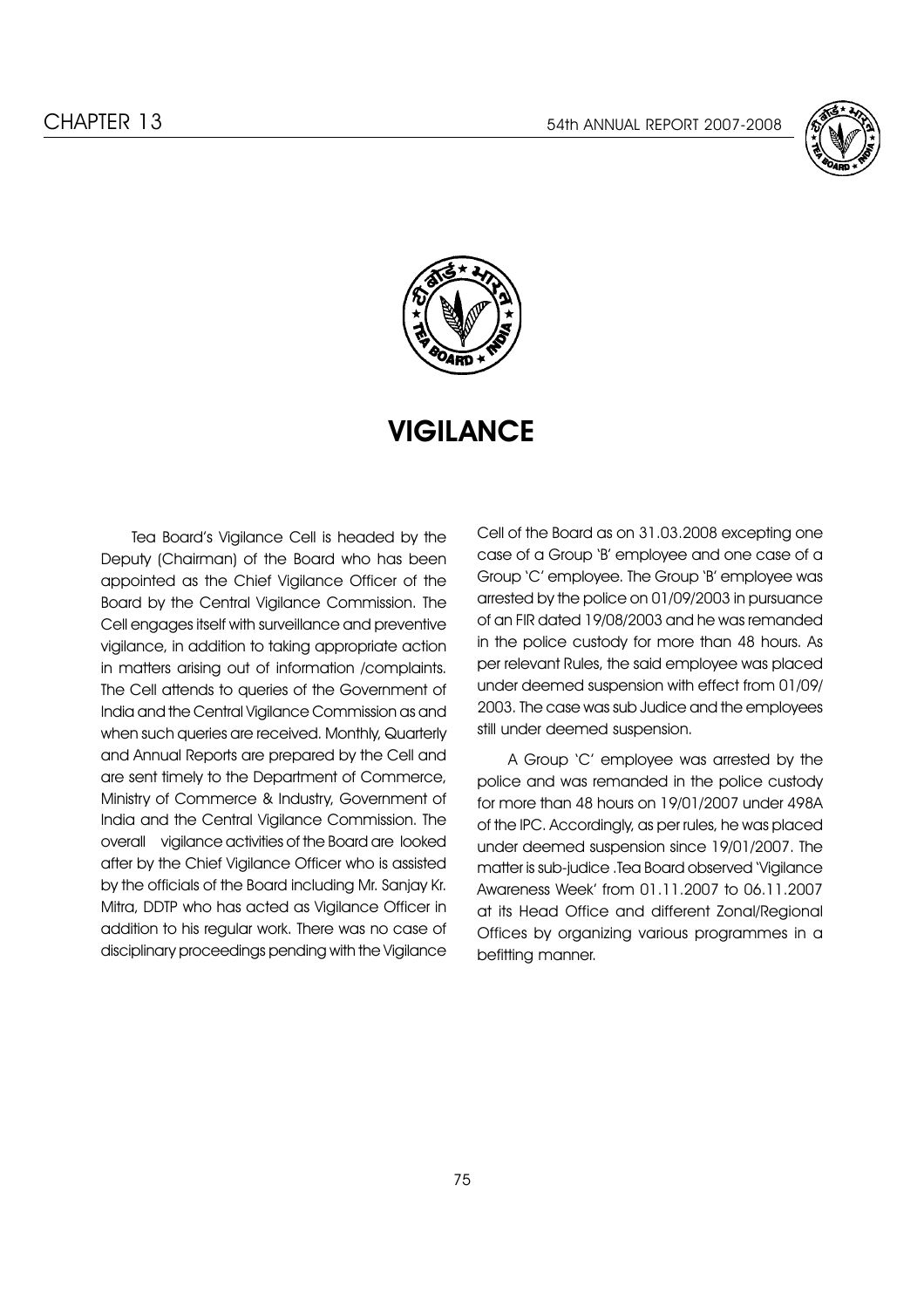



# **VIGILANCE**

Tea Board's Vigilance Cell is headed by the Deputy (Chairman) of the Board who has been appointed as the Chief Vigilance Officer of the Board by the Central Vigilance Commission. The Cell engages itself with surveillance and preventive vigilance, in addition to taking appropriate action in matters arising out of information /complaints. The Cell attends to queries of the Government of India and the Central Vigilance Commission as and when such queries are received. Monthly, Quarterly and Annual Reports are prepared by the Cell and are sent timely to the Department of Commerce, Ministry of Commerce & Industry, Government of India and the Central Vigilance Commission. The overall vigilance activities of the Board are looked after by the Chief Vigilance Officer who is assisted by the officials of the Board including Mr. Sanjay Kr. Mitra, DDTP who has acted as Vigilance Officer in addition to his regular work. There was no case of disciplinary proceedings pending with the Vigilance

Cell of the Board as on 31.03.2008 excepting one case of a Group 'B' employee and one case of a Group 'C' employee. The Group 'B' employee was arrested by the police on 01/09/2003 in pursuance of an FIR dated 19/08/2003 and he was remanded in the police custody for more than 48 hours. As per relevant Rules, the said employee was placed under deemed suspension with effect from 01/09/ 2003. The case was sub Judice and the employees still under deemed suspension.

A Group 'C' employee was arrested by the police and was remanded in the police custody for more than 48 hours on 19/01/2007 under 498A of the IPC. Accordingly, as per rules, he was placed under deemed suspension since 19/01/2007. The matter is sub-judice .Tea Board observed 'Vigilance Awareness Week' from 01.11.2007 to 06.11.2007 at its Head Office and different Zonal/Regional Offices by organizing various programmes in a befitting manner.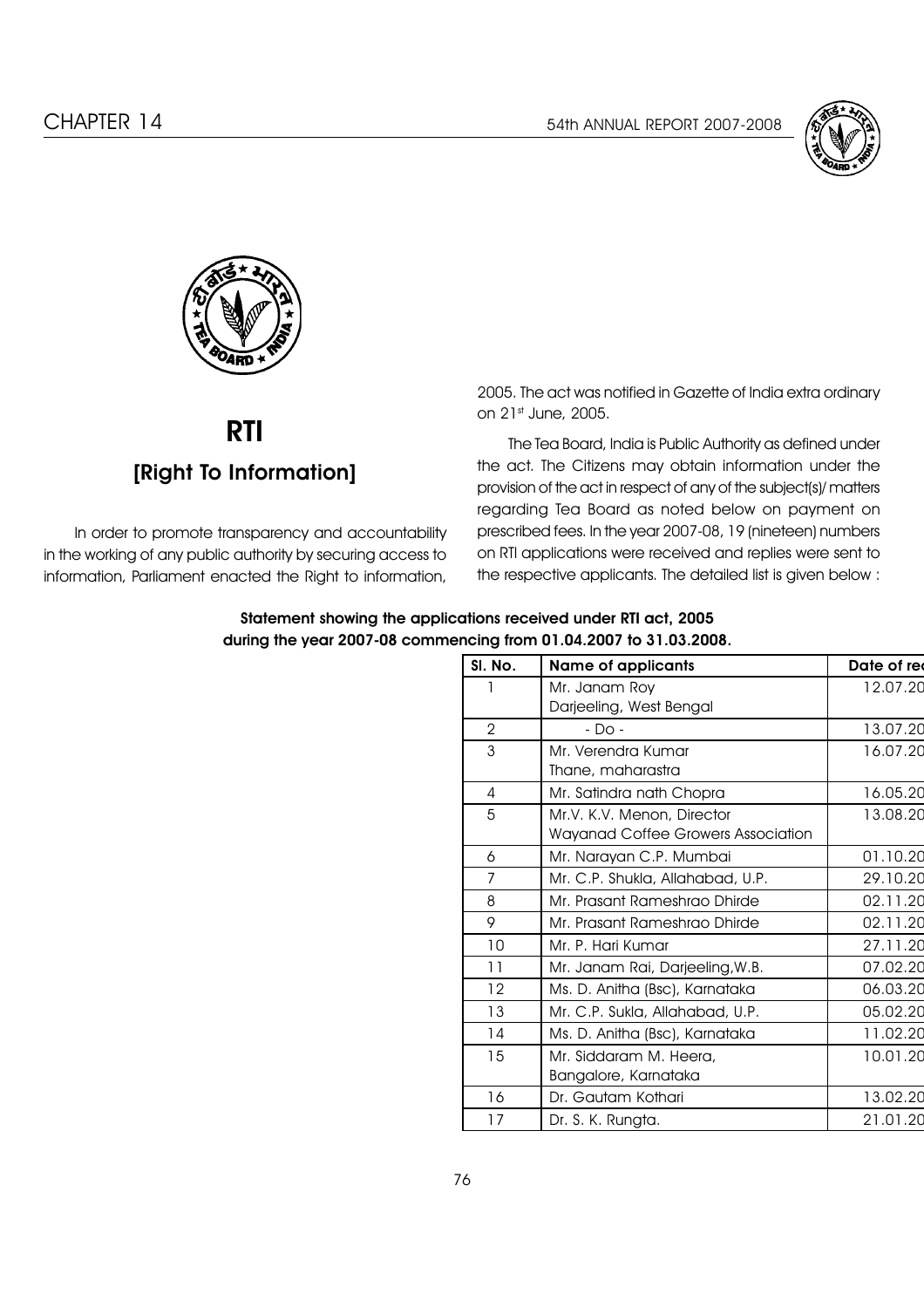



# **RTI [Right To Information]**

In order to promote transparency and accountability in the working of any public authority by securing access to information, Parliament enacted the Right to information, 2005. The act was notified in Gazette of India extra ordinary on 21st June, 2005.

The Tea Board, India is Public Authority as defined under the act. The Citizens may obtain information under the provision of the act in respect of any of the subject(s)/ matters regarding Tea Board as noted below on payment on prescribed fees. In the year 2007-08, 19 (nineteen) numbers on RTI applications were received and replies were sent to the respective applicants. The detailed list is given below :

| Statement showing the applications received under RTI act, 2005   |
|-------------------------------------------------------------------|
| during the year 2007-08 commencing from 01.04.2007 to 31.03.2008. |

| SI. No.        | <b>Name of applicants</b>          | Date of red |
|----------------|------------------------------------|-------------|
| 1              | Mr. Janam Roy                      | 12.07.20    |
|                | Darjeeling, West Bengal            |             |
| $\overline{2}$ | - Do -                             | 13.07.20    |
| 3              | Mr. Verendra Kumar                 | 16.07.20    |
|                | Thane, maharastra                  |             |
| 4              | Mr. Satindra nath Chopra           | 16.05.20    |
| 5              | Mr.V. K.V. Menon, Director         | 13.08.20    |
|                | Wayanad Coffee Growers Association |             |
| 6              | Mr. Narayan C.P. Mumbai            | 01.10.20    |
| 7              | Mr. C.P. Shukla, Allahabad, U.P.   | 29.10.20    |
| 8              | Mr. Prasant Rameshrao Dhirde       | 02.11.20    |
| 9              | Mr. Prasant Rameshrao Dhirde       | 02.11.20    |
| 10             | Mr. P. Hari Kumar                  | 27.11.20    |
| 11             | Mr. Janam Rai, Darjeeling, W.B.    | 07.02.20    |
| 12             | Ms. D. Anitha (Bsc), Karnataka     | 06.03.20    |
| 13             | Mr. C.P. Sukla, Allahabad, U.P.    | 05.02.20    |
| 14             | Ms. D. Anitha (Bsc), Karnataka     | 11.02.20    |
| 15             | Mr. Siddaram M. Heera,             | 10.01.20    |
|                | Bangalore, Karnataka               |             |
| 16             | Dr. Gautam Kothari                 | 13.02.20    |
| 17             | Dr. S. K. Rungta.                  | 21.01.20    |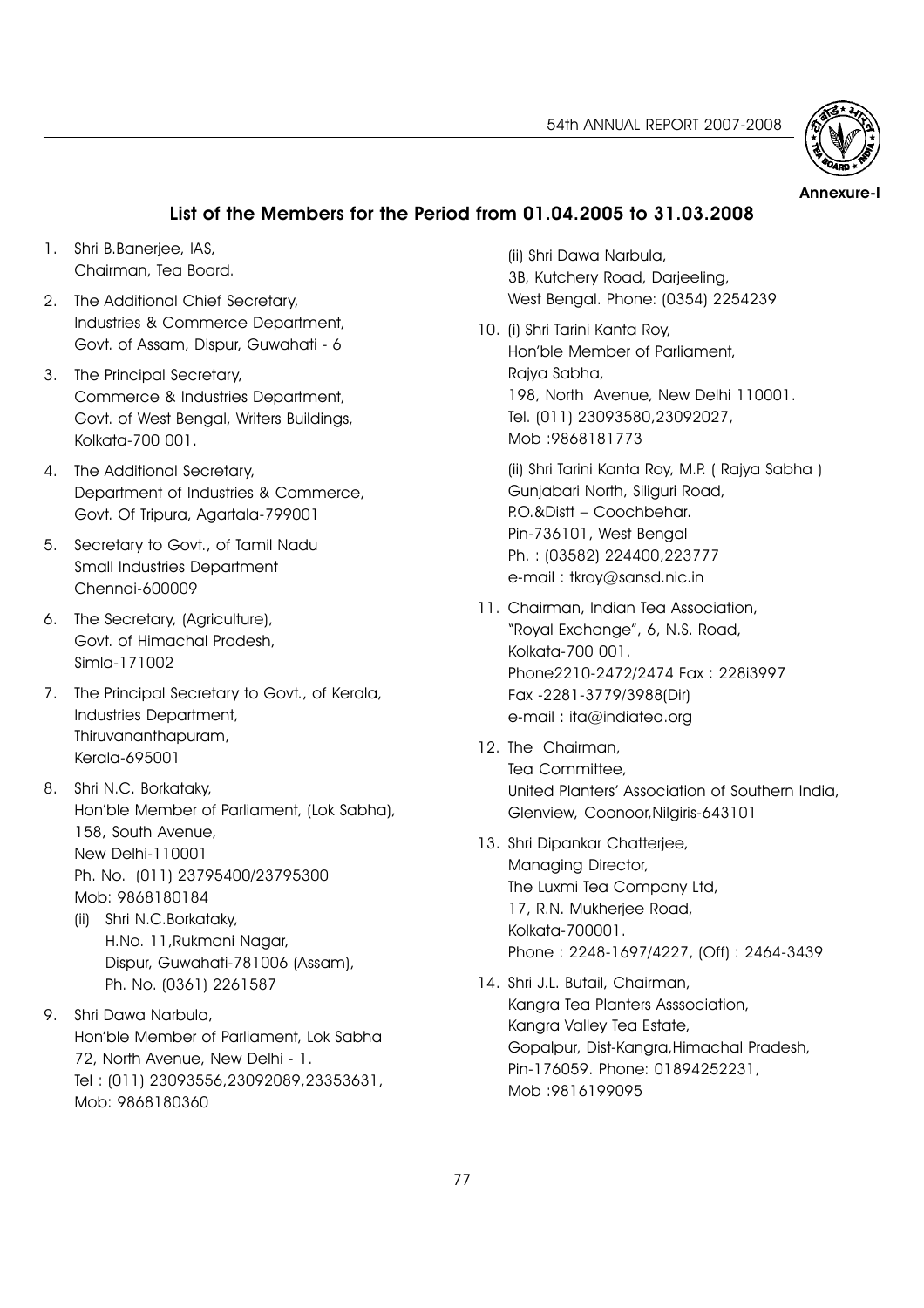

# **List of the Members for the Period from 01.04.2005 to 31.03.2008**

- 1. Shri B.Banerjee, IAS, Chairman, Tea Board.
- 2. The Additional Chief Secretary, Industries & Commerce Department, Govt. of Assam, Dispur, Guwahati - 6
- 3. The Principal Secretary, Commerce & Industries Department, Govt. of West Bengal, Writers Buildings, Kolkata-700 001.
- 4. The Additional Secretary, Department of Industries & Commerce, Govt. Of Tripura, Agartala-799001
- 5. Secretary to Govt., of Tamil Nadu Small Industries Department Chennai-600009
- 6. The Secretary, (Agriculture), Govt. of Himachal Pradesh, Simla-171002
- 7. The Principal Secretary to Govt., of Kerala, Industries Department, Thiruvananthapuram, Kerala-695001
- 8. Shri N.C. Borkataky, Hon'ble Member of Parliament, (Lok Sabha), 158, South Avenue, New Delhi-110001 Ph. No. (011) 23795400/23795300 Mob: 9868180184
	- (ii) Shri N.C.Borkataky, H.No. 11,Rukmani Nagar, Dispur, Guwahati-781006 (Assam), Ph. No. (0361) 2261587
- 9. Shri Dawa Narbula, Hon'ble Member of Parliament, Lok Sabha 72, North Avenue, New Delhi - 1. Tel : (011) 23093556,23092089,23353631, Mob: 9868180360

(ii) Shri Dawa Narbula, 3B, Kutchery Road, Darjeeling, West Bengal. Phone: (0354) 2254239

10. (i) Shri Tarini Kanta Roy, Hon'ble Member of Parliament, Rajya Sabha, 198, North Avenue, New Delhi 110001. Tel. (011) 23093580,23092027, Mob :9868181773

(ii) Shri Tarini Kanta Roy, M.P. ( Rajya Sabha ) Gunjabari North, Siliguri Road, P.O.&Distt – Coochbehar. Pin-736101, West Bengal Ph. : (03582) 224400,223777 e-mail : tkroy@sansd.nic.in

- 11. Chairman, Indian Tea Association, "Royal Exchange", 6, N.S. Road, Kolkata-700 001. Phone2210-2472/2474 Fax : 228i3997 Fax -2281-3779/3988(Dir) e-mail : ita@indiatea.org
- 12. The Chairman, Tea Committee, United Planters' Association of Southern India, Glenview, Coonoor,Nilgiris-643101
- 13. Shri Dipankar Chatterjee, Managing Director, The Luxmi Tea Company Ltd, 17, R.N. Mukherjee Road, Kolkata-700001. Phone : 2248-1697/4227, (Off) : 2464-3439
- 14. Shri J.L. Butail, Chairman, Kangra Tea Planters Asssociation, Kangra Valley Tea Estate, Gopalpur, Dist-Kangra,Himachal Pradesh, Pin-176059. Phone: 01894252231, Mob :9816199095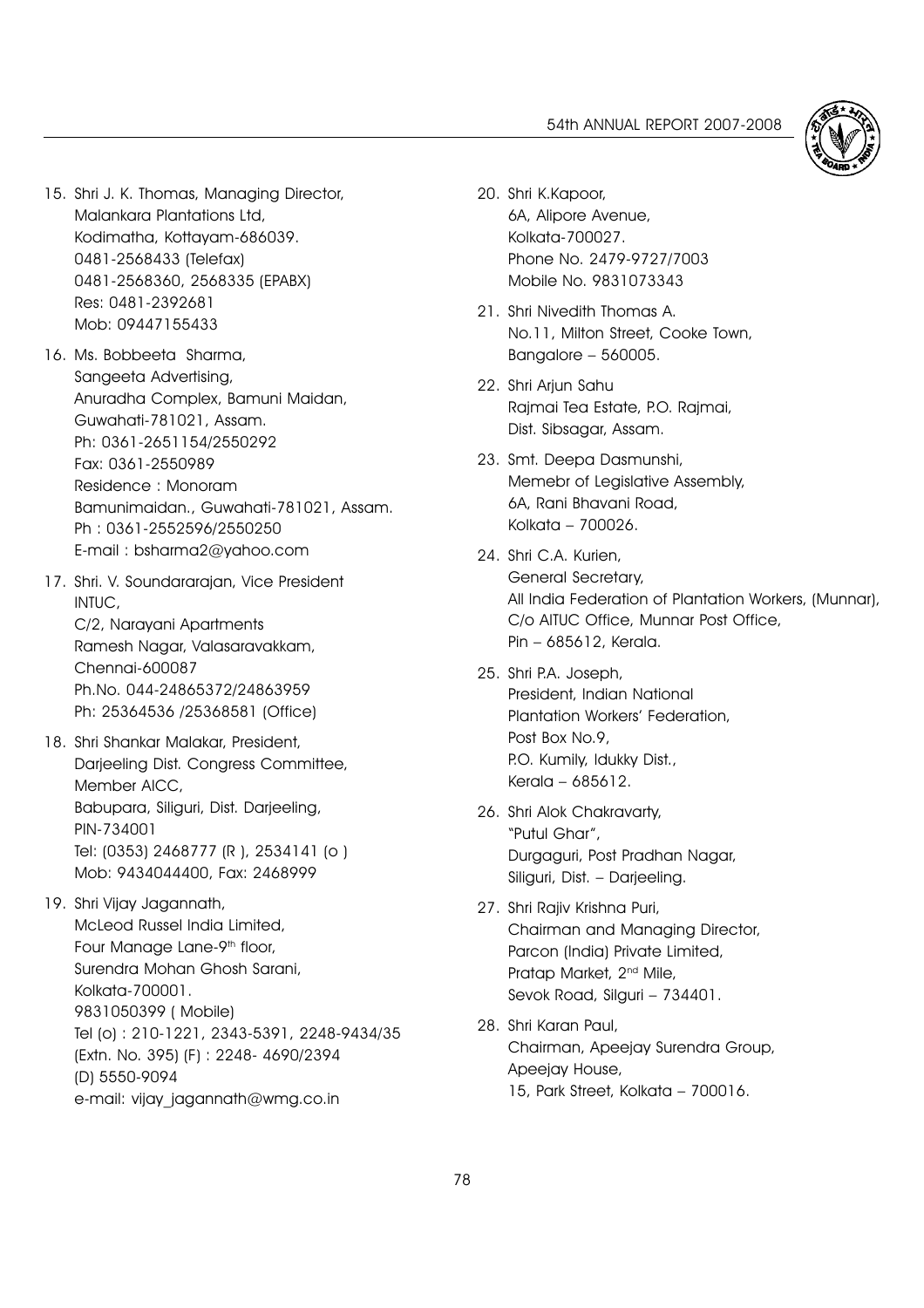

- 15. Shri J. K. Thomas, Managing Director, Malankara Plantations Ltd, Kodimatha, Kottayam-686039. 0481-2568433 (Telefax) 0481-2568360, 2568335 (EPABX) Res: 0481-2392681 Mob: 09447155433
- 16. Ms. Bobbeeta Sharma, Sangeeta Advertising, Anuradha Complex, Bamuni Maidan, Guwahati-781021, Assam. Ph: 0361-2651154/2550292 Fax: 0361-2550989 Residence : Monoram Bamunimaidan., Guwahati-781021, Assam. Ph : 0361-2552596/2550250 E-mail : bsharma2@yahoo.com
- 17. Shri. V. Soundararajan, Vice President INTUC, C/2, Narayani Apartments Ramesh Nagar, Valasaravakkam, Chennai-600087 Ph.No. 044-24865372/24863959 Ph: 25364536 /25368581 (Office)
- 18. Shri Shankar Malakar, President, Darjeeling Dist. Congress Committee, Member AICC, Babupara, Siliguri, Dist. Darjeeling, PIN-734001 Tel: (0353) 2468777 (R ), 2534141 (o ) Mob: 9434044400, Fax: 2468999
- 19. Shri Vijay Jagannath, McLeod Russel India Limited, Four Manage Lane-9<sup>th</sup> floor, Surendra Mohan Ghosh Sarani, Kolkata-700001. 9831050399 ( Mobile) Tel (o) : 210-1221, 2343-5391, 2248-9434/35 (Extn. No. 395) (F) : 2248- 4690/2394 (D) 5550-9094 e-mail: vijay\_jagannath@wmg.co.in
- 20. Shri K.Kapoor, 6A, Alipore Avenue, Kolkata-700027. Phone No. 2479-9727/7003 Mobile No. 9831073343
- 21. Shri Nivedith Thomas A. No.11, Milton Street, Cooke Town, Bangalore – 560005.
- 22. Shri Arjun Sahu Rajmai Tea Estate, P.O. Rajmai, Dist. Sibsagar, Assam.
- 23. Smt. Deepa Dasmunshi, Memebr of Legislative Assembly, 6A, Rani Bhavani Road, Kolkata – 700026.
- 24. Shri C.A. Kurien, General Secretary, All India Federation of Plantation Workers, (Munnar), C/o AITUC Office, Munnar Post Office, Pin – 685612, Kerala.
- 25. Shri P.A. Joseph, President, Indian National Plantation Workers' Federation, Post Box No.9, P.O. Kumily, Idukky Dist., Kerala – 685612.
- 26. Shri Alok Chakravarty, "Putul Ghar", Durgaguri, Post Pradhan Nagar, Siliguri, Dist. – Darjeeling.
- 27. Shri Rajiv Krishna Puri, Chairman and Managing Director, Parcon (India) Private Limited, Pratap Market, 2<sup>nd</sup> Mile, Sevok Road, Silguri – 734401.
- 28. Shri Karan Paul, Chairman, Apeejay Surendra Group, Apeejay House, 15, Park Street, Kolkata – 700016.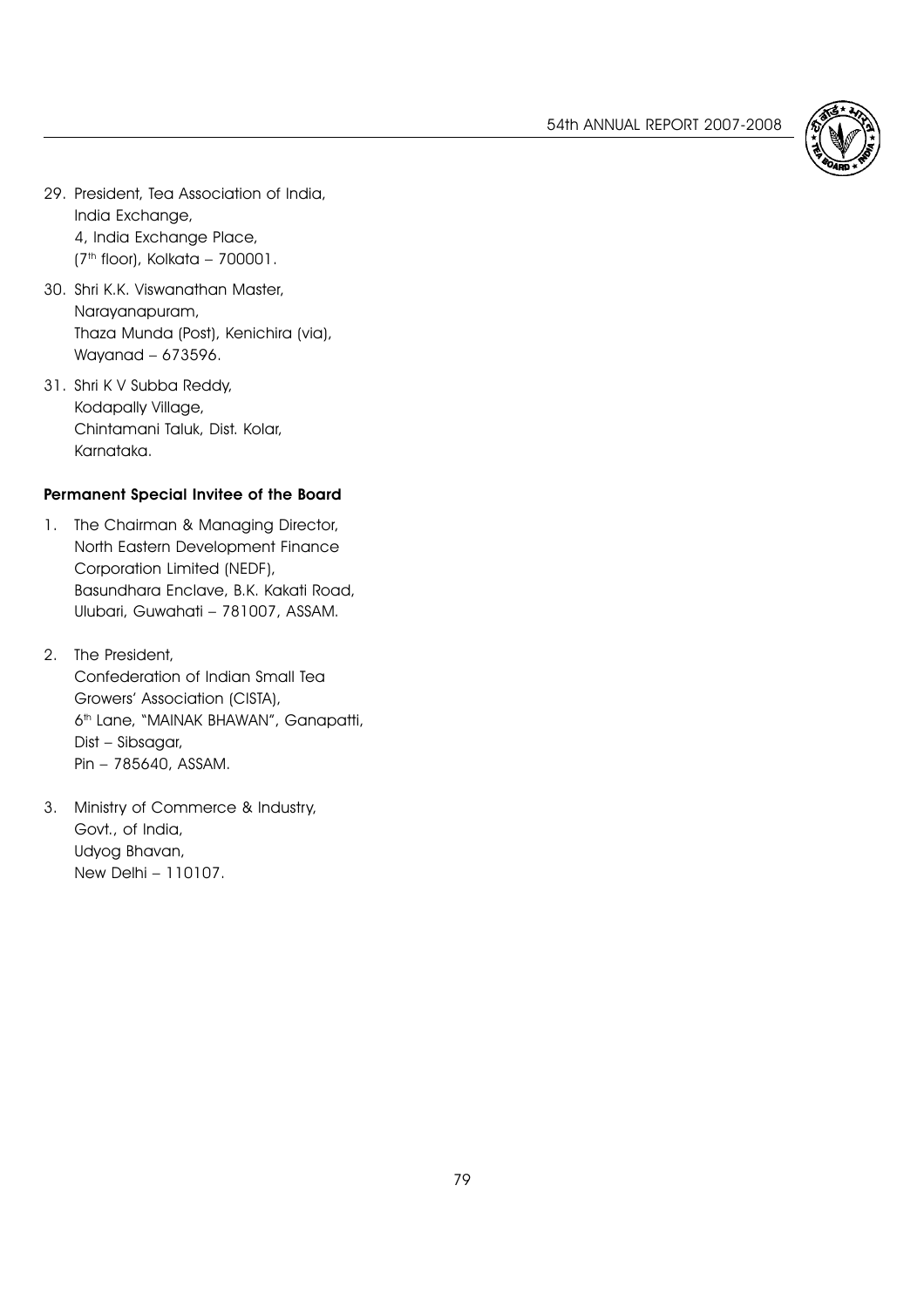

- 29. President, Tea Association of India, India Exchange, 4, India Exchange Place,  $(7<sup>th</sup>$  floor), Kolkata – 700001.
- 30. Shri K.K. Viswanathan Master, Narayanapuram, Thaza Munda (Post), Kenichira (via), Wayanad – 673596.
- 31. Shri K V Subba Reddy, Kodapally Village, Chintamani Taluk, Dist. Kolar, Karnataka.

## **Permanent Special Invitee of the Board**

- 1. The Chairman & Managing Director, North Eastern Development Finance Corporation Limited (NEDF), Basundhara Enclave, B.K. Kakati Road, Ulubari, Guwahati – 781007, ASSAM.
- 2. The President, Confederation of Indian Small Tea Growers' Association (CISTA), 6<sup>th</sup> Lane, "MAINAK BHAWAN", Ganapatti, Dist – Sibsagar, Pin – 785640, ASSAM.
- 3. Ministry of Commerce & Industry, Govt., of India, Udyog Bhavan, New Delhi – 110107.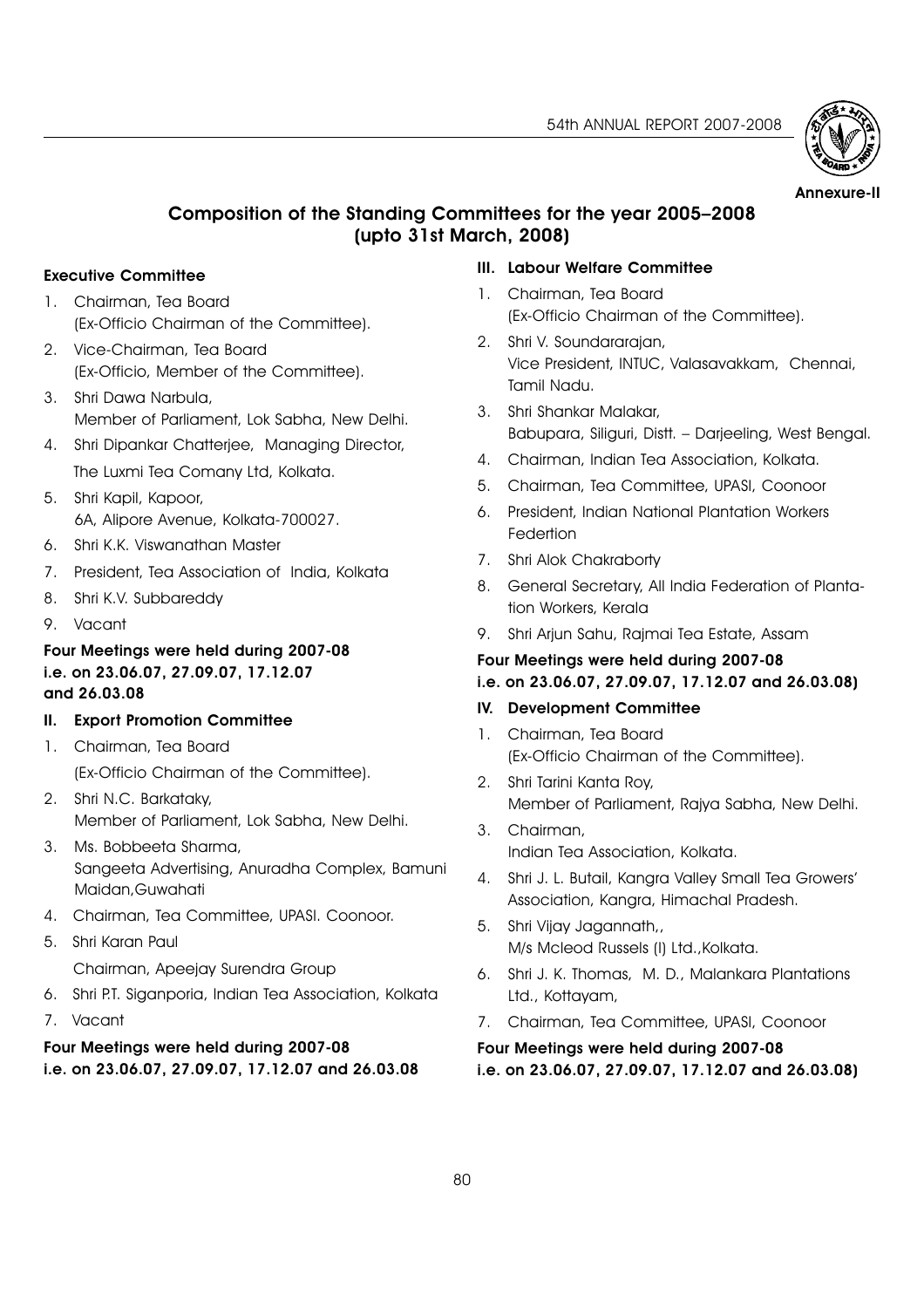

# **Composition of the Standing Committees for the year 2005–2008 (upto 31st March, 2008)**

## **Executive Committee**

- 1. Chairman, Tea Board (Ex-Officio Chairman of the Committee).
- 2. Vice-Chairman, Tea Board (Ex-Officio, Member of the Committee).
- 3. Shri Dawa Narbula, Member of Parliament, Lok Sabha, New Delhi.
- 4. Shri Dipankar Chatterjee, Managing Director, The Luxmi Tea Comany Ltd, Kolkata.
- 5. Shri Kapil, Kapoor, 6A, Alipore Avenue, Kolkata-700027.
- 6. Shri K.K. Viswanathan Master
- 7. President, Tea Association of India, Kolkata
- 8. Shri K.V. Subbareddy
- 9. Vacant

## **Four Meetings were held during 2007-08 i.e. on 23.06.07, 27.09.07, 17.12.07 and 26.03.08**

## **II. Export Promotion Committee**

- 1. Chairman, Tea Board
	- (Ex-Officio Chairman of the Committee).
- 2. Shri N.C. Barkataky, Member of Parliament, Lok Sabha, New Delhi.
- 3. Ms. Bobbeeta Sharma, Sangeeta Advertising, Anuradha Complex, Bamuni Maidan,Guwahati
- 4. Chairman, Tea Committee, UPASI. Coonoor.
- 5. Shri Karan Paul
	- Chairman, Apeejay Surendra Group
- 6. Shri P.T. Siganporia, Indian Tea Association, Kolkata
- 7. Vacant

# **Four Meetings were held during 2007-08 i.e. on 23.06.07, 27.09.07, 17.12.07 and 26.03.08**

## **III. Labour Welfare Committee**

- 1. Chairman, Tea Board (Ex-Officio Chairman of the Committee).
- 2. Shri V. Soundararajan, Vice President, INTUC, Valasavakkam, Chennai, Tamil Nadu.
- 3. Shri Shankar Malakar, Babupara, Siliguri, Distt. – Darjeeling, West Bengal.
- 4. Chairman, Indian Tea Association, Kolkata.
- 5. Chairman, Tea Committee, UPASI, Coonoor
- 6. President, Indian National Plantation Workers **Federtion**
- 7. Shri Alok Chakraborty
- 8. General Secretary, All India Federation of Plantation Workers, Kerala
- 9. Shri Arjun Sahu, Rajmai Tea Estate, Assam

## **Four Meetings were held during 2007-08 i.e. on 23.06.07, 27.09.07, 17.12.07 and 26.03.08)**

## **IV. Development Committee**

- 1. Chairman, Tea Board (Ex-Officio Chairman of the Committee).
- 2. Shri Tarini Kanta Roy, Member of Parliament, Rajya Sabha, New Delhi.
- 3. Chairman, Indian Tea Association, Kolkata.
- 4. Shri J. L. Butail, Kangra Valley Small Tea Growers' Association, Kangra, Himachal Pradesh.
- 5. Shri Vijay Jagannath,, M/s Mcleod Russels (I) Ltd.,Kolkata.
- 6. Shri J. K. Thomas, M. D., Malankara Plantations Ltd., Kottayam,
- 7. Chairman, Tea Committee, UPASI, Coonoor

## **Four Meetings were held during 2007-08 i.e. on 23.06.07, 27.09.07, 17.12.07 and 26.03.08)**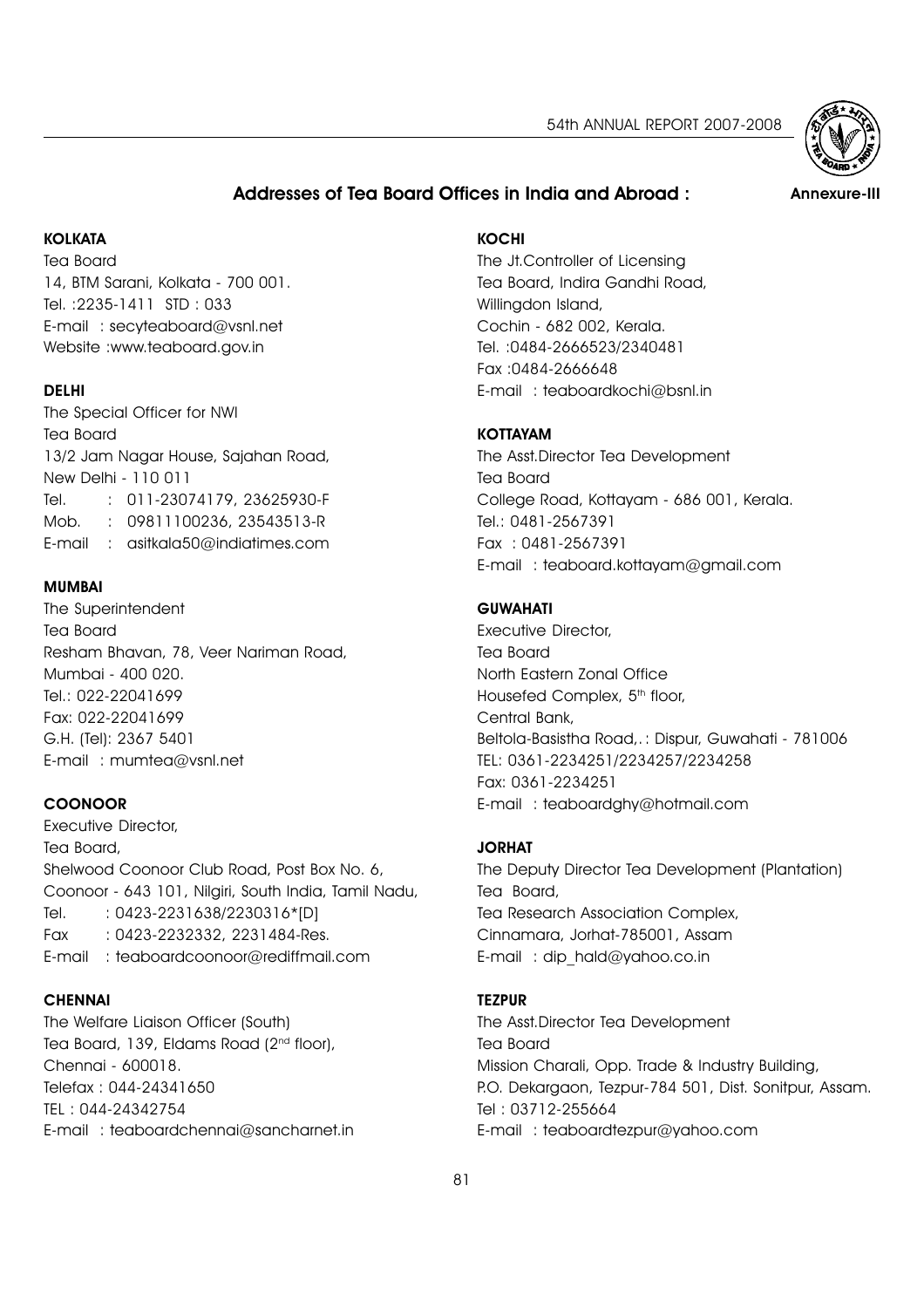

# **Addresses of Tea Board Offices in India and Abroad : Annexure-III**

#### **KOLKATA**

Tea Board 14, BTM Sarani, Kolkata - 700 001. Tel. :2235-1411 STD : 033 E-mail : secyteaboard@vsnl.net Website :www.teaboard.gov.in

#### **DELHI**

The Special Officer for NWI Tea Board 13/2 Jam Nagar House, Sajahan Road, New Delhi - 110 011 Tel. : 011-23074179, 23625930-F Mob. : 09811100236, 23543513-R E-mail : asitkala50@indiatimes.com

## **MUMBAI**

The Superintendent Tea Board Resham Bhavan, 78, Veer Nariman Road, Mumbai - 400 020. Tel.: 022-22041699 Fax: 022-22041699 G.H. (Tel): 2367 5401 E-mail : mumtea@vsnl.net

#### **COONOOR**

Executive Director, Tea Board, Shelwood Coonoor Club Road, Post Box No. 6, Coonoor - 643 101, Nilgiri, South India, Tamil Nadu, Tel. : 0423-2231638/2230316\*[D] Fax : 0423-2232332, 2231484-Res. E-mail : teaboardcoonoor@rediffmail.com

## **CHENNAI**

The Welfare Liaison Officer (South) Tea Board, 139, Eldams Road (2<sup>nd</sup> floor), Chennai - 600018. Telefax : 044-24341650 TEL : 044-24342754 E-mail : teaboardchennai@sancharnet.in

## **KOCHI**

The Jt.Controller of Licensing Tea Board, Indira Gandhi Road, Willingdon Island, Cochin - 682 002, Kerala. Tel. :0484-2666523/2340481 Fax :0484-2666648 E-mail : teaboardkochi@bsnl.in

#### **KOTTAYAM**

The Asst.Director Tea Development Tea Board College Road, Kottayam - 686 001, Kerala. Tel.: 0481-2567391 Fax : 0481-2567391 E-mail : teaboard.kottayam@gmail.com

## **GUWAHATI**

Executive Director, Tea Board North Eastern Zonal Office Housefed Complex, 5<sup>th</sup> floor, Central Bank, Beltola-Basistha Road,. : Dispur, Guwahati - 781006 TEL: 0361-2234251/2234257/2234258 Fax: 0361-2234251 E-mail : teaboardghy@hotmail.com

#### **JORHAT**

The Deputy Director Tea Development (Plantation) Tea Board, Tea Research Association Complex, Cinnamara, Jorhat-785001, Assam E-mail : dip\_hald@yahoo.co.in

#### **TEZPUR**

The Asst.Director Tea Development Tea Board Mission Charali, Opp. Trade & Industry Building, P.O. Dekargaon, Tezpur-784 501, Dist. Sonitpur, Assam. Tel : 03712-255664 E-mail : teaboardtezpur@yahoo.com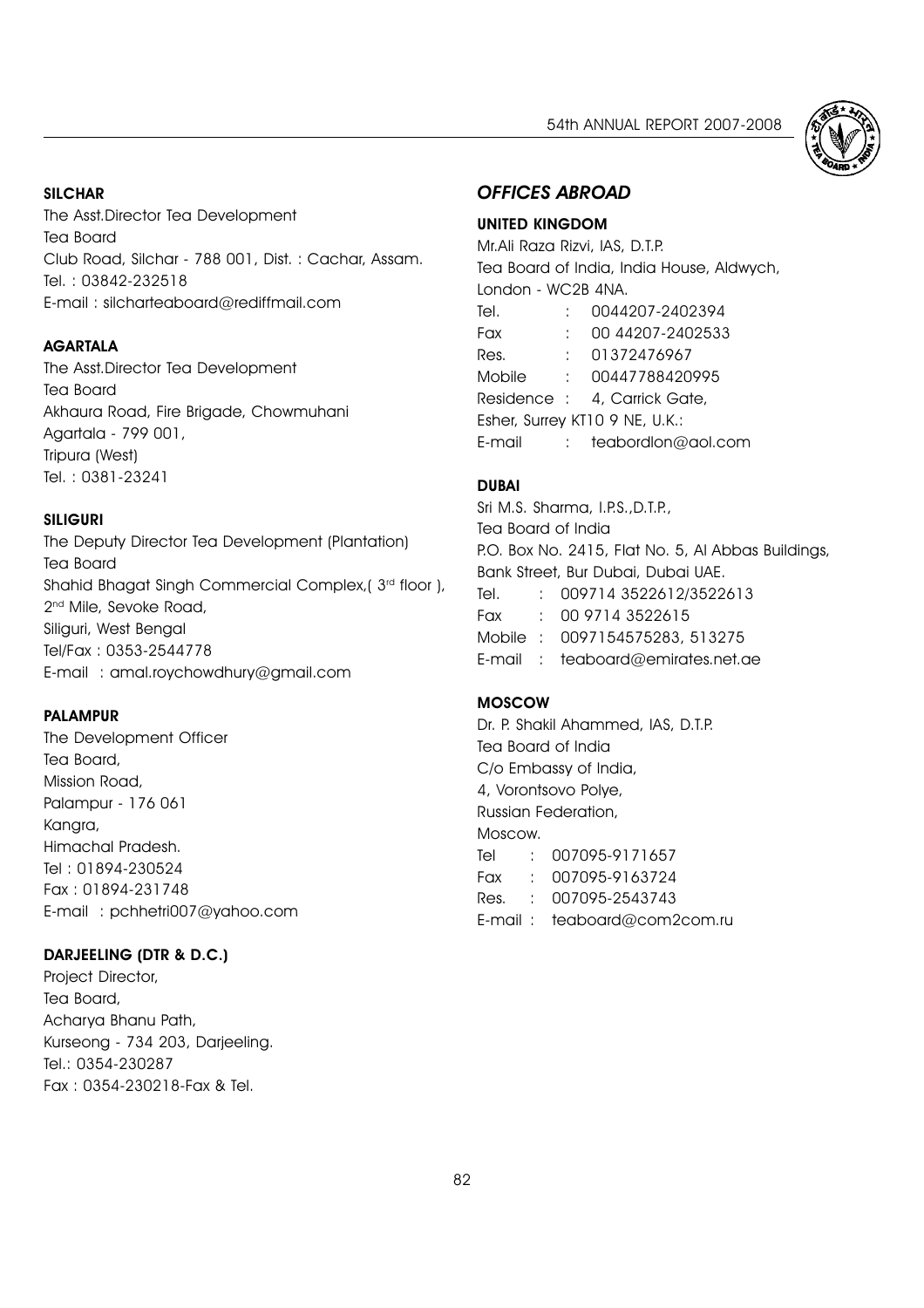

#### **SILCHAR**

The Asst.Director Tea Development Tea Board Club Road, Silchar - 788 001, Dist. : Cachar, Assam. Tel. : 03842-232518 E-mail : silcharteaboard@rediffmail.com

#### **AGARTALA**

The Asst.Director Tea Development Tea Board Akhaura Road, Fire Brigade, Chowmuhani Agartala - 799 001, Tripura (West) Tel. : 0381-23241

### **SILIGURI**

The Deputy Director Tea Development (Plantation) Tea Board Shahid Bhagat Singh Commercial Complex, ( $3<sup>rd</sup>$  floor), 2<sup>nd</sup> Mile, Sevoke Road, Siliguri, West Bengal Tel/Fax : 0353-2544778 E-mail : amal.roychowdhury@gmail.com

#### **PALAMPUR**

The Development Officer Tea Board, Mission Road, Palampur - 176 061 Kangra, Himachal Pradesh. Tel : 01894-230524 Fax : 01894-231748 E-mail : pchhetri007@yahoo.com

#### **DARJEELING (DTR & D.C.)**

Project Director, Tea Board, Acharya Bhanu Path, Kurseong - 734 203, Darjeeling. Tel.: 0354-230287 Fax : 0354-230218-Fax & Tel.

## *OFFICES ABROAD*

**UNITED KINGDOM**

Mr.Ali Raza Rizvi, IAS, D.T.P. Tea Board of India, India House, Aldwych, London - WC2B 4NA. Tel. : 0044207-2402394 Fax : 00 44207-2402533 Res. : 01372476967 Mobile : 00447788420995 Residence : 4, Carrick Gate, Esher, Surrey KT10 9 NE, U.K.: E-mail : teabordlon@aol.com

#### **DUBAI**

Sri M.S. Sharma, I.P.S.,D.T.P., Tea Board of India P.O. Box No. 2415, Flat No. 5, Al Abbas Buildings, Bank Street, Bur Dubai, Dubai UAE. Tel. : 009714 3522612/3522613 Fax : 00 9714 3522615 Mobile : 0097154575283, 513275 E-mail : teaboard@emirates.net.ae

#### **MOSCOW**

Dr. P. Shakil Ahammed, IAS, D.T.P. Tea Board of India C/o Embassy of India, 4, Vorontsovo Polye, Russian Federation, Moscow. Tel : 007095-9171657 Fax : 007095-9163724 Res. : 007095-2543743 E-mail : teaboard@com2com.ru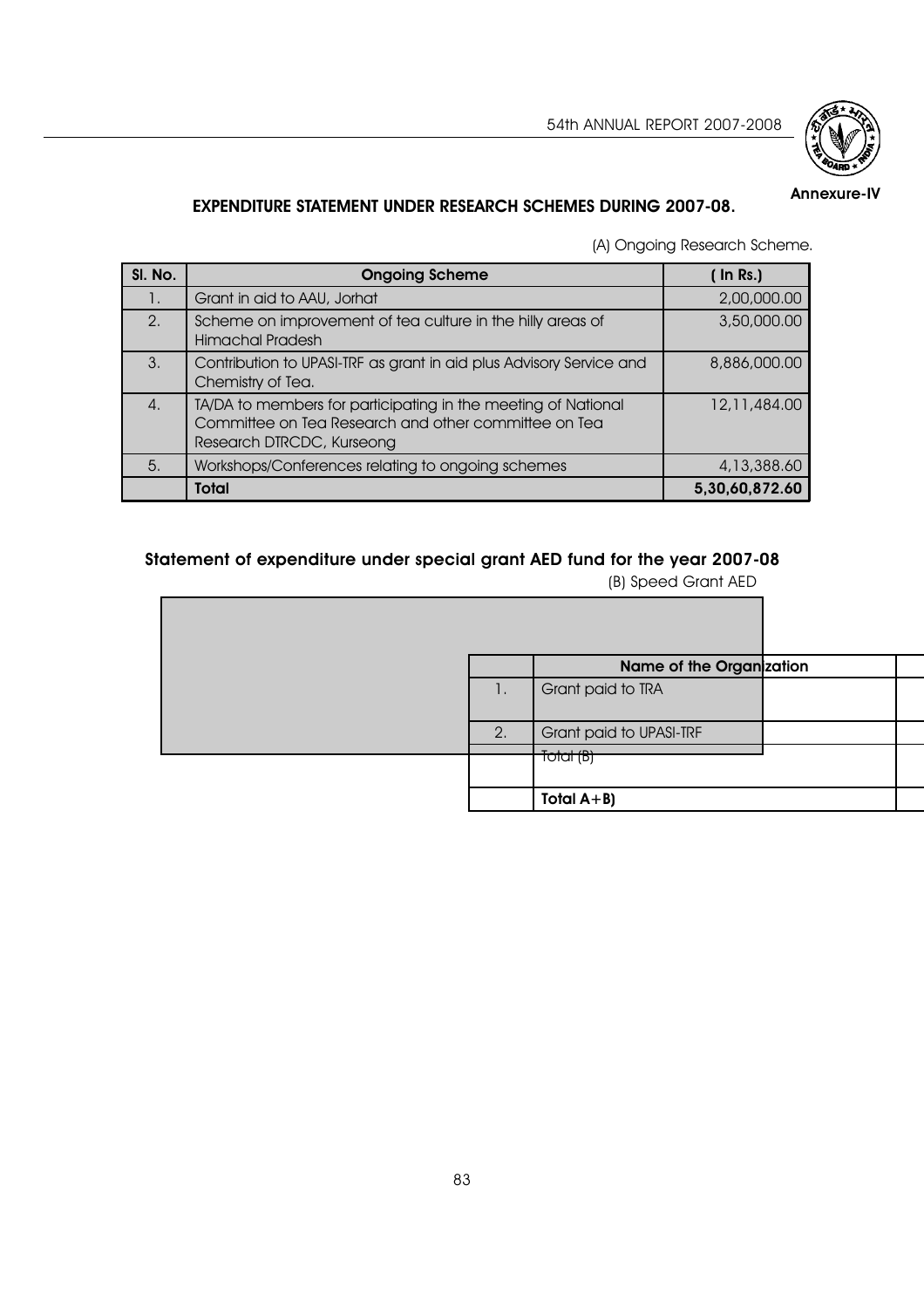

**Annexure-IV**

## **EXPENDITURE STATEMENT UNDER RESEARCH SCHEMES DURING 2007-08.**

(A) Ongoing Research Scheme.

| SI. No.               | <b>Ongoing Scheme</b>                                                                                                                              | In $Rs.$ )     |
|-----------------------|----------------------------------------------------------------------------------------------------------------------------------------------------|----------------|
| 1.                    | Grant in aid to AAU, Jorhat                                                                                                                        | 2,00,000.00    |
| $\mathcal{P}_{\cdot}$ | Scheme on improvement of tea culture in the hilly areas of<br>Himachal Pradesh                                                                     | 3,50,000.00    |
| $\mathcal{S}$ .       | Contribution to UPASI-TRF as grant in aid plus Advisory Service and<br>Chemistry of Tea.                                                           | 8,886,000.00   |
| 4.                    | TA/DA to members for participating in the meeting of National<br>Committee on Tea Research and other committee on Tea<br>Research DTRCDC, Kurseong | 12,11,484.00   |
| 5.                    | Workshops/Conferences relating to ongoing schemes                                                                                                  | 4,13,388.60    |
|                       | <b>Total</b>                                                                                                                                       | 5,30,60,872.60 |

# **Statement of expenditure under special grant AED fund for the year 2007-08**

(B) Speed Grant AED

|    | Name of the Organization           |  |
|----|------------------------------------|--|
|    | Grant paid to TRA                  |  |
| 2. | Grant paid to UPASI-TRF            |  |
|    | $\overline{f}$ otal $\overline{f}$ |  |
|    | Total $A+B$ )                      |  |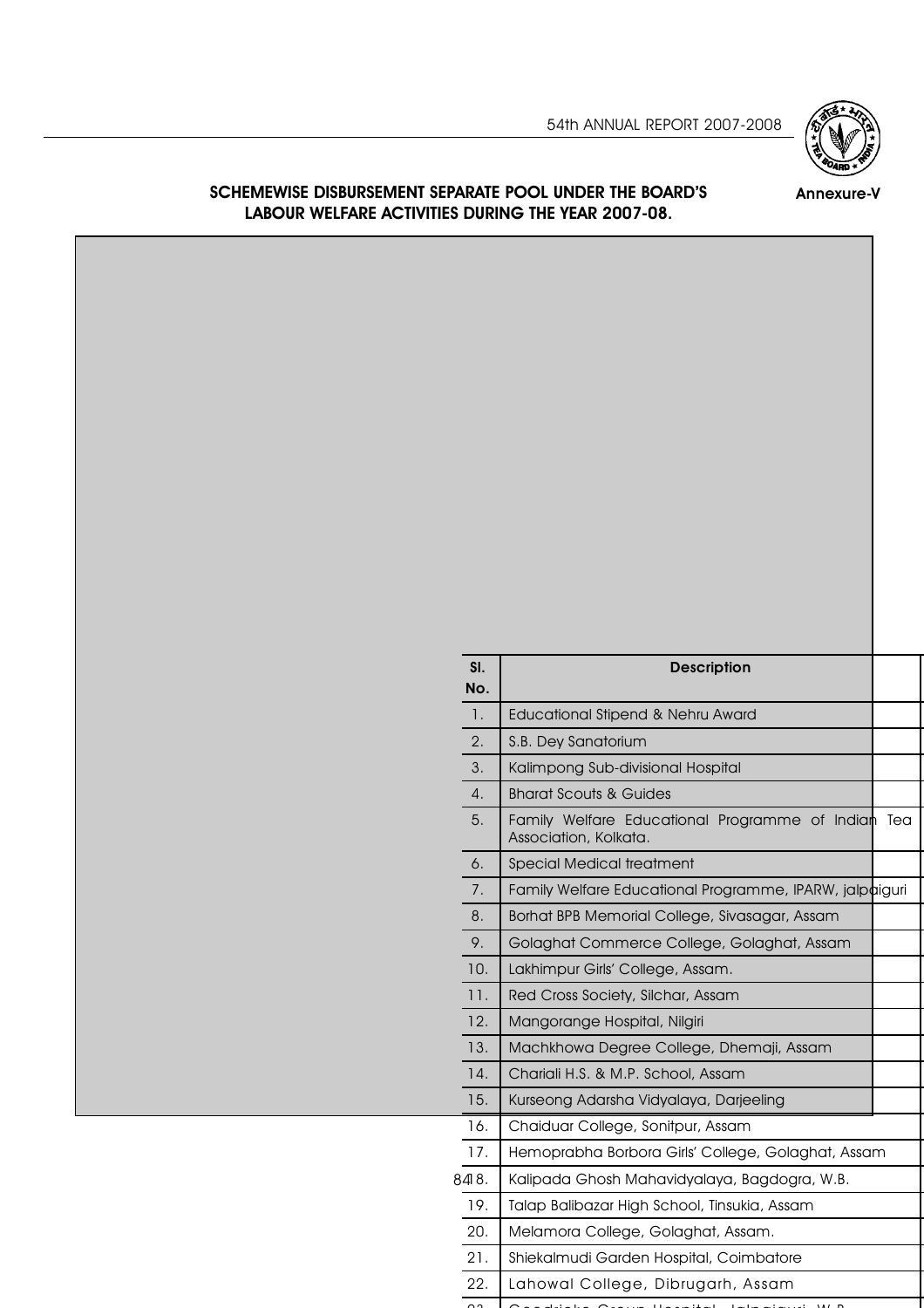

### **SCHEMEWISE DISBURSEMENT SEPARATE POOL UNDER THE BOARD'S LABOUR WELFARE ACTIVITIES DURING THE YEAR 2007-08.**

**Annexure-V**

| SI.<br>No. | <b>Description</b>                                                      |     |
|------------|-------------------------------------------------------------------------|-----|
| 1.         | <b>Educational Stipend &amp; Nehru Award</b>                            |     |
| 2.         | S.B. Dey Sanatorium                                                     |     |
| 3.         | Kalimpong Sub-divisional Hospital                                       |     |
| 4.         | <b>Bharat Scouts &amp; Guides</b>                                       |     |
| 5.         | Family Welfare Educational Programme of Indian<br>Association, Kolkata. | Tea |
| 6.         | Special Medical treatment                                               |     |
| 7.         | Family Welfare Educational Programme, IPARW, jalpaiguri                 |     |
| 8.         | Borhat BPB Memorial College, Sivasagar, Assam                           |     |
| 9.         | Golaghat Commerce College, Golaghat, Assam                              |     |
| 10.        | Lakhimpur Girls' College, Assam.                                        |     |
| 11.        | Red Cross Society, Silchar, Assam                                       |     |
| 12.        | Mangorange Hospital, Nilgiri                                            |     |
| 13.        | Machkhowa Degree College, Dhemaji, Assam                                |     |
| 14.        | Chariali H.S. & M.P. School, Assam                                      |     |
| 15.        | Kurseong Adarsha Vidyalaya, Darjeeling                                  |     |
| 16.        | Chaiduar College, Sonitpur, Assam                                       |     |
| 17.        | Hemoprabha Borbora Girls' College, Golaghat, Assam                      |     |
| 848.       | Kalipada Ghosh Mahavidyalaya, Bagdogra, W.B.                            |     |
| 19.        | Talap Balibazar High School, Tinsukia, Assam                            |     |
| 20.        | Melamora College, Golaghat, Assam.                                      |     |
| 21.        | Shiekalmudi Garden Hospital, Coimbatore                                 |     |
| 22.        | Lahowal College, Dibrugarh, Assam                                       |     |
|            |                                                                         |     |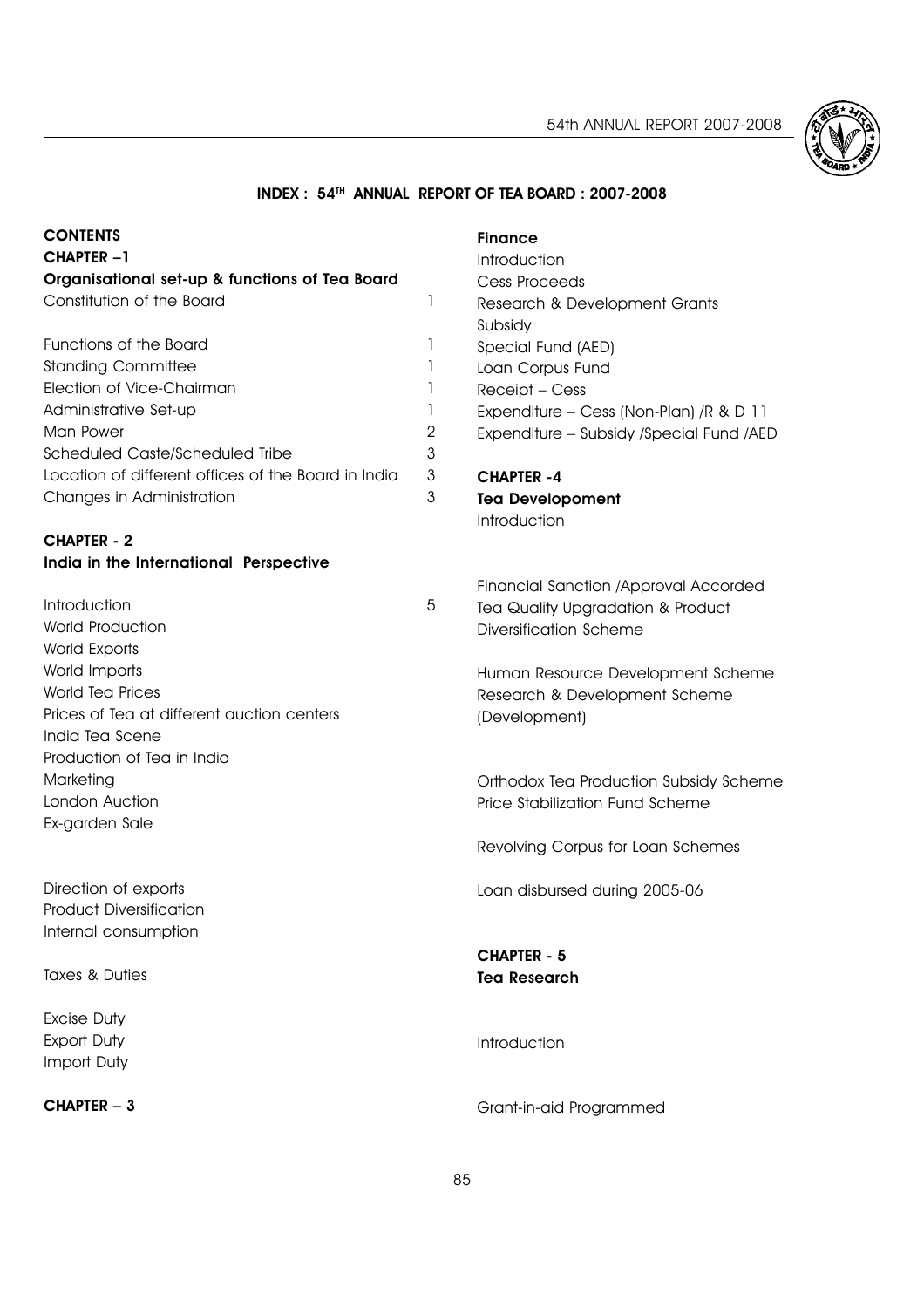

## **INDEX : 54TH ANNUAL REPORT OF TEA BOARD : 2007-2008**

## **CONTENTS**

| <b>CHAPTER-1</b>                                    |   |
|-----------------------------------------------------|---|
| Organisational set-up & functions of Tea Board      |   |
| Constitution of the Board                           | 1 |
|                                                     |   |
| Functions of the Board                              | 1 |
| Standing Committee                                  |   |
| Election of Vice-Chairman                           |   |
| Administrative Set-up                               |   |
| Man Power                                           | 2 |
| Scheduled Caste/Scheduled Tribe                     | 3 |
| Location of different offices of the Board in India | 3 |
| Changes in Administration                           | З |

## **CHAPTER - 2 India in the International Perspective**

| Introduction                               | 5 |
|--------------------------------------------|---|
| World Production                           |   |
| <b>World Exports</b>                       |   |
| World Imports                              |   |
| World Tea Prices                           |   |
| Prices of Tea at different auction centers |   |
| India Tea Scene                            |   |
| Production of Tea in India                 |   |
| Marketing                                  |   |
| London Auction                             |   |
| Ex-garden Sale                             |   |

Direction of exports Product Diversification Internal consumption

Taxes & Duties

Excise Duty Export Duty Import Duty

**CHAPTER – 3**

## **Finance**

| Introduction                             |
|------------------------------------------|
| Cess Proceeds                            |
| Research & Development Grants            |
| Subsidy                                  |
| Special Fund (AED)                       |
| Loan Corpus Fund                         |
| Receipt – Cess                           |
| Expenditure – Cess (Non-Plan) /R & D 1 1 |
| Expenditure - Subsidy /Special Fund /AED |
| <b>CHAPTER -4</b>                        |
| Tea Developoment                         |
| Introduction                             |
|                                          |
| Financial Sanction /Approval Accorded    |
| Tea Quality Upgradation & Product        |
|                                          |

Diversification Scheme Human Resource Development Scheme

Research & Development Scheme (Development)

Orthodox Tea Production Subsidy Scheme Price Stabilization Fund Scheme

Revolving Corpus for Loan Schemes

Loan disbursed during 2005-06

**CHAPTER - 5 Tea Research**

**Introduction** 

Grant-in-aid Programmed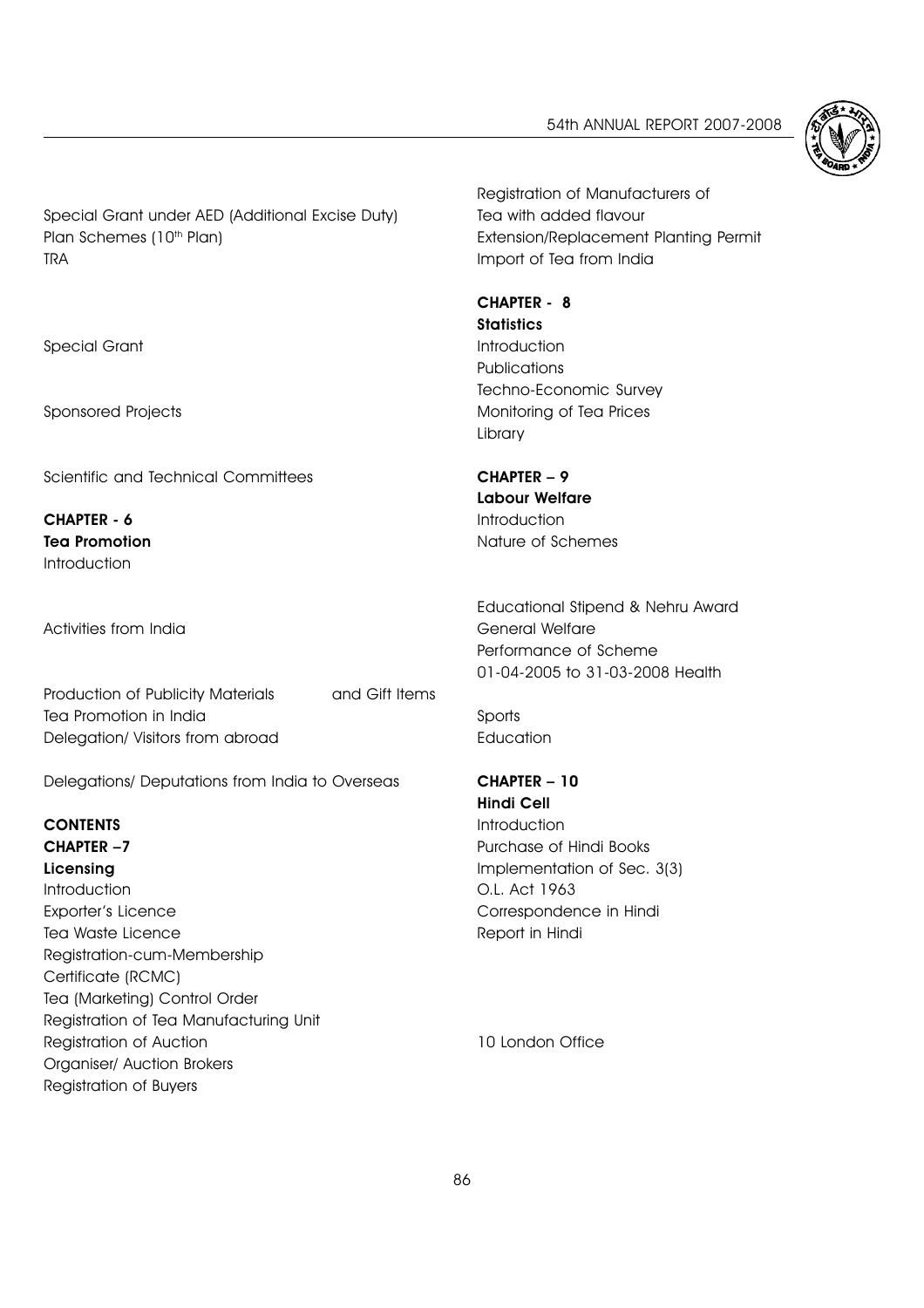

Special Grant under AED (Additional Excise Duty) Plan Schemes (10<sup>th</sup> Plan) TRA

Special Grant

Sponsored Projects

Scientific and Technical Committees

**CHAPTER - 6 Tea Promotion Introduction** 

Activities from India

Production of Publicity Materials and Gift Items Tea Promotion in India Delegation/ Visitors from abroad

Delegations/ Deputations from India to Overseas

**CONTENTS CHAPTER –7 Licensing** Introduction Exporter's Licence Tea Waste Licence Registration-cum-Membership Certificate (RCMC) Tea (Marketing) Control Order Registration of Tea Manufacturing Unit Registration of Auction Organiser/ Auction Brokers Registration of Buyers

Registration of Manufacturers of Tea with added flavour Extension/Replacement Planting Permit Import of Tea from India

**CHAPTER - 8 Statistics Introduction Publications** Techno-Economic Survey Monitoring of Tea Prices Library

## **CHAPTER – 9 Labour Welfare** Introduction Nature of Schemes

Educational Stipend & Nehru Award General Welfare Performance of Scheme 01-04-2005 to 31-03-2008 Health

Sports **Education** 

#### **CHAPTER – 10 Hindi Cell**

**Introduction** Purchase of Hindi Books Implementation of Sec. 3(3) O.L. Act 1963 Correspondence in Hindi Report in Hindi

10 London Office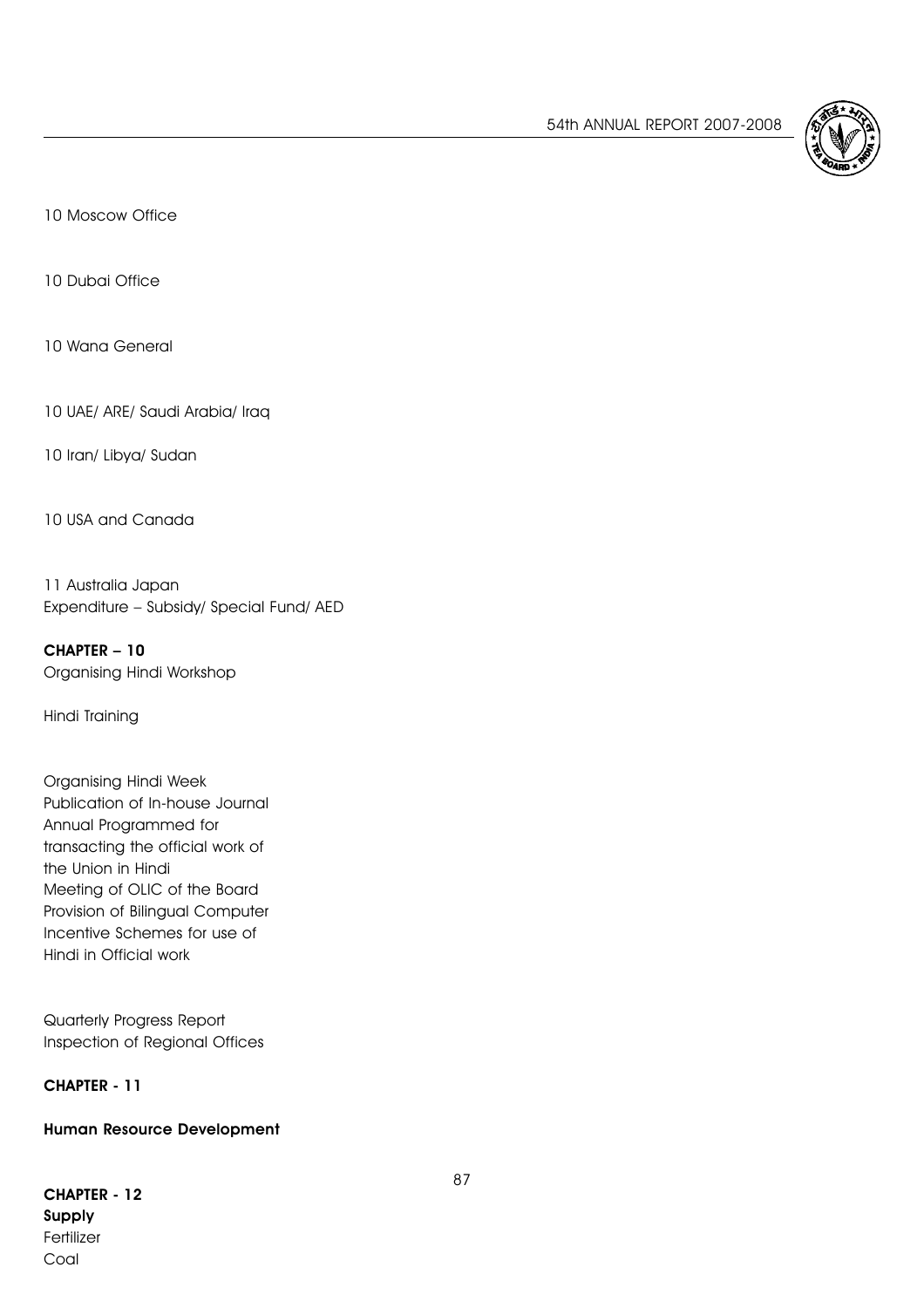

10 Moscow Office

10 Dubai Office

10 Wana General

10 UAE/ ARE/ Saudi Arabia/ Iraq

10 Iran/ Libya/ Sudan

10 USA and Canada

11 Australia Japan Expenditure – Subsidy/ Special Fund/ AED

**CHAPTER – 10** Organising Hindi Workshop

Hindi Training

Organising Hindi Week Publication of In-house Journal Annual Programmed for transacting the official work of the Union in Hindi Meeting of OLIC of the Board Provision of Bilingual Computer Incentive Schemes for use of Hindi in Official work

Quarterly Progress Report Inspection of Regional Offices

**CHAPTER - 11**

## **Human Resource Development**

**CHAPTER - 12 Supply** Fertilizer Coal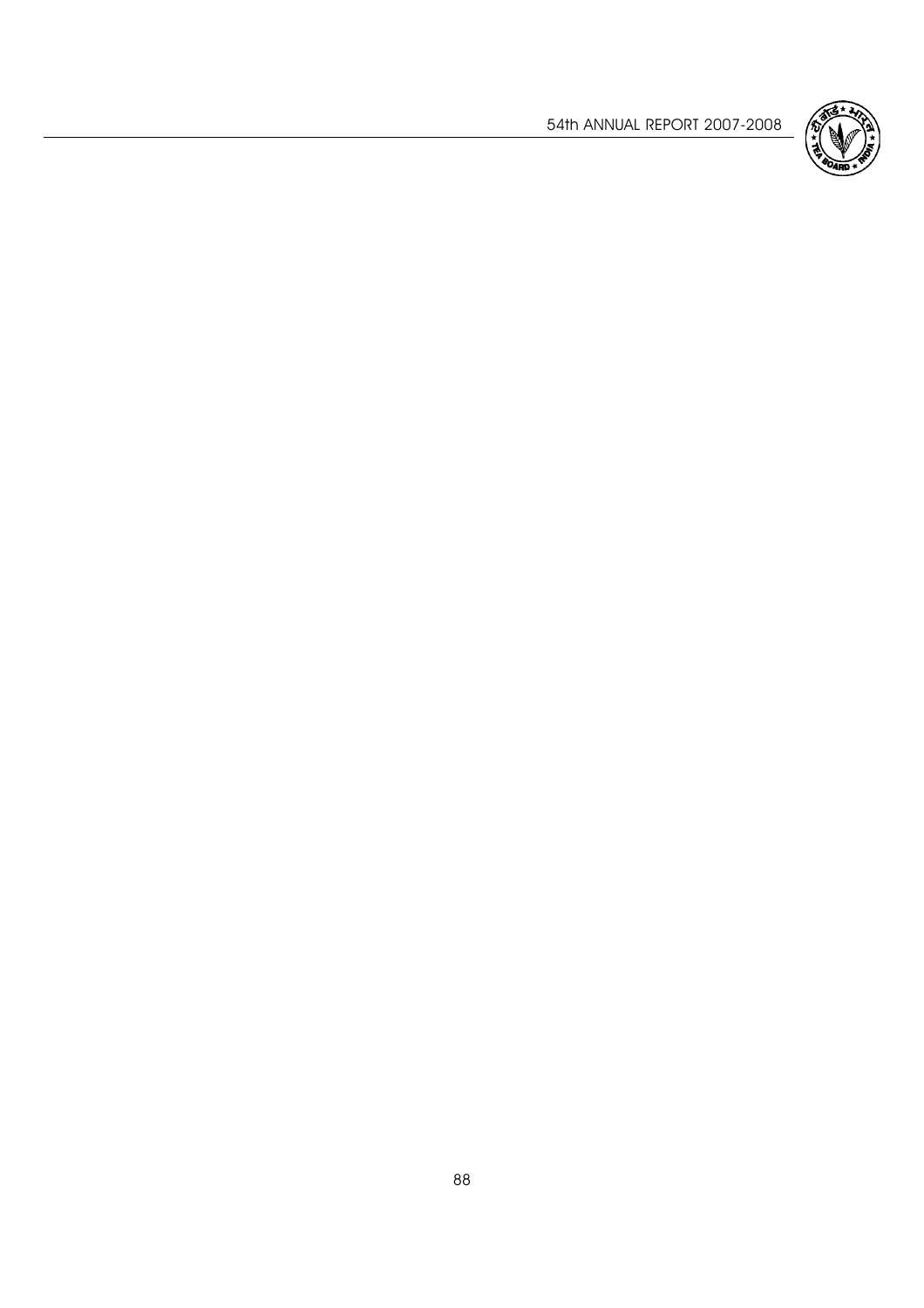